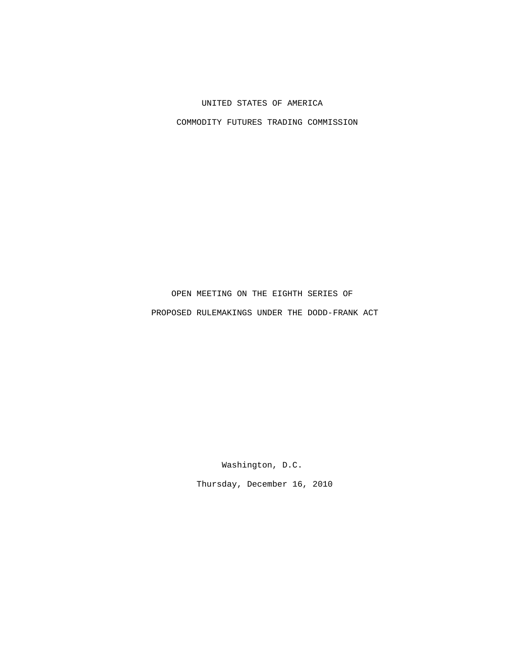## UNITED STATES OF AMERICA

COMMODITY FUTURES TRADING COMMISSION

## OPEN MEETING ON THE EIGHTH SERIES OF PROPOSED RULEMAKINGS UNDER THE DODD-FRANK ACT

Washington, D.C.

Thursday, December 16, 2010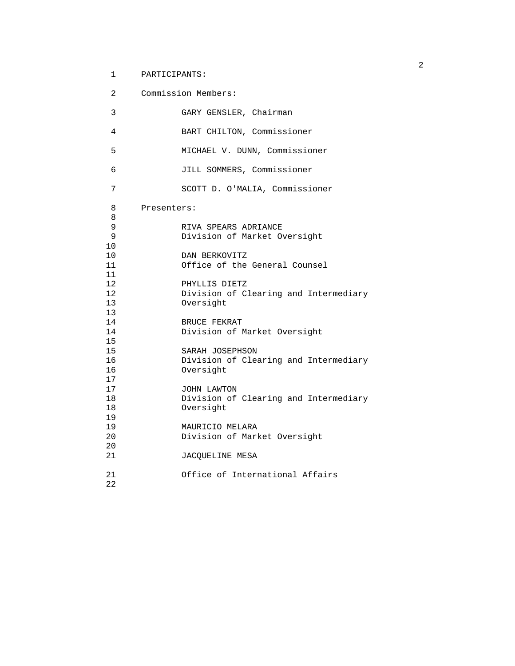## 1 PARTICIPANTS:

| $\overline{2}$ | Commission Members:                   |
|----------------|---------------------------------------|
| 3              | GARY GENSLER, Chairman                |
| 4              | BART CHILTON, Commissioner            |
| 5              | MICHAEL V. DUNN, Commissioner         |
| 6              | JILL SOMMERS, Commissioner            |
| 7              | SCOTT D. O'MALIA, Commissioner        |
| 8              | Presenters:                           |
| 8              |                                       |
| 9              | RIVA SPEARS ADRIANCE                  |
| 9              | Division of Market Oversight          |
| 10             |                                       |
| 10             | DAN BERKOVITZ                         |
| 11             | Office of the General Counsel         |
| 11             |                                       |
| 12             | PHYLLIS DIETZ                         |
| 12             | Division of Clearing and Intermediary |
| 13             | Oversight                             |
| 13             |                                       |
| 14             | BRUCE FEKRAT                          |
| 14             | Division of Market Oversight          |
| 15             |                                       |
| 15             | SARAH JOSEPHSON                       |
| 16             | Division of Clearing and Intermediary |
| 16             | Oversight                             |
| 17             |                                       |
| 17             | JOHN LAWTON                           |
| 18             | Division of Clearing and Intermediary |
| 18             | Oversight                             |
| 19             |                                       |
| 19             | MAURICIO MELARA                       |
| 20             | Division of Market Oversight          |
| 20             |                                       |
| 21             |                                       |
|                | JACOUELINE MESA                       |
| 21             | Office of International Affairs       |
|                |                                       |
| 22             |                                       |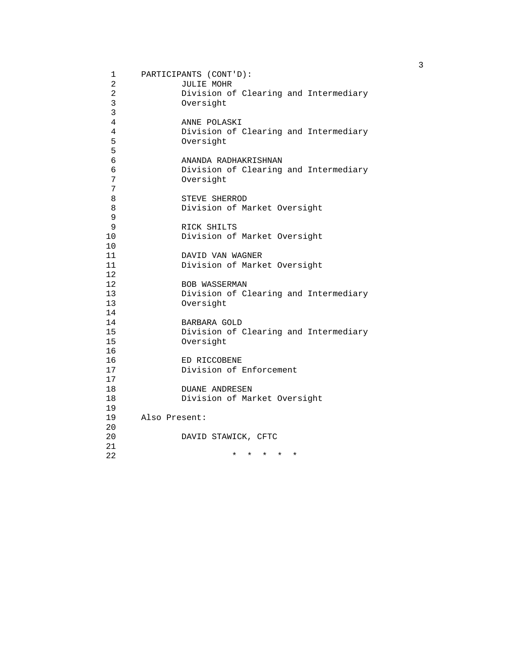| 1              | PARTICIPANTS (CONT'D):                             |
|----------------|----------------------------------------------------|
| $\overline{a}$ | <b>JULIE MOHR</b>                                  |
| $\overline{2}$ | Division of Clearing and Intermediary              |
| 3              | Oversight                                          |
| 3              |                                                    |
| 4              | ANNE POLASKI                                       |
| 4              | Division of Clearing and Intermediary              |
| 5              | Oversight                                          |
| 5              |                                                    |
| 6              | ANANDA RADHAKRISHNAN                               |
| 6              | Division of Clearing and Intermediary              |
| 7              | Oversight                                          |
| 7              |                                                    |
| 8              | STEVE SHERROD                                      |
| 8              | Division of Market Oversight                       |
| 9              |                                                    |
| 9              | RICK SHILTS                                        |
| 10             | Division of Market Oversight                       |
| 10             |                                                    |
| 11             | DAVID VAN WAGNER                                   |
| 11             | Division of Market Oversight                       |
| 12             |                                                    |
| 12             | <b>BOB WASSERMAN</b>                               |
| 13             | Division of Clearing and Intermediary              |
| 13             | Oversight                                          |
| 14             |                                                    |
| 14             | BARBARA GOLD                                       |
| 15             | Division of Clearing and Intermediary              |
| 15             | Oversight                                          |
| 16             |                                                    |
| 16             | ED RICCOBENE                                       |
| 17             | Division of Enforcement                            |
| 17             |                                                    |
| 18             | <b>DUANE ANDRESEN</b>                              |
| 18             | Division of Market Oversight                       |
| 19             |                                                    |
| 19             | Also Present:                                      |
| 20             |                                                    |
| 20             | DAVID STAWICK, CFTC                                |
| 21             |                                                    |
| 22             | $\star$ $\star$<br>$^\star$<br>$\star$<br>$^\star$ |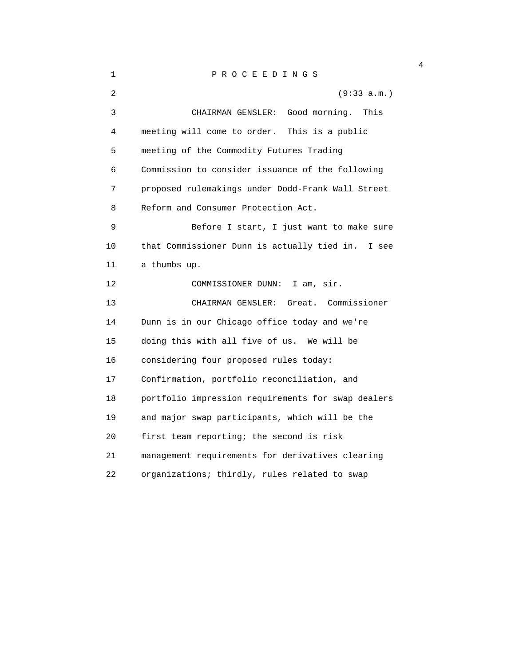## 1 P R O C E E D I N G S

| 2  | (9:33 a.m.)                                          |
|----|------------------------------------------------------|
| 3  | Good morning.<br>This<br>CHAIRMAN GENSLER:           |
| 4  | meeting will come to order. This is a public         |
| 5  | meeting of the Commodity Futures Trading             |
| 6  | Commission to consider issuance of the following     |
| 7  | proposed rulemakings under Dodd-Frank Wall Street    |
| 8  | Reform and Consumer Protection Act.                  |
| 9  | Before I start, I just want to make sure             |
| 10 | that Commissioner Dunn is actually tied in.<br>I see |
| 11 | a thumbs up.                                         |
| 12 | COMMISSIONER DUNN:<br>I am, sir.                     |
| 13 | Great. Commissioner<br>CHAIRMAN GENSLER:             |
| 14 | Dunn is in our Chicago office today and we're        |
| 15 | doing this with all five of us. We will be           |
| 16 | considering four proposed rules today:               |
| 17 | Confirmation, portfolio reconciliation, and          |
| 18 | portfolio impression requirements for swap dealers   |
| 19 | and major swap participants, which will be the       |
| 20 | first team reporting; the second is risk             |
| 21 | management requirements for derivatives clearing     |
| 22 | organizations; thirdly, rules related to swap        |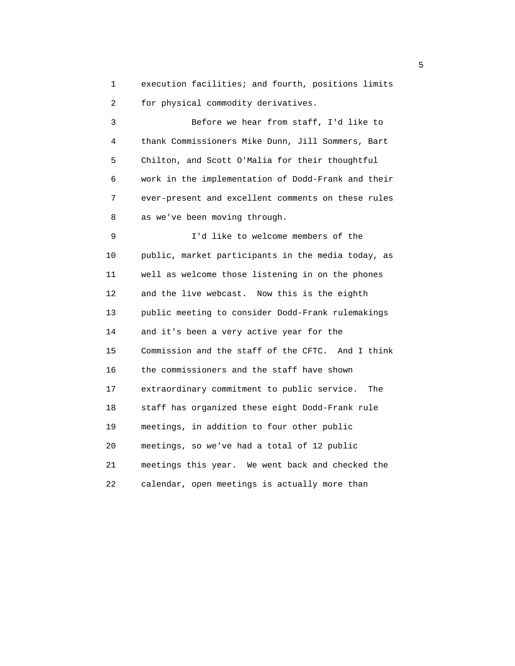1 execution facilities; and fourth, positions limits 2 for physical commodity derivatives.

 3 Before we hear from staff, I'd like to 4 thank Commissioners Mike Dunn, Jill Sommers, Bart 5 Chilton, and Scott O'Malia for their thoughtful 6 work in the implementation of Dodd-Frank and their 7 ever-present and excellent comments on these rules 8 as we've been moving through.

 9 I'd like to welcome members of the 10 public, market participants in the media today, as 11 well as welcome those listening in on the phones 12 and the live webcast. Now this is the eighth 13 public meeting to consider Dodd-Frank rulemakings 14 and it's been a very active year for the 15 Commission and the staff of the CFTC. And I think 16 the commissioners and the staff have shown 17 extraordinary commitment to public service. The 18 staff has organized these eight Dodd-Frank rule 19 meetings, in addition to four other public 20 meetings, so we've had a total of 12 public 21 meetings this year. We went back and checked the 22 calendar, open meetings is actually more than

 $\sim$  5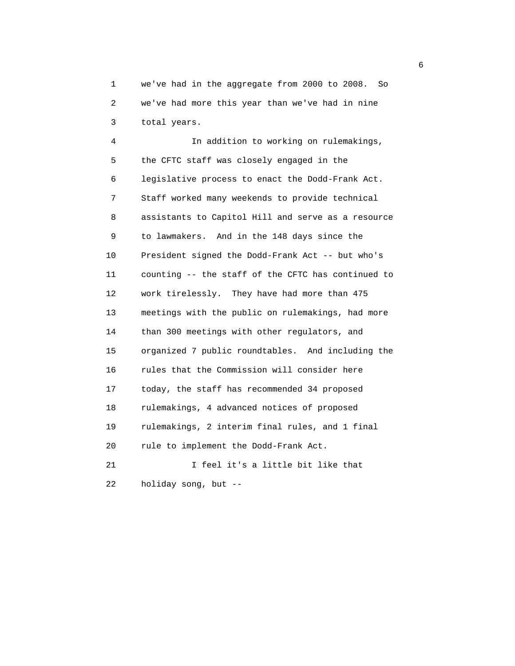1 we've had in the aggregate from 2000 to 2008. So 2 we've had more this year than we've had in nine 3 total years.

 4 In addition to working on rulemakings, 5 the CFTC staff was closely engaged in the 6 legislative process to enact the Dodd-Frank Act. 7 Staff worked many weekends to provide technical 8 assistants to Capitol Hill and serve as a resource 9 to lawmakers. And in the 148 days since the 10 President signed the Dodd-Frank Act -- but who's 11 counting -- the staff of the CFTC has continued to 12 work tirelessly. They have had more than 475 13 meetings with the public on rulemakings, had more 14 than 300 meetings with other regulators, and 15 organized 7 public roundtables. And including the 16 rules that the Commission will consider here 17 today, the staff has recommended 34 proposed 18 rulemakings, 4 advanced notices of proposed 19 rulemakings, 2 interim final rules, and 1 final 20 rule to implement the Dodd-Frank Act. 21 I feel it's a little bit like that

22 holiday song, but --

 $\sim$  6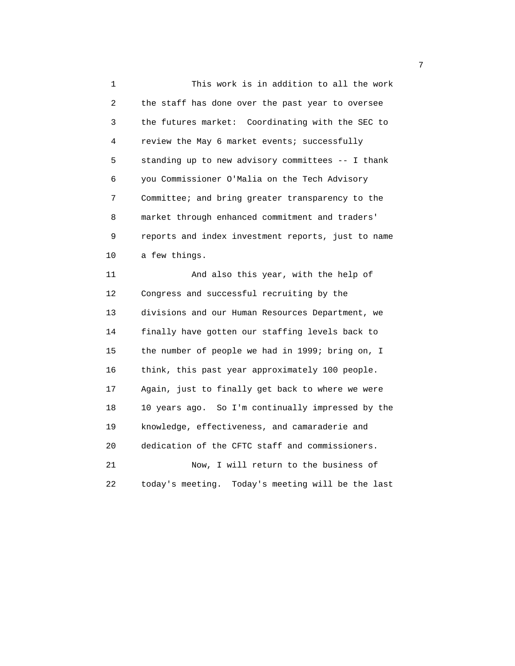1 This work is in addition to all the work 2 the staff has done over the past year to oversee 3 the futures market: Coordinating with the SEC to 4 review the May 6 market events; successfully 5 standing up to new advisory committees -- I thank 6 you Commissioner O'Malia on the Tech Advisory 7 Committee; and bring greater transparency to the 8 market through enhanced commitment and traders' 9 reports and index investment reports, just to name 10 a few things.

 11 And also this year, with the help of 12 Congress and successful recruiting by the 13 divisions and our Human Resources Department, we 14 finally have gotten our staffing levels back to 15 the number of people we had in 1999; bring on, I 16 think, this past year approximately 100 people. 17 Again, just to finally get back to where we were 18 10 years ago. So I'm continually impressed by the 19 knowledge, effectiveness, and camaraderie and 20 dedication of the CFTC staff and commissioners. 21 Now, I will return to the business of 22 today's meeting. Today's meeting will be the last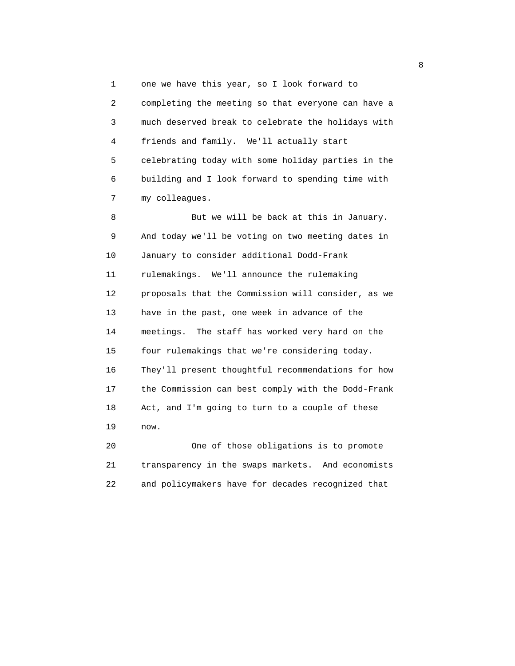1 one we have this year, so I look forward to 2 completing the meeting so that everyone can have a 3 much deserved break to celebrate the holidays with 4 friends and family. We'll actually start 5 celebrating today with some holiday parties in the 6 building and I look forward to spending time with 7 my colleagues.

 8 But we will be back at this in January. 9 And today we'll be voting on two meeting dates in 10 January to consider additional Dodd-Frank 11 rulemakings. We'll announce the rulemaking 12 proposals that the Commission will consider, as we 13 have in the past, one week in advance of the 14 meetings. The staff has worked very hard on the 15 four rulemakings that we're considering today. 16 They'll present thoughtful recommendations for how 17 the Commission can best comply with the Dodd-Frank 18 Act, and I'm going to turn to a couple of these 19 now.

 20 One of those obligations is to promote 21 transparency in the swaps markets. And economists 22 and policymakers have for decades recognized that

en andere de la provincia de la provincia de la provincia de la provincia de la provincia de la provincia del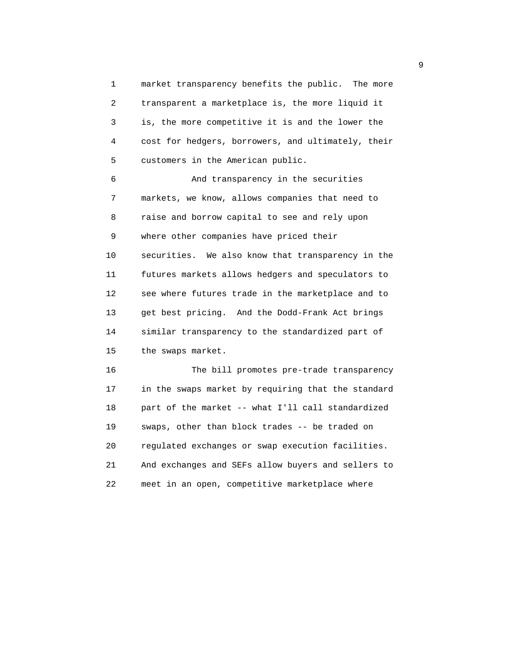1 market transparency benefits the public. The more 2 transparent a marketplace is, the more liquid it 3 is, the more competitive it is and the lower the 4 cost for hedgers, borrowers, and ultimately, their 5 customers in the American public.

 6 And transparency in the securities 7 markets, we know, allows companies that need to 8 raise and borrow capital to see and rely upon 9 where other companies have priced their 10 securities. We also know that transparency in the 11 futures markets allows hedgers and speculators to 12 see where futures trade in the marketplace and to 13 get best pricing. And the Dodd-Frank Act brings 14 similar transparency to the standardized part of 15 the swaps market.

 16 The bill promotes pre-trade transparency 17 in the swaps market by requiring that the standard 18 part of the market -- what I'll call standardized 19 swaps, other than block trades -- be traded on 20 regulated exchanges or swap execution facilities. 21 And exchanges and SEFs allow buyers and sellers to 22 meet in an open, competitive marketplace where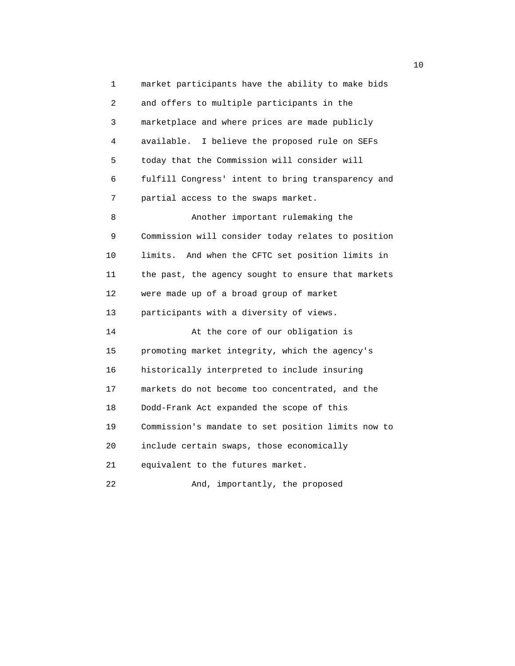1 market participants have the ability to make bids 2 and offers to multiple participants in the 3 marketplace and where prices are made publicly 4 available. I believe the proposed rule on SEFs 5 today that the Commission will consider will 6 fulfill Congress' intent to bring transparency and 7 partial access to the swaps market. 8 Another important rulemaking the 9 Commission will consider today relates to position 10 limits. And when the CFTC set position limits in 11 the past, the agency sought to ensure that markets 12 were made up of a broad group of market 13 participants with a diversity of views. 14 At the core of our obligation is 15 promoting market integrity, which the agency's 16 historically interpreted to include insuring 17 markets do not become too concentrated, and the 18 Dodd-Frank Act expanded the scope of this 19 Commission's mandate to set position limits now to 20 include certain swaps, those economically 21 equivalent to the futures market. 22 And, importantly, the proposed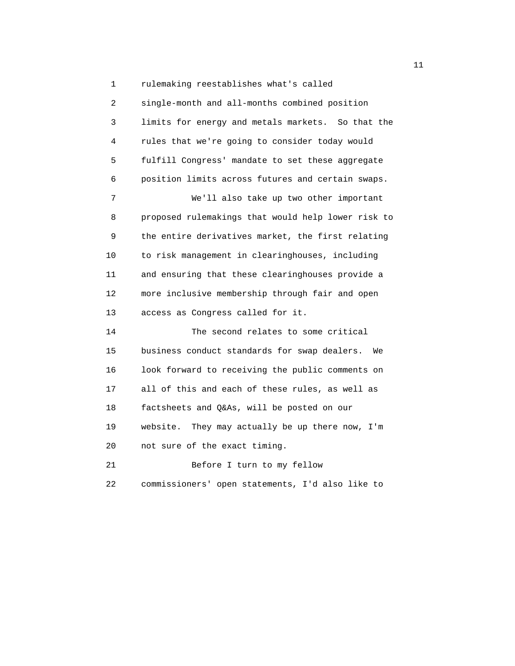1 rulemaking reestablishes what's called 2 single-month and all-months combined position 3 limits for energy and metals markets. So that the 4 rules that we're going to consider today would 5 fulfill Congress' mandate to set these aggregate 6 position limits across futures and certain swaps. 7 We'll also take up two other important 8 proposed rulemakings that would help lower risk to 9 the entire derivatives market, the first relating 10 to risk management in clearinghouses, including 11 and ensuring that these clearinghouses provide a 12 more inclusive membership through fair and open 13 access as Congress called for it. 14 The second relates to some critical 15 business conduct standards for swap dealers. We 16 look forward to receiving the public comments on 17 all of this and each of these rules, as well as 18 factsheets and Q&As, will be posted on our 19 website. They may actually be up there now, I'm

20 not sure of the exact timing.

 21 Before I turn to my fellow 22 commissioners' open statements, I'd also like to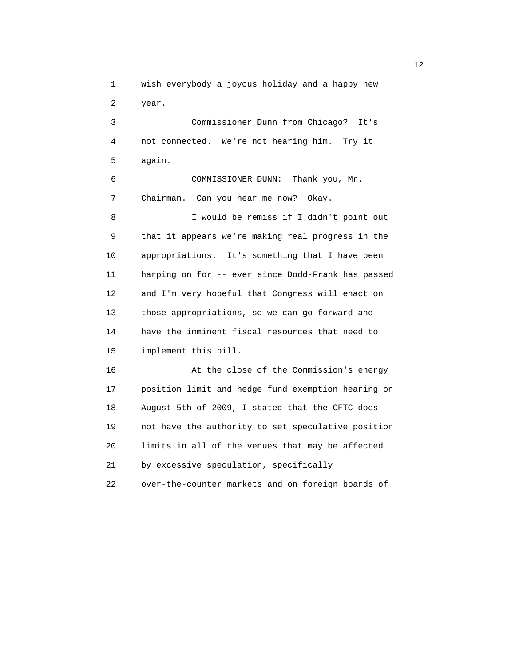1 wish everybody a joyous holiday and a happy new 2 year.

 3 Commissioner Dunn from Chicago? It's 4 not connected. We're not hearing him. Try it 5 again.

 6 COMMISSIONER DUNN: Thank you, Mr. 7 Chairman. Can you hear me now? Okay.

 8 I would be remiss if I didn't point out 9 that it appears we're making real progress in the 10 appropriations. It's something that I have been 11 harping on for -- ever since Dodd-Frank has passed 12 and I'm very hopeful that Congress will enact on 13 those appropriations, so we can go forward and 14 have the imminent fiscal resources that need to 15 implement this bill.

 16 At the close of the Commission's energy 17 position limit and hedge fund exemption hearing on 18 August 5th of 2009, I stated that the CFTC does 19 not have the authority to set speculative position 20 limits in all of the venues that may be affected 21 by excessive speculation, specifically 22 over-the-counter markets and on foreign boards of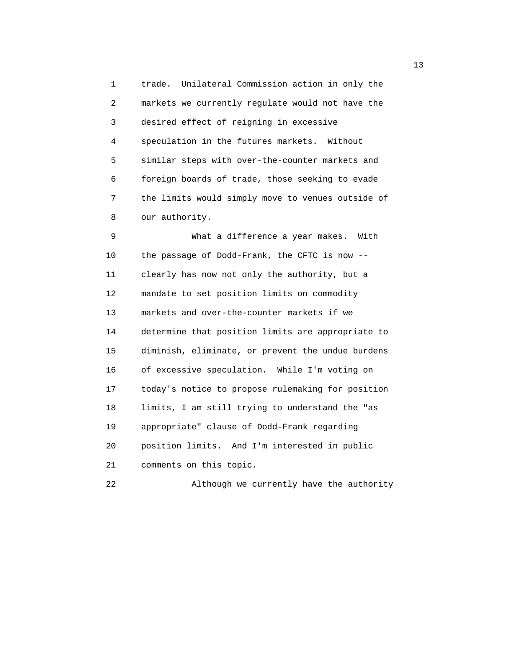1 trade. Unilateral Commission action in only the 2 markets we currently regulate would not have the 3 desired effect of reigning in excessive 4 speculation in the futures markets. Without 5 similar steps with over-the-counter markets and 6 foreign boards of trade, those seeking to evade 7 the limits would simply move to venues outside of 8 our authority.

 9 What a difference a year makes. With 10 the passage of Dodd-Frank, the CFTC is now -- 11 clearly has now not only the authority, but a 12 mandate to set position limits on commodity 13 markets and over-the-counter markets if we 14 determine that position limits are appropriate to 15 diminish, eliminate, or prevent the undue burdens 16 of excessive speculation. While I'm voting on 17 today's notice to propose rulemaking for position 18 limits, I am still trying to understand the "as 19 appropriate" clause of Dodd-Frank regarding 20 position limits. And I'm interested in public 21 comments on this topic.

22 Although we currently have the authority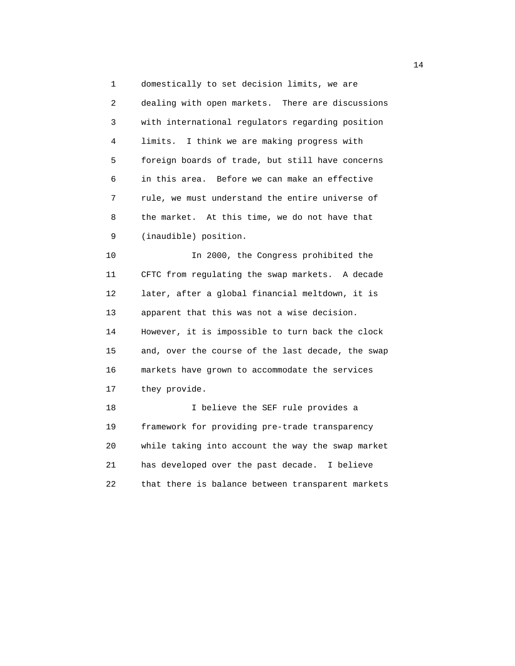1 domestically to set decision limits, we are 2 dealing with open markets. There are discussions 3 with international regulators regarding position 4 limits. I think we are making progress with 5 foreign boards of trade, but still have concerns 6 in this area. Before we can make an effective 7 rule, we must understand the entire universe of 8 the market. At this time, we do not have that 9 (inaudible) position.

 10 In 2000, the Congress prohibited the 11 CFTC from regulating the swap markets. A decade 12 later, after a global financial meltdown, it is 13 apparent that this was not a wise decision. 14 However, it is impossible to turn back the clock 15 and, over the course of the last decade, the swap 16 markets have grown to accommodate the services 17 they provide. 18 I believe the SEF rule provides a

 19 framework for providing pre-trade transparency 20 while taking into account the way the swap market 21 has developed over the past decade. I believe 22 that there is balance between transparent markets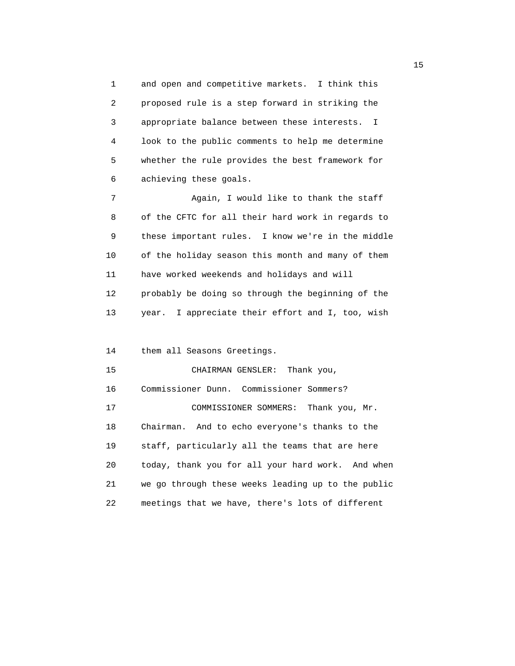1 and open and competitive markets. I think this 2 proposed rule is a step forward in striking the 3 appropriate balance between these interests. I 4 look to the public comments to help me determine 5 whether the rule provides the best framework for 6 achieving these goals.

 7 Again, I would like to thank the staff 8 of the CFTC for all their hard work in regards to 9 these important rules. I know we're in the middle 10 of the holiday season this month and many of them 11 have worked weekends and holidays and will 12 probably be doing so through the beginning of the 13 year. I appreciate their effort and I, too, wish

14 them all Seasons Greetings.

 15 CHAIRMAN GENSLER: Thank you, 16 Commissioner Dunn. Commissioner Sommers? 17 COMMISSIONER SOMMERS: Thank you, Mr. 18 Chairman. And to echo everyone's thanks to the 19 staff, particularly all the teams that are here 20 today, thank you for all your hard work. And when 21 we go through these weeks leading up to the public 22 meetings that we have, there's lots of different

the contract of the contract of the contract of the contract of the contract of the contract of the contract of the contract of the contract of the contract of the contract of the contract of the contract of the contract o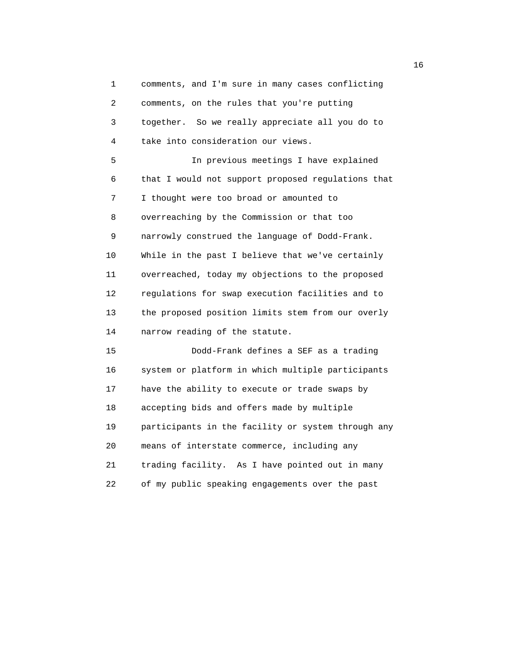1 comments, and I'm sure in many cases conflicting 2 comments, on the rules that you're putting 3 together. So we really appreciate all you do to 4 take into consideration our views. 5 In previous meetings I have explained 6 that I would not support proposed regulations that 7 I thought were too broad or amounted to 8 overreaching by the Commission or that too 9 narrowly construed the language of Dodd-Frank. 10 While in the past I believe that we've certainly 11 overreached, today my objections to the proposed 12 regulations for swap execution facilities and to 13 the proposed position limits stem from our overly 14 narrow reading of the statute. 15 Dodd-Frank defines a SEF as a trading 16 system or platform in which multiple participants 17 have the ability to execute or trade swaps by 18 accepting bids and offers made by multiple 19 participants in the facility or system through any 20 means of interstate commerce, including any 21 trading facility. As I have pointed out in many 22 of my public speaking engagements over the past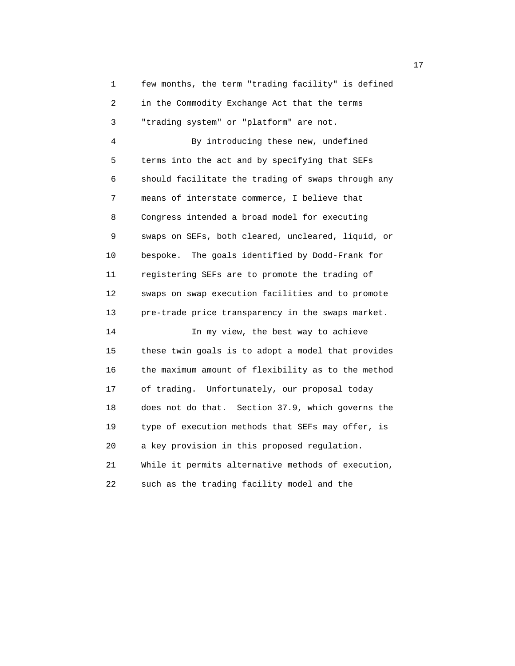1 few months, the term "trading facility" is defined 2 in the Commodity Exchange Act that the terms 3 "trading system" or "platform" are not.

 4 By introducing these new, undefined 5 terms into the act and by specifying that SEFs 6 should facilitate the trading of swaps through any 7 means of interstate commerce, I believe that 8 Congress intended a broad model for executing 9 swaps on SEFs, both cleared, uncleared, liquid, or 10 bespoke. The goals identified by Dodd-Frank for 11 registering SEFs are to promote the trading of 12 swaps on swap execution facilities and to promote 13 pre-trade price transparency in the swaps market. 14 In my view, the best way to achieve 15 these twin goals is to adopt a model that provides 16 the maximum amount of flexibility as to the method

 17 of trading. Unfortunately, our proposal today 18 does not do that. Section 37.9, which governs the 19 type of execution methods that SEFs may offer, is 20 a key provision in this proposed regulation. 21 While it permits alternative methods of execution,

22 such as the trading facility model and the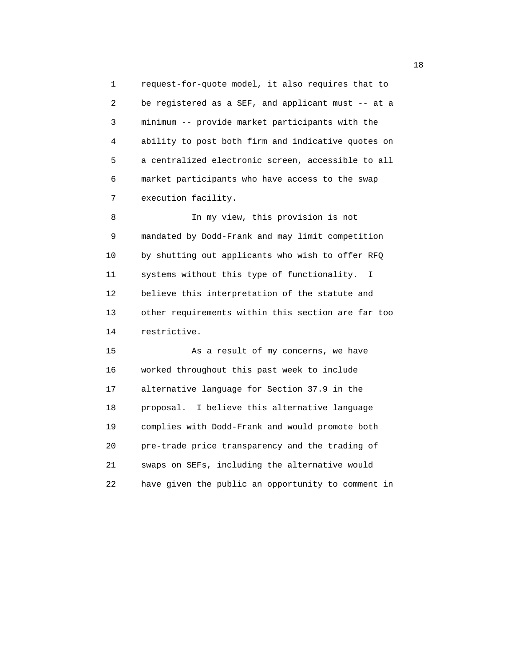1 request-for-quote model, it also requires that to 2 be registered as a SEF, and applicant must -- at a 3 minimum -- provide market participants with the 4 ability to post both firm and indicative quotes on 5 a centralized electronic screen, accessible to all 6 market participants who have access to the swap 7 execution facility.

 8 In my view, this provision is not 9 mandated by Dodd-Frank and may limit competition 10 by shutting out applicants who wish to offer RFQ 11 systems without this type of functionality. I 12 believe this interpretation of the statute and 13 other requirements within this section are far too 14 restrictive.

 15 As a result of my concerns, we have 16 worked throughout this past week to include 17 alternative language for Section 37.9 in the 18 proposal. I believe this alternative language 19 complies with Dodd-Frank and would promote both 20 pre-trade price transparency and the trading of 21 swaps on SEFs, including the alternative would 22 have given the public an opportunity to comment in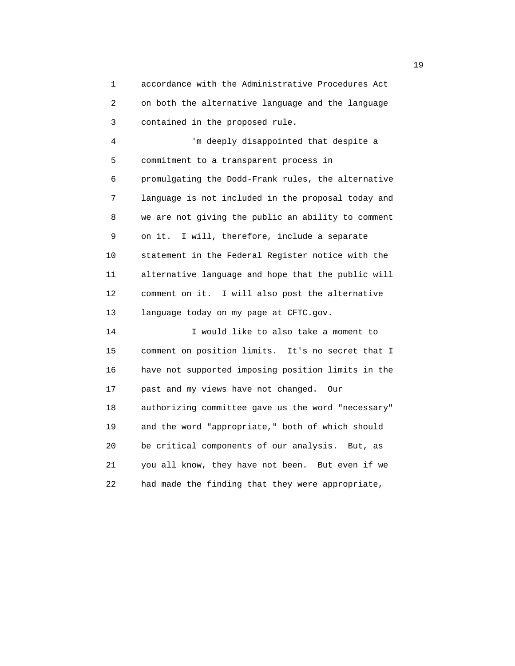1 accordance with the Administrative Procedures Act 2 on both the alternative language and the language 3 contained in the proposed rule.

 4 'm deeply disappointed that despite a 5 commitment to a transparent process in 6 promulgating the Dodd-Frank rules, the alternative 7 language is not included in the proposal today and 8 we are not giving the public an ability to comment 9 on it. I will, therefore, include a separate 10 statement in the Federal Register notice with the 11 alternative language and hope that the public will 12 comment on it. I will also post the alternative 13 language today on my page at CFTC.gov.

 14 I would like to also take a moment to 15 comment on position limits. It's no secret that I 16 have not supported imposing position limits in the 17 past and my views have not changed. Our 18 authorizing committee gave us the word "necessary" 19 and the word "appropriate," both of which should 20 be critical components of our analysis. But, as 21 you all know, they have not been. But even if we 22 had made the finding that they were appropriate,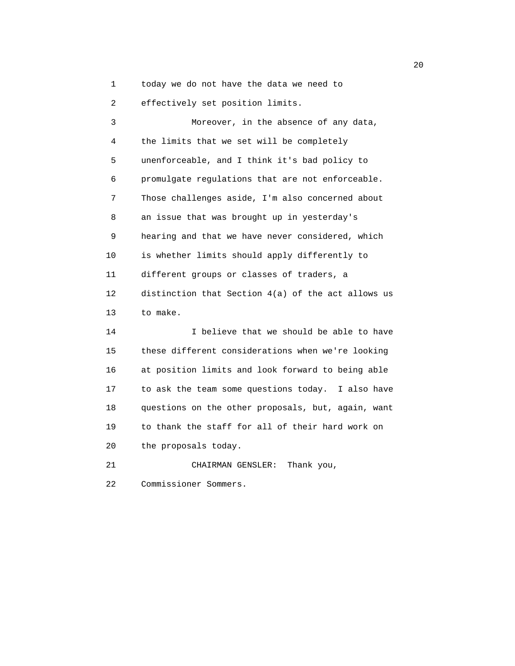1 today we do not have the data we need to

2 effectively set position limits.

 3 Moreover, in the absence of any data, 4 the limits that we set will be completely 5 unenforceable, and I think it's bad policy to 6 promulgate regulations that are not enforceable. 7 Those challenges aside, I'm also concerned about 8 an issue that was brought up in yesterday's 9 hearing and that we have never considered, which 10 is whether limits should apply differently to 11 different groups or classes of traders, a 12 distinction that Section 4(a) of the act allows us 13 to make. 14 I believe that we should be able to have 15 these different considerations when we're looking 16 at position limits and look forward to being able 17 to ask the team some questions today. I also have 18 questions on the other proposals, but, again, want 19 to thank the staff for all of their hard work on 20 the proposals today. 21 CHAIRMAN GENSLER: Thank you,

22 Commissioner Sommers.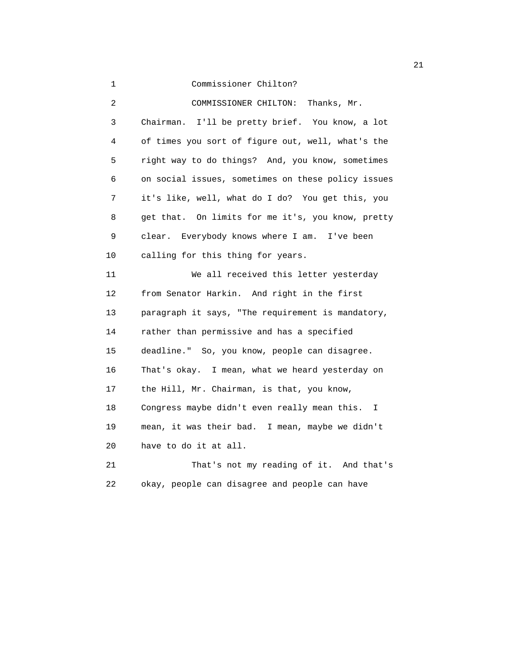21 and 21 and 22 and 22 and 22 and 22 and 22 and 22 and 22 and 22 and 22 and 22 and 22 and 22 and 22 and 22 and 22 and 22 and 22 and 22 and 22 and 22 and 22 and 22 and 22 and 22 and 22 and 22 and 22 and 22 and 22 and 22 an 1 Commissioner Chilton? 2 COMMISSIONER CHILTON: Thanks, Mr. 3 Chairman. I'll be pretty brief. You know, a lot 4 of times you sort of figure out, well, what's the 5 right way to do things? And, you know, sometimes 6 on social issues, sometimes on these policy issues 7 it's like, well, what do I do? You get this, you 8 get that. On limits for me it's, you know, pretty 9 clear. Everybody knows where I am. I've been 10 calling for this thing for years. 11 We all received this letter yesterday 12 from Senator Harkin. And right in the first 13 paragraph it says, "The requirement is mandatory, 14 rather than permissive and has a specified 15 deadline." So, you know, people can disagree. 16 That's okay. I mean, what we heard yesterday on 17 the Hill, Mr. Chairman, is that, you know, 18 Congress maybe didn't even really mean this. I 19 mean, it was their bad. I mean, maybe we didn't 20 have to do it at all.

 21 That's not my reading of it. And that's 22 okay, people can disagree and people can have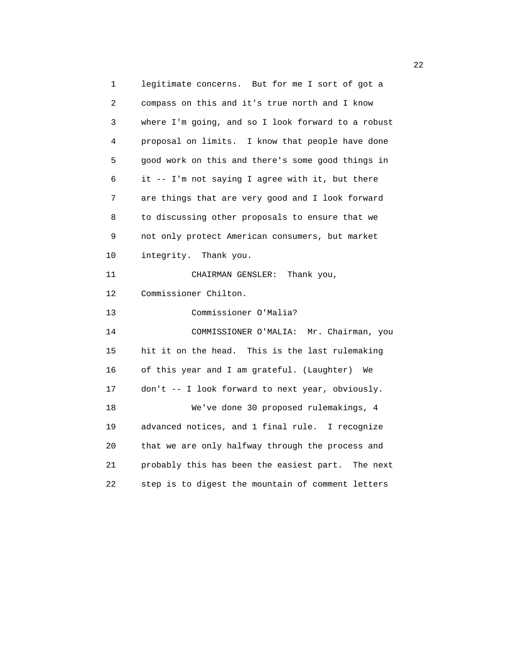1 legitimate concerns. But for me I sort of got a 2 compass on this and it's true north and I know 3 where I'm going, and so I look forward to a robust 4 proposal on limits. I know that people have done 5 good work on this and there's some good things in 6 it -- I'm not saying I agree with it, but there 7 are things that are very good and I look forward 8 to discussing other proposals to ensure that we 9 not only protect American consumers, but market 10 integrity. Thank you. 11 CHAIRMAN GENSLER: Thank you, 12 Commissioner Chilton. 13 Commissioner O'Malia? 14 COMMISSIONER O'MALIA: Mr. Chairman, you 15 hit it on the head. This is the last rulemaking 16 of this year and I am grateful. (Laughter) We 17 don't -- I look forward to next year, obviously. 18 We've done 30 proposed rulemakings, 4 19 advanced notices, and 1 final rule. I recognize 20 that we are only halfway through the process and 21 probably this has been the easiest part. The next 22 step is to digest the mountain of comment letters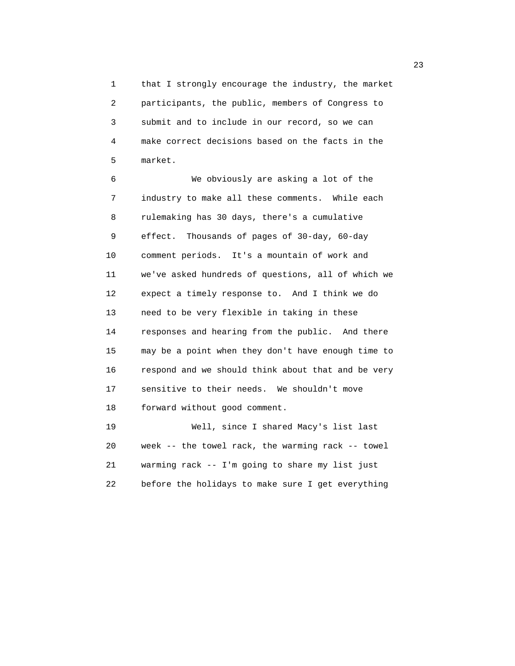1 that I strongly encourage the industry, the market 2 participants, the public, members of Congress to 3 submit and to include in our record, so we can 4 make correct decisions based on the facts in the 5 market.

 6 We obviously are asking a lot of the 7 industry to make all these comments. While each 8 rulemaking has 30 days, there's a cumulative 9 effect. Thousands of pages of 30-day, 60-day 10 comment periods. It's a mountain of work and 11 we've asked hundreds of questions, all of which we 12 expect a timely response to. And I think we do 13 need to be very flexible in taking in these 14 responses and hearing from the public. And there 15 may be a point when they don't have enough time to 16 respond and we should think about that and be very 17 sensitive to their needs. We shouldn't move 18 forward without good comment. 19 Well, since I shared Macy's list last

 20 week -- the towel rack, the warming rack -- towel 21 warming rack -- I'm going to share my list just 22 before the holidays to make sure I get everything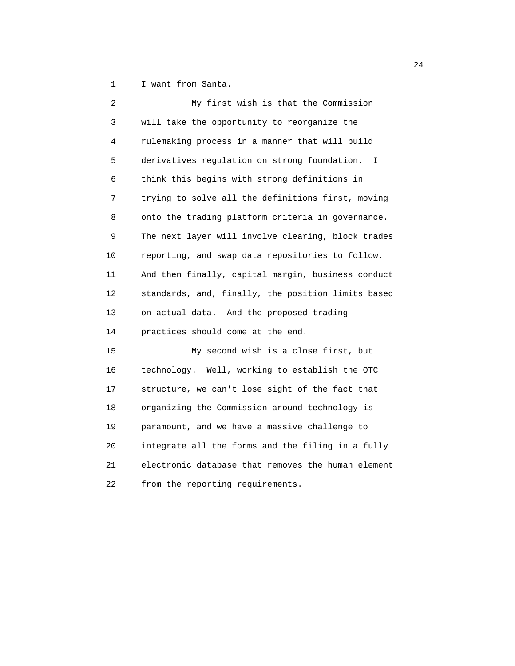1 I want from Santa.

| 2  | My first wish is that the Commission                         |
|----|--------------------------------------------------------------|
| 3  | will take the opportunity to reorganize the                  |
| 4  | rulemaking process in a manner that will build               |
| 5  | derivatives regulation on strong foundation.<br>$\mathbf{I}$ |
| 6  | think this begins with strong definitions in                 |
| 7  | trying to solve all the definitions first, moving            |
| 8  | onto the trading platform criteria in governance.            |
| 9  | The next layer will involve clearing, block trades           |
| 10 | reporting, and swap data repositories to follow.             |
| 11 | And then finally, capital margin, business conduct           |
| 12 | standards, and, finally, the position limits based           |
| 13 | on actual data. And the proposed trading                     |
| 14 | practices should come at the end.                            |
| 15 | My second wish is a close first, but                         |
| 16 | technology. Well, working to establish the OTC               |
| 17 | structure, we can't lose sight of the fact that              |
| 18 | organizing the Commission around technology is               |
| 19 | paramount, and we have a massive challenge to                |
| 20 | integrate all the forms and the filing in a fully            |
| 21 | electronic database that removes the human element           |
| 22 | from the reporting requirements.                             |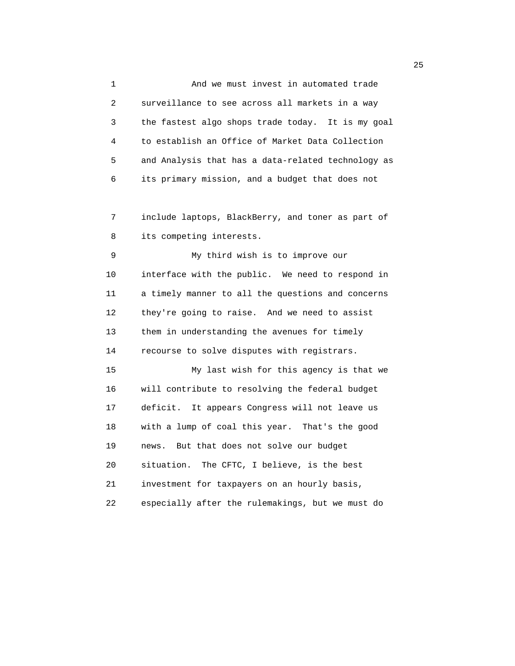1 And we must invest in automated trade 2 surveillance to see across all markets in a way 3 the fastest algo shops trade today. It is my goal 4 to establish an Office of Market Data Collection 5 and Analysis that has a data-related technology as 6 its primary mission, and a budget that does not

 7 include laptops, BlackBerry, and toner as part of 8 its competing interests.

 9 My third wish is to improve our 10 interface with the public. We need to respond in 11 a timely manner to all the questions and concerns 12 they're going to raise. And we need to assist 13 them in understanding the avenues for timely 14 recourse to solve disputes with registrars.

 15 My last wish for this agency is that we 16 will contribute to resolving the federal budget 17 deficit. It appears Congress will not leave us 18 with a lump of coal this year. That's the good 19 news. But that does not solve our budget 20 situation. The CFTC, I believe, is the best 21 investment for taxpayers on an hourly basis, 22 especially after the rulemakings, but we must do

25 and 25 and 25 and 25 and 25 and 25 and 25 and 25 and 25 and 25 and 25 and 25 and 25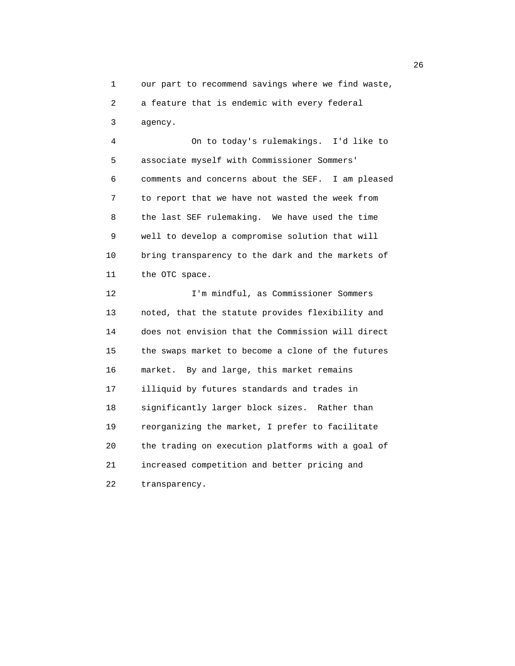1 our part to recommend savings where we find waste,

2 a feature that is endemic with every federal

3 agency.

 4 On to today's rulemakings. I'd like to 5 associate myself with Commissioner Sommers' 6 comments and concerns about the SEF. I am pleased 7 to report that we have not wasted the week from 8 the last SEF rulemaking. We have used the time 9 well to develop a compromise solution that will 10 bring transparency to the dark and the markets of 11 the OTC space.

 12 I'm mindful, as Commissioner Sommers 13 noted, that the statute provides flexibility and 14 does not envision that the Commission will direct 15 the swaps market to become a clone of the futures 16 market. By and large, this market remains 17 illiquid by futures standards and trades in 18 significantly larger block sizes. Rather than 19 reorganizing the market, I prefer to facilitate 20 the trading on execution platforms with a goal of 21 increased competition and better pricing and 22 transparency.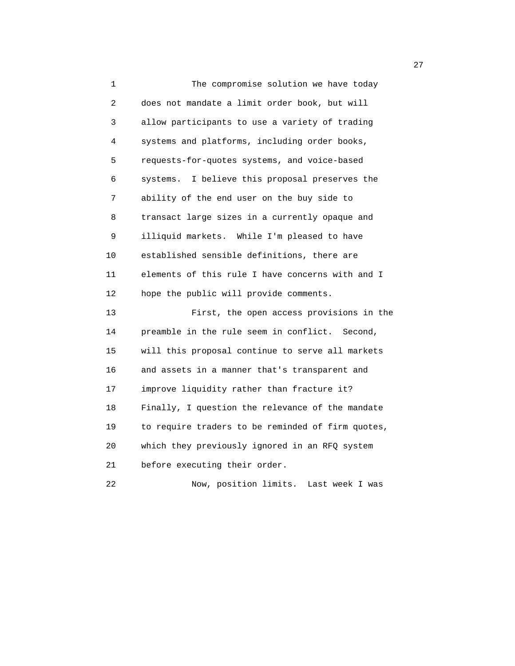1 The compromise solution we have today 2 does not mandate a limit order book, but will 3 allow participants to use a variety of trading 4 systems and platforms, including order books, 5 requests-for-quotes systems, and voice-based 6 systems. I believe this proposal preserves the 7 ability of the end user on the buy side to 8 transact large sizes in a currently opaque and 9 illiquid markets. While I'm pleased to have 10 established sensible definitions, there are 11 elements of this rule I have concerns with and I 12 hope the public will provide comments. 13 First, the open access provisions in the 14 preamble in the rule seem in conflict. Second, 15 will this proposal continue to serve all markets 16 and assets in a manner that's transparent and 17 improve liquidity rather than fracture it? 18 Finally, I question the relevance of the mandate 19 to require traders to be reminded of firm quotes, 20 which they previously ignored in an RFQ system 21 before executing their order. 22 Now, position limits. Last week I was

27 and 27 and 27 and 27 and 27 and 27 and 27 and 27 and 27 and 27 and 27 and 27 and 27 and 27 and 27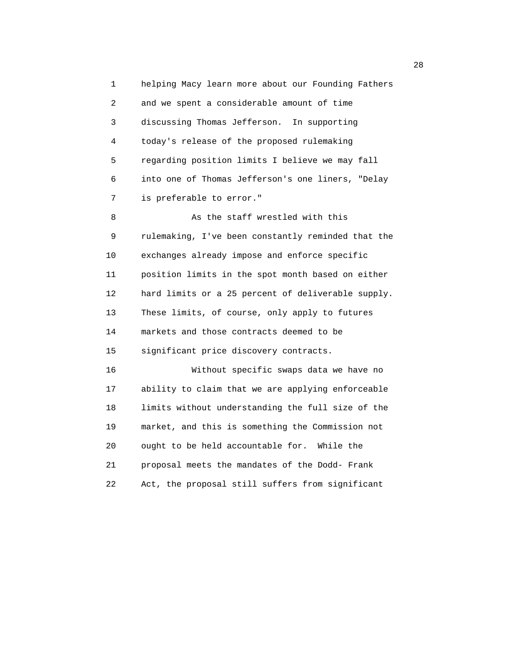1 helping Macy learn more about our Founding Fathers 2 and we spent a considerable amount of time 3 discussing Thomas Jefferson. In supporting 4 today's release of the proposed rulemaking 5 regarding position limits I believe we may fall 6 into one of Thomas Jefferson's one liners, "Delay 7 is preferable to error."

8 As the staff wrestled with this 9 rulemaking, I've been constantly reminded that the 10 exchanges already impose and enforce specific 11 position limits in the spot month based on either 12 hard limits or a 25 percent of deliverable supply. 13 These limits, of course, only apply to futures 14 markets and those contracts deemed to be 15 significant price discovery contracts.

 16 Without specific swaps data we have no 17 ability to claim that we are applying enforceable 18 limits without understanding the full size of the 19 market, and this is something the Commission not 20 ought to be held accountable for. While the 21 proposal meets the mandates of the Dodd- Frank 22 Act, the proposal still suffers from significant

<u>28</u>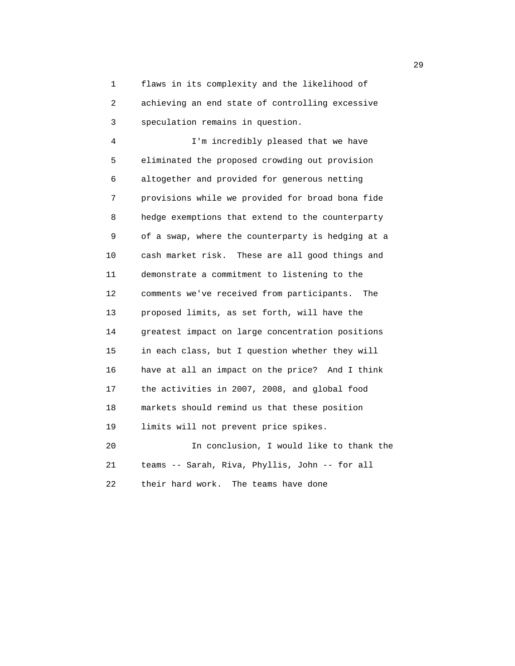1 flaws in its complexity and the likelihood of 2 achieving an end state of controlling excessive 3 speculation remains in question.

 4 I'm incredibly pleased that we have 5 eliminated the proposed crowding out provision 6 altogether and provided for generous netting 7 provisions while we provided for broad bona fide 8 hedge exemptions that extend to the counterparty 9 of a swap, where the counterparty is hedging at a 10 cash market risk. These are all good things and 11 demonstrate a commitment to listening to the 12 comments we've received from participants. The 13 proposed limits, as set forth, will have the 14 greatest impact on large concentration positions 15 in each class, but I question whether they will 16 have at all an impact on the price? And I think 17 the activities in 2007, 2008, and global food 18 markets should remind us that these position 19 limits will not prevent price spikes. 20 In conclusion, I would like to thank the 21 teams -- Sarah, Riva, Phyllis, John -- for all

22 their hard work. The teams have done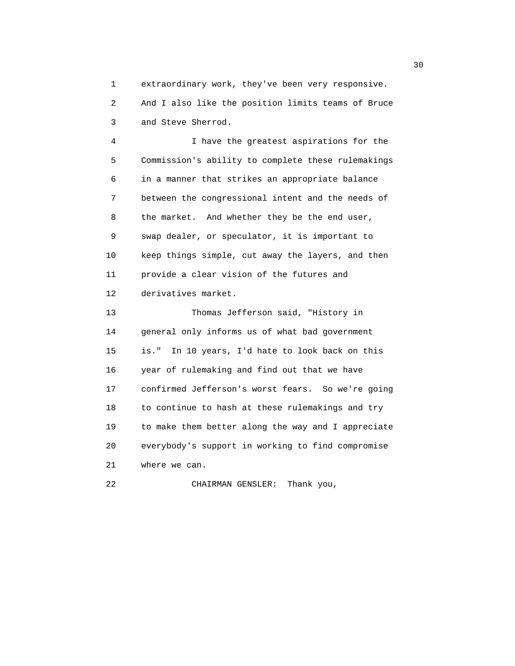1 extraordinary work, they've been very responsive. 2 And I also like the position limits teams of Bruce 3 and Steve Sherrod.

 4 I have the greatest aspirations for the 5 Commission's ability to complete these rulemakings 6 in a manner that strikes an appropriate balance 7 between the congressional intent and the needs of 8 the market. And whether they be the end user, 9 swap dealer, or speculator, it is important to 10 keep things simple, cut away the layers, and then 11 provide a clear vision of the futures and 12 derivatives market.

 13 Thomas Jefferson said, "History in 14 general only informs us of what bad government 15 is." In 10 years, I'd hate to look back on this 16 year of rulemaking and find out that we have 17 confirmed Jefferson's worst fears. So we're going 18 to continue to hash at these rulemakings and try 19 to make them better along the way and I appreciate 20 everybody's support in working to find compromise 21 where we can.

22 CHAIRMAN GENSLER: Thank you,

 $30<sup>2</sup>$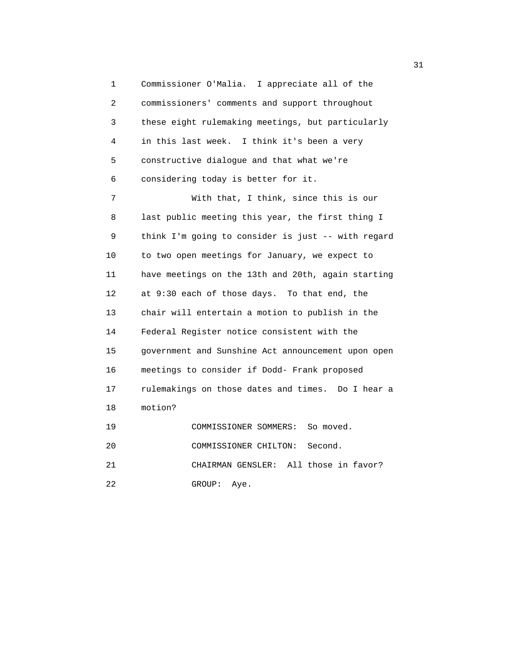1 Commissioner O'Malia. I appreciate all of the 2 commissioners' comments and support throughout 3 these eight rulemaking meetings, but particularly 4 in this last week. I think it's been a very 5 constructive dialogue and that what we're 6 considering today is better for it. 7 With that, I think, since this is our 8 last public meeting this year, the first thing I 9 think I'm going to consider is just -- with regard 10 to two open meetings for January, we expect to 11 have meetings on the 13th and 20th, again starting 12 at 9:30 each of those days. To that end, the 13 chair will entertain a motion to publish in the 14 Federal Register notice consistent with the 15 government and Sunshine Act announcement upon open 16 meetings to consider if Dodd- Frank proposed 17 rulemakings on those dates and times. Do I hear a 18 motion? 19 COMMISSIONER SOMMERS: So moved. 20 COMMISSIONER CHILTON: Second. 21 CHAIRMAN GENSLER: All those in favor?

22 GROUP: Aye.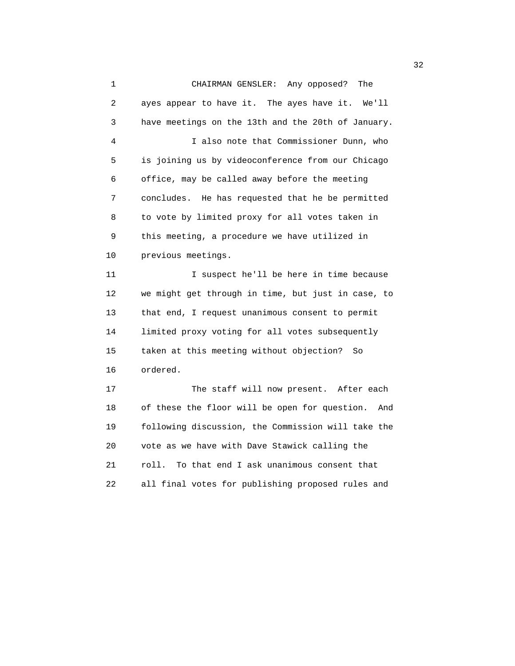1 CHAIRMAN GENSLER: Any opposed? The 2 ayes appear to have it. The ayes have it. We'll 3 have meetings on the 13th and the 20th of January. 4 I also note that Commissioner Dunn, who 5 is joining us by videoconference from our Chicago 6 office, may be called away before the meeting 7 concludes. He has requested that he be permitted 8 to vote by limited proxy for all votes taken in 9 this meeting, a procedure we have utilized in 10 previous meetings. 11 I suspect he'll be here in time because 12 we might get through in time, but just in case, to 13 that end, I request unanimous consent to permit 14 limited proxy voting for all votes subsequently 15 taken at this meeting without objection? So 16 ordered. 17 The staff will now present. After each 18 of these the floor will be open for question. And 19 following discussion, the Commission will take the 20 vote as we have with Dave Stawick calling the 21 roll. To that end I ask unanimous consent that

22 all final votes for publishing proposed rules and

 $\frac{32}{2}$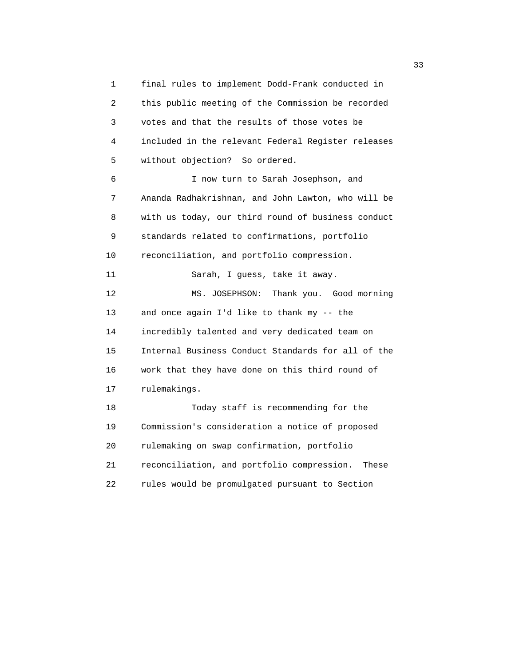1 final rules to implement Dodd-Frank conducted in 2 this public meeting of the Commission be recorded 3 votes and that the results of those votes be 4 included in the relevant Federal Register releases 5 without objection? So ordered. 6 I now turn to Sarah Josephson, and 7 Ananda Radhakrishnan, and John Lawton, who will be 8 with us today, our third round of business conduct 9 standards related to confirmations, portfolio 10 reconciliation, and portfolio compression. 11 Sarah, I guess, take it away. 12 MS. JOSEPHSON: Thank you. Good morning 13 and once again I'd like to thank my -- the 14 incredibly talented and very dedicated team on 15 Internal Business Conduct Standards for all of the 16 work that they have done on this third round of 17 rulemakings. 18 Today staff is recommending for the 19 Commission's consideration a notice of proposed 20 rulemaking on swap confirmation, portfolio 21 reconciliation, and portfolio compression. These 22 rules would be promulgated pursuant to Section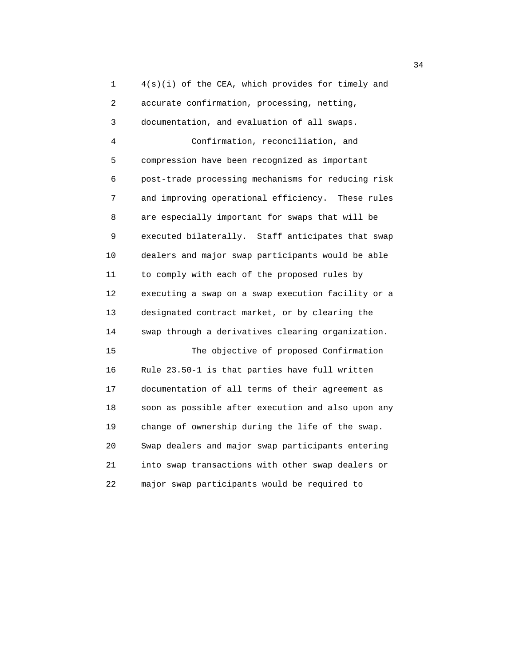1 4(s)(i) of the CEA, which provides for timely and 2 accurate confirmation, processing, netting, 3 documentation, and evaluation of all swaps. 4 Confirmation, reconciliation, and 5 compression have been recognized as important 6 post-trade processing mechanisms for reducing risk 7 and improving operational efficiency. These rules 8 are especially important for swaps that will be 9 executed bilaterally. Staff anticipates that swap 10 dealers and major swap participants would be able 11 to comply with each of the proposed rules by 12 executing a swap on a swap execution facility or a 13 designated contract market, or by clearing the 14 swap through a derivatives clearing organization. 15 The objective of proposed Confirmation 16 Rule 23.50-1 is that parties have full written 17 documentation of all terms of their agreement as 18 soon as possible after execution and also upon any 19 change of ownership during the life of the swap. 20 Swap dealers and major swap participants entering 21 into swap transactions with other swap dealers or 22 major swap participants would be required to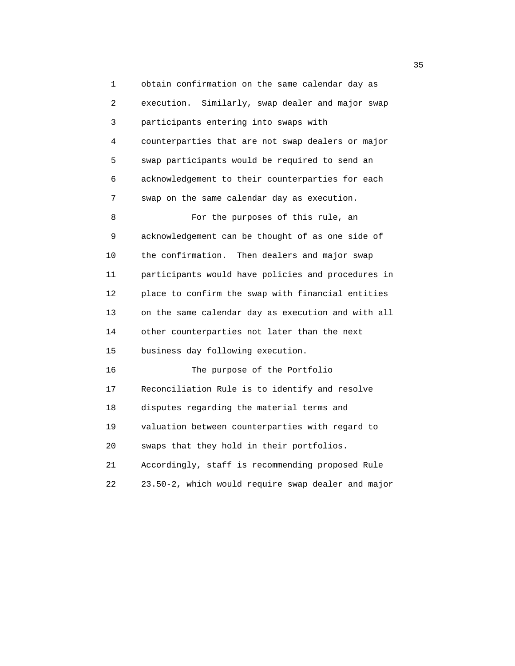1 obtain confirmation on the same calendar day as 2 execution. Similarly, swap dealer and major swap 3 participants entering into swaps with 4 counterparties that are not swap dealers or major 5 swap participants would be required to send an 6 acknowledgement to their counterparties for each 7 swap on the same calendar day as execution. 8 For the purposes of this rule, an 9 acknowledgement can be thought of as one side of 10 the confirmation. Then dealers and major swap 11 participants would have policies and procedures in 12 place to confirm the swap with financial entities 13 on the same calendar day as execution and with all 14 other counterparties not later than the next 15 business day following execution. 16 The purpose of the Portfolio 17 Reconciliation Rule is to identify and resolve 18 disputes regarding the material terms and 19 valuation between counterparties with regard to 20 swaps that they hold in their portfolios. 21 Accordingly, staff is recommending proposed Rule 22 23.50-2, which would require swap dealer and major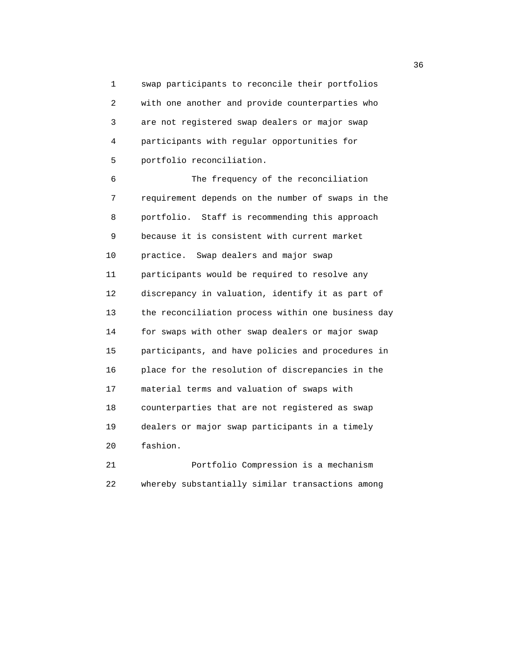1 swap participants to reconcile their portfolios 2 with one another and provide counterparties who 3 are not registered swap dealers or major swap 4 participants with regular opportunities for 5 portfolio reconciliation.

 6 The frequency of the reconciliation 7 requirement depends on the number of swaps in the 8 portfolio. Staff is recommending this approach 9 because it is consistent with current market 10 practice. Swap dealers and major swap 11 participants would be required to resolve any 12 discrepancy in valuation, identify it as part of 13 the reconciliation process within one business day 14 for swaps with other swap dealers or major swap 15 participants, and have policies and procedures in 16 place for the resolution of discrepancies in the 17 material terms and valuation of swaps with 18 counterparties that are not registered as swap 19 dealers or major swap participants in a timely 20 fashion.

 21 Portfolio Compression is a mechanism 22 whereby substantially similar transactions among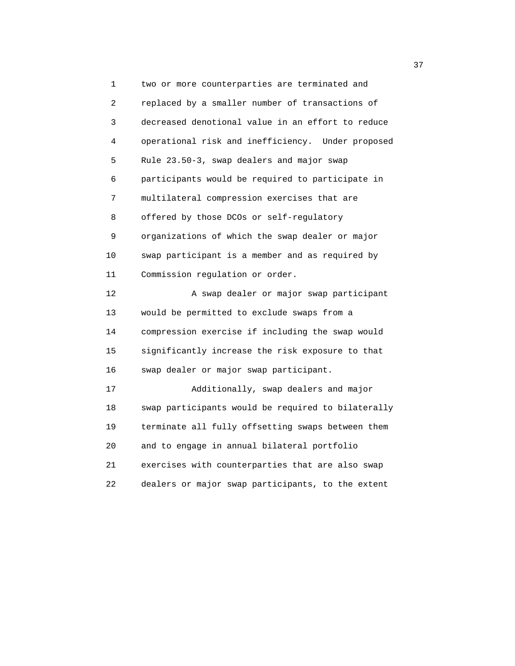1 two or more counterparties are terminated and 2 replaced by a smaller number of transactions of 3 decreased denotional value in an effort to reduce 4 operational risk and inefficiency. Under proposed 5 Rule 23.50-3, swap dealers and major swap 6 participants would be required to participate in 7 multilateral compression exercises that are 8 offered by those DCOs or self-regulatory 9 organizations of which the swap dealer or major 10 swap participant is a member and as required by 11 Commission regulation or order. 12 A swap dealer or major swap participant 13 would be permitted to exclude swaps from a 14 compression exercise if including the swap would 15 significantly increase the risk exposure to that 16 swap dealer or major swap participant. 17 Additionally, swap dealers and major 18 swap participants would be required to bilaterally 19 terminate all fully offsetting swaps between them 20 and to engage in annual bilateral portfolio 21 exercises with counterparties that are also swap 22 dealers or major swap participants, to the extent

<u>37</u>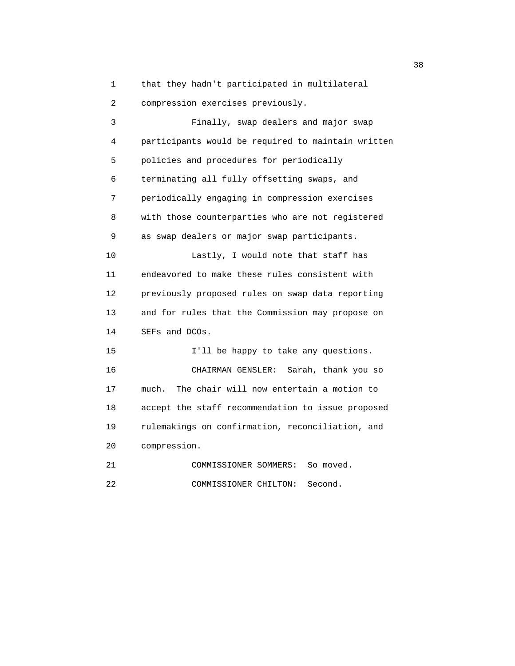1 that they hadn't participated in multilateral 2 compression exercises previously.

 3 Finally, swap dealers and major swap 4 participants would be required to maintain written 5 policies and procedures for periodically 6 terminating all fully offsetting swaps, and 7 periodically engaging in compression exercises 8 with those counterparties who are not registered 9 as swap dealers or major swap participants. 10 Lastly, I would note that staff has 11 endeavored to make these rules consistent with 12 previously proposed rules on swap data reporting 13 and for rules that the Commission may propose on 14 SEFs and DCOs. 15 I'll be happy to take any questions. 16 CHAIRMAN GENSLER: Sarah, thank you so 17 much. The chair will now entertain a motion to 18 accept the staff recommendation to issue proposed 19 rulemakings on confirmation, reconciliation, and 20 compression. 21 COMMISSIONER SOMMERS: So moved.

22 COMMISSIONER CHILTON: Second.

 $38<sup>3</sup>$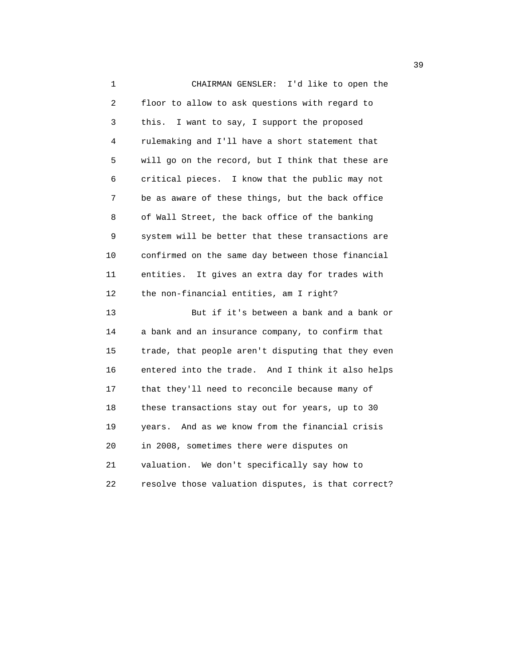1 CHAIRMAN GENSLER: I'd like to open the 2 floor to allow to ask questions with regard to 3 this. I want to say, I support the proposed 4 rulemaking and I'll have a short statement that 5 will go on the record, but I think that these are 6 critical pieces. I know that the public may not 7 be as aware of these things, but the back office 8 of Wall Street, the back office of the banking 9 system will be better that these transactions are 10 confirmed on the same day between those financial 11 entities. It gives an extra day for trades with 12 the non-financial entities, am I right? 13 But if it's between a bank and a bank or 14 a bank and an insurance company, to confirm that 15 trade, that people aren't disputing that they even 16 entered into the trade. And I think it also helps 17 that they'll need to reconcile because many of 18 these transactions stay out for years, up to 30 19 years. And as we know from the financial crisis 20 in 2008, sometimes there were disputes on 21 valuation. We don't specifically say how to 22 resolve those valuation disputes, is that correct?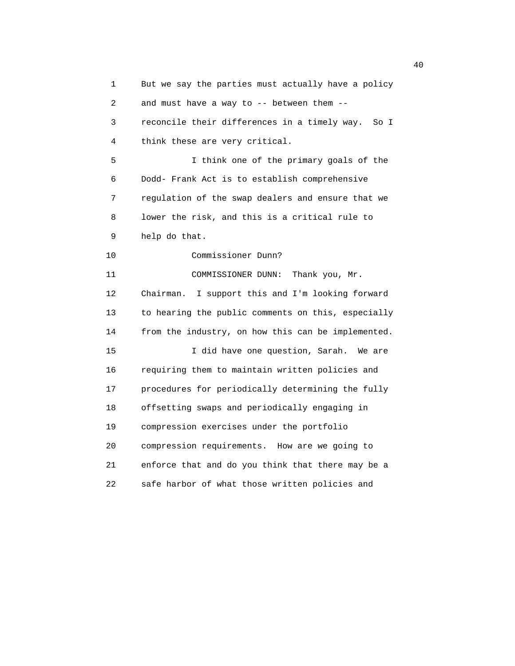1 But we say the parties must actually have a policy 2 and must have a way to -- between them -- 3 reconcile their differences in a timely way. So I 4 think these are very critical. 5 I think one of the primary goals of the 6 Dodd- Frank Act is to establish comprehensive 7 regulation of the swap dealers and ensure that we 8 lower the risk, and this is a critical rule to 9 help do that. 10 Commissioner Dunn? 11 COMMISSIONER DUNN: Thank you, Mr. 12 Chairman. I support this and I'm looking forward 13 to hearing the public comments on this, especially 14 from the industry, on how this can be implemented. 15 I did have one question, Sarah. We are 16 requiring them to maintain written policies and 17 procedures for periodically determining the fully 18 offsetting swaps and periodically engaging in 19 compression exercises under the portfolio 20 compression requirements. How are we going to 21 enforce that and do you think that there may be a 22 safe harbor of what those written policies and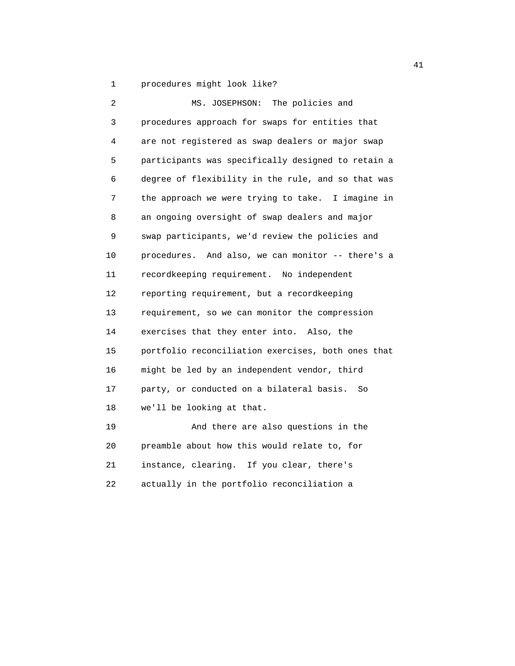1 procedures might look like?

| 2  | The policies and<br>MS. JOSEPHSON:                 |
|----|----------------------------------------------------|
| 3  | procedures approach for swaps for entities that    |
| 4  | are not registered as swap dealers or major swap   |
| 5  | participants was specifically designed to retain a |
| 6  | degree of flexibility in the rule, and so that was |
| 7  | the approach we were trying to take. I imagine in  |
| 8  | an ongoing oversight of swap dealers and major     |
| 9  | swap participants, we'd review the policies and    |
| 10 | procedures. And also, we can monitor -- there's a  |
| 11 | recordkeeping requirement. No independent          |
| 12 | reporting requirement, but a recordkeeping         |
| 13 | requirement, so we can monitor the compression     |
| 14 | exercises that they enter into. Also, the          |
| 15 | portfolio reconciliation exercises, both ones that |
| 16 | might be led by an independent vendor, third       |
| 17 | party, or conducted on a bilateral basis.<br>So    |
| 18 | we'll be looking at that.                          |
| 19 | And there are also questions in the                |
| 20 | preamble about how this would relate to, for       |
| 21 | instance, clearing. If you clear, there's          |

22 actually in the portfolio reconciliation a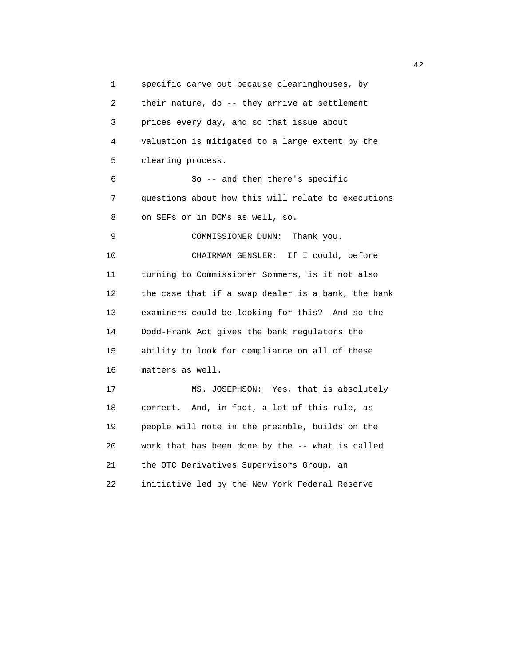1 specific carve out because clearinghouses, by 2 their nature, do -- they arrive at settlement 3 prices every day, and so that issue about 4 valuation is mitigated to a large extent by the 5 clearing process. 6 So -- and then there's specific 7 questions about how this will relate to executions 8 on SEFs or in DCMs as well, so. 9 COMMISSIONER DUNN: Thank you. 10 CHAIRMAN GENSLER: If I could, before 11 turning to Commissioner Sommers, is it not also 12 the case that if a swap dealer is a bank, the bank 13 examiners could be looking for this? And so the 14 Dodd-Frank Act gives the bank regulators the 15 ability to look for compliance on all of these 16 matters as well. 17 MS. JOSEPHSON: Yes, that is absolutely 18 correct. And, in fact, a lot of this rule, as 19 people will note in the preamble, builds on the 20 work that has been done by the -- what is called 21 the OTC Derivatives Supervisors Group, an 22 initiative led by the New York Federal Reserve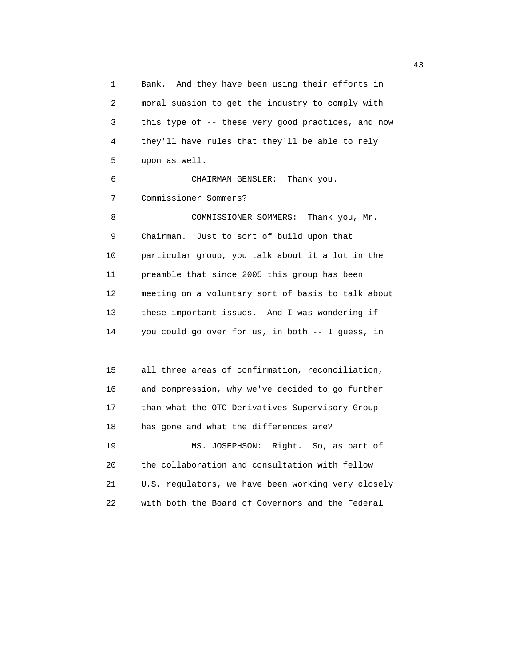1 Bank. And they have been using their efforts in 2 moral suasion to get the industry to comply with 3 this type of -- these very good practices, and now 4 they'll have rules that they'll be able to rely 5 upon as well. 6 CHAIRMAN GENSLER: Thank you. 7 Commissioner Sommers? 8 COMMISSIONER SOMMERS: Thank you, Mr. 9 Chairman. Just to sort of build upon that 10 particular group, you talk about it a lot in the 11 preamble that since 2005 this group has been 12 meeting on a voluntary sort of basis to talk about 13 these important issues. And I was wondering if 14 you could go over for us, in both -- I guess, in 15 all three areas of confirmation, reconciliation, 16 and compression, why we've decided to go further 17 than what the OTC Derivatives Supervisory Group 18 has gone and what the differences are? 19 MS. JOSEPHSON: Right. So, as part of 20 the collaboration and consultation with fellow 21 U.S. regulators, we have been working very closely 22 with both the Board of Governors and the Federal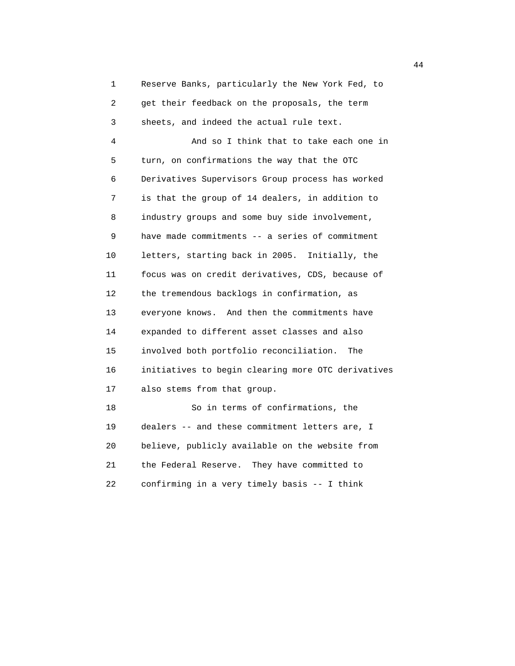1 Reserve Banks, particularly the New York Fed, to 2 get their feedback on the proposals, the term 3 sheets, and indeed the actual rule text. 4 And so I think that to take each one in 5 turn, on confirmations the way that the OTC 6 Derivatives Supervisors Group process has worked 7 is that the group of 14 dealers, in addition to 8 industry groups and some buy side involvement, 9 have made commitments -- a series of commitment 10 letters, starting back in 2005. Initially, the 11 focus was on credit derivatives, CDS, because of 12 the tremendous backlogs in confirmation, as 13 everyone knows. And then the commitments have 14 expanded to different asset classes and also 15 involved both portfolio reconciliation. The 16 initiatives to begin clearing more OTC derivatives 17 also stems from that group. 18 So in terms of confirmations, the 19 dealers -- and these commitment letters are, I 20 believe, publicly available on the website from

 21 the Federal Reserve. They have committed to 22 confirming in a very timely basis -- I think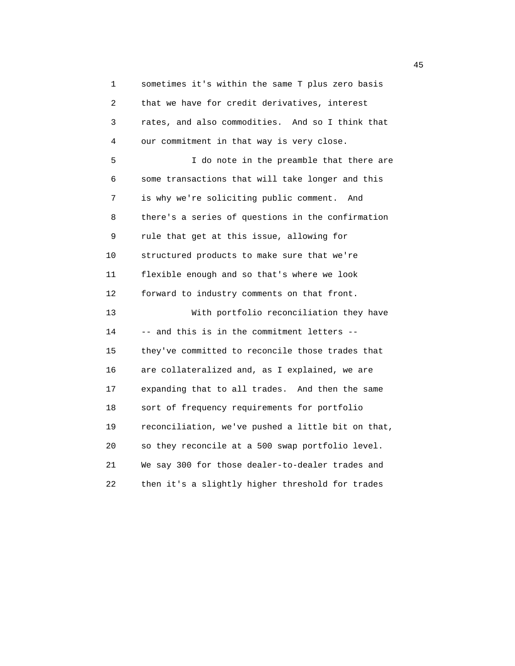1 sometimes it's within the same T plus zero basis 2 that we have for credit derivatives, interest 3 rates, and also commodities. And so I think that 4 our commitment in that way is very close. 5 I do note in the preamble that there are 6 some transactions that will take longer and this 7 is why we're soliciting public comment. And 8 there's a series of questions in the confirmation 9 rule that get at this issue, allowing for 10 structured products to make sure that we're 11 flexible enough and so that's where we look 12 forward to industry comments on that front. 13 With portfolio reconciliation they have 14 -- and this is in the commitment letters -- 15 they've committed to reconcile those trades that 16 are collateralized and, as I explained, we are 17 expanding that to all trades. And then the same 18 sort of frequency requirements for portfolio 19 reconciliation, we've pushed a little bit on that, 20 so they reconcile at a 500 swap portfolio level. 21 We say 300 for those dealer-to-dealer trades and 22 then it's a slightly higher threshold for trades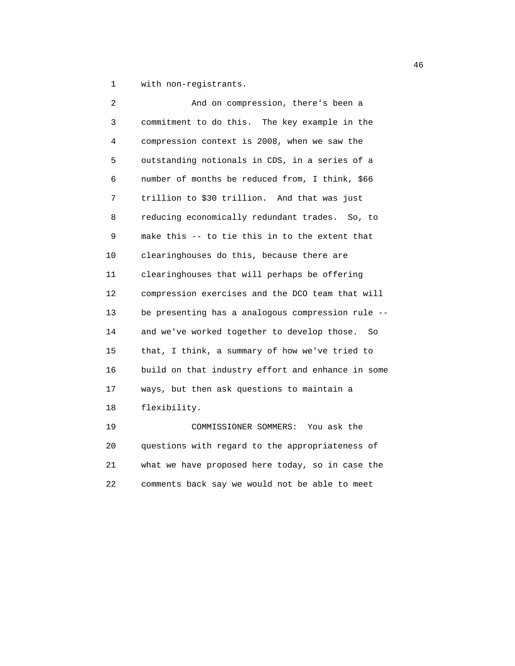1 with non-registrants.

| 2  | And on compression, there's been a                                                                                      |
|----|-------------------------------------------------------------------------------------------------------------------------|
| 3  | commitment to do this. The key example in the                                                                           |
| 4  | compression context is 2008, when we saw the                                                                            |
| 5  | outstanding notionals in CDS, in a series of a                                                                          |
| 6  | number of months be reduced from, I think, \$66                                                                         |
| 7  | trillion to \$30 trillion. And that was just                                                                            |
| 8  | reducing economically redundant trades. So, to                                                                          |
| 9  | make this -- to tie this in to the extent that                                                                          |
| 10 | clearinghouses do this, because there are                                                                               |
| 11 | clearinghouses that will perhaps be offering                                                                            |
| 12 | compression exercises and the DCO team that will                                                                        |
| 13 | be presenting has a analogous compression rule --                                                                       |
| 14 | and we've worked together to develop those.<br>So.                                                                      |
| 15 | that, I think, a summary of how we've tried to                                                                          |
| 16 | build on that industry effort and enhance in some                                                                       |
| 17 | ways, but then ask questions to maintain a                                                                              |
| 18 | flexibility.                                                                                                            |
| 19 | COMMISSIONER SOMMERS: You ask the                                                                                       |
|    | the company's company's company's company's company's company's company's<br><b>Contract Contract Contract Contract</b> |

 20 questions with regard to the appropriateness of 21 what we have proposed here today, so in case the 22 comments back say we would not be able to meet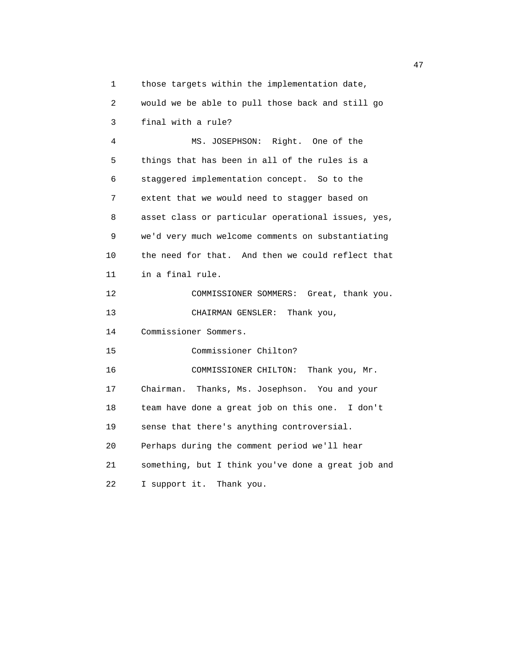1 those targets within the implementation date, 2 would we be able to pull those back and still go

 3 final with a rule? 4 MS. JOSEPHSON: Right. One of the 5 things that has been in all of the rules is a 6 staggered implementation concept. So to the 7 extent that we would need to stagger based on 8 asset class or particular operational issues, yes, 9 we'd very much welcome comments on substantiating 10 the need for that. And then we could reflect that 11 in a final rule. 12 COMMISSIONER SOMMERS: Great, thank you. 13 CHAIRMAN GENSLER: Thank you, 14 Commissioner Sommers. 15 Commissioner Chilton? 16 COMMISSIONER CHILTON: Thank you, Mr. 17 Chairman. Thanks, Ms. Josephson. You and your 18 team have done a great job on this one. I don't 19 sense that there's anything controversial. 20 Perhaps during the comment period we'll hear 21 something, but I think you've done a great job and 22 I support it. Thank you.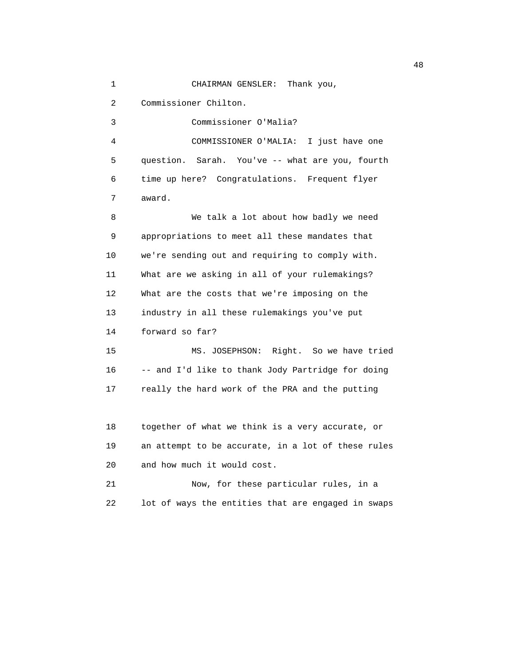1 CHAIRMAN GENSLER: Thank you,

2 Commissioner Chilton.

 3 Commissioner O'Malia? 4 COMMISSIONER O'MALIA: I just have one 5 question. Sarah. You've -- what are you, fourth 6 time up here? Congratulations. Frequent flyer 7 award.

 8 We talk a lot about how badly we need 9 appropriations to meet all these mandates that 10 we're sending out and requiring to comply with. 11 What are we asking in all of your rulemakings? 12 What are the costs that we're imposing on the 13 industry in all these rulemakings you've put 14 forward so far?

 15 MS. JOSEPHSON: Right. So we have tried 16 -- and I'd like to thank Jody Partridge for doing 17 really the hard work of the PRA and the putting

 18 together of what we think is a very accurate, or 19 an attempt to be accurate, in a lot of these rules 20 and how much it would cost.

 21 Now, for these particular rules, in a 22 lot of ways the entities that are engaged in swaps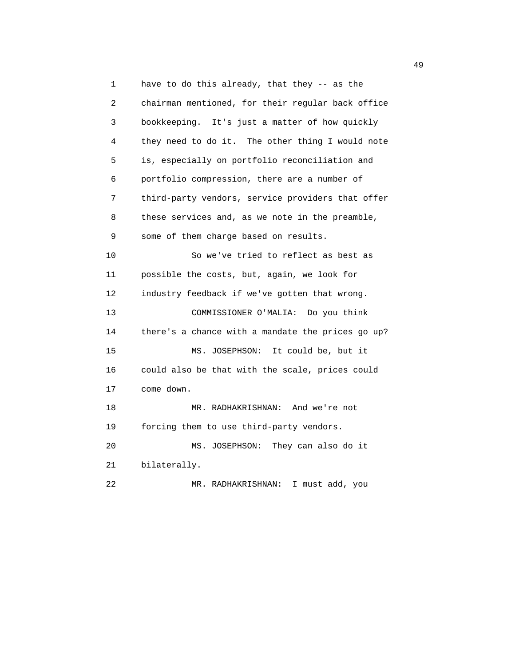1 have to do this already, that they -- as the 2 chairman mentioned, for their regular back office 3 bookkeeping. It's just a matter of how quickly 4 they need to do it. The other thing I would note 5 is, especially on portfolio reconciliation and 6 portfolio compression, there are a number of 7 third-party vendors, service providers that offer 8 these services and, as we note in the preamble, 9 some of them charge based on results. 10 So we've tried to reflect as best as 11 possible the costs, but, again, we look for 12 industry feedback if we've gotten that wrong. 13 COMMISSIONER O'MALIA: Do you think 14 there's a chance with a mandate the prices go up? 15 MS. JOSEPHSON: It could be, but it 16 could also be that with the scale, prices could 17 come down. 18 MR. RADHAKRISHNAN: And we're not 19 forcing them to use third-party vendors. 20 MS. JOSEPHSON: They can also do it 21 bilaterally. 22 MR. RADHAKRISHNAN: I must add, you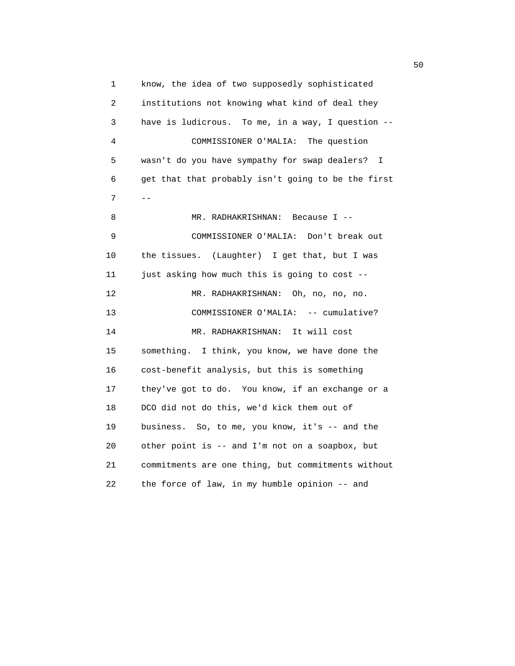1 know, the idea of two supposedly sophisticated 2 institutions not knowing what kind of deal they 3 have is ludicrous. To me, in a way, I question -- 4 COMMISSIONER O'MALIA: The question 5 wasn't do you have sympathy for swap dealers? I 6 get that that probably isn't going to be the first  $7$  --8 MR. RADHAKRISHNAN: Because I -- 9 COMMISSIONER O'MALIA: Don't break out 10 the tissues. (Laughter) I get that, but I was 11 just asking how much this is going to cost -- 12 MR. RADHAKRISHNAN: Oh, no, no, no. 13 COMMISSIONER O'MALIA: -- cumulative? 14 MR. RADHAKRISHNAN: It will cost 15 something. I think, you know, we have done the 16 cost-benefit analysis, but this is something 17 they've got to do. You know, if an exchange or a 18 DCO did not do this, we'd kick them out of 19 business. So, to me, you know, it's -- and the 20 other point is -- and I'm not on a soapbox, but 21 commitments are one thing, but commitments without 22 the force of law, in my humble opinion -- and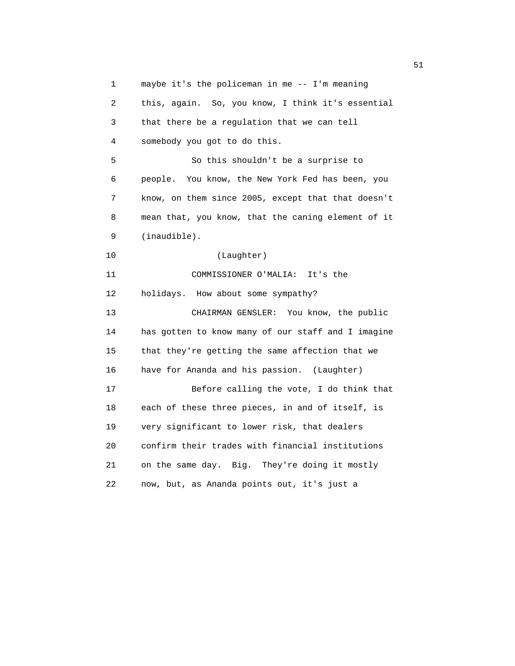1 maybe it's the policeman in me -- I'm meaning 2 this, again. So, you know, I think it's essential 3 that there be a regulation that we can tell 4 somebody you got to do this. 5 So this shouldn't be a surprise to 6 people. You know, the New York Fed has been, you 7 know, on them since 2005, except that that doesn't 8 mean that, you know, that the caning element of it 9 (inaudible). 10 (Laughter) 11 COMMISSIONER O'MALIA: It's the 12 holidays. How about some sympathy? 13 CHAIRMAN GENSLER: You know, the public 14 has gotten to know many of our staff and I imagine 15 that they're getting the same affection that we 16 have for Ananda and his passion. (Laughter) 17 Before calling the vote, I do think that 18 each of these three pieces, in and of itself, is 19 very significant to lower risk, that dealers 20 confirm their trades with financial institutions 21 on the same day. Big. They're doing it mostly 22 now, but, as Ananda points out, it's just a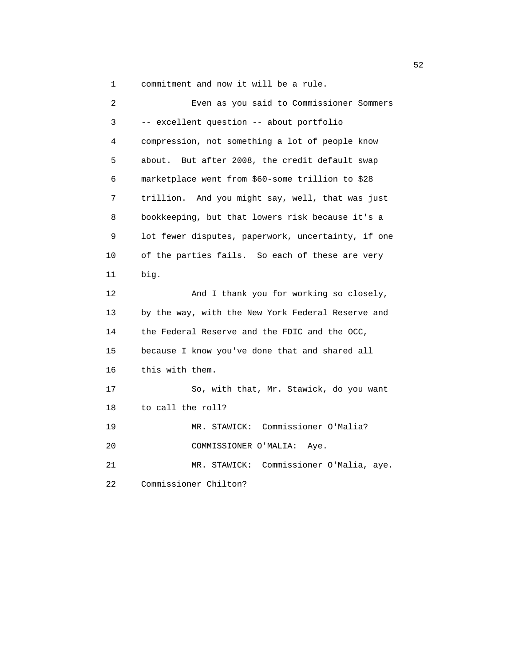1 commitment and now it will be a rule.

| $\overline{a}$ | Even as you said to Commissioner Sommers           |
|----------------|----------------------------------------------------|
| 3              | -- excellent question -- about portfolio           |
| 4              | compression, not something a lot of people know    |
| 5              | But after 2008, the credit default swap<br>about.  |
| 6              | marketplace went from \$60-some trillion to \$28   |
| 7              | trillion. And you might say, well, that was just   |
| 8              | bookkeeping, but that lowers risk because it's a   |
| 9              | lot fewer disputes, paperwork, uncertainty, if one |
| 10             | of the parties fails. So each of these are very    |
| 11             | big.                                               |
| 12             | And I thank you for working so closely,            |
| 13             | by the way, with the New York Federal Reserve and  |
| 14             | the Federal Reserve and the FDIC and the OCC,      |
| 15             | because I know you've done that and shared all     |
| 16             | this with them.                                    |
| 17             | So, with that, Mr. Stawick, do you want            |
| 18             | to call the roll?                                  |
| 19             | MR. STAWICK: Commissioner O'Malia?                 |
| 20             | COMMISSIONER O'MALIA:<br>Aye.                      |
| 21             | Commissioner O'Malia, aye.<br>MR. STAWICK:         |
| 22             | Commissioner Chilton?                              |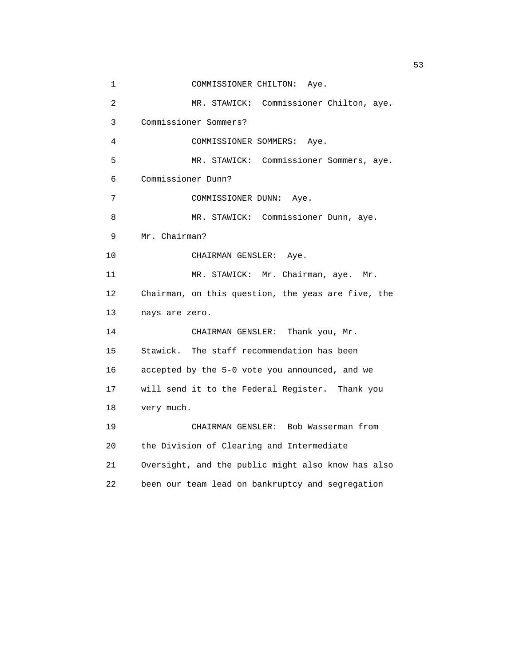```
 1 COMMISSIONER CHILTON: Aye.
 2 MR. STAWICK: Commissioner Chilton, aye.
 3 Commissioner Sommers?
  4 COMMISSIONER SOMMERS: Aye.
 5 MR. STAWICK: Commissioner Sommers, aye.
 6 Commissioner Dunn?
 7 COMMISSIONER DUNN: Aye.
8 MR. STAWICK: Commissioner Dunn, aye.
 9 Mr. Chairman?
10 CHAIRMAN GENSLER: Aye.
11 MR. STAWICK: Mr. Chairman, aye. Mr.
 12 Chairman, on this question, the yeas are five, the
 13 nays are zero.
14 CHAIRMAN GENSLER: Thank you, Mr.
 15 Stawick. The staff recommendation has been
 16 accepted by the 5-0 vote you announced, and we
 17 will send it to the Federal Register. Thank you
 18 very much.
 19 CHAIRMAN GENSLER: Bob Wasserman from
 20 the Division of Clearing and Intermediate
 21 Oversight, and the public might also know has also
 22 been our team lead on bankruptcy and segregation
```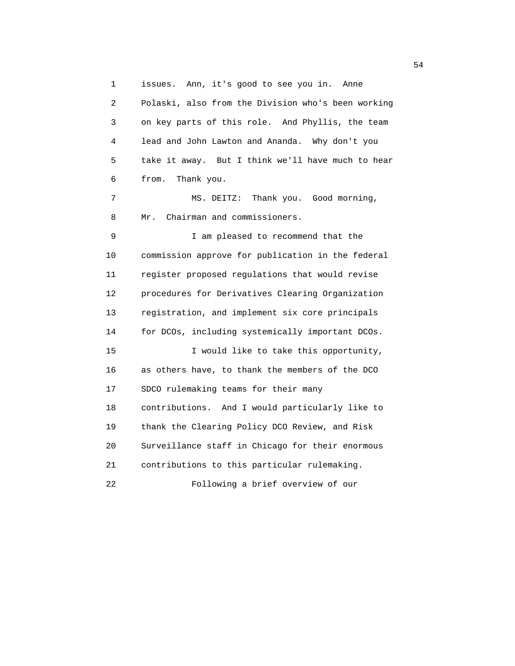1 issues. Ann, it's good to see you in. Anne 2 Polaski, also from the Division who's been working 3 on key parts of this role. And Phyllis, the team 4 lead and John Lawton and Ananda. Why don't you 5 take it away. But I think we'll have much to hear 6 from. Thank you. 7 MS. DEITZ: Thank you. Good morning, 8 Mr. Chairman and commissioners. 9 I am pleased to recommend that the 10 commission approve for publication in the federal 11 register proposed regulations that would revise 12 procedures for Derivatives Clearing Organization 13 registration, and implement six core principals 14 for DCOs, including systemically important DCOs. 15 I would like to take this opportunity, 16 as others have, to thank the members of the DCO 17 SDCO rulemaking teams for their many 18 contributions. And I would particularly like to 19 thank the Clearing Policy DCO Review, and Risk 20 Surveillance staff in Chicago for their enormous 21 contributions to this particular rulemaking. 22 Following a brief overview of our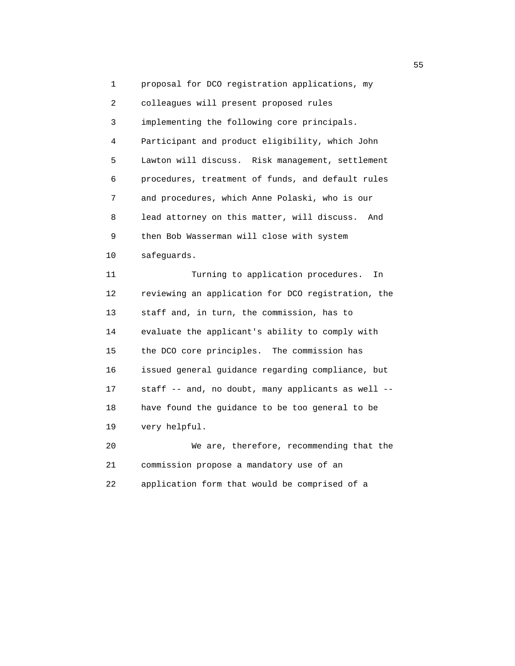1 proposal for DCO registration applications, my 2 colleagues will present proposed rules 3 implementing the following core principals. 4 Participant and product eligibility, which John 5 Lawton will discuss. Risk management, settlement 6 procedures, treatment of funds, and default rules 7 and procedures, which Anne Polaski, who is our 8 lead attorney on this matter, will discuss. And 9 then Bob Wasserman will close with system 10 safeguards.

 11 Turning to application procedures. In 12 reviewing an application for DCO registration, the 13 staff and, in turn, the commission, has to 14 evaluate the applicant's ability to comply with 15 the DCO core principles. The commission has 16 issued general guidance regarding compliance, but 17 staff -- and, no doubt, many applicants as well -- 18 have found the guidance to be too general to be 19 very helpful.

 20 We are, therefore, recommending that the 21 commission propose a mandatory use of an 22 application form that would be comprised of a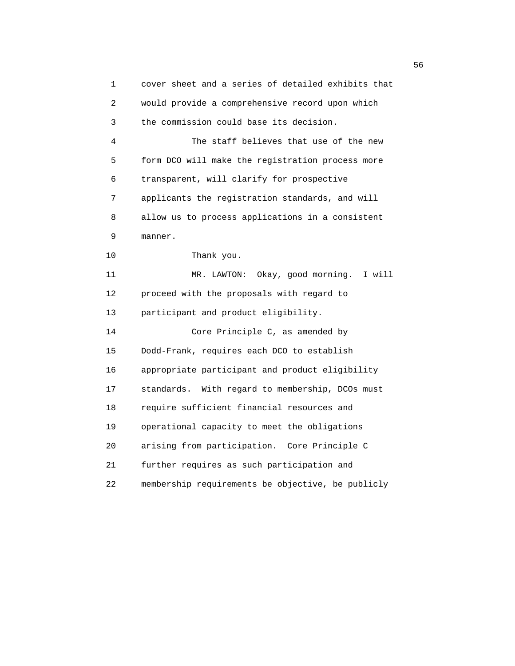1 cover sheet and a series of detailed exhibits that 2 would provide a comprehensive record upon which 3 the commission could base its decision. 4 The staff believes that use of the new 5 form DCO will make the registration process more 6 transparent, will clarify for prospective 7 applicants the registration standards, and will 8 allow us to process applications in a consistent 9 manner. 10 Thank you. 11 MR. LAWTON: Okay, good morning. I will 12 proceed with the proposals with regard to 13 participant and product eligibility. 14 Core Principle C, as amended by 15 Dodd-Frank, requires each DCO to establish 16 appropriate participant and product eligibility 17 standards. With regard to membership, DCOs must 18 require sufficient financial resources and 19 operational capacity to meet the obligations 20 arising from participation. Core Principle C 21 further requires as such participation and 22 membership requirements be objective, be publicly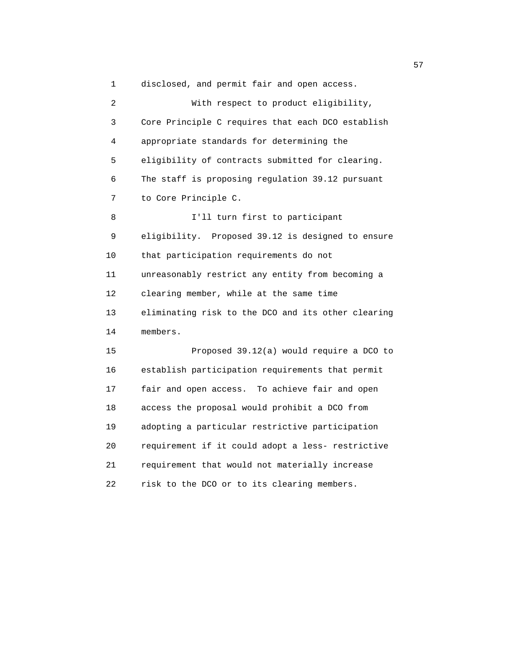1 disclosed, and permit fair and open access. 2 With respect to product eligibility, 3 Core Principle C requires that each DCO establish 4 appropriate standards for determining the 5 eligibility of contracts submitted for clearing. 6 The staff is proposing regulation 39.12 pursuant 7 to Core Principle C. 8 I'll turn first to participant 9 eligibility. Proposed 39.12 is designed to ensure 10 that participation requirements do not 11 unreasonably restrict any entity from becoming a 12 clearing member, while at the same time 13 eliminating risk to the DCO and its other clearing 14 members. 15 Proposed 39.12(a) would require a DCO to 16 establish participation requirements that permit 17 fair and open access. To achieve fair and open 18 access the proposal would prohibit a DCO from 19 adopting a particular restrictive participation 20 requirement if it could adopt a less- restrictive 21 requirement that would not materially increase 22 risk to the DCO or to its clearing members.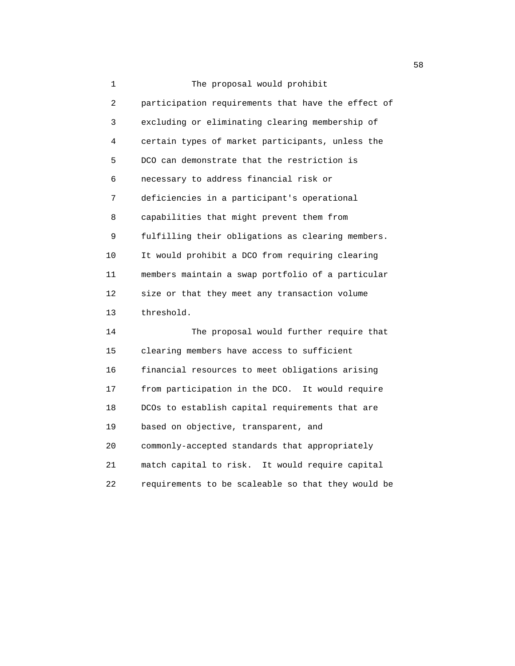1 The proposal would prohibit 2 participation requirements that have the effect of 3 excluding or eliminating clearing membership of 4 certain types of market participants, unless the 5 DCO can demonstrate that the restriction is 6 necessary to address financial risk or 7 deficiencies in a participant's operational 8 capabilities that might prevent them from 9 fulfilling their obligations as clearing members. 10 It would prohibit a DCO from requiring clearing 11 members maintain a swap portfolio of a particular 12 size or that they meet any transaction volume 13 threshold. 14 The proposal would further require that 15 clearing members have access to sufficient 16 financial resources to meet obligations arising 17 from participation in the DCO. It would require 18 DCOs to establish capital requirements that are 19 based on objective, transparent, and 20 commonly-accepted standards that appropriately 21 match capital to risk. It would require capital 22 requirements to be scaleable so that they would be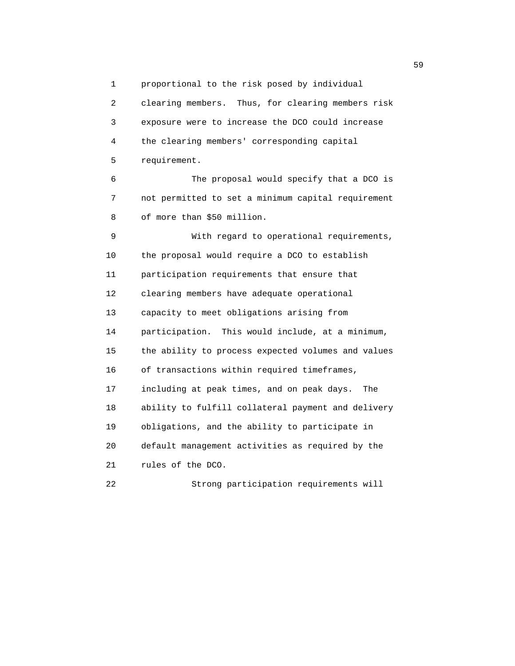1 proportional to the risk posed by individual 2 clearing members. Thus, for clearing members risk 3 exposure were to increase the DCO could increase 4 the clearing members' corresponding capital 5 requirement. 6 The proposal would specify that a DCO is 7 not permitted to set a minimum capital requirement 8 of more than \$50 million. 9 With regard to operational requirements, 10 the proposal would require a DCO to establish 11 participation requirements that ensure that 12 clearing members have adequate operational 13 capacity to meet obligations arising from 14 participation. This would include, at a minimum, 15 the ability to process expected volumes and values 16 of transactions within required timeframes, 17 including at peak times, and on peak days. The 18 ability to fulfill collateral payment and delivery 19 obligations, and the ability to participate in 20 default management activities as required by the 21 rules of the DCO.

22 Strong participation requirements will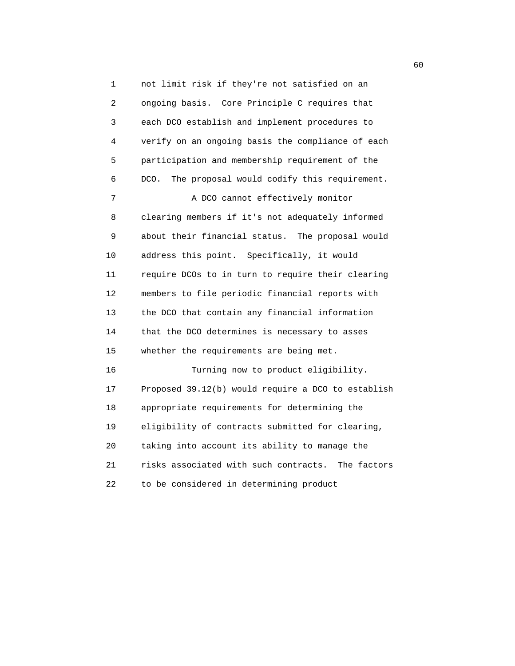1 not limit risk if they're not satisfied on an 2 ongoing basis. Core Principle C requires that 3 each DCO establish and implement procedures to 4 verify on an ongoing basis the compliance of each 5 participation and membership requirement of the 6 DCO. The proposal would codify this requirement. 7 A DCO cannot effectively monitor 8 clearing members if it's not adequately informed 9 about their financial status. The proposal would 10 address this point. Specifically, it would 11 require DCOs to in turn to require their clearing 12 members to file periodic financial reports with 13 the DCO that contain any financial information 14 that the DCO determines is necessary to asses 15 whether the requirements are being met. 16 Turning now to product eligibility. 17 Proposed 39.12(b) would require a DCO to establish 18 appropriate requirements for determining the 19 eligibility of contracts submitted for clearing, 20 taking into account its ability to manage the 21 risks associated with such contracts. The factors

22 to be considered in determining product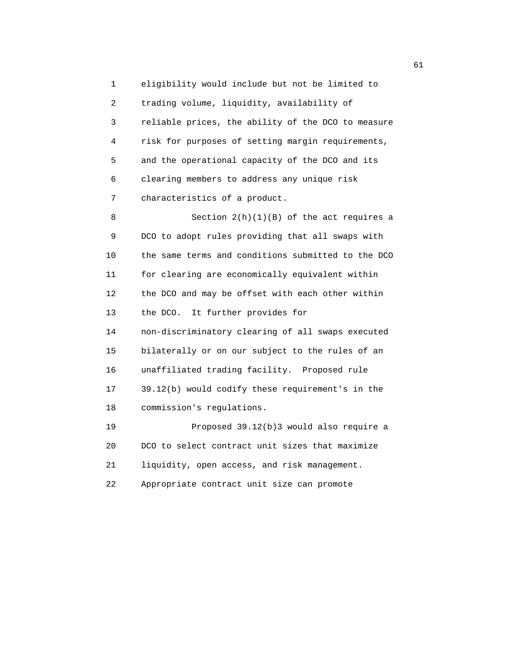1 eligibility would include but not be limited to 2 trading volume, liquidity, availability of 3 reliable prices, the ability of the DCO to measure 4 risk for purposes of setting margin requirements, 5 and the operational capacity of the DCO and its 6 clearing members to address any unique risk 7 characteristics of a product.

 8 Section 2(h)(1)(B) of the act requires a 9 DCO to adopt rules providing that all swaps with 10 the same terms and conditions submitted to the DCO 11 for clearing are economically equivalent within 12 the DCO and may be offset with each other within 13 the DCO. It further provides for 14 non-discriminatory clearing of all swaps executed 15 bilaterally or on our subject to the rules of an 16 unaffiliated trading facility. Proposed rule 17 39.12(b) would codify these requirement's in the 18 commission's regulations. 19 Proposed 39.12(b)3 would also require a 20 DCO to select contract unit sizes that maximize 21 liquidity, open access, and risk management.

22 Appropriate contract unit size can promote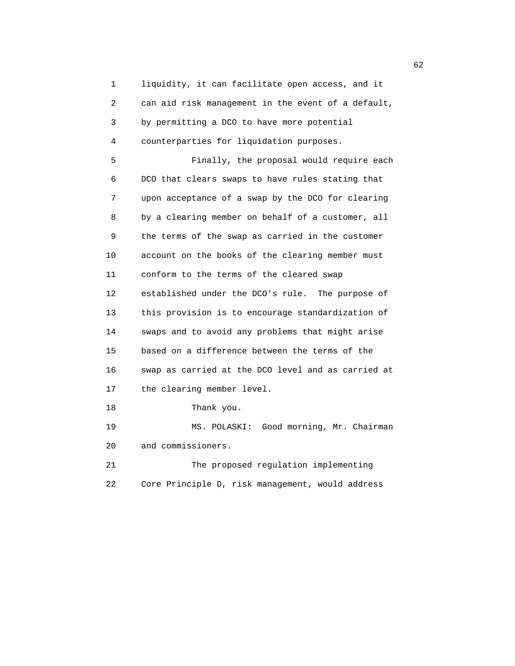1 liquidity, it can facilitate open access, and it 2 can aid risk management in the event of a default, 3 by permitting a DCO to have more potential 4 counterparties for liquidation purposes. 5 Finally, the proposal would require each 6 DCO that clears swaps to have rules stating that 7 upon acceptance of a swap by the DCO for clearing 8 by a clearing member on behalf of a customer, all 9 the terms of the swap as carried in the customer 10 account on the books of the clearing member must 11 conform to the terms of the cleared swap 12 established under the DCO's rule. The purpose of 13 this provision is to encourage standardization of 14 swaps and to avoid any problems that might arise 15 based on a difference between the terms of the 16 swap as carried at the DCO level and as carried at 17 the clearing member level. 18 Thank you. 19 MS. POLASKI: Good morning, Mr. Chairman 20 and commissioners. 21 The proposed regulation implementing 22 Core Principle D, risk management, would address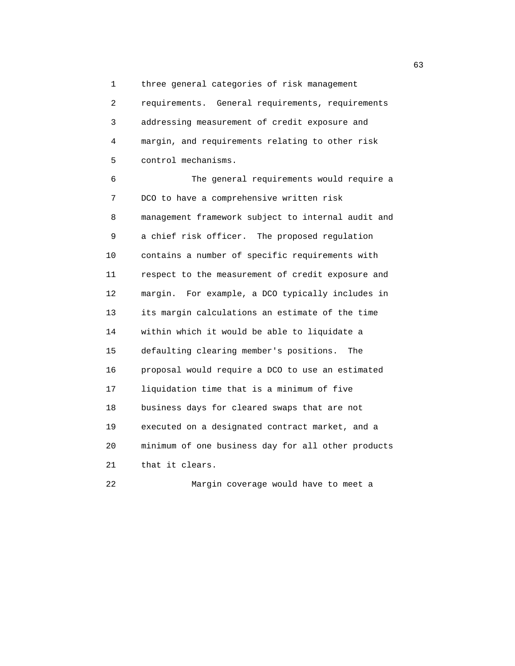1 three general categories of risk management

 2 requirements. General requirements, requirements 3 addressing measurement of credit exposure and 4 margin, and requirements relating to other risk 5 control mechanisms.

 6 The general requirements would require a 7 DCO to have a comprehensive written risk 8 management framework subject to internal audit and 9 a chief risk officer. The proposed regulation 10 contains a number of specific requirements with 11 respect to the measurement of credit exposure and 12 margin. For example, a DCO typically includes in 13 its margin calculations an estimate of the time 14 within which it would be able to liquidate a 15 defaulting clearing member's positions. The 16 proposal would require a DCO to use an estimated 17 liquidation time that is a minimum of five 18 business days for cleared swaps that are not 19 executed on a designated contract market, and a 20 minimum of one business day for all other products 21 that it clears.

22 Margin coverage would have to meet a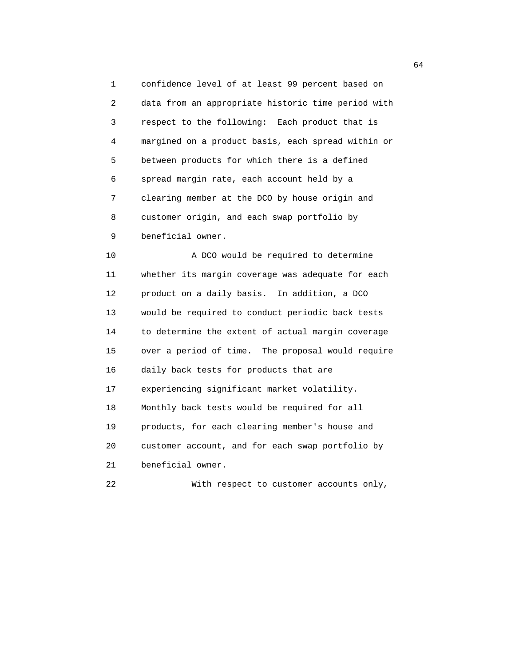1 confidence level of at least 99 percent based on 2 data from an appropriate historic time period with 3 respect to the following: Each product that is 4 margined on a product basis, each spread within or 5 between products for which there is a defined 6 spread margin rate, each account held by a 7 clearing member at the DCO by house origin and 8 customer origin, and each swap portfolio by 9 beneficial owner.

 10 A DCO would be required to determine 11 whether its margin coverage was adequate for each 12 product on a daily basis. In addition, a DCO 13 would be required to conduct periodic back tests 14 to determine the extent of actual margin coverage 15 over a period of time. The proposal would require 16 daily back tests for products that are 17 experiencing significant market volatility. 18 Monthly back tests would be required for all 19 products, for each clearing member's house and 20 customer account, and for each swap portfolio by 21 beneficial owner. 22 With respect to customer accounts only,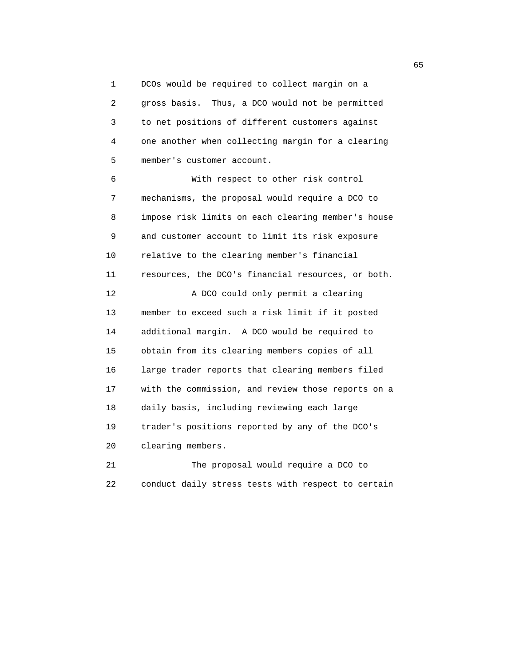1 DCOs would be required to collect margin on a 2 gross basis. Thus, a DCO would not be permitted 3 to net positions of different customers against 4 one another when collecting margin for a clearing 5 member's customer account.

 6 With respect to other risk control 7 mechanisms, the proposal would require a DCO to 8 impose risk limits on each clearing member's house 9 and customer account to limit its risk exposure 10 relative to the clearing member's financial 11 resources, the DCO's financial resources, or both. 12 A DCO could only permit a clearing 13 member to exceed such a risk limit if it posted 14 additional margin. A DCO would be required to 15 obtain from its clearing members copies of all 16 large trader reports that clearing members filed 17 with the commission, and review those reports on a 18 daily basis, including reviewing each large 19 trader's positions reported by any of the DCO's 20 clearing members.

 21 The proposal would require a DCO to 22 conduct daily stress tests with respect to certain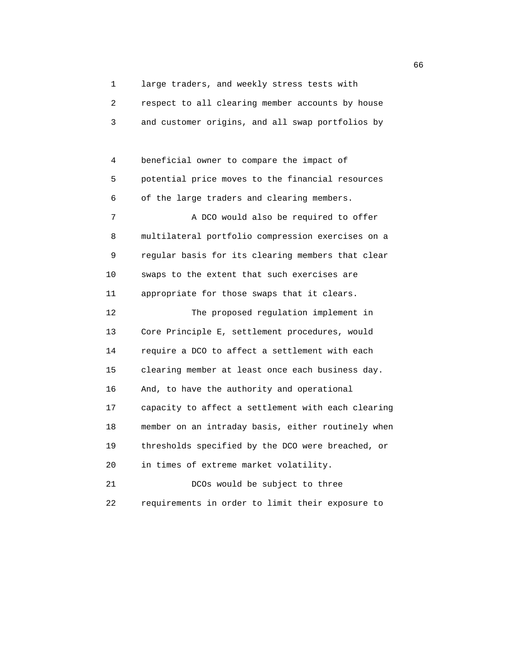1 large traders, and weekly stress tests with

 2 respect to all clearing member accounts by house 3 and customer origins, and all swap portfolios by

 4 beneficial owner to compare the impact of 5 potential price moves to the financial resources 6 of the large traders and clearing members.

7 A DCO would also be required to offer 8 multilateral portfolio compression exercises on a 9 regular basis for its clearing members that clear 10 swaps to the extent that such exercises are 11 appropriate for those swaps that it clears.

 12 The proposed regulation implement in 13 Core Principle E, settlement procedures, would 14 require a DCO to affect a settlement with each 15 clearing member at least once each business day. 16 And, to have the authority and operational 17 capacity to affect a settlement with each clearing 18 member on an intraday basis, either routinely when 19 thresholds specified by the DCO were breached, or 20 in times of extreme market volatility.

 21 DCOs would be subject to three 22 requirements in order to limit their exposure to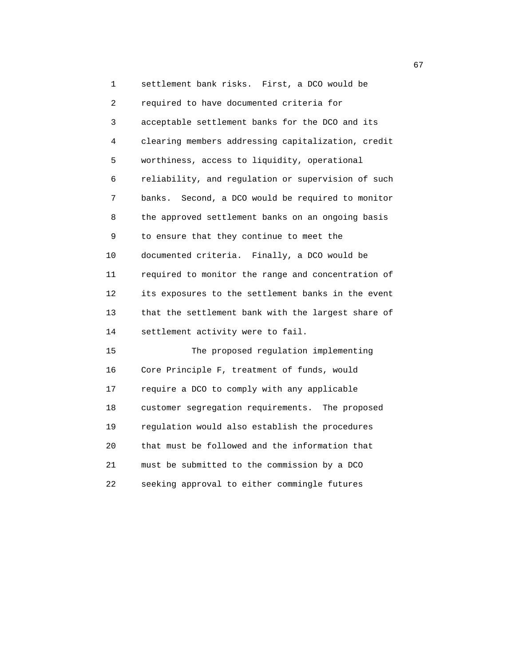1 settlement bank risks. First, a DCO would be 2 required to have documented criteria for 3 acceptable settlement banks for the DCO and its 4 clearing members addressing capitalization, credit 5 worthiness, access to liquidity, operational 6 reliability, and regulation or supervision of such 7 banks. Second, a DCO would be required to monitor 8 the approved settlement banks on an ongoing basis 9 to ensure that they continue to meet the 10 documented criteria. Finally, a DCO would be 11 required to monitor the range and concentration of 12 its exposures to the settlement banks in the event 13 that the settlement bank with the largest share of 14 settlement activity were to fail. 15 The proposed regulation implementing 16 Core Principle F, treatment of funds, would 17 require a DCO to comply with any applicable 18 customer segregation requirements. The proposed 19 regulation would also establish the procedures 20 that must be followed and the information that

 21 must be submitted to the commission by a DCO 22 seeking approval to either commingle futures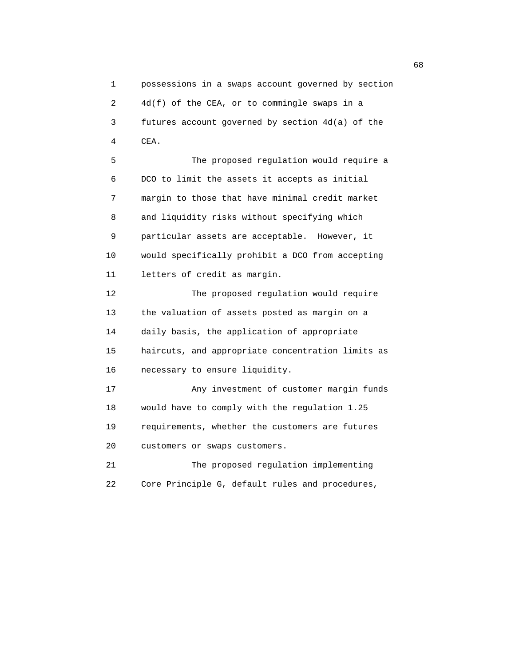1 possessions in a swaps account governed by section 2 4d(f) of the CEA, or to commingle swaps in a 3 futures account governed by section 4d(a) of the 4 CEA.

 5 The proposed regulation would require a 6 DCO to limit the assets it accepts as initial 7 margin to those that have minimal credit market 8 and liquidity risks without specifying which 9 particular assets are acceptable. However, it 10 would specifically prohibit a DCO from accepting 11 letters of credit as margin.

 12 The proposed regulation would require 13 the valuation of assets posted as margin on a 14 daily basis, the application of appropriate 15 haircuts, and appropriate concentration limits as 16 necessary to ensure liquidity. 17 Any investment of customer margin funds

 18 would have to comply with the regulation 1.25 19 requirements, whether the customers are futures 20 customers or swaps customers.

 21 The proposed regulation implementing 22 Core Principle G, default rules and procedures,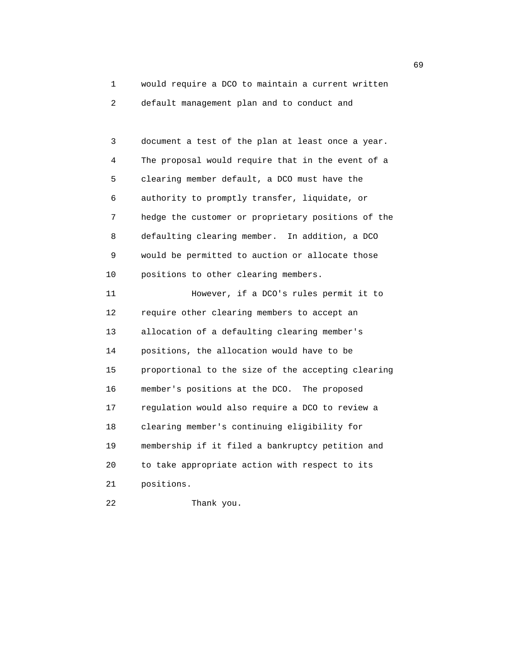1 would require a DCO to maintain a current written 2 default management plan and to conduct and

 3 document a test of the plan at least once a year. 4 The proposal would require that in the event of a 5 clearing member default, a DCO must have the 6 authority to promptly transfer, liquidate, or 7 hedge the customer or proprietary positions of the 8 defaulting clearing member. In addition, a DCO 9 would be permitted to auction or allocate those 10 positions to other clearing members. 11 However, if a DCO's rules permit it to 12 require other clearing members to accept an 13 allocation of a defaulting clearing member's 14 positions, the allocation would have to be 15 proportional to the size of the accepting clearing 16 member's positions at the DCO. The proposed 17 regulation would also require a DCO to review a 18 clearing member's continuing eligibility for 19 membership if it filed a bankruptcy petition and 20 to take appropriate action with respect to its 21 positions. 22 Thank you.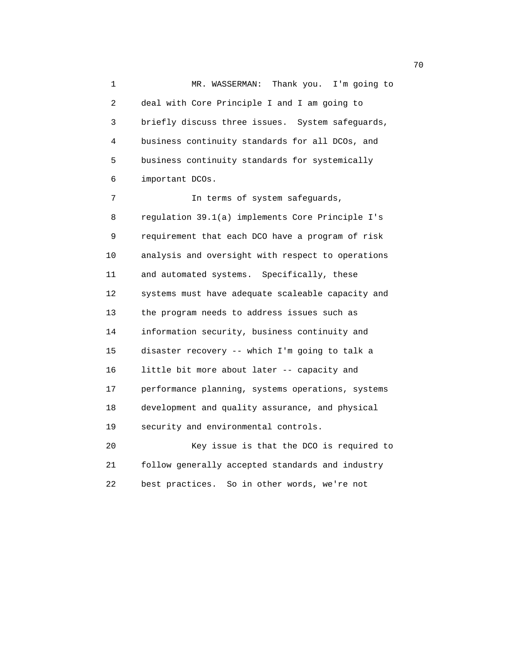1 MR. WASSERMAN: Thank you. I'm going to 2 deal with Core Principle I and I am going to 3 briefly discuss three issues. System safeguards, 4 business continuity standards for all DCOs, and 5 business continuity standards for systemically 6 important DCOs. 7 In terms of system safeguards,

 8 regulation 39.1(a) implements Core Principle I's 9 requirement that each DCO have a program of risk 10 analysis and oversight with respect to operations 11 and automated systems. Specifically, these 12 systems must have adequate scaleable capacity and 13 the program needs to address issues such as 14 information security, business continuity and 15 disaster recovery -- which I'm going to talk a 16 little bit more about later -- capacity and 17 performance planning, systems operations, systems 18 development and quality assurance, and physical 19 security and environmental controls. 20 Key issue is that the DCO is required to

 21 follow generally accepted standards and industry 22 best practices. So in other words, we're not

not a construct the contract of the construction of the construction of the construction of the construction of the construction of the construction of the construction of the construction of the construction of the constr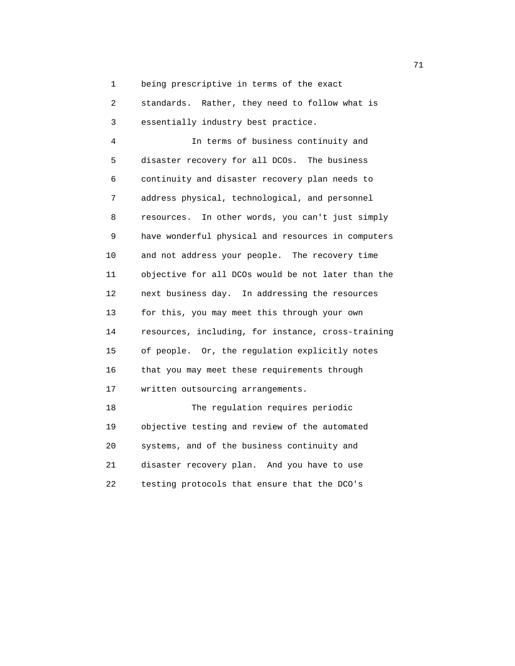1 being prescriptive in terms of the exact

 2 standards. Rather, they need to follow what is 3 essentially industry best practice.

 4 In terms of business continuity and 5 disaster recovery for all DCOs. The business 6 continuity and disaster recovery plan needs to 7 address physical, technological, and personnel 8 resources. In other words, you can't just simply 9 have wonderful physical and resources in computers 10 and not address your people. The recovery time 11 objective for all DCOs would be not later than the 12 next business day. In addressing the resources 13 for this, you may meet this through your own 14 resources, including, for instance, cross-training 15 of people. Or, the regulation explicitly notes 16 that you may meet these requirements through 17 written outsourcing arrangements. 18 The regulation requires periodic

 19 objective testing and review of the automated 20 systems, and of the business continuity and 21 disaster recovery plan. And you have to use 22 testing protocols that ensure that the DCO's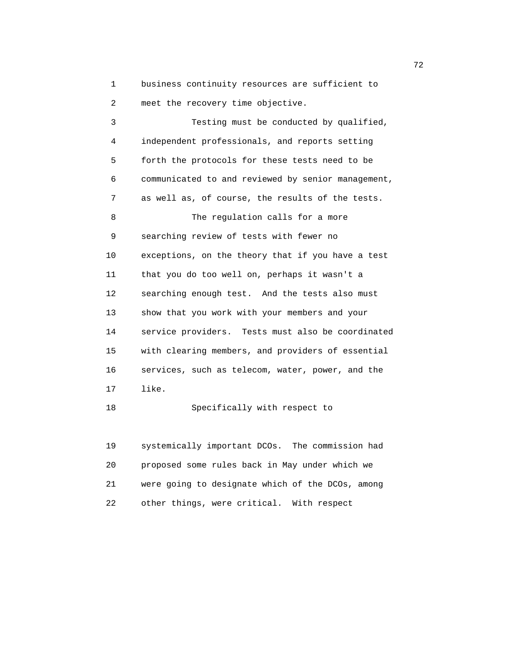1 business continuity resources are sufficient to 2 meet the recovery time objective.

 3 Testing must be conducted by qualified, 4 independent professionals, and reports setting 5 forth the protocols for these tests need to be 6 communicated to and reviewed by senior management, 7 as well as, of course, the results of the tests. 8 The requlation calls for a more 9 searching review of tests with fewer no 10 exceptions, on the theory that if you have a test 11 that you do too well on, perhaps it wasn't a 12 searching enough test. And the tests also must 13 show that you work with your members and your 14 service providers. Tests must also be coordinated 15 with clearing members, and providers of essential 16 services, such as telecom, water, power, and the 17 like.

18 Specifically with respect to

 19 systemically important DCOs. The commission had 20 proposed some rules back in May under which we 21 were going to designate which of the DCOs, among 22 other things, were critical. With respect

последници производите на 1922 године в 1922 године в 1922 године в 1922 године в 1922 године в 1922 године в <br>В 1922 године в 1922 године в 1922 године в 1922 године в 1922 године в 1922 године в 1922 године в 1922 годин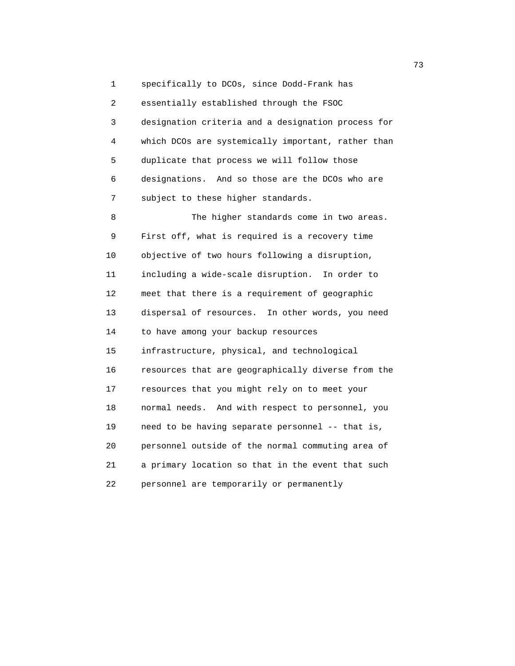1 specifically to DCOs, since Dodd-Frank has 2 essentially established through the FSOC 3 designation criteria and a designation process for 4 which DCOs are systemically important, rather than 5 duplicate that process we will follow those 6 designations. And so those are the DCOs who are 7 subject to these higher standards. 8 The higher standards come in two areas. 9 First off, what is required is a recovery time 10 objective of two hours following a disruption, 11 including a wide-scale disruption. In order to 12 meet that there is a requirement of geographic 13 dispersal of resources. In other words, you need 14 to have among your backup resources 15 infrastructure, physical, and technological 16 resources that are geographically diverse from the 17 resources that you might rely on to meet your 18 normal needs. And with respect to personnel, you 19 need to be having separate personnel -- that is, 20 personnel outside of the normal commuting area of 21 a primary location so that in the event that such

22 personnel are temporarily or permanently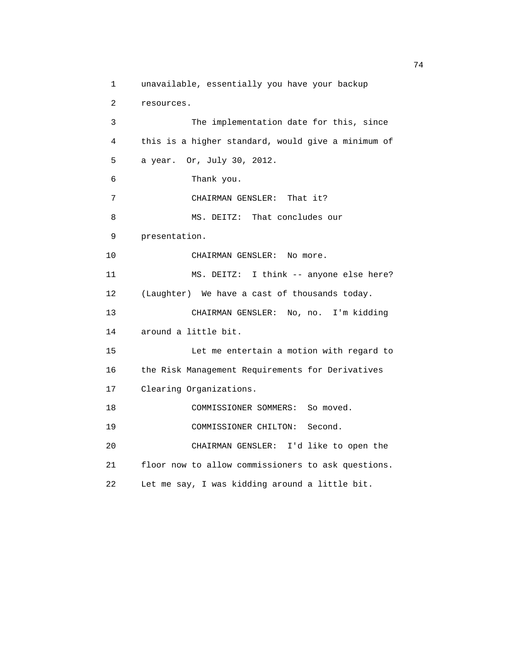```
 1 unavailable, essentially you have your backup
  2 resources.
 3 The implementation date for this, since
 4 this is a higher standard, would give a minimum of
 5 a year. Or, July 30, 2012.
 6 Thank you.
 7 CHAIRMAN GENSLER: That it?
8 MS. DEITZ: That concludes our
 9 presentation.
10 CHAIRMAN GENSLER: No more.
 11 MS. DEITZ: I think -- anyone else here?
 12 (Laughter) We have a cast of thousands today.
 13 CHAIRMAN GENSLER: No, no. I'm kidding
 14 around a little bit.
 15 Let me entertain a motion with regard to
 16 the Risk Management Requirements for Derivatives
 17 Clearing Organizations.
 18 COMMISSIONER SOMMERS: So moved.
 19 COMMISSIONER CHILTON: Second.
 20 CHAIRMAN GENSLER: I'd like to open the
 21 floor now to allow commissioners to ask questions.
 22 Let me say, I was kidding around a little bit.
```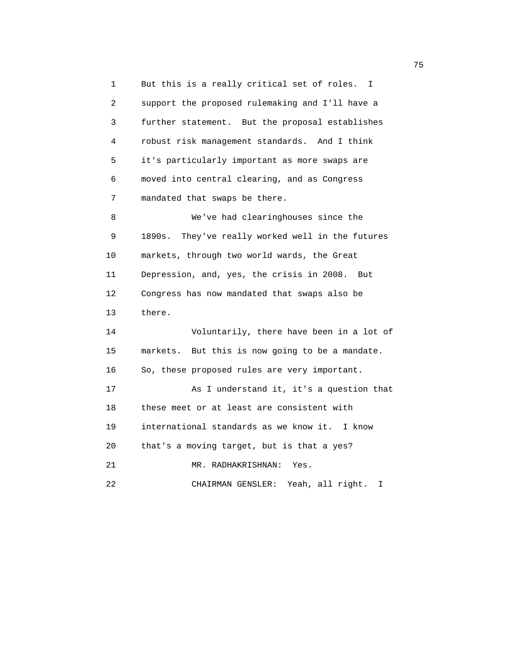1 But this is a really critical set of roles. I 2 support the proposed rulemaking and I'll have a 3 further statement. But the proposal establishes 4 robust risk management standards. And I think 5 it's particularly important as more swaps are 6 moved into central clearing, and as Congress 7 mandated that swaps be there. 8 We've had clearinghouses since the 9 1890s. They've really worked well in the futures 10 markets, through two world wards, the Great 11 Depression, and, yes, the crisis in 2008. But 12 Congress has now mandated that swaps also be 13 there. 14 Voluntarily, there have been in a lot of 15 markets. But this is now going to be a mandate. 16 So, these proposed rules are very important. 17 As I understand it, it's a question that 18 these meet or at least are consistent with 19 international standards as we know it. I know 20 that's a moving target, but is that a yes? 21 MR. RADHAKRISHNAN: Yes. 22 CHAIRMAN GENSLER: Yeah, all right. I

na matsay na katalog as na kasang na mga 1950. Ang isang mga 1950 na mga 1950 na mga 1950 na mga 1950 na mga 1<br>Mga 1950 na mga 1950 na mga 1950 na mga 1950 na mga 1950 na mga 1950 na mga 1950 na mga 1950 na mga 1950 na mg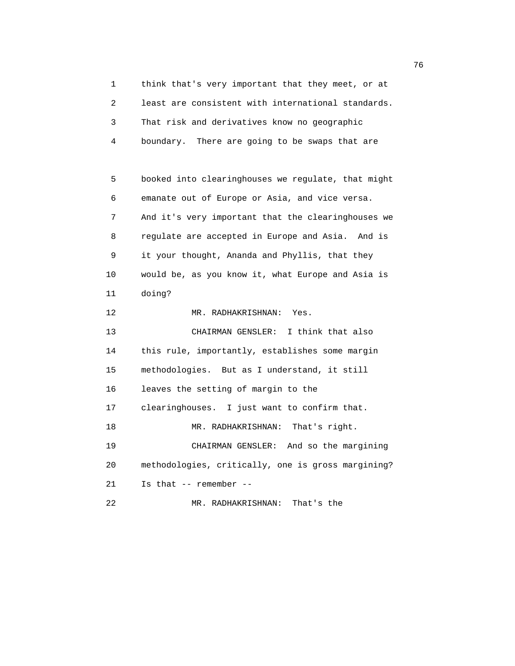1 think that's very important that they meet, or at 2 least are consistent with international standards. 3 That risk and derivatives know no geographic 4 boundary. There are going to be swaps that are

 5 booked into clearinghouses we regulate, that might 6 emanate out of Europe or Asia, and vice versa. 7 And it's very important that the clearinghouses we 8 regulate are accepted in Europe and Asia. And is 9 it your thought, Ananda and Phyllis, that they 10 would be, as you know it, what Europe and Asia is 11 doing? 12 MR. RADHAKRISHNAN: Yes. 13 CHAIRMAN GENSLER: I think that also 14 this rule, importantly, establishes some margin 15 methodologies. But as I understand, it still 16 leaves the setting of margin to the 17 clearinghouses. I just want to confirm that. 18 MR. RADHAKRISHNAN: That's right. 19 CHAIRMAN GENSLER: And so the margining 20 methodologies, critically, one is gross margining? 21 Is that -- remember -- 22 MR. RADHAKRISHNAN: That's the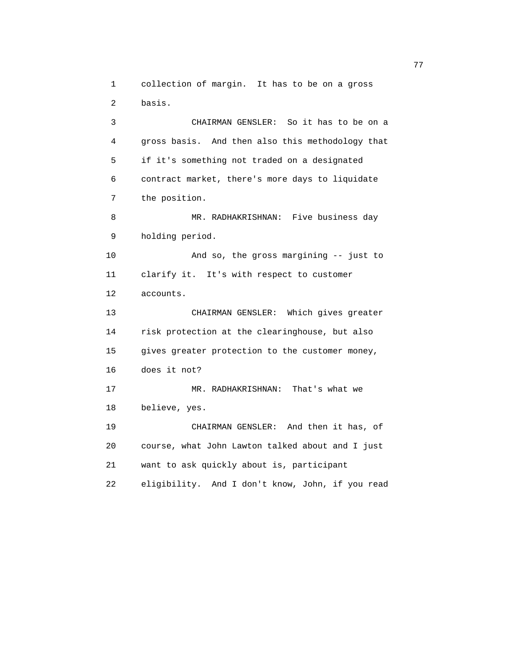1 collection of margin. It has to be on a gross 2 basis. 3 CHAIRMAN GENSLER: So it has to be on a 4 gross basis. And then also this methodology that 5 if it's something not traded on a designated 6 contract market, there's more days to liquidate 7 the position. 8 MR. RADHAKRISHNAN: Five business day 9 holding period. 10 And so, the gross margining -- just to 11 clarify it. It's with respect to customer 12 accounts. 13 CHAIRMAN GENSLER: Which gives greater 14 risk protection at the clearinghouse, but also 15 gives greater protection to the customer money, 16 does it not? 17 MR. RADHAKRISHNAN: That's what we 18 believe, yes. 19 CHAIRMAN GENSLER: And then it has, of 20 course, what John Lawton talked about and I just 21 want to ask quickly about is, participant 22 eligibility. And I don't know, John, if you read

ли в село в село во село во село во село во село во село во село во село во село во село во село во село во се<br>Постојата на селото на селото на селото на селото на селото на селото на селото на селото на селото на селото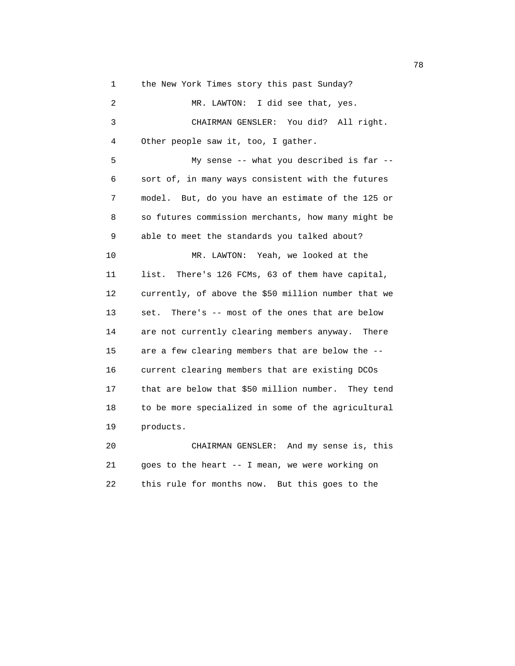1 the New York Times story this past Sunday?

| $\mathbf{2}$ | MR. LAWTON: I did see that, yes.                    |
|--------------|-----------------------------------------------------|
| 3            | CHAIRMAN GENSLER: You did? All right.               |
| 4            | Other people saw it, too, I gather.                 |
| 5            | My sense -- what you described is far --            |
| 6            | sort of, in many ways consistent with the futures   |
| 7            | model. But, do you have an estimate of the 125 or   |
| 8            | so futures commission merchants, how many might be  |
| 9            | able to meet the standards you talked about?        |
| 10           | MR. LAWTON: Yeah, we looked at the                  |
| 11           | There's 126 FCMs, 63 of them have capital,<br>list. |
| 12           | currently, of above the \$50 million number that we |
| 13           | There's -- most of the ones that are below<br>set.  |
| 14           | are not currently clearing members anyway.<br>There |
| 15           | are a few clearing members that are below the --    |
| 16           | current clearing members that are existing DCOs     |
| 17           | that are below that \$50 million number. They tend  |
| 18           | to be more specialized in some of the agricultural  |
| 19           | products.                                           |
| 20           | CHAIRMAN GENSLER: And my sense is, this             |

 21 goes to the heart -- I mean, we were working on 22 this rule for months now. But this goes to the

n and the state of the state of the state of the state of the state of the state of the state of the state of the state of the state of the state of the state of the state of the state of the state of the state of the stat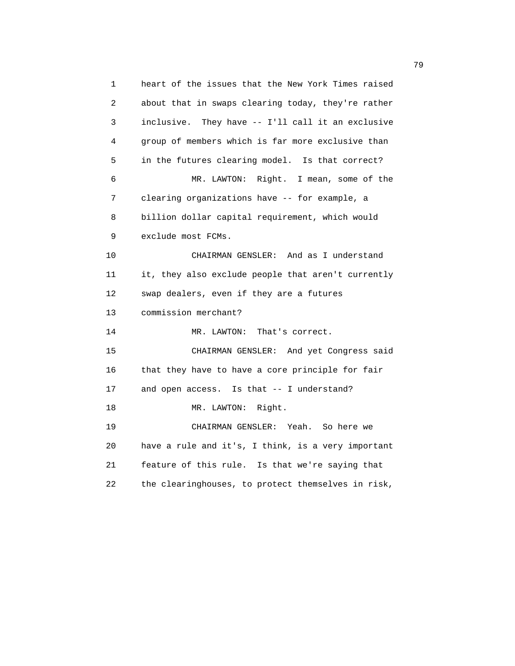1 heart of the issues that the New York Times raised 2 about that in swaps clearing today, they're rather 3 inclusive. They have -- I'll call it an exclusive 4 group of members which is far more exclusive than 5 in the futures clearing model. Is that correct? 6 MR. LAWTON: Right. I mean, some of the 7 clearing organizations have -- for example, a 8 billion dollar capital requirement, which would 9 exclude most FCMs. 10 CHAIRMAN GENSLER: And as I understand 11 it, they also exclude people that aren't currently 12 swap dealers, even if they are a futures 13 commission merchant? 14 MR. LAWTON: That's correct. 15 CHAIRMAN GENSLER: And yet Congress said 16 that they have to have a core principle for fair 17 and open access. Is that -- I understand? 18 MR. LAWTON: Right. 19 CHAIRMAN GENSLER: Yeah. So here we 20 have a rule and it's, I think, is a very important 21 feature of this rule. Is that we're saying that 22 the clearinghouses, to protect themselves in risk,

ли в село в село во село во село во село во село во село во село во село во село во село во село во село во се<br>Постојата село во село во село во село во село во село во село во село во село во село во село во село во село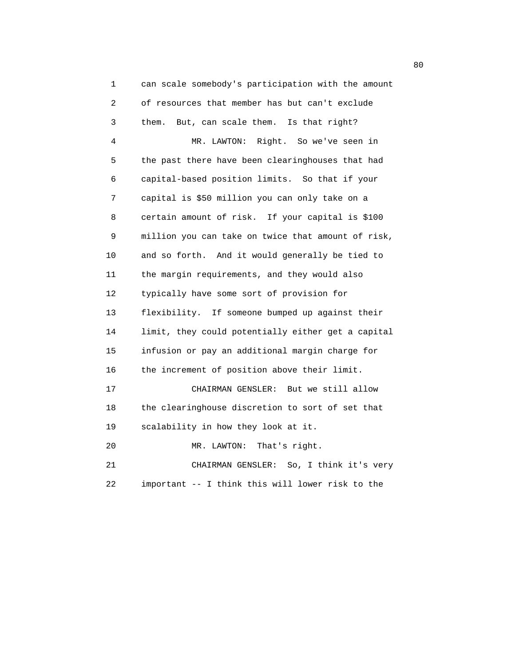1 can scale somebody's participation with the amount 2 of resources that member has but can't exclude 3 them. But, can scale them. Is that right? 4 MR. LAWTON: Right. So we've seen in 5 the past there have been clearinghouses that had 6 capital-based position limits. So that if your 7 capital is \$50 million you can only take on a 8 certain amount of risk. If your capital is \$100 9 million you can take on twice that amount of risk, 10 and so forth. And it would generally be tied to 11 the margin requirements, and they would also 12 typically have some sort of provision for 13 flexibility. If someone bumped up against their 14 limit, they could potentially either get a capital 15 infusion or pay an additional margin charge for 16 the increment of position above their limit. 17 CHAIRMAN GENSLER: But we still allow 18 the clearinghouse discretion to sort of set that 19 scalability in how they look at it. 20 MR. LAWTON: That's right. 21 CHAIRMAN GENSLER: So, I think it's very 22 important -- I think this will lower risk to the

en de la construction de la construction de la construction de la construction de la construction de la constr<br>De la construction de la construction de la construction de la construction de la construction de la construct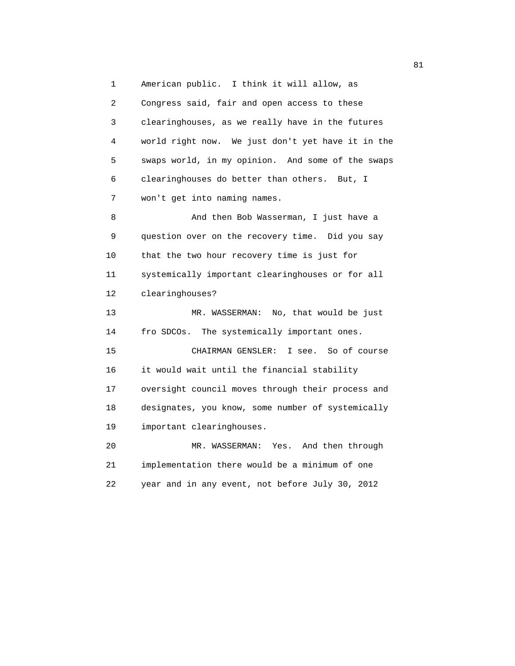1 American public. I think it will allow, as 2 Congress said, fair and open access to these 3 clearinghouses, as we really have in the futures 4 world right now. We just don't yet have it in the 5 swaps world, in my opinion. And some of the swaps 6 clearinghouses do better than others. But, I 7 won't get into naming names. 8 And then Bob Wasserman, I just have a 9 question over on the recovery time. Did you say 10 that the two hour recovery time is just for 11 systemically important clearinghouses or for all 12 clearinghouses? 13 MR. WASSERMAN: No, that would be just 14 fro SDCOs. The systemically important ones. 15 CHAIRMAN GENSLER: I see. So of course 16 it would wait until the financial stability 17 oversight council moves through their process and 18 designates, you know, some number of systemically 19 important clearinghouses. 20 MR. WASSERMAN: Yes. And then through 21 implementation there would be a minimum of one 22 year and in any event, not before July 30, 2012

experience of the state of the state of the state of the state of the state of the state of the state of the state of the state of the state of the state of the state of the state of the state of the state of the state of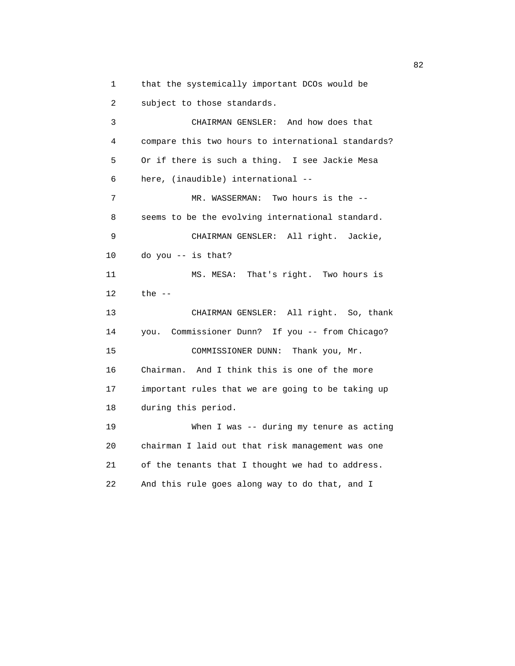1 that the systemically important DCOs would be 2 subject to those standards.

 3 CHAIRMAN GENSLER: And how does that 4 compare this two hours to international standards? 5 Or if there is such a thing. I see Jackie Mesa 6 here, (inaudible) international -- 7 MR. WASSERMAN: Two hours is the -- 8 seems to be the evolving international standard. 9 CHAIRMAN GENSLER: All right. Jackie, 10 do you -- is that? 11 MS. MESA: That's right. Two hours is 12 the -- 13 CHAIRMAN GENSLER: All right. So, thank 14 you. Commissioner Dunn? If you -- from Chicago? 15 COMMISSIONER DUNN: Thank you, Mr. 16 Chairman. And I think this is one of the more 17 important rules that we are going to be taking up 18 during this period. 19 When I was -- during my tenure as acting 20 chairman I laid out that risk management was one 21 of the tenants that I thought we had to address. 22 And this rule goes along way to do that, and I

experience of the state of the state of the state of the state of the state of the state of the state of the s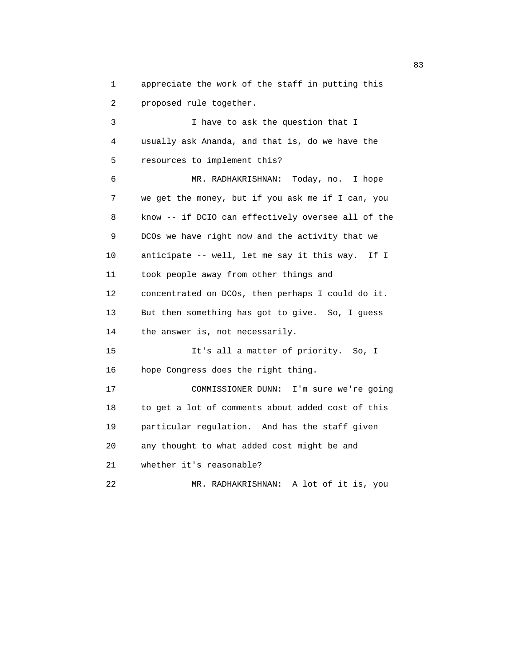1 appreciate the work of the staff in putting this 2 proposed rule together.

 3 I have to ask the question that I 4 usually ask Ananda, and that is, do we have the 5 resources to implement this? 6 MR. RADHAKRISHNAN: Today, no. I hope 7 we get the money, but if you ask me if I can, you 8 know -- if DCIO can effectively oversee all of the 9 DCOs we have right now and the activity that we 10 anticipate -- well, let me say it this way. If I 11 took people away from other things and 12 concentrated on DCOs, then perhaps I could do it. 13 But then something has got to give. So, I guess 14 the answer is, not necessarily. 15 It's all a matter of priority. So, I 16 hope Congress does the right thing. 17 COMMISSIONER DUNN: I'm sure we're going 18 to get a lot of comments about added cost of this 19 particular regulation. And has the staff given 20 any thought to what added cost might be and 21 whether it's reasonable? 22 MR. RADHAKRISHNAN: A lot of it is, you

experience of the contract of the contract of the contract of the contract of the contract of the contract of the contract of the contract of the contract of the contract of the contract of the contract of the contract of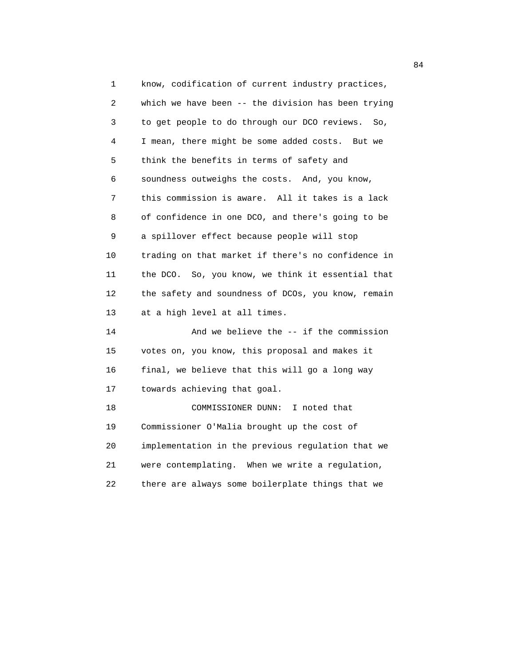1 know, codification of current industry practices, 2 which we have been -- the division has been trying 3 to get people to do through our DCO reviews. So, 4 I mean, there might be some added costs. But we 5 think the benefits in terms of safety and 6 soundness outweighs the costs. And, you know, 7 this commission is aware. All it takes is a lack 8 of confidence in one DCO, and there's going to be 9 a spillover effect because people will stop 10 trading on that market if there's no confidence in 11 the DCO. So, you know, we think it essential that 12 the safety and soundness of DCOs, you know, remain 13 at a high level at all times. 14 And we believe the -- if the commission 15 votes on, you know, this proposal and makes it 16 final, we believe that this will go a long way 17 towards achieving that goal. 18 COMMISSIONER DUNN: I noted that 19 Commissioner O'Malia brought up the cost of 20 implementation in the previous regulation that we 21 were contemplating. When we write a regulation, 22 there are always some boilerplate things that we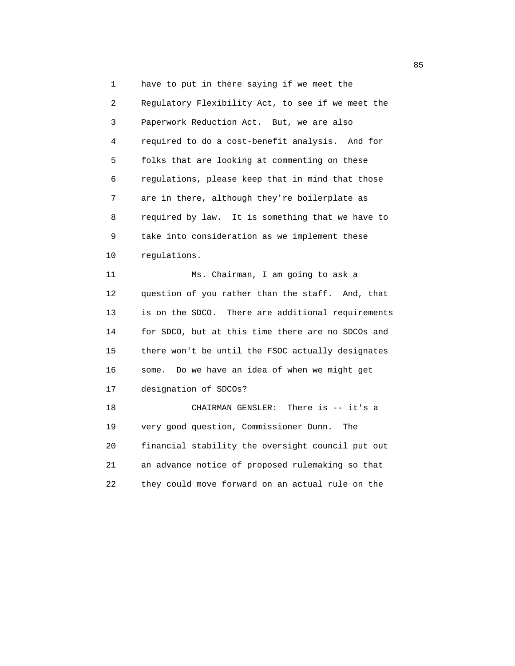1 have to put in there saying if we meet the 2 Regulatory Flexibility Act, to see if we meet the 3 Paperwork Reduction Act. But, we are also 4 required to do a cost-benefit analysis. And for 5 folks that are looking at commenting on these 6 regulations, please keep that in mind that those 7 are in there, although they're boilerplate as 8 required by law. It is something that we have to 9 take into consideration as we implement these 10 regulations.

 11 Ms. Chairman, I am going to ask a 12 question of you rather than the staff. And, that 13 is on the SDCO. There are additional requirements 14 for SDCO, but at this time there are no SDCOs and 15 there won't be until the FSOC actually designates 16 some. Do we have an idea of when we might get 17 designation of SDCOs? 18 CHAIRMAN GENSLER: There is -- it's a

 19 very good question, Commissioner Dunn. The 20 financial stability the oversight council put out 21 an advance notice of proposed rulemaking so that 22 they could move forward on an actual rule on the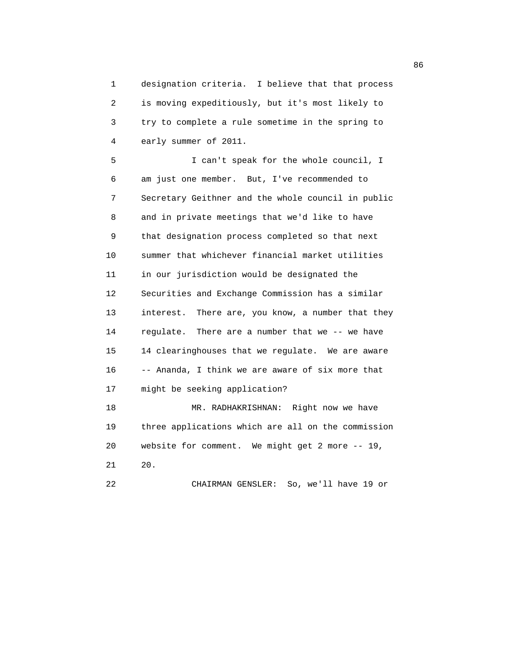1 designation criteria. I believe that that process 2 is moving expeditiously, but it's most likely to 3 try to complete a rule sometime in the spring to 4 early summer of 2011.

 5 I can't speak for the whole council, I 6 am just one member. But, I've recommended to 7 Secretary Geithner and the whole council in public 8 and in private meetings that we'd like to have 9 that designation process completed so that next 10 summer that whichever financial market utilities 11 in our jurisdiction would be designated the 12 Securities and Exchange Commission has a similar 13 interest. There are, you know, a number that they 14 regulate. There are a number that we -- we have 15 14 clearinghouses that we regulate. We are aware 16 -- Ananda, I think we are aware of six more that 17 might be seeking application? 18 MR. RADHAKRISHNAN: Right now we have 19 three applications which are all on the commission 20 website for comment. We might get 2 more -- 19,

21 20.

22 CHAIRMAN GENSLER: So, we'll have 19 or

en de la construcción de la construcción de la construcción de la construcción de la construcción de la construcción de la construcción de la construcción de la construcción de la construcción de la construcción de la cons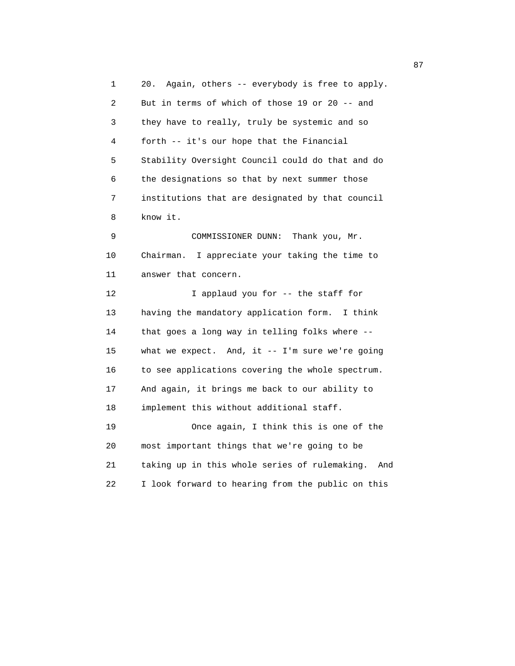1 20. Again, others -- everybody is free to apply. 2 But in terms of which of those 19 or 20 -- and 3 they have to really, truly be systemic and so 4 forth -- it's our hope that the Financial 5 Stability Oversight Council could do that and do 6 the designations so that by next summer those 7 institutions that are designated by that council 8 know it. 9 COMMISSIONER DUNN: Thank you, Mr. 10 Chairman. I appreciate your taking the time to 11 answer that concern. 12 I applaud you for -- the staff for 13 having the mandatory application form. I think 14 that goes a long way in telling folks where -- 15 what we expect. And, it -- I'm sure we're going 16 to see applications covering the whole spectrum. 17 And again, it brings me back to our ability to 18 implement this without additional staff. 19 Once again, I think this is one of the 20 most important things that we're going to be 21 taking up in this whole series of rulemaking. And 22 I look forward to hearing from the public on this

87 and 2012 and 2012 and 2012 and 2012 and 2012 and 2012 and 2012 and 2012 and 2012 and 2012 and 201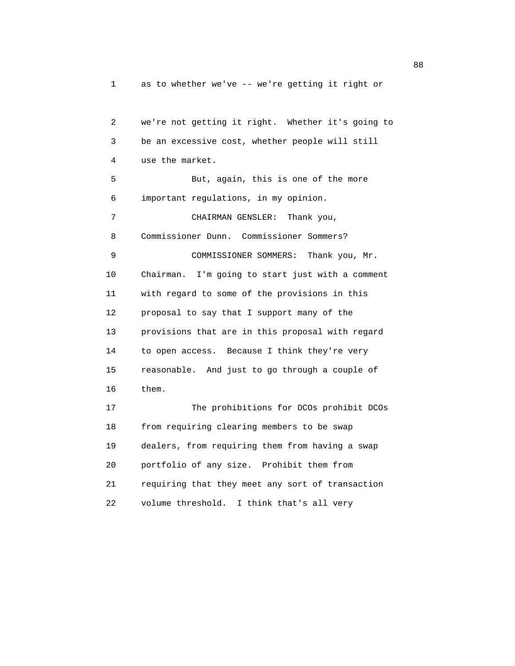1 as to whether we've -- we're getting it right or

 2 we're not getting it right. Whether it's going to 3 be an excessive cost, whether people will still 4 use the market. 5 But, again, this is one of the more 6 important regulations, in my opinion. 7 CHAIRMAN GENSLER: Thank you, 8 Commissioner Dunn. Commissioner Sommers? 9 COMMISSIONER SOMMERS: Thank you, Mr. 10 Chairman. I'm going to start just with a comment 11 with regard to some of the provisions in this 12 proposal to say that I support many of the 13 provisions that are in this proposal with regard 14 to open access. Because I think they're very 15 reasonable. And just to go through a couple of 16 them. 17 The prohibitions for DCOs prohibit DCOs 18 from requiring clearing members to be swap 19 dealers, from requiring them from having a swap 20 portfolio of any size. Prohibit them from 21 requiring that they meet any sort of transaction 22 volume threshold. I think that's all very

e e a constante de la constantidad de la constantidad de la constantidad de la constantidad de la constantidad<br>En 1888, en la constantidad de la constantidad de la constantidad de la constantidad de la constantidad de la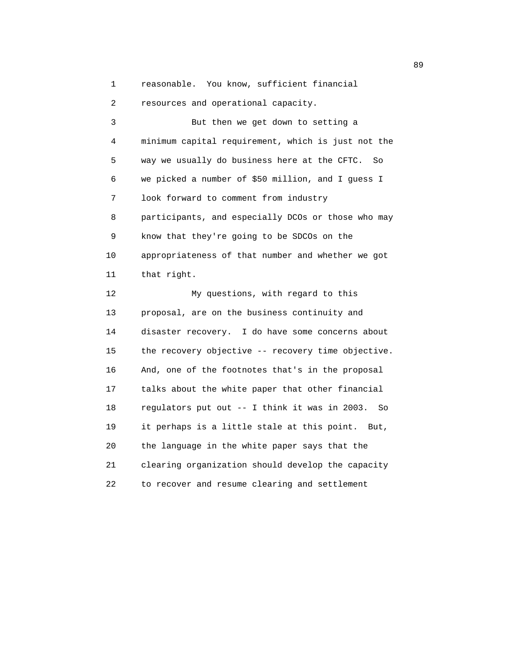1 reasonable. You know, sufficient financial

2 resources and operational capacity.

 3 But then we get down to setting a 4 minimum capital requirement, which is just not the 5 way we usually do business here at the CFTC. So 6 we picked a number of \$50 million, and I guess I 7 look forward to comment from industry 8 participants, and especially DCOs or those who may 9 know that they're going to be SDCOs on the 10 appropriateness of that number and whether we got 11 that right. 12 My questions, with regard to this 13 proposal, are on the business continuity and 14 disaster recovery. I do have some concerns about 15 the recovery objective -- recovery time objective. 16 And, one of the footnotes that's in the proposal 17 talks about the white paper that other financial 18 regulators put out -- I think it was in 2003. So 19 it perhaps is a little stale at this point. But, 20 the language in the white paper says that the 21 clearing organization should develop the capacity 22 to recover and resume clearing and settlement

en de la construction de la construction de la construction de la construction de la construction de la constr<br>De la construction de la construction de la construction de la construction de la construction de la construct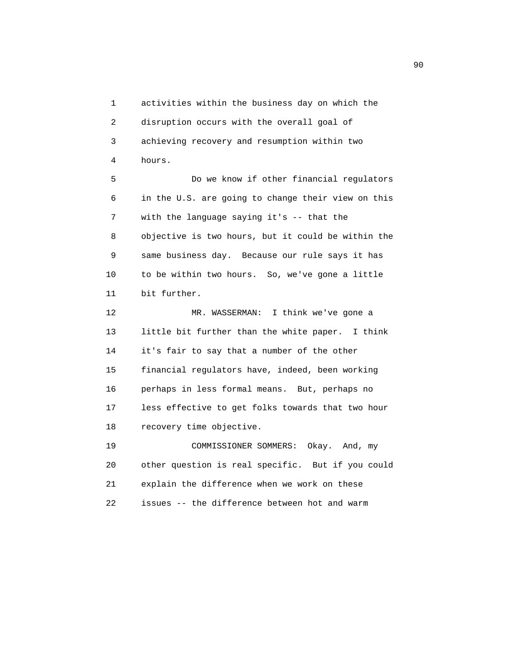1 activities within the business day on which the 2 disruption occurs with the overall goal of 3 achieving recovery and resumption within two 4 hours. 5 Do we know if other financial regulators 6 in the U.S. are going to change their view on this 7 with the language saying it's -- that the 8 objective is two hours, but it could be within the 9 same business day. Because our rule says it has 10 to be within two hours. So, we've gone a little 11 bit further. 12 MR. WASSERMAN: I think we've gone a 13 little bit further than the white paper. I think 14 it's fair to say that a number of the other 15 financial regulators have, indeed, been working 16 perhaps in less formal means. But, perhaps no 17 less effective to get folks towards that two hour 18 recovery time objective. 19 COMMISSIONER SOMMERS: Okay. And, my

 20 other question is real specific. But if you could 21 explain the difference when we work on these 22 issues -- the difference between hot and warm

experience of the contract of the contract of the contract of the contract of the contract of the contract of the contract of the contract of the contract of the contract of the contract of the contract of the contract of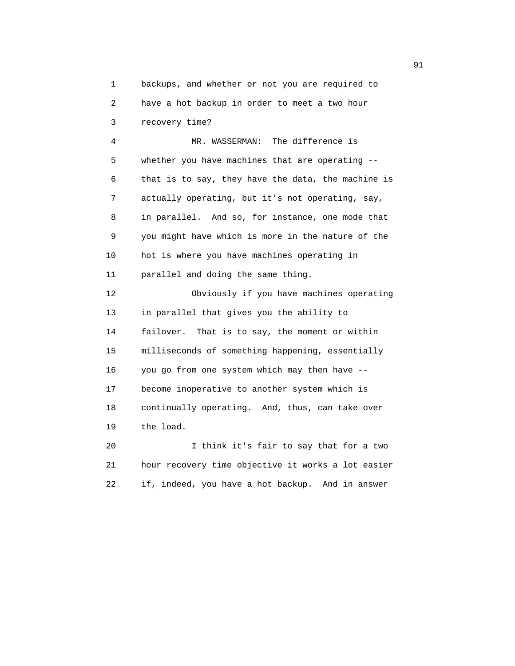1 backups, and whether or not you are required to 2 have a hot backup in order to meet a two hour 3 recovery time?

 4 MR. WASSERMAN: The difference is 5 whether you have machines that are operating -- 6 that is to say, they have the data, the machine is 7 actually operating, but it's not operating, say, 8 in parallel. And so, for instance, one mode that 9 you might have which is more in the nature of the 10 hot is where you have machines operating in 11 parallel and doing the same thing. 12 Obviously if you have machines operating 13 in parallel that gives you the ability to

 14 failover. That is to say, the moment or within 15 milliseconds of something happening, essentially 16 you go from one system which may then have -- 17 become inoperative to another system which is 18 continually operating. And, thus, can take over 19 the load.

 20 I think it's fair to say that for a two 21 hour recovery time objective it works a lot easier 22 if, indeed, you have a hot backup. And in answer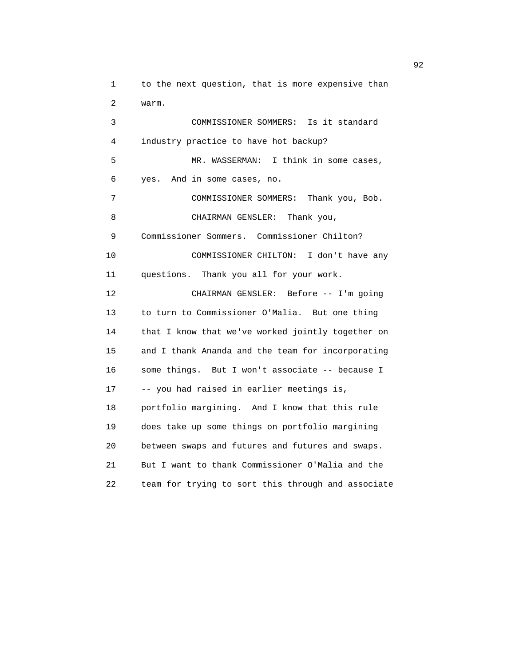1 to the next question, that is more expensive than 2 warm. 3 COMMISSIONER SOMMERS: Is it standard 4 industry practice to have hot backup? 5 MR. WASSERMAN: I think in some cases, 6 yes. And in some cases, no. 7 COMMISSIONER SOMMERS: Thank you, Bob. 8 CHAIRMAN GENSLER: Thank you, 9 Commissioner Sommers. Commissioner Chilton? 10 COMMISSIONER CHILTON: I don't have any 11 questions. Thank you all for your work. 12 CHAIRMAN GENSLER: Before -- I'm going 13 to turn to Commissioner O'Malia. But one thing 14 that I know that we've worked jointly together on 15 and I thank Ananda and the team for incorporating 16 some things. But I won't associate -- because I 17 -- you had raised in earlier meetings is, 18 portfolio margining. And I know that this rule 19 does take up some things on portfolio margining 20 between swaps and futures and futures and swaps. 21 But I want to thank Commissioner O'Malia and the 22 team for trying to sort this through and associate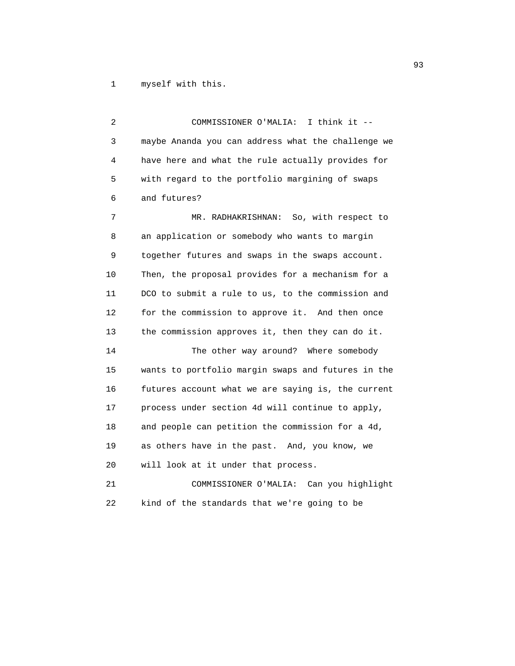1 myself with this.

 2 COMMISSIONER O'MALIA: I think it -- 3 maybe Ananda you can address what the challenge we 4 have here and what the rule actually provides for 5 with regard to the portfolio margining of swaps 6 and futures? 7 MR. RADHAKRISHNAN: So, with respect to 8 an application or somebody who wants to margin 9 together futures and swaps in the swaps account. 10 Then, the proposal provides for a mechanism for a 11 DCO to submit a rule to us, to the commission and 12 for the commission to approve it. And then once 13 the commission approves it, then they can do it. 14 The other way around? Where somebody 15 wants to portfolio margin swaps and futures in the 16 futures account what we are saying is, the current 17 process under section 4d will continue to apply, 18 and people can petition the commission for a 4d, 19 as others have in the past. And, you know, we 20 will look at it under that process. 21 COMMISSIONER O'MALIA: Can you highlight 22 kind of the standards that we're going to be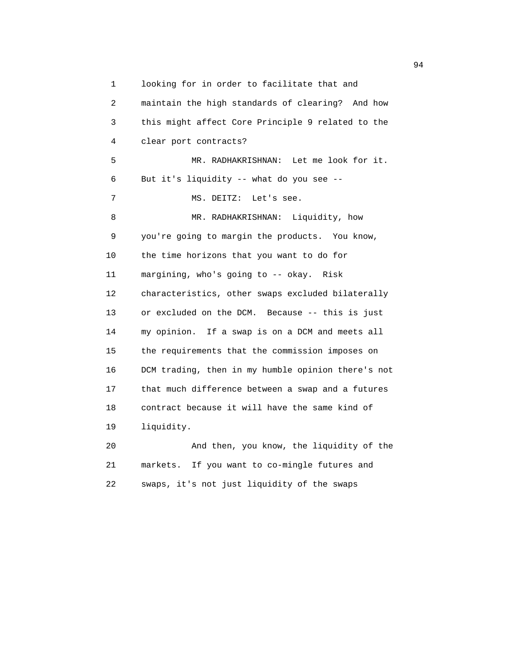1 looking for in order to facilitate that and 2 maintain the high standards of clearing? And how 3 this might affect Core Principle 9 related to the 4 clear port contracts? 5 MR. RADHAKRISHNAN: Let me look for it. 6 But it's liquidity -- what do you see -- 7 MS. DEITZ: Let's see. 8 MR. RADHAKRISHNAN: Liquidity, how 9 you're going to margin the products. You know, 10 the time horizons that you want to do for 11 margining, who's going to -- okay. Risk 12 characteristics, other swaps excluded bilaterally 13 or excluded on the DCM. Because -- this is just 14 my opinion. If a swap is on a DCM and meets all 15 the requirements that the commission imposes on 16 DCM trading, then in my humble opinion there's not 17 that much difference between a swap and a futures 18 contract because it will have the same kind of 19 liquidity. 20 And then, you know, the liquidity of the

 21 markets. If you want to co-mingle futures and 22 swaps, it's not just liquidity of the swaps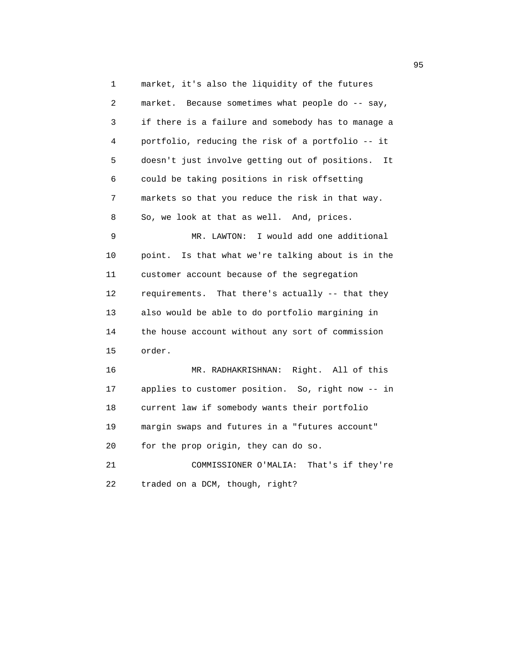1 market, it's also the liquidity of the futures 2 market. Because sometimes what people do -- say, 3 if there is a failure and somebody has to manage a 4 portfolio, reducing the risk of a portfolio -- it 5 doesn't just involve getting out of positions. It 6 could be taking positions in risk offsetting 7 markets so that you reduce the risk in that way. 8 So, we look at that as well. And, prices. 9 MR. LAWTON: I would add one additional 10 point. Is that what we're talking about is in the 11 customer account because of the segregation 12 requirements. That there's actually -- that they 13 also would be able to do portfolio margining in 14 the house account without any sort of commission 15 order. 16 MR. RADHAKRISHNAN: Right. All of this 17 applies to customer position. So, right now -- in 18 current law if somebody wants their portfolio 19 margin swaps and futures in a "futures account" 20 for the prop origin, they can do so. 21 COMMISSIONER O'MALIA: That's if they're 22 traded on a DCM, though, right?

experience of the contract of the contract of the contract of the contract of the contract of the contract of the contract of the contract of the contract of the contract of the contract of the contract of the contract of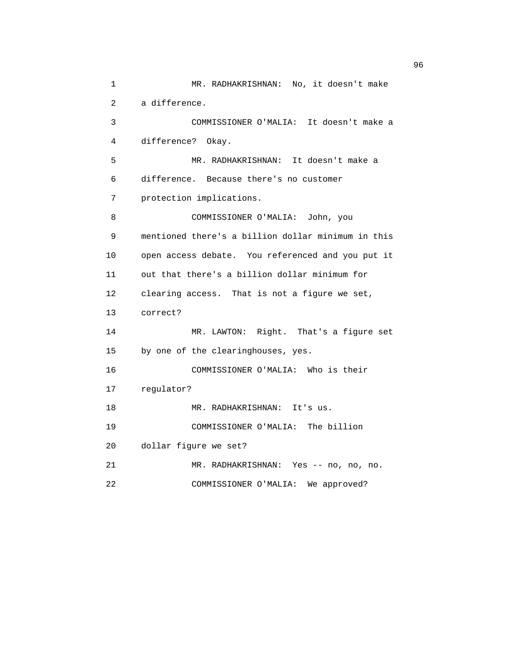```
 1 MR. RADHAKRISHNAN: No, it doesn't make
 2 a difference.
 3 COMMISSIONER O'MALIA: It doesn't make a
 4 difference? Okay.
 5 MR. RADHAKRISHNAN: It doesn't make a
 6 difference. Because there's no customer
 7 protection implications.
 8 COMMISSIONER O'MALIA: John, you 
 9 mentioned there's a billion dollar minimum in this
 10 open access debate. You referenced and you put it
 11 out that there's a billion dollar minimum for
 12 clearing access. That is not a figure we set,
 13 correct?
 14 MR. LAWTON: Right. That's a figure set
 15 by one of the clearinghouses, yes.
 16 COMMISSIONER O'MALIA: Who is their
 17 regulator?
 18 MR. RADHAKRISHNAN: It's us.
 19 COMMISSIONER O'MALIA: The billion
 20 dollar figure we set?
 21 MR. RADHAKRISHNAN: Yes -- no, no, no.
 22 COMMISSIONER O'MALIA: We approved?
```
 $\sim$  96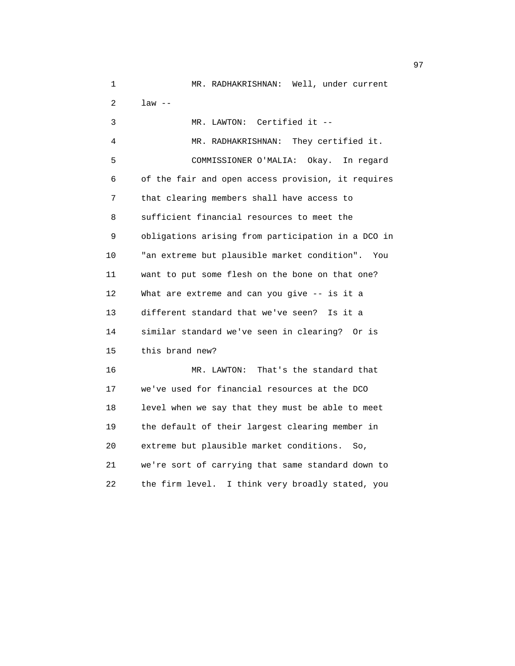| 1  | MR. RADHAKRISHNAN: Well, under current              |
|----|-----------------------------------------------------|
| 2  | $law --$                                            |
| 3  | Certified it $-$<br>MR. LAWTON:                     |
| 4  | MR. RADHAKRISHNAN: They certified it.               |
| 5  | COMMISSIONER O'MALIA: Okay.<br>In regard            |
| 6  | of the fair and open access provision, it requires  |
| 7  | that clearing members shall have access to          |
| 8  | sufficient financial resources to meet the          |
| 9  | obligations arising from participation in a DCO in  |
| 10 | "an extreme but plausible market condition".<br>You |
| 11 | want to put some flesh on the bone on that one?     |
| 12 | What are extreme and can you give -- is it a        |
| 13 | different standard that we've seen?<br>Is it a      |
| 14 | similar standard we've seen in clearing? Or is      |
| 15 | this brand new?                                     |
| 16 | That's the standard that<br>MR. LAWTON:             |
| 17 | we've used for financial resources at the DCO       |
| 18 | level when we say that they must be able to meet    |
| 19 | the default of their largest clearing member in     |
| 20 | extreme but plausible market conditions.<br>So,     |
| 21 | we're sort of carrying that same standard down to   |
| 22 | the firm level.<br>I think very broadly stated, you |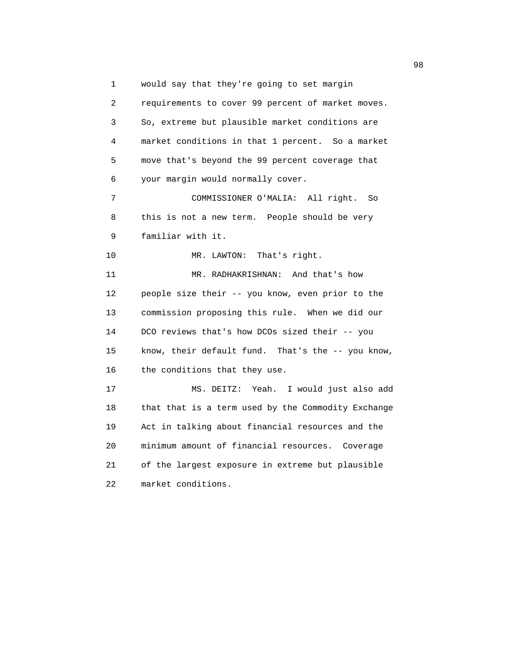1 would say that they're going to set margin 2 requirements to cover 99 percent of market moves. 3 So, extreme but plausible market conditions are 4 market conditions in that 1 percent. So a market 5 move that's beyond the 99 percent coverage that 6 your margin would normally cover. 7 COMMISSIONER O'MALIA: All right. So 8 this is not a new term. People should be very 9 familiar with it. 10 MR. LAWTON: That's right. 11 MR. RADHAKRISHNAN: And that's how 12 people size their -- you know, even prior to the 13 commission proposing this rule. When we did our 14 DCO reviews that's how DCOs sized their -- you 15 know, their default fund. That's the -- you know, 16 the conditions that they use. 17 MS. DEITZ: Yeah. I would just also add 18 that that is a term used by the Commodity Exchange 19 Act in talking about financial resources and the 20 minimum amount of financial resources. Coverage 21 of the largest exposure in extreme but plausible 22 market conditions.

98 and 2012 and 2012 and 2012 and 2012 and 2012 and 2012 and 2012 and 2012 and 2012 and 2012 and 201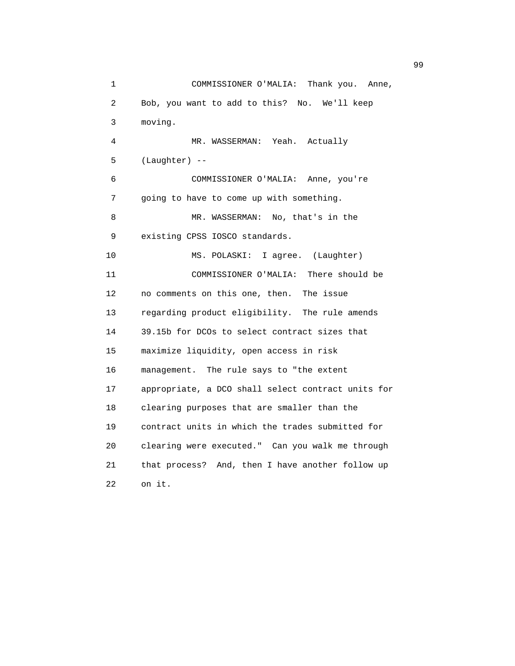1 COMMISSIONER O'MALIA: Thank you. Anne, 2 Bob, you want to add to this? No. We'll keep 3 moving. 4 MR. WASSERMAN: Yeah. Actually  $5$  (Laughter)  $-$  6 COMMISSIONER O'MALIA: Anne, you're 7 going to have to come up with something. 8 MR. WASSERMAN: No, that's in the 9 existing CPSS IOSCO standards. 10 MS. POLASKI: I agree. (Laughter) 11 COMMISSIONER O'MALIA: There should be 12 no comments on this one, then. The issue 13 regarding product eligibility. The rule amends 14 39.15b for DCOs to select contract sizes that 15 maximize liquidity, open access in risk 16 management. The rule says to "the extent 17 appropriate, a DCO shall select contract units for 18 clearing purposes that are smaller than the 19 contract units in which the trades submitted for 20 clearing were executed." Can you walk me through 21 that process? And, then I have another follow up 22 on it.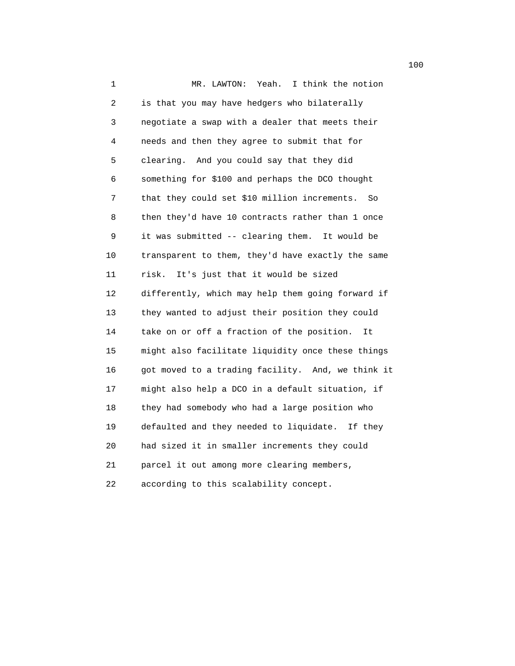1 MR. LAWTON: Yeah. I think the notion 2 is that you may have hedgers who bilaterally 3 negotiate a swap with a dealer that meets their 4 needs and then they agree to submit that for 5 clearing. And you could say that they did 6 something for \$100 and perhaps the DCO thought 7 that they could set \$10 million increments. So 8 then they'd have 10 contracts rather than 1 once 9 it was submitted -- clearing them. It would be 10 transparent to them, they'd have exactly the same 11 risk. It's just that it would be sized 12 differently, which may help them going forward if 13 they wanted to adjust their position they could 14 take on or off a fraction of the position. It 15 might also facilitate liquidity once these things 16 got moved to a trading facility. And, we think it 17 might also help a DCO in a default situation, if 18 they had somebody who had a large position who 19 defaulted and they needed to liquidate. If they 20 had sized it in smaller increments they could 21 parcel it out among more clearing members, 22 according to this scalability concept.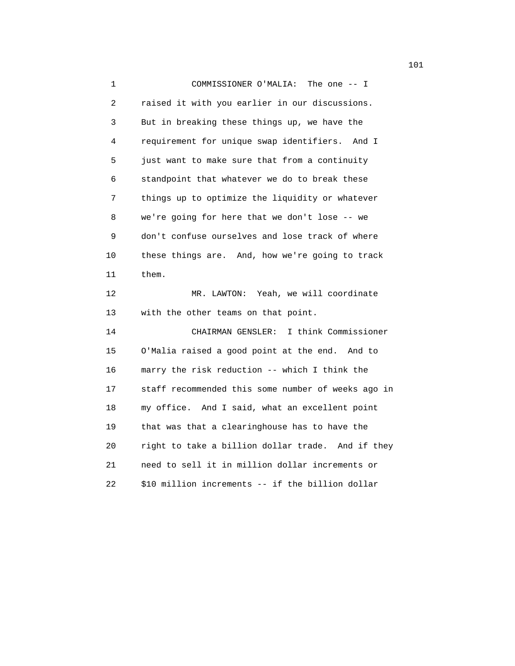1 COMMISSIONER O'MALIA: The one -- I 2 raised it with you earlier in our discussions. 3 But in breaking these things up, we have the 4 requirement for unique swap identifiers. And I 5 just want to make sure that from a continuity 6 standpoint that whatever we do to break these 7 things up to optimize the liquidity or whatever 8 we're going for here that we don't lose -- we 9 don't confuse ourselves and lose track of where 10 these things are. And, how we're going to track 11 them. 12 MR. LAWTON: Yeah, we will coordinate 13 with the other teams on that point. 14 CHAIRMAN GENSLER: I think Commissioner 15 O'Malia raised a good point at the end. And to 16 marry the risk reduction -- which I think the 17 staff recommended this some number of weeks ago in 18 my office. And I said, what an excellent point 19 that was that a clearinghouse has to have the 20 right to take a billion dollar trade. And if they 21 need to sell it in million dollar increments or 22 \$10 million increments -- if the billion dollar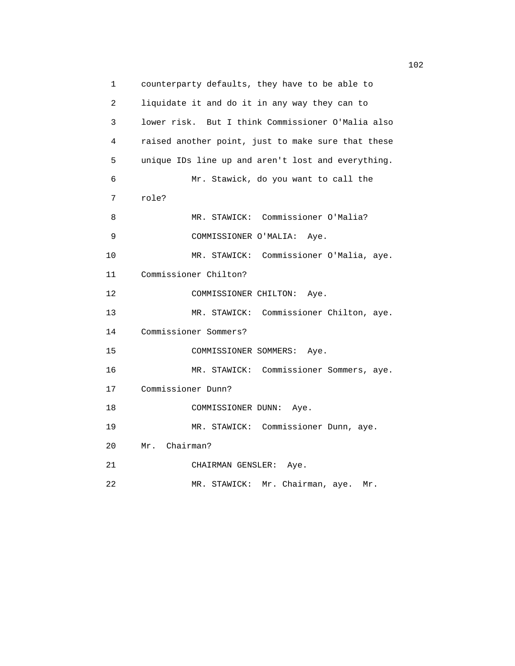1 counterparty defaults, they have to be able to 2 liquidate it and do it in any way they can to 3 lower risk. But I think Commissioner O'Malia also 4 raised another point, just to make sure that these 5 unique IDs line up and aren't lost and everything. 6 Mr. Stawick, do you want to call the 7 role? 8 MR. STAWICK: Commissioner O'Malia? 9 COMMISSIONER O'MALIA: Aye. 10 MR. STAWICK: Commissioner O'Malia, aye. 11 Commissioner Chilton? 12 COMMISSIONER CHILTON: Aye. 13 MR. STAWICK: Commissioner Chilton, aye. 14 Commissioner Sommers? 15 COMMISSIONER SOMMERS: Aye. 16 MR. STAWICK: Commissioner Sommers, aye. 17 Commissioner Dunn? 18 COMMISSIONER DUNN: Aye. 19 MR. STAWICK: Commissioner Dunn, aye. 20 Mr. Chairman? 21 CHAIRMAN GENSLER: Aye. 22 MR. STAWICK: Mr. Chairman, aye. Mr.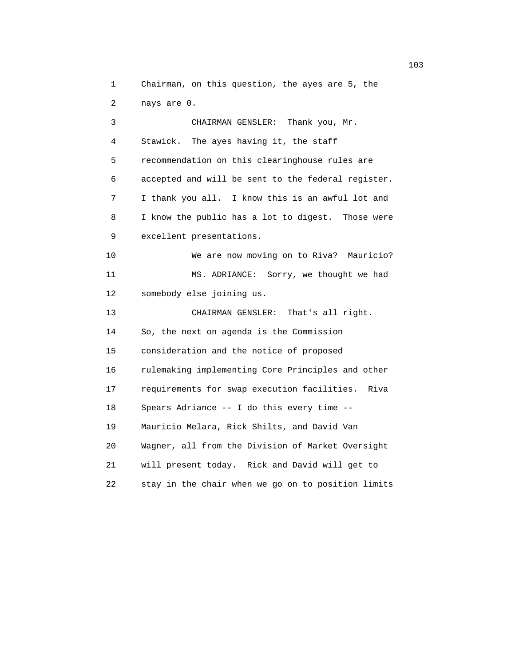1 Chairman, on this question, the ayes are 5, the 2 nays are 0.

 3 CHAIRMAN GENSLER: Thank you, Mr. 4 Stawick. The ayes having it, the staff 5 recommendation on this clearinghouse rules are 6 accepted and will be sent to the federal register. 7 I thank you all. I know this is an awful lot and 8 I know the public has a lot to digest. Those were 9 excellent presentations. 10 We are now moving on to Riva? Mauricio? 11 MS. ADRIANCE: Sorry, we thought we had 12 somebody else joining us. 13 CHAIRMAN GENSLER: That's all right. 14 So, the next on agenda is the Commission 15 consideration and the notice of proposed 16 rulemaking implementing Core Principles and other 17 requirements for swap execution facilities. Riva 18 Spears Adriance -- I do this every time -- 19 Mauricio Melara, Rick Shilts, and David Van 20 Wagner, all from the Division of Market Oversight 21 will present today. Rick and David will get to 22 stay in the chair when we go on to position limits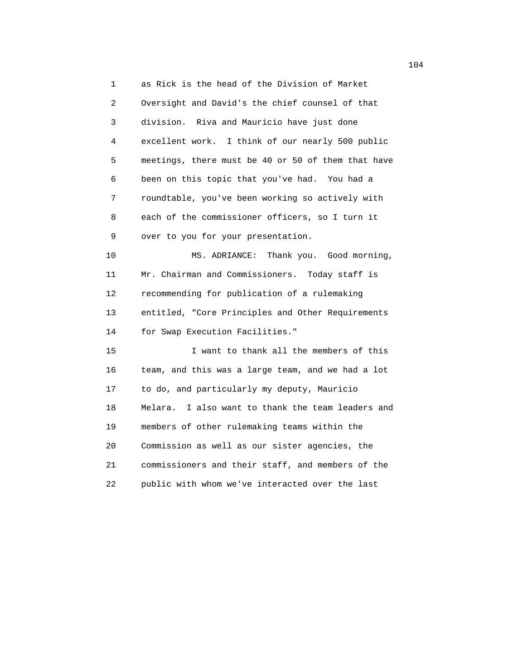1 as Rick is the head of the Division of Market 2 Oversight and David's the chief counsel of that 3 division. Riva and Mauricio have just done 4 excellent work. I think of our nearly 500 public 5 meetings, there must be 40 or 50 of them that have 6 been on this topic that you've had. You had a 7 roundtable, you've been working so actively with 8 each of the commissioner officers, so I turn it 9 over to you for your presentation. 10 MS. ADRIANCE: Thank you. Good morning, 11 Mr. Chairman and Commissioners. Today staff is 12 recommending for publication of a rulemaking 13 entitled, "Core Principles and Other Requirements 14 for Swap Execution Facilities." 15 I want to thank all the members of this 16 team, and this was a large team, and we had a lot 17 to do, and particularly my deputy, Mauricio 18 Melara. I also want to thank the team leaders and 19 members of other rulemaking teams within the 20 Commission as well as our sister agencies, the 21 commissioners and their staff, and members of the 22 public with whom we've interacted over the last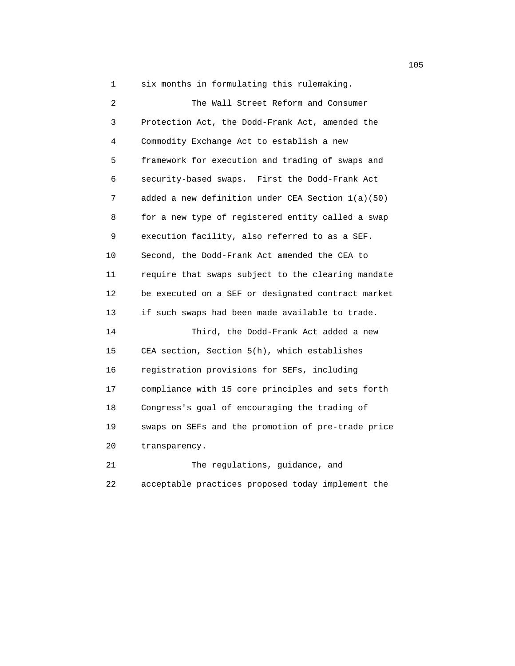1 six months in formulating this rulemaking.

 2 The Wall Street Reform and Consumer 3 Protection Act, the Dodd-Frank Act, amended the 4 Commodity Exchange Act to establish a new 5 framework for execution and trading of swaps and 6 security-based swaps. First the Dodd-Frank Act 7 added a new definition under CEA Section 1(a)(50) 8 for a new type of registered entity called a swap 9 execution facility, also referred to as a SEF. 10 Second, the Dodd-Frank Act amended the CEA to 11 require that swaps subject to the clearing mandate 12 be executed on a SEF or designated contract market 13 if such swaps had been made available to trade. 14 Third, the Dodd-Frank Act added a new 15 CEA section, Section 5(h), which establishes 16 registration provisions for SEFs, including 17 compliance with 15 core principles and sets forth 18 Congress's goal of encouraging the trading of 19 swaps on SEFs and the promotion of pre-trade price 20 transparency. 21 The regulations, guidance, and

22 acceptable practices proposed today implement the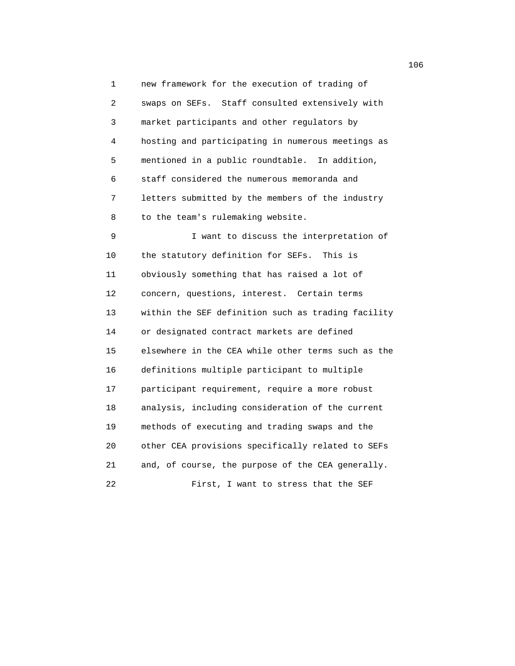1 new framework for the execution of trading of 2 swaps on SEFs. Staff consulted extensively with 3 market participants and other regulators by 4 hosting and participating in numerous meetings as 5 mentioned in a public roundtable. In addition, 6 staff considered the numerous memoranda and 7 letters submitted by the members of the industry 8 to the team's rulemaking website.

 9 I want to discuss the interpretation of 10 the statutory definition for SEFs. This is 11 obviously something that has raised a lot of 12 concern, questions, interest. Certain terms 13 within the SEF definition such as trading facility 14 or designated contract markets are defined 15 elsewhere in the CEA while other terms such as the 16 definitions multiple participant to multiple 17 participant requirement, require a more robust 18 analysis, including consideration of the current 19 methods of executing and trading swaps and the 20 other CEA provisions specifically related to SEFs 21 and, of course, the purpose of the CEA generally. 22 First, I want to stress that the SEF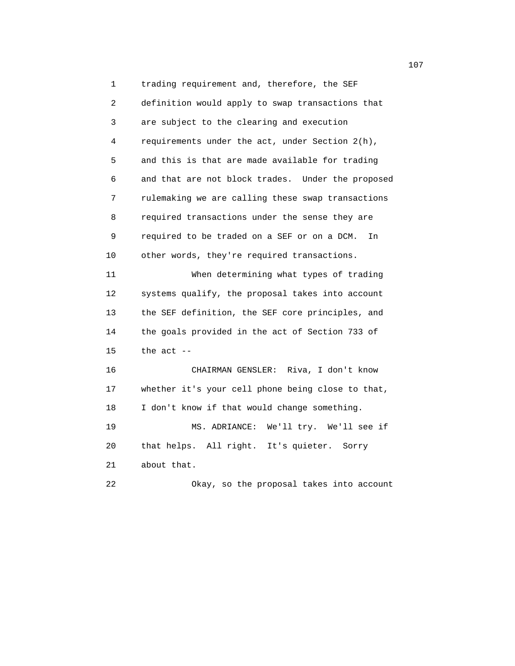1 trading requirement and, therefore, the SEF 2 definition would apply to swap transactions that 3 are subject to the clearing and execution 4 requirements under the act, under Section 2(h), 5 and this is that are made available for trading 6 and that are not block trades. Under the proposed 7 rulemaking we are calling these swap transactions 8 required transactions under the sense they are 9 required to be traded on a SEF or on a DCM. In 10 other words, they're required transactions. 11 When determining what types of trading 12 systems qualify, the proposal takes into account 13 the SEF definition, the SEF core principles, and 14 the goals provided in the act of Section 733 of  $15$  the act  $-$  16 CHAIRMAN GENSLER: Riva, I don't know 17 whether it's your cell phone being close to that, 18 I don't know if that would change something. 19 MS. ADRIANCE: We'll try. We'll see if 20 that helps. All right. It's quieter. Sorry 21 about that. 22 Okay, so the proposal takes into account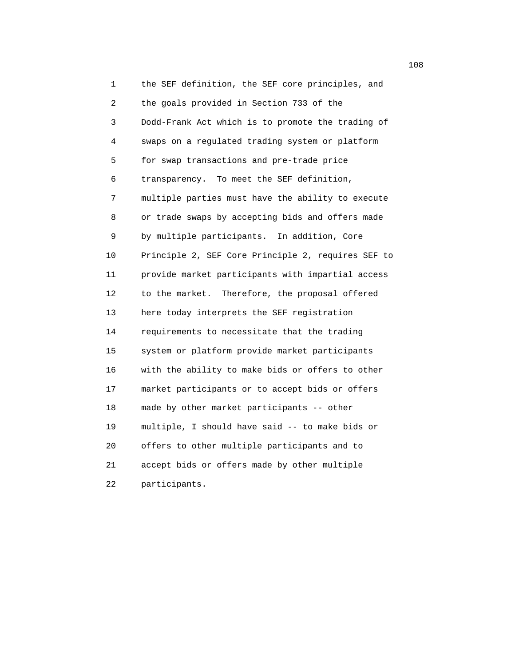1 the SEF definition, the SEF core principles, and 2 the goals provided in Section 733 of the 3 Dodd-Frank Act which is to promote the trading of 4 swaps on a regulated trading system or platform 5 for swap transactions and pre-trade price 6 transparency. To meet the SEF definition, 7 multiple parties must have the ability to execute 8 or trade swaps by accepting bids and offers made 9 by multiple participants. In addition, Core 10 Principle 2, SEF Core Principle 2, requires SEF to 11 provide market participants with impartial access 12 to the market. Therefore, the proposal offered 13 here today interprets the SEF registration 14 requirements to necessitate that the trading 15 system or platform provide market participants 16 with the ability to make bids or offers to other 17 market participants or to accept bids or offers 18 made by other market participants -- other 19 multiple, I should have said -- to make bids or 20 offers to other multiple participants and to 21 accept bids or offers made by other multiple 22 participants.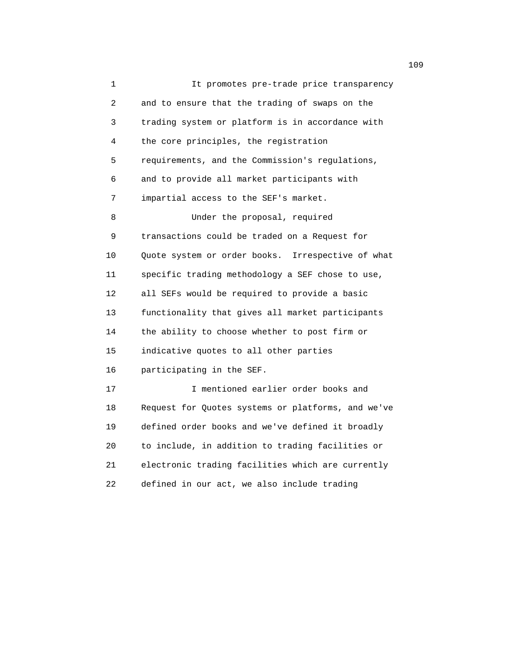1 It promotes pre-trade price transparency 2 and to ensure that the trading of swaps on the 3 trading system or platform is in accordance with 4 the core principles, the registration 5 requirements, and the Commission's regulations, 6 and to provide all market participants with 7 impartial access to the SEF's market. 8 Under the proposal, required 9 transactions could be traded on a Request for 10 Quote system or order books. Irrespective of what 11 specific trading methodology a SEF chose to use, 12 all SEFs would be required to provide a basic 13 functionality that gives all market participants 14 the ability to choose whether to post firm or 15 indicative quotes to all other parties 16 participating in the SEF. 17 I mentioned earlier order books and 18 Request for Quotes systems or platforms, and we've 19 defined order books and we've defined it broadly 20 to include, in addition to trading facilities or 21 electronic trading facilities which are currently 22 defined in our act, we also include trading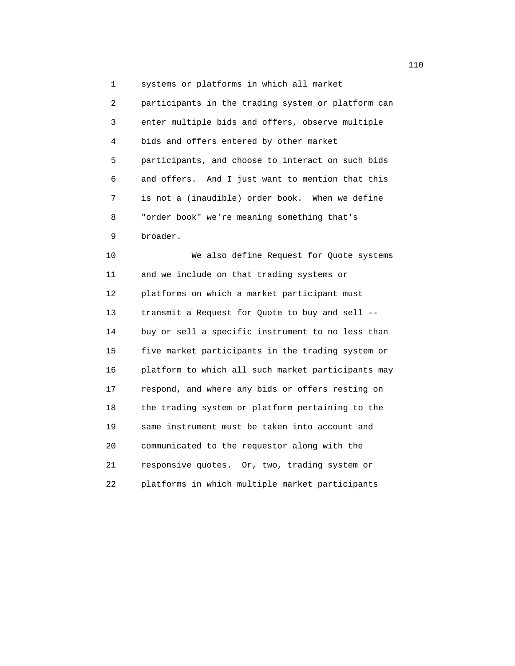1 systems or platforms in which all market

 2 participants in the trading system or platform can 3 enter multiple bids and offers, observe multiple 4 bids and offers entered by other market 5 participants, and choose to interact on such bids 6 and offers. And I just want to mention that this 7 is not a (inaudible) order book. When we define 8 "order book" we're meaning something that's 9 broader.

 10 We also define Request for Quote systems 11 and we include on that trading systems or 12 platforms on which a market participant must 13 transmit a Request for Quote to buy and sell -- 14 buy or sell a specific instrument to no less than 15 five market participants in the trading system or 16 platform to which all such market participants may 17 respond, and where any bids or offers resting on 18 the trading system or platform pertaining to the 19 same instrument must be taken into account and 20 communicated to the requestor along with the 21 responsive quotes. Or, two, trading system or 22 platforms in which multiple market participants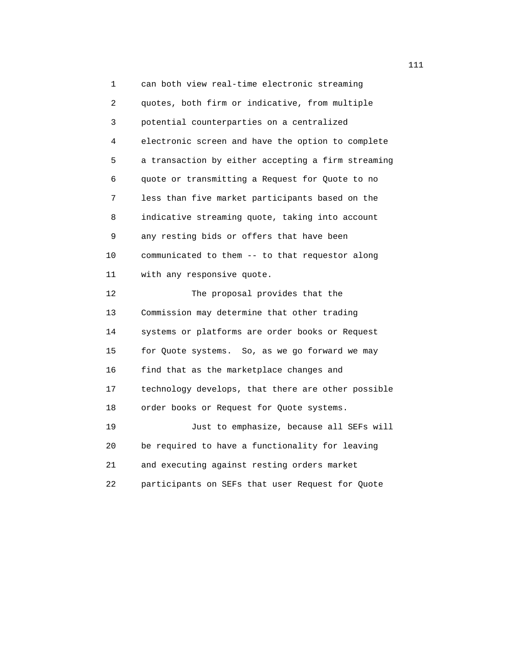1 can both view real-time electronic streaming 2 quotes, both firm or indicative, from multiple 3 potential counterparties on a centralized 4 electronic screen and have the option to complete 5 a transaction by either accepting a firm streaming 6 quote or transmitting a Request for Quote to no 7 less than five market participants based on the 8 indicative streaming quote, taking into account 9 any resting bids or offers that have been 10 communicated to them -- to that requestor along 11 with any responsive quote. 12 The proposal provides that the 13 Commission may determine that other trading 14 systems or platforms are order books or Request 15 for Quote systems. So, as we go forward we may 16 find that as the marketplace changes and 17 technology develops, that there are other possible 18 order books or Request for Quote systems. 19 Just to emphasize, because all SEFs will 20 be required to have a functionality for leaving 21 and executing against resting orders market 22 participants on SEFs that user Request for Quote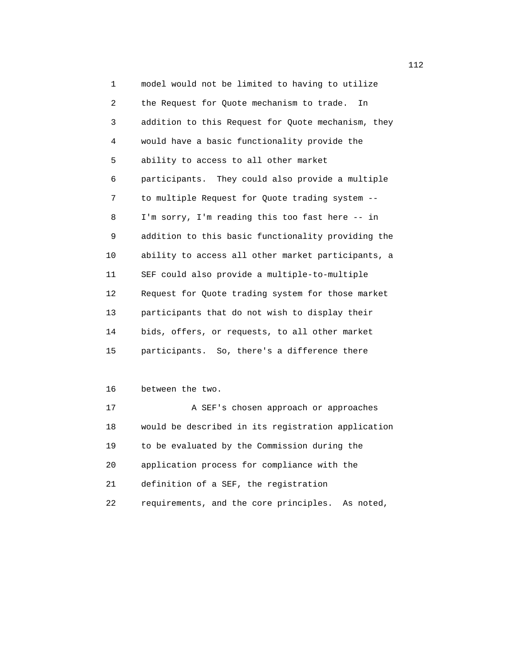1 model would not be limited to having to utilize 2 the Request for Quote mechanism to trade. In 3 addition to this Request for Quote mechanism, they 4 would have a basic functionality provide the 5 ability to access to all other market 6 participants. They could also provide a multiple 7 to multiple Request for Quote trading system -- 8 I'm sorry, I'm reading this too fast here -- in 9 addition to this basic functionality providing the 10 ability to access all other market participants, a 11 SEF could also provide a multiple-to-multiple 12 Request for Quote trading system for those market 13 participants that do not wish to display their 14 bids, offers, or requests, to all other market 15 participants. So, there's a difference there

## 16 between the two.

17 A SEF's chosen approach or approaches 18 would be described in its registration application 19 to be evaluated by the Commission during the 20 application process for compliance with the 21 definition of a SEF, the registration 22 requirements, and the core principles. As noted,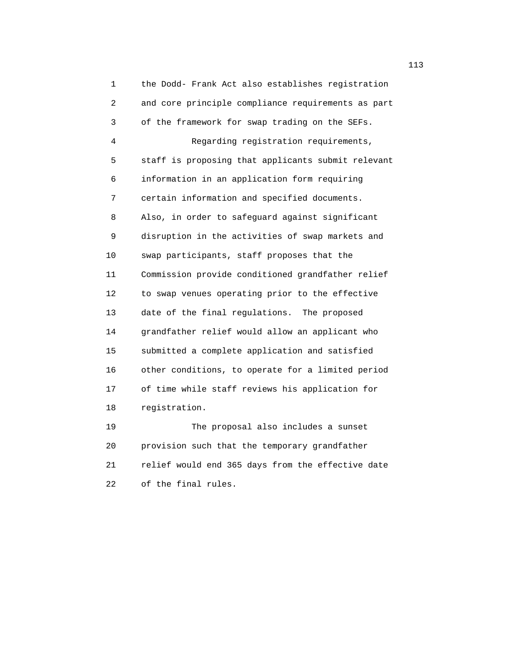1 the Dodd- Frank Act also establishes registration 2 and core principle compliance requirements as part 3 of the framework for swap trading on the SEFs. 4 Regarding registration requirements, 5 staff is proposing that applicants submit relevant 6 information in an application form requiring 7 certain information and specified documents. 8 Also, in order to safeguard against significant 9 disruption in the activities of swap markets and 10 swap participants, staff proposes that the 11 Commission provide conditioned grandfather relief 12 to swap venues operating prior to the effective 13 date of the final regulations. The proposed 14 grandfather relief would allow an applicant who 15 submitted a complete application and satisfied 16 other conditions, to operate for a limited period 17 of time while staff reviews his application for 18 registration. 19 The proposal also includes a sunset 20 provision such that the temporary grandfather

 21 relief would end 365 days from the effective date 22 of the final rules.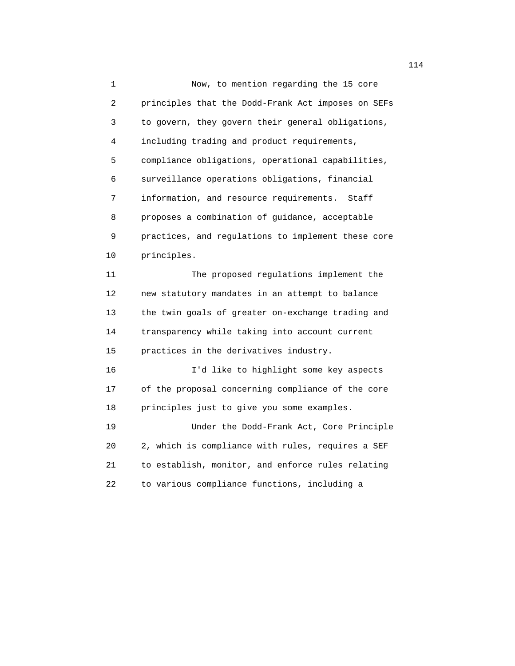1 Now, to mention regarding the 15 core 2 principles that the Dodd-Frank Act imposes on SEFs 3 to govern, they govern their general obligations, 4 including trading and product requirements, 5 compliance obligations, operational capabilities, 6 surveillance operations obligations, financial 7 information, and resource requirements. Staff 8 proposes a combination of guidance, acceptable 9 practices, and regulations to implement these core 10 principles. 11 The proposed regulations implement the 12 new statutory mandates in an attempt to balance 13 the twin goals of greater on-exchange trading and 14 transparency while taking into account current 15 practices in the derivatives industry. 16 I'd like to highlight some key aspects 17 of the proposal concerning compliance of the core 18 principles just to give you some examples. 19 Under the Dodd-Frank Act, Core Principle 20 2, which is compliance with rules, requires a SEF 21 to establish, monitor, and enforce rules relating 22 to various compliance functions, including a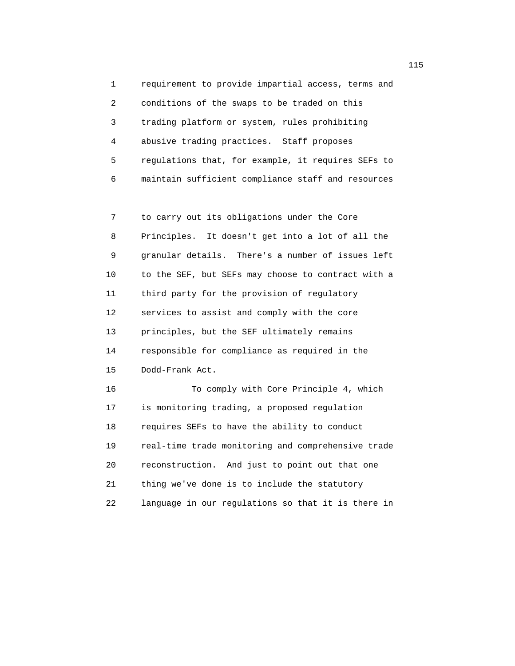1 requirement to provide impartial access, terms and 2 conditions of the swaps to be traded on this 3 trading platform or system, rules prohibiting 4 abusive trading practices. Staff proposes 5 regulations that, for example, it requires SEFs to 6 maintain sufficient compliance staff and resources

 7 to carry out its obligations under the Core 8 Principles. It doesn't get into a lot of all the 9 granular details. There's a number of issues left 10 to the SEF, but SEFs may choose to contract with a 11 third party for the provision of regulatory 12 services to assist and comply with the core 13 principles, but the SEF ultimately remains 14 responsible for compliance as required in the 15 Dodd-Frank Act.

 16 To comply with Core Principle 4, which 17 is monitoring trading, a proposed regulation 18 requires SEFs to have the ability to conduct 19 real-time trade monitoring and comprehensive trade 20 reconstruction. And just to point out that one 21 thing we've done is to include the statutory 22 language in our regulations so that it is there in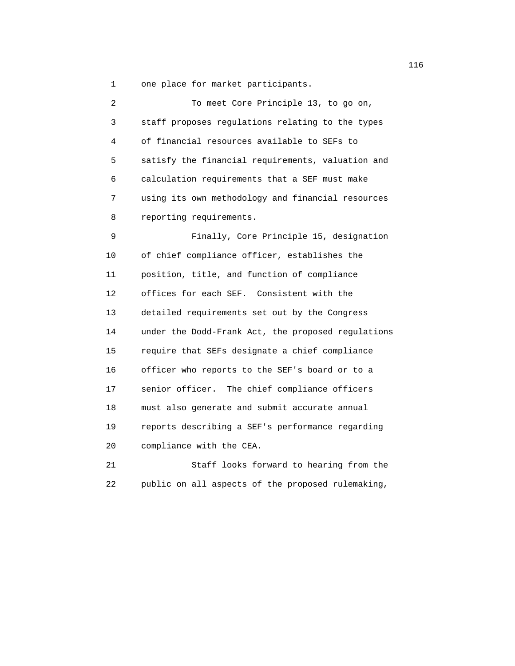1 one place for market participants.

| 2  | To meet Core Principle 13, to go on,               |
|----|----------------------------------------------------|
| 3  | staff proposes regulations relating to the types   |
| 4  | of financial resources available to SEFs to        |
| 5  | satisfy the financial requirements, valuation and  |
| 6  | calculation requirements that a SEF must make      |
| 7  | using its own methodology and financial resources  |
| 8  | reporting requirements.                            |
| 9  | Finally, Core Principle 15, designation            |
| 10 | of chief compliance officer, establishes the       |
| 11 | position, title, and function of compliance        |
| 12 | offices for each SEF. Consistent with the          |
| 13 | detailed requirements set out by the Congress      |
| 14 | under the Dodd-Frank Act, the proposed regulations |
| 15 | require that SEFs designate a chief compliance     |
| 16 | officer who reports to the SEF's board or to a     |
| 17 | senior officer.<br>The chief compliance officers   |
| 18 | must also generate and submit accurate annual      |
| 19 | reports describing a SEF's performance regarding   |
| 20 | compliance with the CEA.                           |
| 21 | Staff looks forward to hearing from the            |

22 public on all aspects of the proposed rulemaking,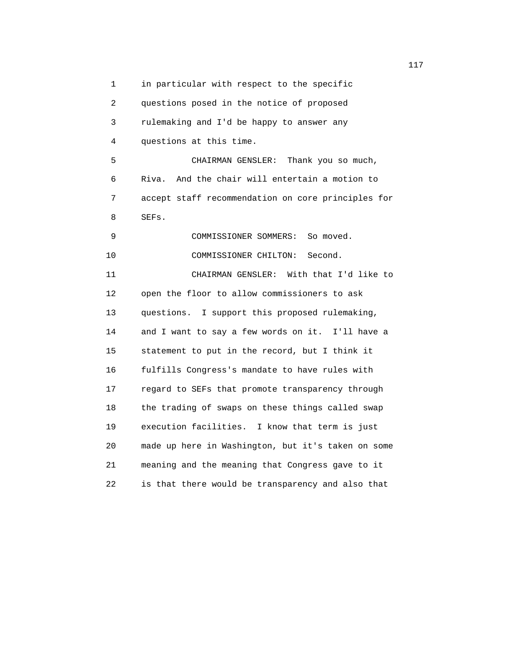1 in particular with respect to the specific 2 questions posed in the notice of proposed 3 rulemaking and I'd be happy to answer any 4 questions at this time. 5 CHAIRMAN GENSLER: Thank you so much, 6 Riva. And the chair will entertain a motion to 7 accept staff recommendation on core principles for 8 SEFs. 9 COMMISSIONER SOMMERS: So moved. 10 COMMISSIONER CHILTON: Second. 11 CHAIRMAN GENSLER: With that I'd like to 12 open the floor to allow commissioners to ask 13 questions. I support this proposed rulemaking, 14 and I want to say a few words on it. I'll have a 15 statement to put in the record, but I think it 16 fulfills Congress's mandate to have rules with 17 regard to SEFs that promote transparency through 18 the trading of swaps on these things called swap 19 execution facilities. I know that term is just 20 made up here in Washington, but it's taken on some 21 meaning and the meaning that Congress gave to it 22 is that there would be transparency and also that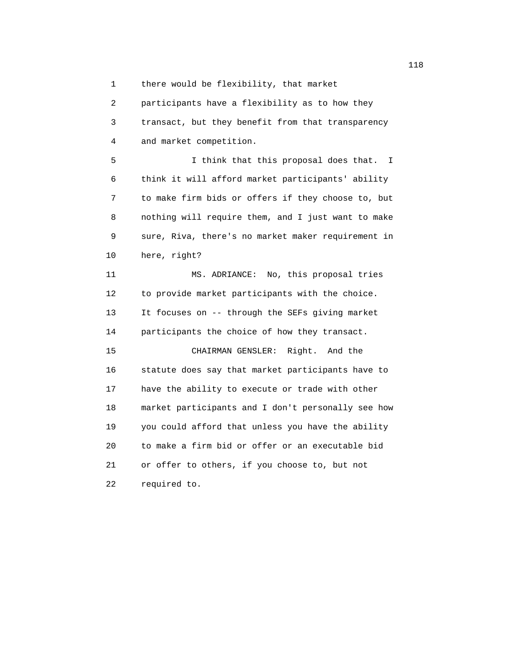1 there would be flexibility, that market

 2 participants have a flexibility as to how they 3 transact, but they benefit from that transparency 4 and market competition.

 5 I think that this proposal does that. I 6 think it will afford market participants' ability 7 to make firm bids or offers if they choose to, but 8 nothing will require them, and I just want to make 9 sure, Riva, there's no market maker requirement in 10 here, right?

 11 MS. ADRIANCE: No, this proposal tries 12 to provide market participants with the choice. 13 It focuses on -- through the SEFs giving market 14 participants the choice of how they transact. 15 CHAIRMAN GENSLER: Right. And the 16 statute does say that market participants have to 17 have the ability to execute or trade with other 18 market participants and I don't personally see how 19 you could afford that unless you have the ability 20 to make a firm bid or offer or an executable bid 21 or offer to others, if you choose to, but not

22 required to.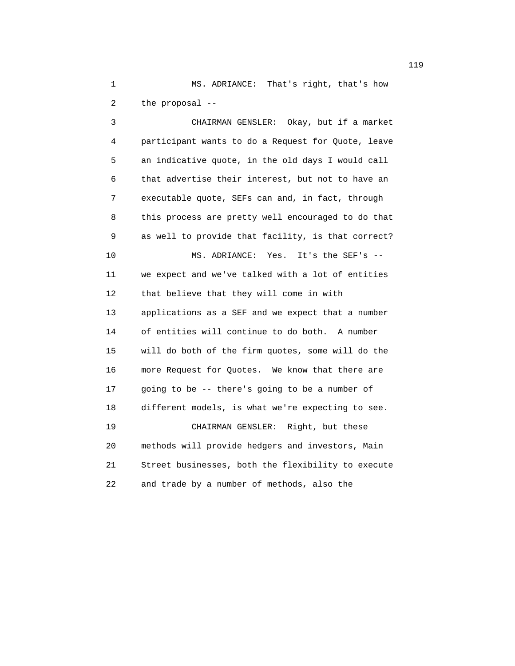1 MS. ADRIANCE: That's right, that's how 2 the proposal --

 3 CHAIRMAN GENSLER: Okay, but if a market 4 participant wants to do a Request for Quote, leave 5 an indicative quote, in the old days I would call 6 that advertise their interest, but not to have an 7 executable quote, SEFs can and, in fact, through 8 this process are pretty well encouraged to do that 9 as well to provide that facility, is that correct? 10 MS. ADRIANCE: Yes. It's the SEF's -- 11 we expect and we've talked with a lot of entities 12 that believe that they will come in with 13 applications as a SEF and we expect that a number 14 of entities will continue to do both. A number 15 will do both of the firm quotes, some will do the 16 more Request for Quotes. We know that there are 17 going to be -- there's going to be a number of 18 different models, is what we're expecting to see. 19 CHAIRMAN GENSLER: Right, but these 20 methods will provide hedgers and investors, Main 21 Street businesses, both the flexibility to execute 22 and trade by a number of methods, also the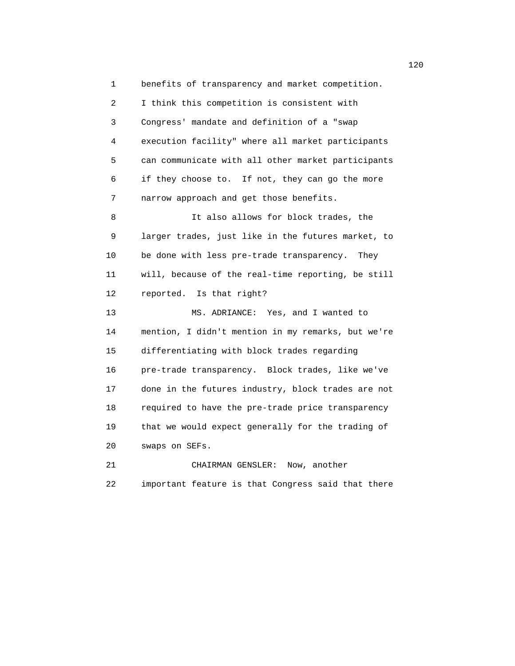1 benefits of transparency and market competition. 2 I think this competition is consistent with 3 Congress' mandate and definition of a "swap 4 execution facility" where all market participants 5 can communicate with all other market participants 6 if they choose to. If not, they can go the more 7 narrow approach and get those benefits. 8 It also allows for block trades, the 9 larger trades, just like in the futures market, to 10 be done with less pre-trade transparency. They 11 will, because of the real-time reporting, be still 12 reported. Is that right? 13 MS. ADRIANCE: Yes, and I wanted to 14 mention, I didn't mention in my remarks, but we're 15 differentiating with block trades regarding 16 pre-trade transparency. Block trades, like we've 17 done in the futures industry, block trades are not 18 required to have the pre-trade price transparency 19 that we would expect generally for the trading of 20 swaps on SEFs. 21 CHAIRMAN GENSLER: Now, another

22 important feature is that Congress said that there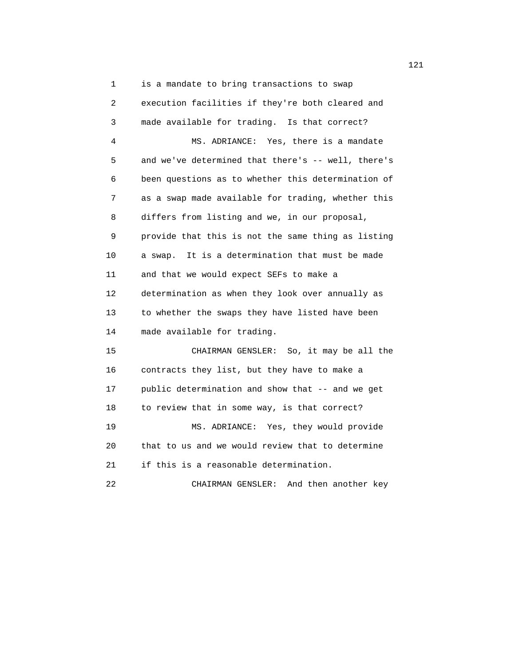1 is a mandate to bring transactions to swap 2 execution facilities if they're both cleared and 3 made available for trading. Is that correct? 4 MS. ADRIANCE: Yes, there is a mandate 5 and we've determined that there's -- well, there's 6 been questions as to whether this determination of 7 as a swap made available for trading, whether this 8 differs from listing and we, in our proposal, 9 provide that this is not the same thing as listing 10 a swap. It is a determination that must be made 11 and that we would expect SEFs to make a 12 determination as when they look over annually as 13 to whether the swaps they have listed have been 14 made available for trading. 15 CHAIRMAN GENSLER: So, it may be all the 16 contracts they list, but they have to make a 17 public determination and show that -- and we get 18 to review that in some way, is that correct? 19 MS. ADRIANCE: Yes, they would provide 20 that to us and we would review that to determine 21 if this is a reasonable determination. 22 CHAIRMAN GENSLER: And then another key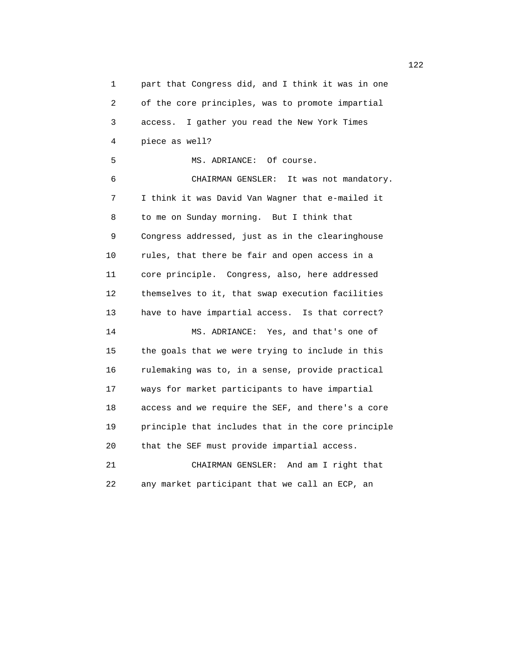1 part that Congress did, and I think it was in one 2 of the core principles, was to promote impartial 3 access. I gather you read the New York Times 4 piece as well? 5 MS. ADRIANCE: Of course. 6 CHAIRMAN GENSLER: It was not mandatory. 7 I think it was David Van Wagner that e-mailed it 8 to me on Sunday morning. But I think that 9 Congress addressed, just as in the clearinghouse 10 rules, that there be fair and open access in a 11 core principle. Congress, also, here addressed 12 themselves to it, that swap execution facilities 13 have to have impartial access. Is that correct? 14 MS. ADRIANCE: Yes, and that's one of 15 the goals that we were trying to include in this 16 rulemaking was to, in a sense, provide practical 17 ways for market participants to have impartial 18 access and we require the SEF, and there's a core 19 principle that includes that in the core principle 20 that the SEF must provide impartial access. 21 CHAIRMAN GENSLER: And am I right that 22 any market participant that we call an ECP, an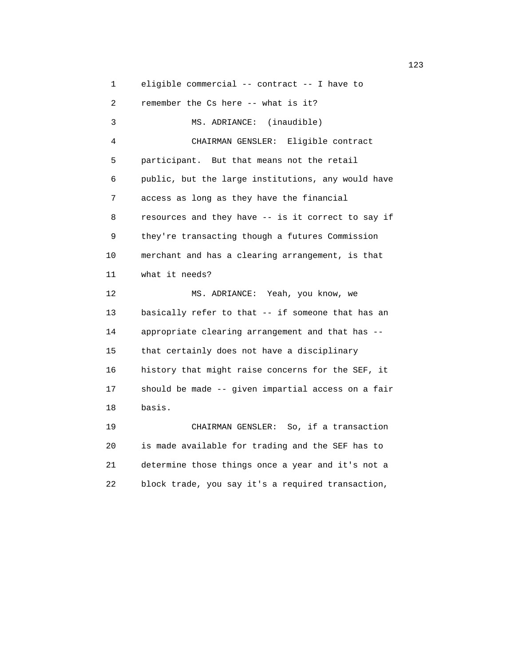1 eligible commercial -- contract -- I have to 2 remember the Cs here -- what is it? 3 MS. ADRIANCE: (inaudible) 4 CHAIRMAN GENSLER: Eligible contract 5 participant. But that means not the retail 6 public, but the large institutions, any would have 7 access as long as they have the financial 8 resources and they have -- is it correct to say if 9 they're transacting though a futures Commission 10 merchant and has a clearing arrangement, is that 11 what it needs? 12 MS. ADRIANCE: Yeah, you know, we 13 basically refer to that -- if someone that has an 14 appropriate clearing arrangement and that has -- 15 that certainly does not have a disciplinary 16 history that might raise concerns for the SEF, it 17 should be made -- given impartial access on a fair 18 basis. 19 CHAIRMAN GENSLER: So, if a transaction 20 is made available for trading and the SEF has to 21 determine those things once a year and it's not a

22 block trade, you say it's a required transaction,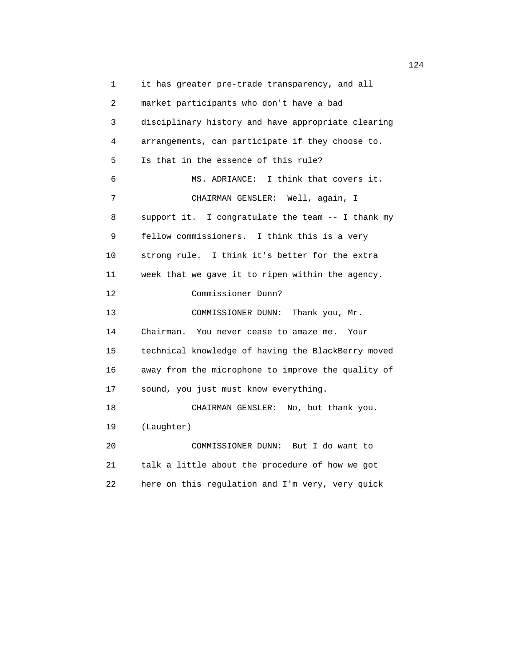1 it has greater pre-trade transparency, and all 2 market participants who don't have a bad 3 disciplinary history and have appropriate clearing 4 arrangements, can participate if they choose to. 5 Is that in the essence of this rule? 6 MS. ADRIANCE: I think that covers it. 7 CHAIRMAN GENSLER: Well, again, I 8 support it. I congratulate the team -- I thank my 9 fellow commissioners. I think this is a very 10 strong rule. I think it's better for the extra 11 week that we gave it to ripen within the agency. 12 Commissioner Dunn? 13 COMMISSIONER DUNN: Thank you, Mr. 14 Chairman. You never cease to amaze me. Your 15 technical knowledge of having the BlackBerry moved 16 away from the microphone to improve the quality of 17 sound, you just must know everything. 18 CHAIRMAN GENSLER: No, but thank you. 19 (Laughter) 20 COMMISSIONER DUNN: But I do want to 21 talk a little about the procedure of how we got 22 here on this regulation and I'm very, very quick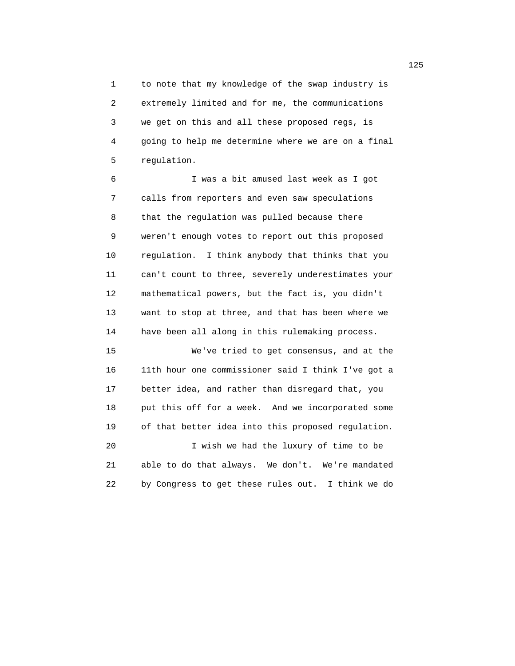1 to note that my knowledge of the swap industry is 2 extremely limited and for me, the communications 3 we get on this and all these proposed regs, is 4 going to help me determine where we are on a final 5 regulation.

 6 I was a bit amused last week as I got 7 calls from reporters and even saw speculations 8 that the regulation was pulled because there 9 weren't enough votes to report out this proposed 10 regulation. I think anybody that thinks that you 11 can't count to three, severely underestimates your 12 mathematical powers, but the fact is, you didn't 13 want to stop at three, and that has been where we 14 have been all along in this rulemaking process.

 15 We've tried to get consensus, and at the 16 11th hour one commissioner said I think I've got a 17 better idea, and rather than disregard that, you 18 put this off for a week. And we incorporated some 19 of that better idea into this proposed regulation. 20 I wish we had the luxury of time to be 21 able to do that always. We don't. We're mandated 22 by Congress to get these rules out. I think we do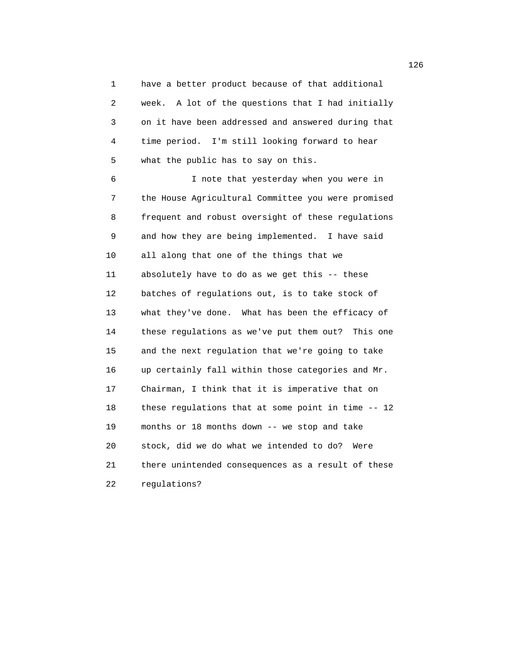1 have a better product because of that additional 2 week. A lot of the questions that I had initially 3 on it have been addressed and answered during that 4 time period. I'm still looking forward to hear 5 what the public has to say on this.

 6 I note that yesterday when you were in 7 the House Agricultural Committee you were promised 8 frequent and robust oversight of these regulations 9 and how they are being implemented. I have said 10 all along that one of the things that we 11 absolutely have to do as we get this -- these 12 batches of regulations out, is to take stock of 13 what they've done. What has been the efficacy of 14 these regulations as we've put them out? This one 15 and the next regulation that we're going to take 16 up certainly fall within those categories and Mr. 17 Chairman, I think that it is imperative that on 18 these regulations that at some point in time -- 12 19 months or 18 months down -- we stop and take 20 stock, did we do what we intended to do? Were 21 there unintended consequences as a result of these 22 regulations?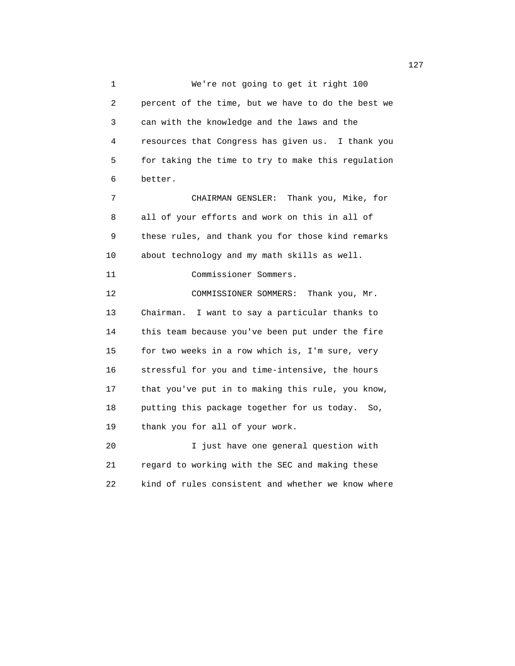1 We're not going to get it right 100 2 percent of the time, but we have to do the best we 3 can with the knowledge and the laws and the 4 resources that Congress has given us. I thank you 5 for taking the time to try to make this regulation 6 better. 7 CHAIRMAN GENSLER: Thank you, Mike, for 8 all of your efforts and work on this in all of 9 these rules, and thank you for those kind remarks 10 about technology and my math skills as well. 11 Commissioner Sommers. 12 COMMISSIONER SOMMERS: Thank you, Mr. 13 Chairman. I want to say a particular thanks to 14 this team because you've been put under the fire 15 for two weeks in a row which is, I'm sure, very 16 stressful for you and time-intensive, the hours 17 that you've put in to making this rule, you know, 18 putting this package together for us today. So, 19 thank you for all of your work. 20 I just have one general question with 21 regard to working with the SEC and making these

22 kind of rules consistent and whether we know where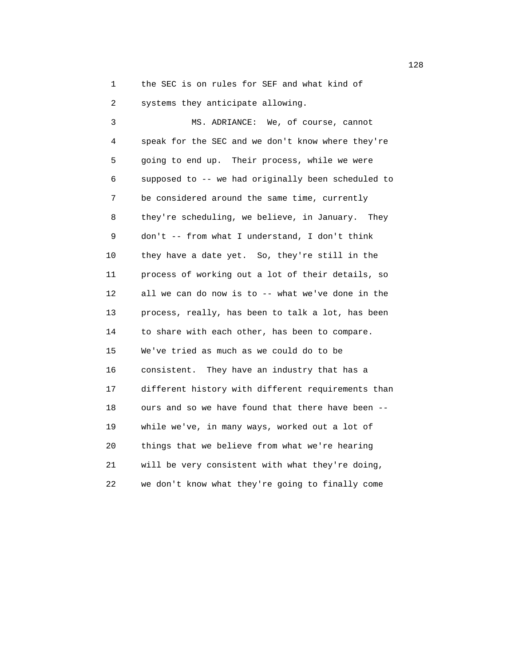1 the SEC is on rules for SEF and what kind of 2 systems they anticipate allowing.

 3 MS. ADRIANCE: We, of course, cannot 4 speak for the SEC and we don't know where they're 5 going to end up. Their process, while we were 6 supposed to -- we had originally been scheduled to 7 be considered around the same time, currently 8 they're scheduling, we believe, in January. They 9 don't -- from what I understand, I don't think 10 they have a date yet. So, they're still in the 11 process of working out a lot of their details, so 12 all we can do now is to -- what we've done in the 13 process, really, has been to talk a lot, has been 14 to share with each other, has been to compare. 15 We've tried as much as we could do to be 16 consistent. They have an industry that has a 17 different history with different requirements than 18 ours and so we have found that there have been -- 19 while we've, in many ways, worked out a lot of 20 things that we believe from what we're hearing 21 will be very consistent with what they're doing, 22 we don't know what they're going to finally come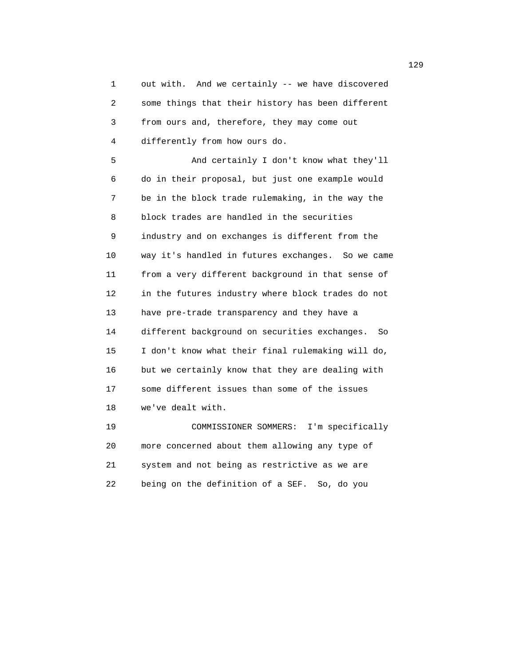1 out with. And we certainly -- we have discovered 2 some things that their history has been different 3 from ours and, therefore, they may come out 4 differently from how ours do. 5 And certainly I don't know what they'll 6 do in their proposal, but just one example would 7 be in the block trade rulemaking, in the way the 8 block trades are handled in the securities 9 industry and on exchanges is different from the 10 way it's handled in futures exchanges. So we came 11 from a very different background in that sense of 12 in the futures industry where block trades do not 13 have pre-trade transparency and they have a 14 different background on securities exchanges. So 15 I don't know what their final rulemaking will do, 16 but we certainly know that they are dealing with 17 some different issues than some of the issues 18 we've dealt with. 19 COMMISSIONER SOMMERS: I'm specifically

 20 more concerned about them allowing any type of 21 system and not being as restrictive as we are 22 being on the definition of a SEF. So, do you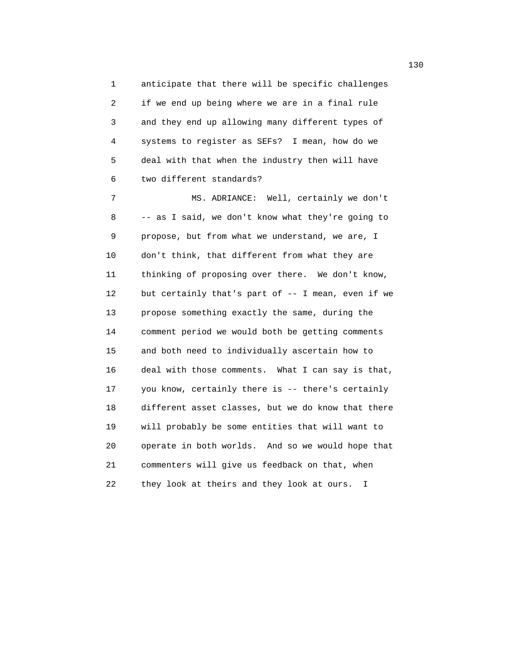1 anticipate that there will be specific challenges 2 if we end up being where we are in a final rule 3 and they end up allowing many different types of 4 systems to register as SEFs? I mean, how do we 5 deal with that when the industry then will have 6 two different standards?

 7 MS. ADRIANCE: Well, certainly we don't 8 -- as I said, we don't know what they're going to 9 propose, but from what we understand, we are, I 10 don't think, that different from what they are 11 thinking of proposing over there. We don't know, 12 but certainly that's part of -- I mean, even if we 13 propose something exactly the same, during the 14 comment period we would both be getting comments 15 and both need to individually ascertain how to 16 deal with those comments. What I can say is that, 17 you know, certainly there is -- there's certainly 18 different asset classes, but we do know that there 19 will probably be some entities that will want to 20 operate in both worlds. And so we would hope that 21 commenters will give us feedback on that, when 22 they look at theirs and they look at ours. I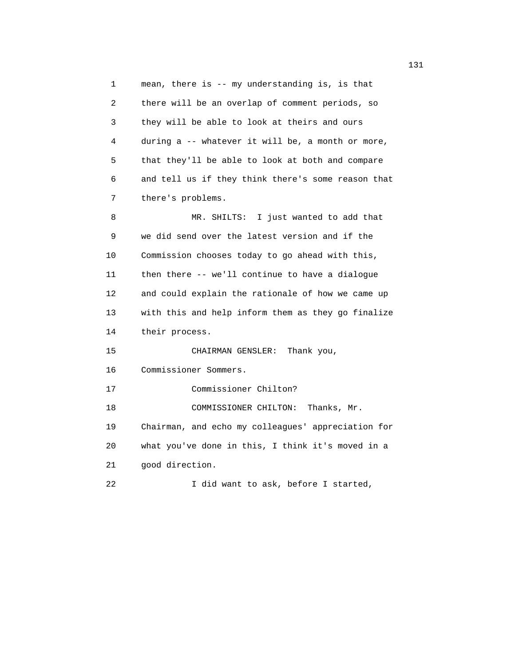1 mean, there is -- my understanding is, is that 2 there will be an overlap of comment periods, so 3 they will be able to look at theirs and ours 4 during a -- whatever it will be, a month or more, 5 that they'll be able to look at both and compare 6 and tell us if they think there's some reason that 7 there's problems. 8 MR. SHILTS: I just wanted to add that 9 we did send over the latest version and if the 10 Commission chooses today to go ahead with this, 11 then there -- we'll continue to have a dialogue 12 and could explain the rationale of how we came up 13 with this and help inform them as they go finalize 14 their process. 15 CHAIRMAN GENSLER: Thank you, 16 Commissioner Sommers. 17 Commissioner Chilton? 18 COMMISSIONER CHILTON: Thanks, Mr. 19 Chairman, and echo my colleagues' appreciation for 20 what you've done in this, I think it's moved in a 21 good direction. 22 I did want to ask, before I started,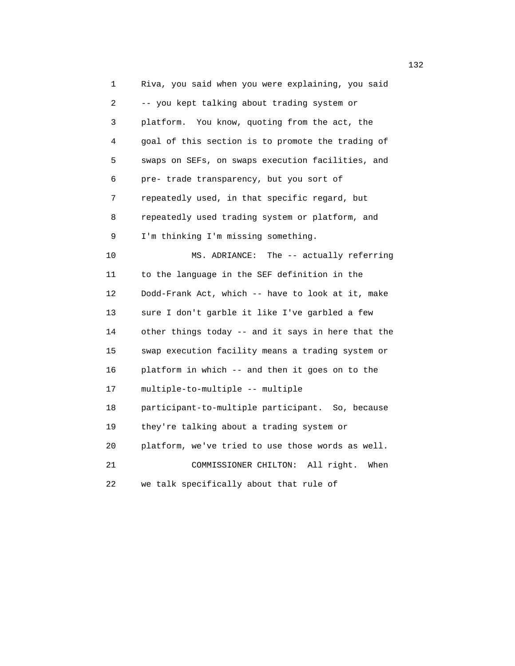1 Riva, you said when you were explaining, you said 2 -- you kept talking about trading system or 3 platform. You know, quoting from the act, the 4 goal of this section is to promote the trading of 5 swaps on SEFs, on swaps execution facilities, and 6 pre- trade transparency, but you sort of 7 repeatedly used, in that specific regard, but 8 repeatedly used trading system or platform, and 9 I'm thinking I'm missing something. 10 MS. ADRIANCE: The -- actually referring 11 to the language in the SEF definition in the 12 Dodd-Frank Act, which -- have to look at it, make 13 sure I don't garble it like I've garbled a few 14 other things today -- and it says in here that the 15 swap execution facility means a trading system or 16 platform in which -- and then it goes on to the 17 multiple-to-multiple -- multiple 18 participant-to-multiple participant. So, because 19 they're talking about a trading system or 20 platform, we've tried to use those words as well. 21 COMMISSIONER CHILTON: All right. When 22 we talk specifically about that rule of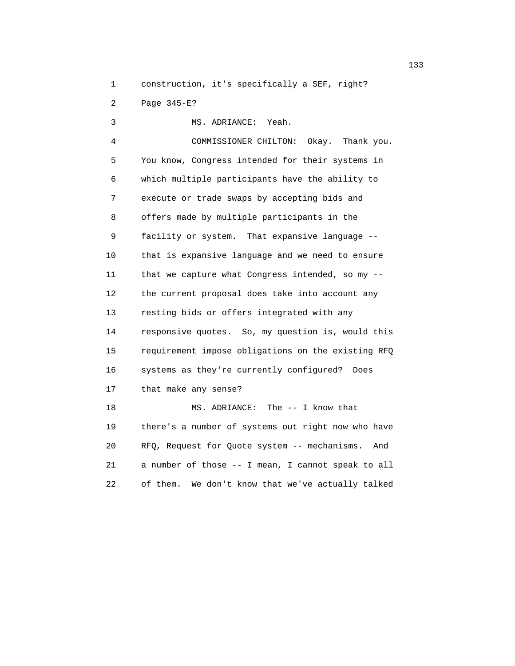1 construction, it's specifically a SEF, right?

2 Page 345-E?

 3 MS. ADRIANCE: Yeah. 4 COMMISSIONER CHILTON: Okay. Thank you. 5 You know, Congress intended for their systems in 6 which multiple participants have the ability to 7 execute or trade swaps by accepting bids and 8 offers made by multiple participants in the 9 facility or system. That expansive language -- 10 that is expansive language and we need to ensure 11 that we capture what Congress intended, so my -- 12 the current proposal does take into account any 13 resting bids or offers integrated with any 14 responsive quotes. So, my question is, would this 15 requirement impose obligations on the existing RFQ 16 systems as they're currently configured? Does 17 that make any sense? 18 MS. ADRIANCE: The -- I know that 19 there's a number of systems out right now who have 20 RFQ, Request for Quote system -- mechanisms. And 21 a number of those -- I mean, I cannot speak to all

22 of them. We don't know that we've actually talked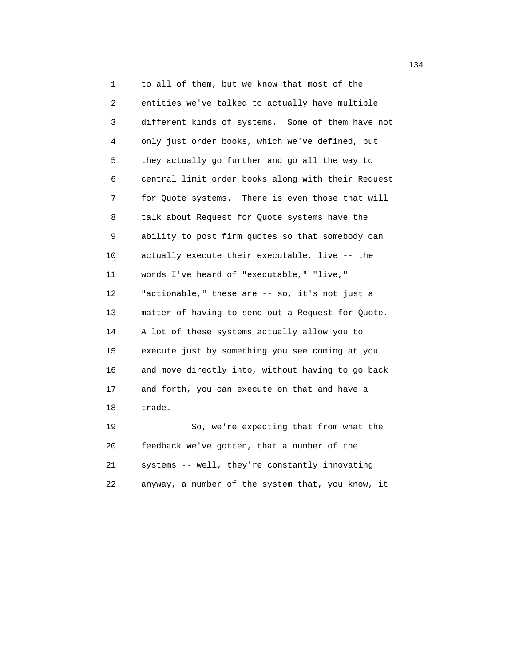1 to all of them, but we know that most of the 2 entities we've talked to actually have multiple 3 different kinds of systems. Some of them have not 4 only just order books, which we've defined, but 5 they actually go further and go all the way to 6 central limit order books along with their Request 7 for Quote systems. There is even those that will 8 talk about Request for Quote systems have the 9 ability to post firm quotes so that somebody can 10 actually execute their executable, live -- the 11 words I've heard of "executable," "live," 12 "actionable," these are -- so, it's not just a 13 matter of having to send out a Request for Quote. 14 A lot of these systems actually allow you to 15 execute just by something you see coming at you 16 and move directly into, without having to go back 17 and forth, you can execute on that and have a 18 trade. 19 So, we're expecting that from what the

 20 feedback we've gotten, that a number of the 21 systems -- well, they're constantly innovating 22 anyway, a number of the system that, you know, it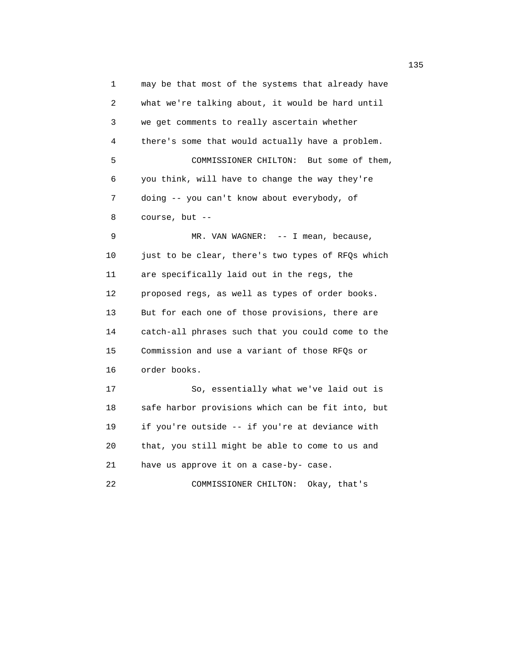1 may be that most of the systems that already have 2 what we're talking about, it would be hard until 3 we get comments to really ascertain whether 4 there's some that would actually have a problem. 5 COMMISSIONER CHILTON: But some of them, 6 you think, will have to change the way they're 7 doing -- you can't know about everybody, of 8 course, but -- 9 MR. VAN WAGNER: -- I mean, because, 10 just to be clear, there's two types of RFQs which 11 are specifically laid out in the regs, the 12 proposed regs, as well as types of order books. 13 But for each one of those provisions, there are 14 catch-all phrases such that you could come to the 15 Commission and use a variant of those RFQs or 16 order books. 17 So, essentially what we've laid out is 18 safe harbor provisions which can be fit into, but 19 if you're outside -- if you're at deviance with 20 that, you still might be able to come to us and 21 have us approve it on a case-by- case. 22 COMMISSIONER CHILTON: Okay, that's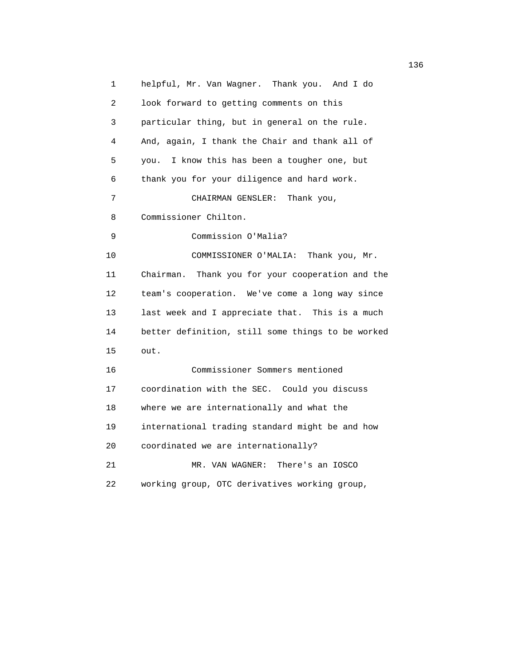1 helpful, Mr. Van Wagner. Thank you. And I do 2 look forward to getting comments on this 3 particular thing, but in general on the rule. 4 And, again, I thank the Chair and thank all of 5 you. I know this has been a tougher one, but 6 thank you for your diligence and hard work. 7 CHAIRMAN GENSLER: Thank you, 8 Commissioner Chilton. 9 Commission O'Malia? 10 COMMISSIONER O'MALIA: Thank you, Mr. 11 Chairman. Thank you for your cooperation and the 12 team's cooperation. We've come a long way since 13 last week and I appreciate that. This is a much 14 better definition, still some things to be worked 15 out. 16 Commissioner Sommers mentioned 17 coordination with the SEC. Could you discuss 18 where we are internationally and what the 19 international trading standard might be and how 20 coordinated we are internationally? 21 MR. VAN WAGNER: There's an IOSCO 22 working group, OTC derivatives working group,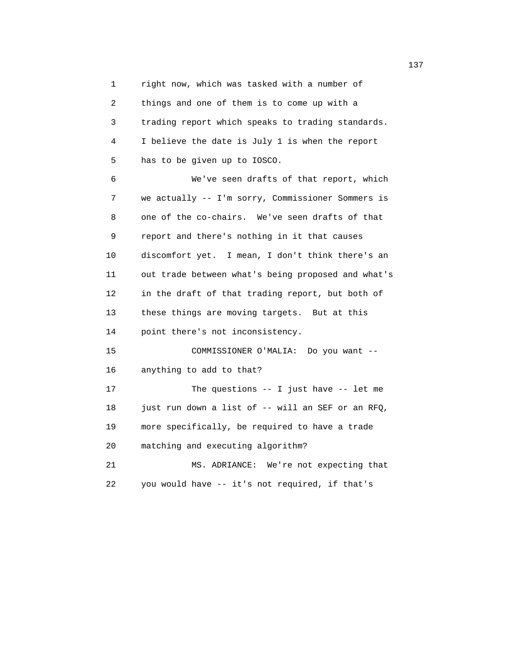1 right now, which was tasked with a number of 2 things and one of them is to come up with a 3 trading report which speaks to trading standards. 4 I believe the date is July 1 is when the report 5 has to be given up to IOSCO. 6 We've seen drafts of that report, which 7 we actually -- I'm sorry, Commissioner Sommers is

 8 one of the co-chairs. We've seen drafts of that 9 report and there's nothing in it that causes 10 discomfort yet. I mean, I don't think there's an 11 out trade between what's being proposed and what's 12 in the draft of that trading report, but both of 13 these things are moving targets. But at this 14 point there's not inconsistency. 15 COMMISSIONER O'MALIA: Do you want -- 16 anything to add to that?

 17 The questions -- I just have -- let me 18 just run down a list of -- will an SEF or an RFQ, 19 more specifically, be required to have a trade 20 matching and executing algorithm? 21 MS. ADRIANCE: We're not expecting that

22 you would have -- it's not required, if that's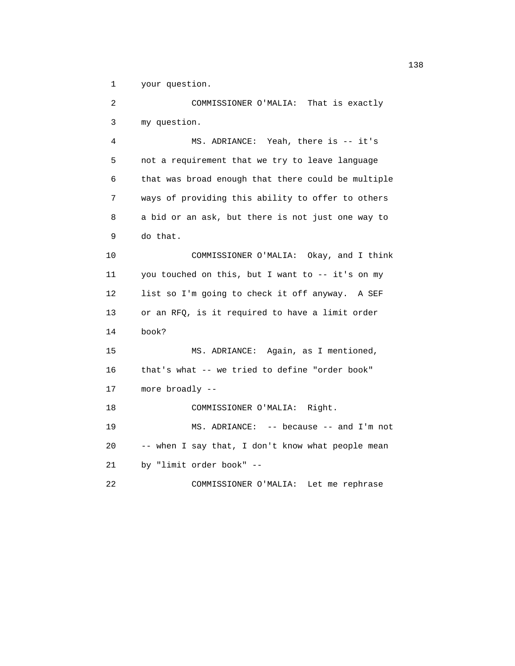1 your question.

 2 COMMISSIONER O'MALIA: That is exactly 3 my question. 4 MS. ADRIANCE: Yeah, there is -- it's 5 not a requirement that we try to leave language 6 that was broad enough that there could be multiple 7 ways of providing this ability to offer to others 8 a bid or an ask, but there is not just one way to 9 do that. 10 COMMISSIONER O'MALIA: Okay, and I think 11 you touched on this, but I want to -- it's on my 12 list so I'm going to check it off anyway. A SEF 13 or an RFQ, is it required to have a limit order 14 book? 15 MS. ADRIANCE: Again, as I mentioned, 16 that's what -- we tried to define "order book" 17 more broadly -- 18 COMMISSIONER O'MALIA: Right. 19 MS. ADRIANCE: -- because -- and I'm not 20 -- when I say that, I don't know what people mean 21 by "limit order book" -- 22 COMMISSIONER O'MALIA: Let me rephrase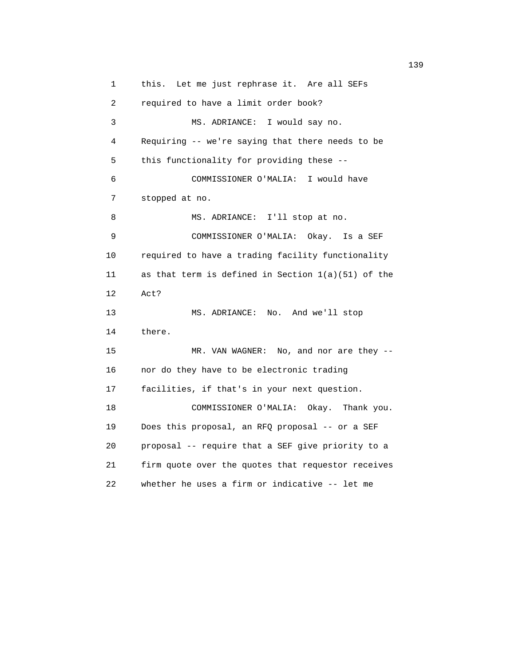1 this. Let me just rephrase it. Are all SEFs 2 required to have a limit order book? 3 MS. ADRIANCE: I would say no. 4 Requiring -- we're saying that there needs to be 5 this functionality for providing these -- 6 COMMISSIONER O'MALIA: I would have 7 stopped at no. 8 MS. ADRIANCE: I'll stop at no. 9 COMMISSIONER O'MALIA: Okay. Is a SEF 10 required to have a trading facility functionality 11 as that term is defined in Section 1(a)(51) of the 12 Act? 13 MS. ADRIANCE: No. And we'll stop 14 there. 15 MR. VAN WAGNER: No, and nor are they -- 16 nor do they have to be electronic trading 17 facilities, if that's in your next question. 18 COMMISSIONER O'MALIA: Okay. Thank you. 19 Does this proposal, an RFQ proposal -- or a SEF 20 proposal -- require that a SEF give priority to a 21 firm quote over the quotes that requestor receives 22 whether he uses a firm or indicative -- let me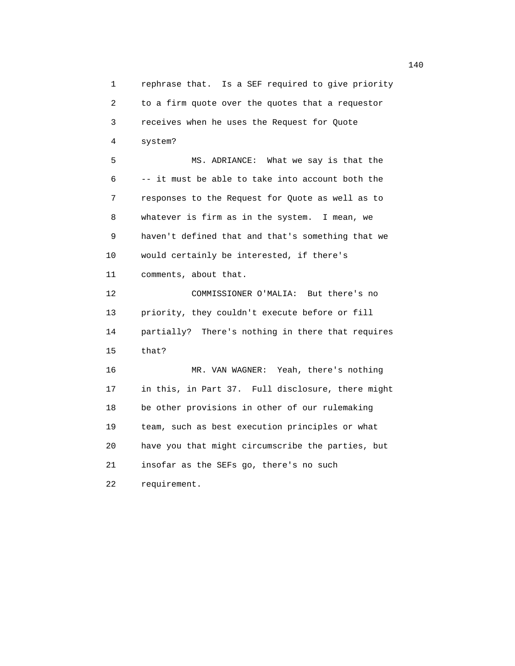1 rephrase that. Is a SEF required to give priority 2 to a firm quote over the quotes that a requestor 3 receives when he uses the Request for Quote 4 system? 5 MS. ADRIANCE: What we say is that the 6 -- it must be able to take into account both the 7 responses to the Request for Quote as well as to 8 whatever is firm as in the system. I mean, we 9 haven't defined that and that's something that we 10 would certainly be interested, if there's 11 comments, about that. 12 COMMISSIONER O'MALIA: But there's no 13 priority, they couldn't execute before or fill 14 partially? There's nothing in there that requires 15 that? 16 MR. VAN WAGNER: Yeah, there's nothing 17 in this, in Part 37. Full disclosure, there might 18 be other provisions in other of our rulemaking 19 team, such as best execution principles or what 20 have you that might circumscribe the parties, but 21 insofar as the SEFs go, there's no such 22 requirement.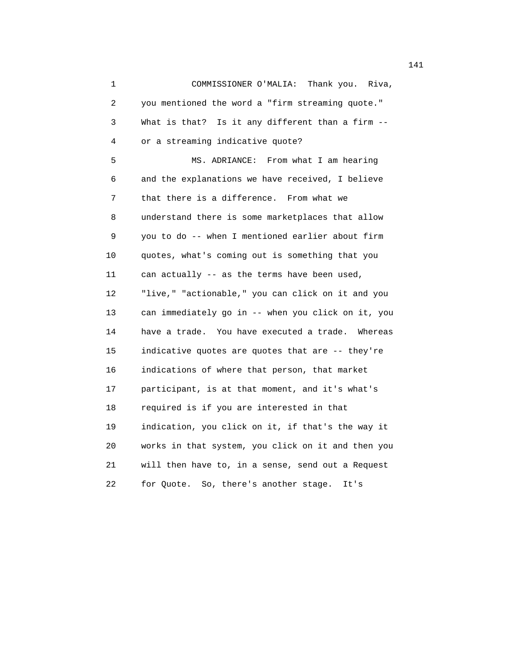1 COMMISSIONER O'MALIA: Thank you. Riva, 2 you mentioned the word a "firm streaming quote." 3 What is that? Is it any different than a firm -- 4 or a streaming indicative quote? 5 MS. ADRIANCE: From what I am hearing 6 and the explanations we have received, I believe 7 that there is a difference. From what we 8 understand there is some marketplaces that allow 9 you to do -- when I mentioned earlier about firm 10 quotes, what's coming out is something that you 11 can actually -- as the terms have been used, 12 "live," "actionable," you can click on it and you 13 can immediately go in -- when you click on it, you 14 have a trade. You have executed a trade. Whereas 15 indicative quotes are quotes that are -- they're 16 indications of where that person, that market 17 participant, is at that moment, and it's what's 18 required is if you are interested in that 19 indication, you click on it, if that's the way it 20 works in that system, you click on it and then you 21 will then have to, in a sense, send out a Request 22 for Quote. So, there's another stage. It's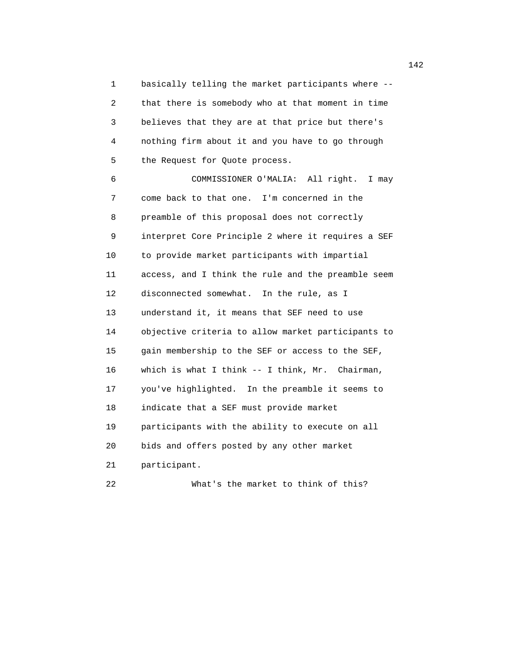1 basically telling the market participants where -- 2 that there is somebody who at that moment in time 3 believes that they are at that price but there's 4 nothing firm about it and you have to go through 5 the Request for Quote process.

 6 COMMISSIONER O'MALIA: All right. I may 7 come back to that one. I'm concerned in the 8 preamble of this proposal does not correctly 9 interpret Core Principle 2 where it requires a SEF 10 to provide market participants with impartial 11 access, and I think the rule and the preamble seem 12 disconnected somewhat. In the rule, as I 13 understand it, it means that SEF need to use 14 objective criteria to allow market participants to 15 gain membership to the SEF or access to the SEF, 16 which is what I think -- I think, Mr. Chairman, 17 you've highlighted. In the preamble it seems to 18 indicate that a SEF must provide market 19 participants with the ability to execute on all 20 bids and offers posted by any other market 21 participant. 22 What's the market to think of this?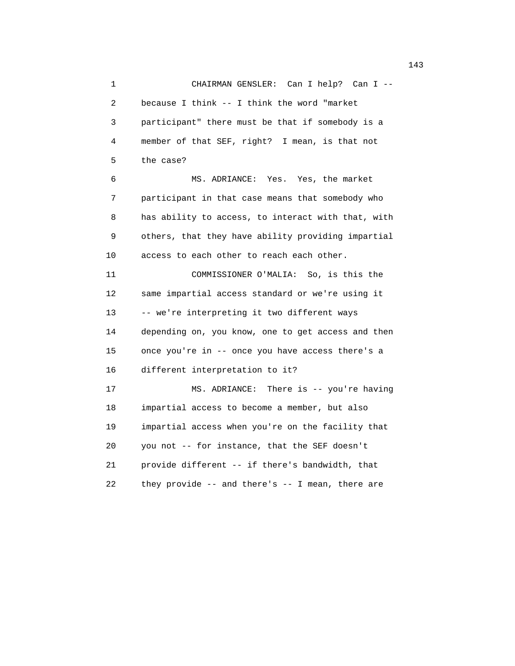1 CHAIRMAN GENSLER: Can I help? Can I -- 2 because I think -- I think the word "market 3 participant" there must be that if somebody is a 4 member of that SEF, right? I mean, is that not 5 the case? 6 MS. ADRIANCE: Yes. Yes, the market 7 participant in that case means that somebody who 8 has ability to access, to interact with that, with 9 others, that they have ability providing impartial 10 access to each other to reach each other. 11 COMMISSIONER O'MALIA: So, is this the 12 same impartial access standard or we're using it 13 -- we're interpreting it two different ways 14 depending on, you know, one to get access and then 15 once you're in -- once you have access there's a 16 different interpretation to it? 17 MS. ADRIANCE: There is -- you're having 18 impartial access to become a member, but also 19 impartial access when you're on the facility that 20 you not -- for instance, that the SEF doesn't 21 provide different -- if there's bandwidth, that 22 they provide -- and there's -- I mean, there are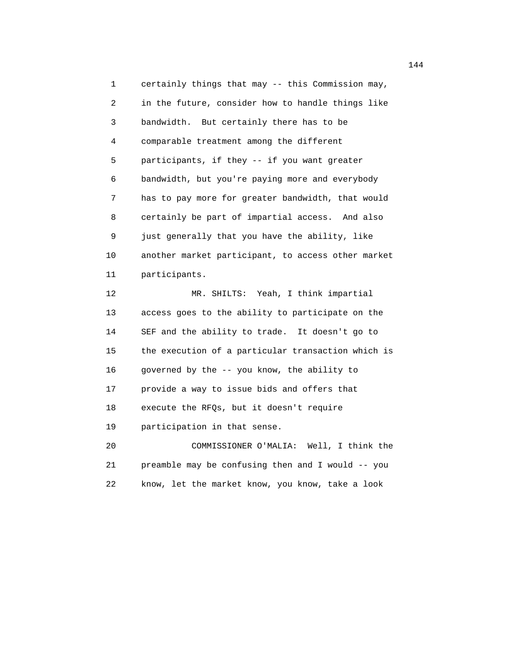1 certainly things that may -- this Commission may, 2 in the future, consider how to handle things like 3 bandwidth. But certainly there has to be 4 comparable treatment among the different 5 participants, if they -- if you want greater 6 bandwidth, but you're paying more and everybody 7 has to pay more for greater bandwidth, that would 8 certainly be part of impartial access. And also 9 just generally that you have the ability, like 10 another market participant, to access other market 11 participants.

 12 MR. SHILTS: Yeah, I think impartial 13 access goes to the ability to participate on the 14 SEF and the ability to trade. It doesn't go to 15 the execution of a particular transaction which is 16 governed by the -- you know, the ability to 17 provide a way to issue bids and offers that 18 execute the RFQs, but it doesn't require 19 participation in that sense. 20 COMMISSIONER O'MALIA: Well, I think the

 21 preamble may be confusing then and I would -- you 22 know, let the market know, you know, take a look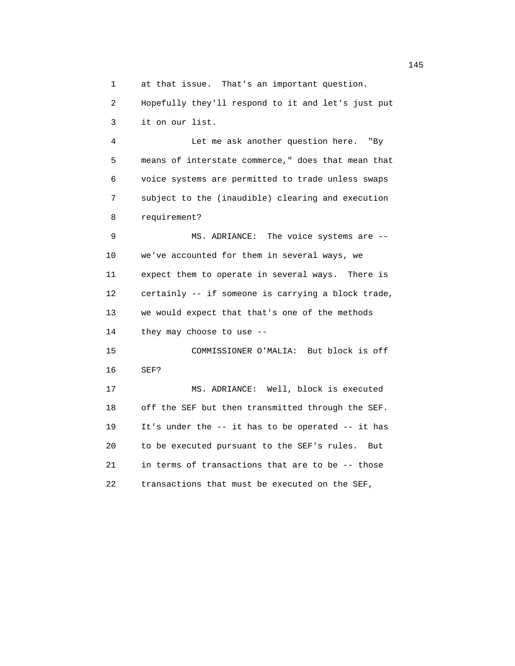1 at that issue. That's an important question.

 2 Hopefully they'll respond to it and let's just put 3 it on our list.

 4 Let me ask another question here. "By 5 means of interstate commerce," does that mean that 6 voice systems are permitted to trade unless swaps 7 subject to the (inaudible) clearing and execution 8 requirement?

 9 MS. ADRIANCE: The voice systems are -- 10 we've accounted for them in several ways, we 11 expect them to operate in several ways. There is 12 certainly -- if someone is carrying a block trade, 13 we would expect that that's one of the methods 14 they may choose to use -- 15 COMMISSIONER O'MALIA: But block is off 16 SEF?

 17 MS. ADRIANCE: Well, block is executed 18 off the SEF but then transmitted through the SEF. 19 It's under the -- it has to be operated -- it has 20 to be executed pursuant to the SEF's rules. But 21 in terms of transactions that are to be -- those 22 transactions that must be executed on the SEF,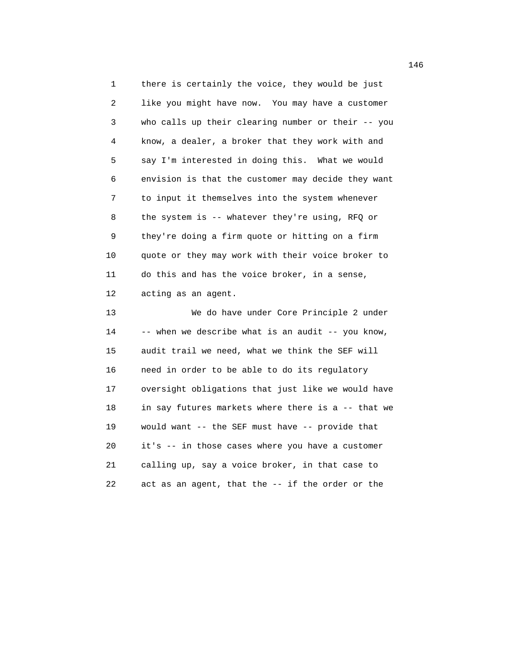1 there is certainly the voice, they would be just 2 like you might have now. You may have a customer 3 who calls up their clearing number or their -- you 4 know, a dealer, a broker that they work with and 5 say I'm interested in doing this. What we would 6 envision is that the customer may decide they want 7 to input it themselves into the system whenever 8 the system is -- whatever they're using, RFQ or 9 they're doing a firm quote or hitting on a firm 10 quote or they may work with their voice broker to 11 do this and has the voice broker, in a sense, 12 acting as an agent.

 13 We do have under Core Principle 2 under 14 -- when we describe what is an audit -- you know, 15 audit trail we need, what we think the SEF will 16 need in order to be able to do its regulatory 17 oversight obligations that just like we would have 18 in say futures markets where there is a -- that we 19 would want -- the SEF must have -- provide that 20 it's -- in those cases where you have a customer 21 calling up, say a voice broker, in that case to 22 act as an agent, that the -- if the order or the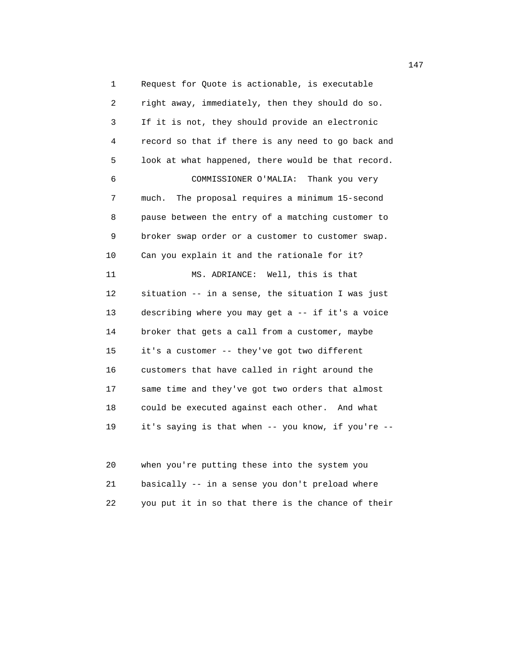1 Request for Quote is actionable, is executable 2 right away, immediately, then they should do so. 3 If it is not, they should provide an electronic 4 record so that if there is any need to go back and 5 look at what happened, there would be that record. 6 COMMISSIONER O'MALIA: Thank you very 7 much. The proposal requires a minimum 15-second 8 pause between the entry of a matching customer to 9 broker swap order or a customer to customer swap. 10 Can you explain it and the rationale for it? 11 MS. ADRIANCE: Well, this is that 12 situation -- in a sense, the situation I was just 13 describing where you may get a -- if it's a voice 14 broker that gets a call from a customer, maybe 15 it's a customer -- they've got two different 16 customers that have called in right around the 17 same time and they've got two orders that almost 18 could be executed against each other. And what 19 it's saying is that when -- you know, if you're --

 20 when you're putting these into the system you 21 basically -- in a sense you don't preload where 22 you put it in so that there is the chance of their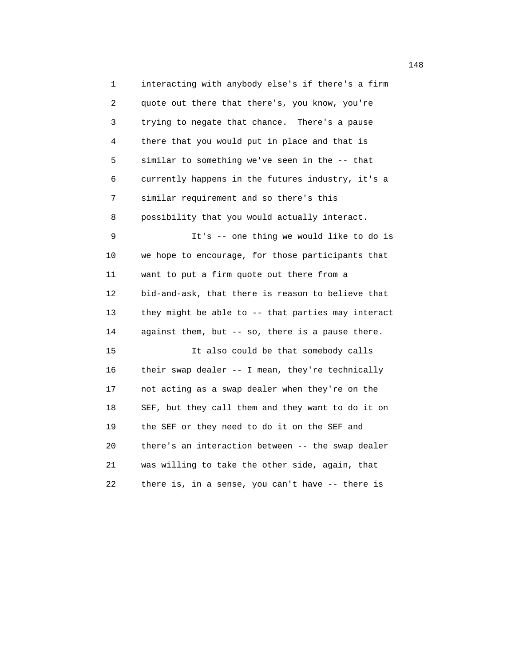1 interacting with anybody else's if there's a firm 2 quote out there that there's, you know, you're 3 trying to negate that chance. There's a pause 4 there that you would put in place and that is 5 similar to something we've seen in the -- that 6 currently happens in the futures industry, it's a 7 similar requirement and so there's this 8 possibility that you would actually interact. 9 It's -- one thing we would like to do is 10 we hope to encourage, for those participants that 11 want to put a firm quote out there from a 12 bid-and-ask, that there is reason to believe that 13 they might be able to -- that parties may interact 14 against them, but -- so, there is a pause there. 15 It also could be that somebody calls 16 their swap dealer -- I mean, they're technically 17 not acting as a swap dealer when they're on the 18 SEF, but they call them and they want to do it on 19 the SEF or they need to do it on the SEF and 20 there's an interaction between -- the swap dealer 21 was willing to take the other side, again, that 22 there is, in a sense, you can't have -- there is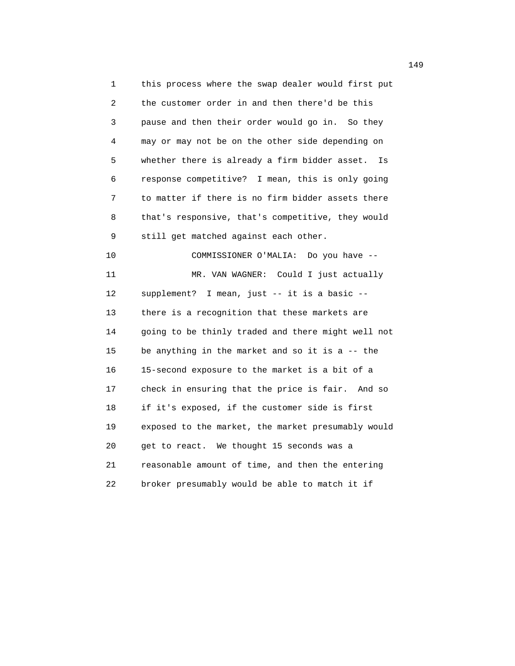1 this process where the swap dealer would first put 2 the customer order in and then there'd be this 3 pause and then their order would go in. So they 4 may or may not be on the other side depending on 5 whether there is already a firm bidder asset. Is 6 response competitive? I mean, this is only going 7 to matter if there is no firm bidder assets there 8 that's responsive, that's competitive, they would 9 still get matched against each other. 10 COMMISSIONER O'MALIA: Do you have -- 11 MR. VAN WAGNER: Could I just actually 12 supplement? I mean, just -- it is a basic -- 13 there is a recognition that these markets are 14 going to be thinly traded and there might well not 15 be anything in the market and so it is a -- the 16 15-second exposure to the market is a bit of a 17 check in ensuring that the price is fair. And so 18 if it's exposed, if the customer side is first 19 exposed to the market, the market presumably would 20 get to react. We thought 15 seconds was a 21 reasonable amount of time, and then the entering 22 broker presumably would be able to match it if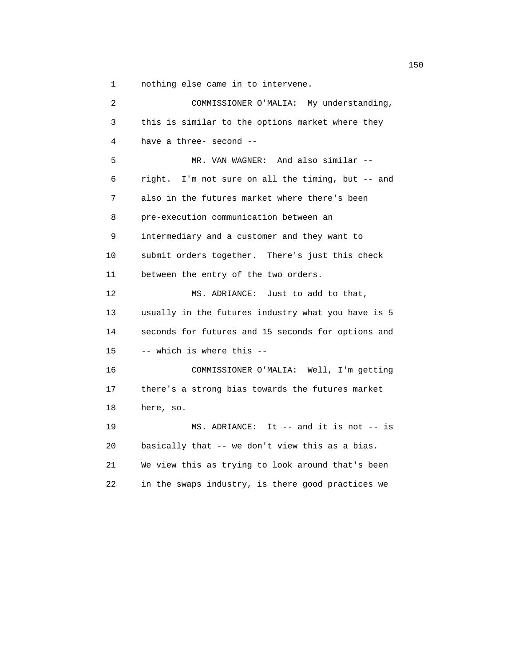1 nothing else came in to intervene.

| $\overline{a}$ | COMMISSIONER O'MALIA: My understanding,            |
|----------------|----------------------------------------------------|
| 3              | this is similar to the options market where they   |
| 4              | have a three- second --                            |
| 5              | MR. VAN WAGNER: And also similar --                |
| 6              | right. I'm not sure on all the timing, but -- and  |
| 7              | also in the futures market where there's been      |
| 8              | pre-execution communication between an             |
| 9              | intermediary and a customer and they want to       |
| 10             | submit orders together. There's just this check    |
| 11             | between the entry of the two orders.               |
| 12             | Just to add to that,<br>MS. ADRIANCE:              |
| 13             | usually in the futures industry what you have is 5 |
| 14             | seconds for futures and 15 seconds for options and |
| 15             | -- which is where this --                          |
| 16             | COMMISSIONER O'MALIA: Well, I'm getting            |
| 17             | there's a strong bias towards the futures market   |
| 18             | here, so.                                          |
| 19             | MS. ADRIANCE: It $-$ and it is not $-$ is          |
| 20             | basically that -- we don't view this as a bias.    |
| 21             | We view this as trying to look around that's been  |
| 22             | in the swaps industry, is there good practices we  |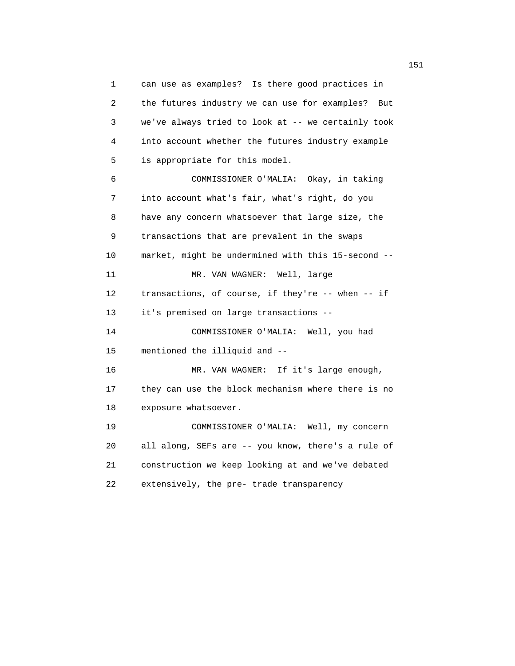1 can use as examples? Is there good practices in 2 the futures industry we can use for examples? But 3 we've always tried to look at -- we certainly took 4 into account whether the futures industry example 5 is appropriate for this model. 6 COMMISSIONER O'MALIA: Okay, in taking 7 into account what's fair, what's right, do you 8 have any concern whatsoever that large size, the 9 transactions that are prevalent in the swaps 10 market, might be undermined with this 15-second -- 11 MR. VAN WAGNER: Well, large 12 transactions, of course, if they're -- when -- if 13 it's premised on large transactions -- 14 COMMISSIONER O'MALIA: Well, you had 15 mentioned the illiquid and -- 16 MR. VAN WAGNER: If it's large enough, 17 they can use the block mechanism where there is no 18 exposure whatsoever. 19 COMMISSIONER O'MALIA: Well, my concern 20 all along, SEFs are -- you know, there's a rule of 21 construction we keep looking at and we've debated 22 extensively, the pre- trade transparency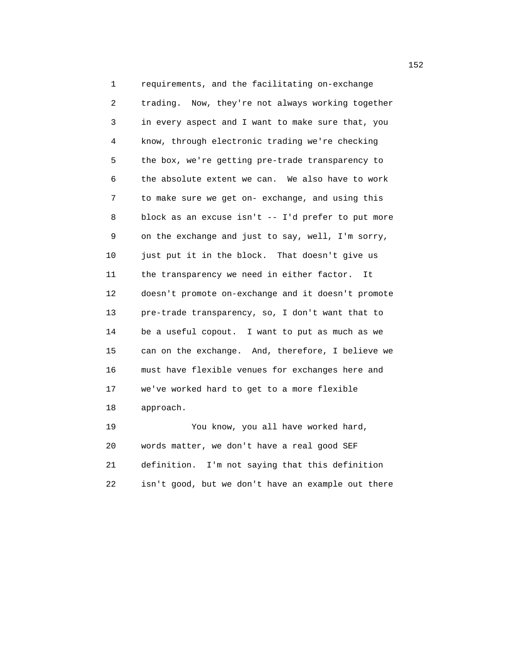1 requirements, and the facilitating on-exchange 2 trading. Now, they're not always working together 3 in every aspect and I want to make sure that, you 4 know, through electronic trading we're checking 5 the box, we're getting pre-trade transparency to 6 the absolute extent we can. We also have to work 7 to make sure we get on- exchange, and using this 8 block as an excuse isn't -- I'd prefer to put more 9 on the exchange and just to say, well, I'm sorry, 10 just put it in the block. That doesn't give us 11 the transparency we need in either factor. It 12 doesn't promote on-exchange and it doesn't promote 13 pre-trade transparency, so, I don't want that to 14 be a useful copout. I want to put as much as we 15 can on the exchange. And, therefore, I believe we 16 must have flexible venues for exchanges here and 17 we've worked hard to get to a more flexible 18 approach. 19 You know, you all have worked hard,

 20 words matter, we don't have a real good SEF 21 definition. I'm not saying that this definition 22 isn't good, but we don't have an example out there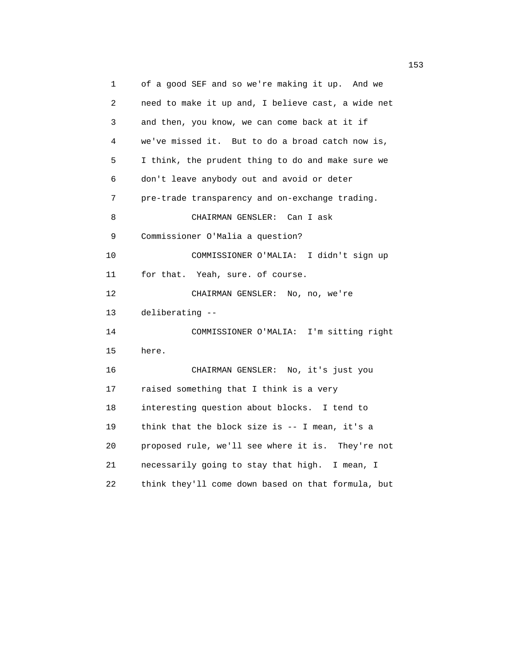1 of a good SEF and so we're making it up. And we 2 need to make it up and, I believe cast, a wide net 3 and then, you know, we can come back at it if 4 we've missed it. But to do a broad catch now is, 5 I think, the prudent thing to do and make sure we 6 don't leave anybody out and avoid or deter 7 pre-trade transparency and on-exchange trading. 8 CHAIRMAN GENSLER: Can I ask 9 Commissioner O'Malia a question? 10 COMMISSIONER O'MALIA: I didn't sign up 11 for that. Yeah, sure. of course. 12 CHAIRMAN GENSLER: No, no, we're 13 deliberating -- 14 COMMISSIONER O'MALIA: I'm sitting right 15 here. 16 CHAIRMAN GENSLER: No, it's just you 17 raised something that I think is a very 18 interesting question about blocks. I tend to 19 think that the block size is -- I mean, it's a 20 proposed rule, we'll see where it is. They're not 21 necessarily going to stay that high. I mean, I 22 think they'll come down based on that formula, but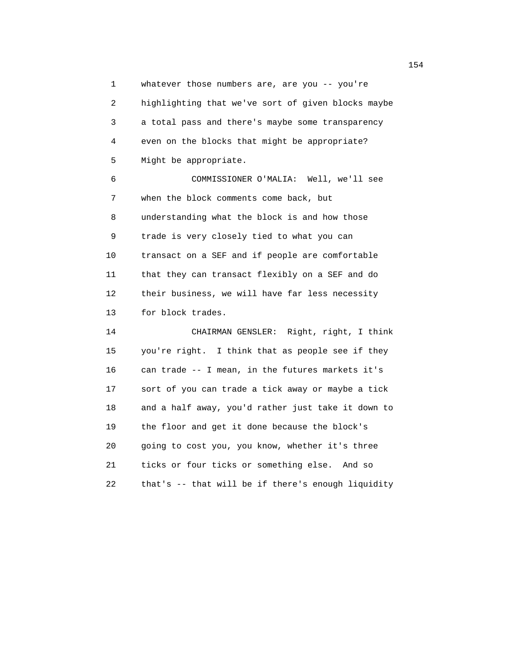1 whatever those numbers are, are you -- you're 2 highlighting that we've sort of given blocks maybe 3 a total pass and there's maybe some transparency 4 even on the blocks that might be appropriate? 5 Might be appropriate.

 6 COMMISSIONER O'MALIA: Well, we'll see 7 when the block comments come back, but 8 understanding what the block is and how those 9 trade is very closely tied to what you can 10 transact on a SEF and if people are comfortable 11 that they can transact flexibly on a SEF and do 12 their business, we will have far less necessity 13 for block trades.

 14 CHAIRMAN GENSLER: Right, right, I think 15 you're right. I think that as people see if they 16 can trade -- I mean, in the futures markets it's 17 sort of you can trade a tick away or maybe a tick 18 and a half away, you'd rather just take it down to 19 the floor and get it done because the block's 20 going to cost you, you know, whether it's three 21 ticks or four ticks or something else. And so 22 that's -- that will be if there's enough liquidity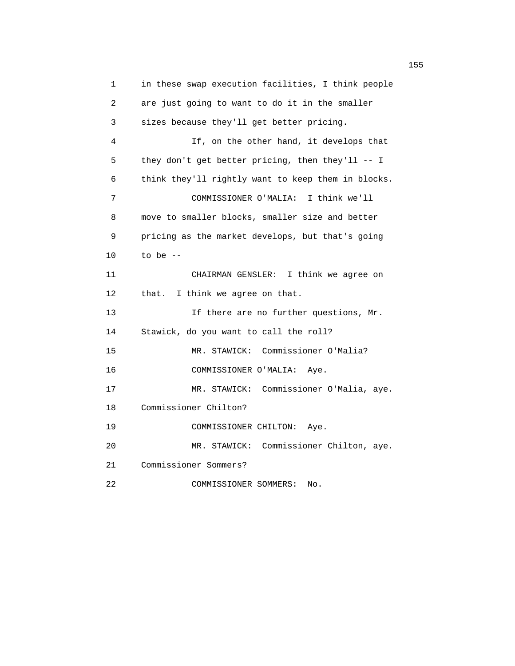1 in these swap execution facilities, I think people 2 are just going to want to do it in the smaller 3 sizes because they'll get better pricing. 4 If, on the other hand, it develops that 5 they don't get better pricing, then they'll -- I 6 think they'll rightly want to keep them in blocks. 7 COMMISSIONER O'MALIA: I think we'll 8 move to smaller blocks, smaller size and better 9 pricing as the market develops, but that's going 10 to be -- 11 CHAIRMAN GENSLER: I think we agree on 12 that. I think we agree on that. 13 13 If there are no further questions, Mr. 14 Stawick, do you want to call the roll? 15 MR. STAWICK: Commissioner O'Malia? 16 COMMISSIONER O'MALIA: Aye. 17 MR. STAWICK: Commissioner O'Malia, aye. 18 Commissioner Chilton? 19 COMMISSIONER CHILTON: Aye. 20 MR. STAWICK: Commissioner Chilton, aye. 21 Commissioner Sommers? 22 COMMISSIONER SOMMERS: No.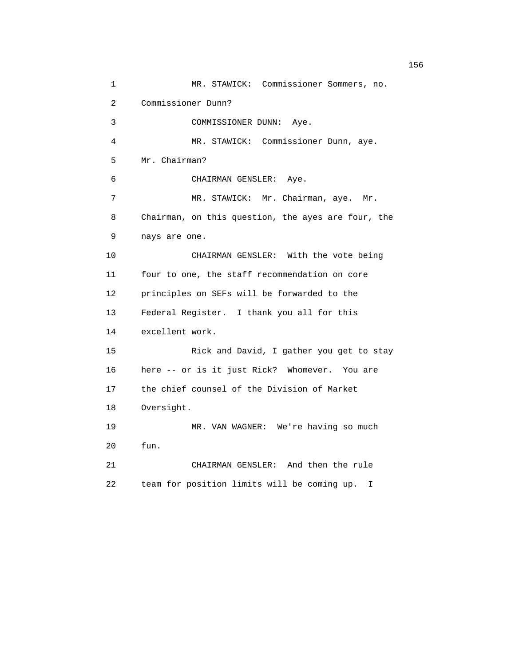1 MR. STAWICK: Commissioner Sommers, no. 2 Commissioner Dunn? 3 COMMISSIONER DUNN: Aye. 4 MR. STAWICK: Commissioner Dunn, aye. 5 Mr. Chairman? 6 CHAIRMAN GENSLER: Aye. 7 MR. STAWICK: Mr. Chairman, aye. Mr. 8 Chairman, on this question, the ayes are four, the 9 nays are one. 10 CHAIRMAN GENSLER: With the vote being 11 four to one, the staff recommendation on core 12 principles on SEFs will be forwarded to the 13 Federal Register. I thank you all for this 14 excellent work. 15 Rick and David, I gather you get to stay 16 here -- or is it just Rick? Whomever. You are 17 the chief counsel of the Division of Market 18 Oversight. 19 MR. VAN WAGNER: We're having so much 20 fun. 21 CHAIRMAN GENSLER: And then the rule 22 team for position limits will be coming up. I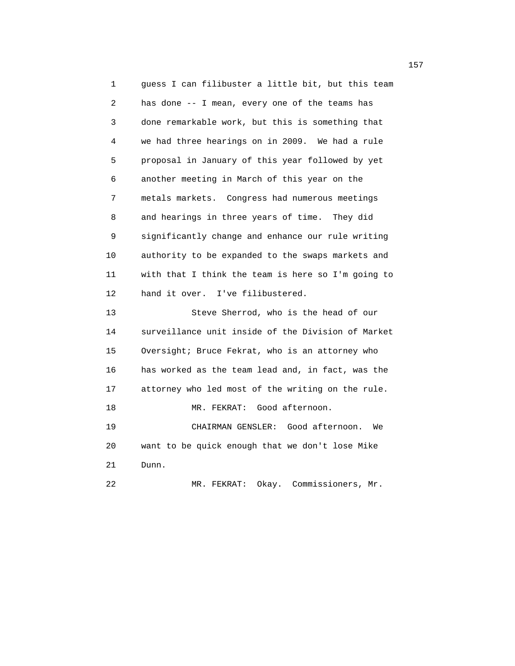1 guess I can filibuster a little bit, but this team 2 has done -- I mean, every one of the teams has 3 done remarkable work, but this is something that 4 we had three hearings on in 2009. We had a rule 5 proposal in January of this year followed by yet 6 another meeting in March of this year on the 7 metals markets. Congress had numerous meetings 8 and hearings in three years of time. They did 9 significantly change and enhance our rule writing 10 authority to be expanded to the swaps markets and 11 with that I think the team is here so I'm going to 12 hand it over. I've filibustered. 13 Steve Sherrod, who is the head of our 14 surveillance unit inside of the Division of Market 15 Oversight; Bruce Fekrat, who is an attorney who 16 has worked as the team lead and, in fact, was the 17 attorney who led most of the writing on the rule. 18 MR. FEKRAT: Good afternoon. 19 CHAIRMAN GENSLER: Good afternoon. We 20 want to be quick enough that we don't lose Mike 21 Dunn. 22 MR. FEKRAT: Okay. Commissioners, Mr.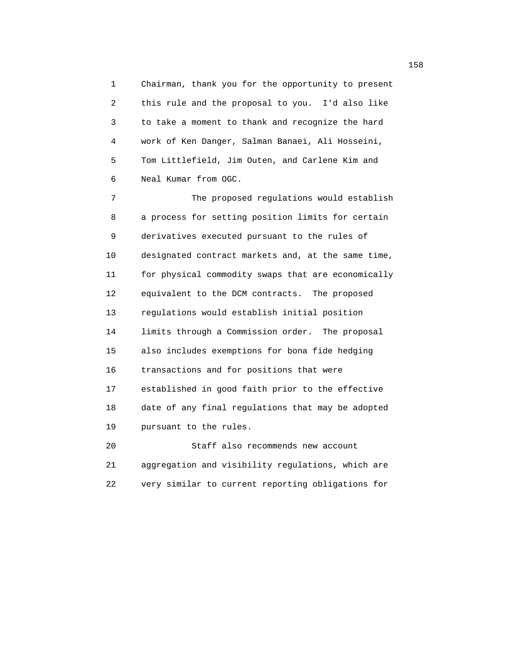1 Chairman, thank you for the opportunity to present 2 this rule and the proposal to you. I'd also like 3 to take a moment to thank and recognize the hard 4 work of Ken Danger, Salman Banaei, Ali Hosseini, 5 Tom Littlefield, Jim Outen, and Carlene Kim and 6 Neal Kumar from OGC.

 7 The proposed regulations would establish 8 a process for setting position limits for certain 9 derivatives executed pursuant to the rules of 10 designated contract markets and, at the same time, 11 for physical commodity swaps that are economically 12 equivalent to the DCM contracts. The proposed 13 regulations would establish initial position 14 limits through a Commission order. The proposal 15 also includes exemptions for bona fide hedging 16 transactions and for positions that were 17 established in good faith prior to the effective 18 date of any final regulations that may be adopted 19 pursuant to the rules.

 20 Staff also recommends new account 21 aggregation and visibility regulations, which are 22 very similar to current reporting obligations for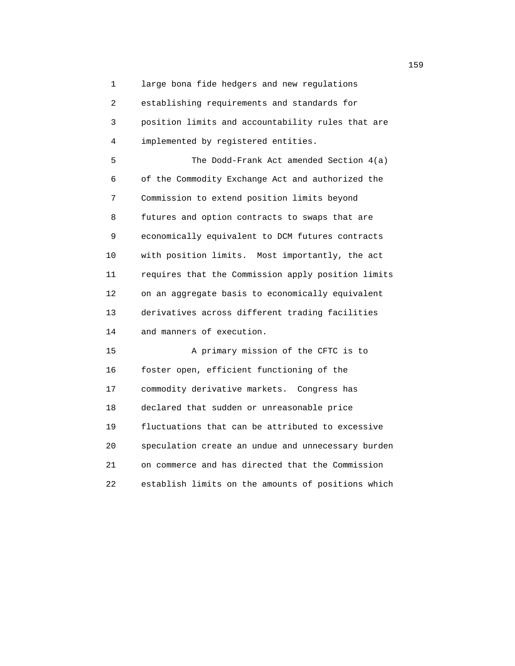1 large bona fide hedgers and new regulations 2 establishing requirements and standards for 3 position limits and accountability rules that are

4 implemented by registered entities.

 5 The Dodd-Frank Act amended Section 4(a) 6 of the Commodity Exchange Act and authorized the 7 Commission to extend position limits beyond 8 futures and option contracts to swaps that are 9 economically equivalent to DCM futures contracts 10 with position limits. Most importantly, the act 11 requires that the Commission apply position limits 12 on an aggregate basis to economically equivalent 13 derivatives across different trading facilities 14 and manners of execution.

 15 A primary mission of the CFTC is to 16 foster open, efficient functioning of the 17 commodity derivative markets. Congress has 18 declared that sudden or unreasonable price 19 fluctuations that can be attributed to excessive 20 speculation create an undue and unnecessary burden 21 on commerce and has directed that the Commission 22 establish limits on the amounts of positions which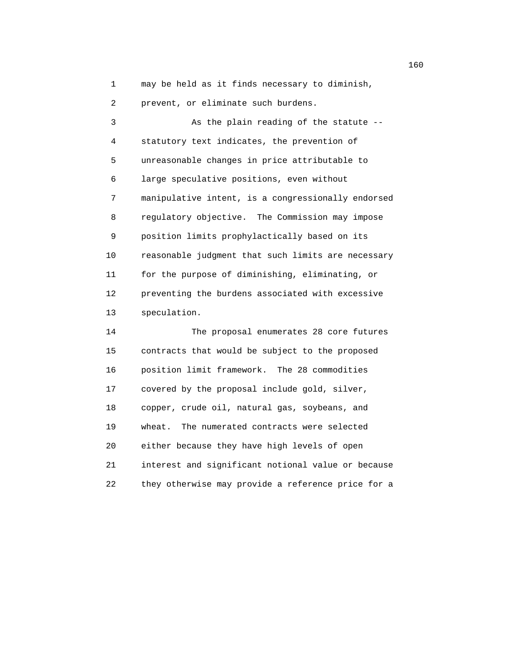1 may be held as it finds necessary to diminish,

2 prevent, or eliminate such burdens.

 3 As the plain reading of the statute -- 4 statutory text indicates, the prevention of 5 unreasonable changes in price attributable to 6 large speculative positions, even without 7 manipulative intent, is a congressionally endorsed 8 regulatory objective. The Commission may impose 9 position limits prophylactically based on its 10 reasonable judgment that such limits are necessary 11 for the purpose of diminishing, eliminating, or 12 preventing the burdens associated with excessive 13 speculation.

 14 The proposal enumerates 28 core futures 15 contracts that would be subject to the proposed 16 position limit framework. The 28 commodities 17 covered by the proposal include gold, silver, 18 copper, crude oil, natural gas, soybeans, and 19 wheat. The numerated contracts were selected 20 either because they have high levels of open 21 interest and significant notional value or because 22 they otherwise may provide a reference price for a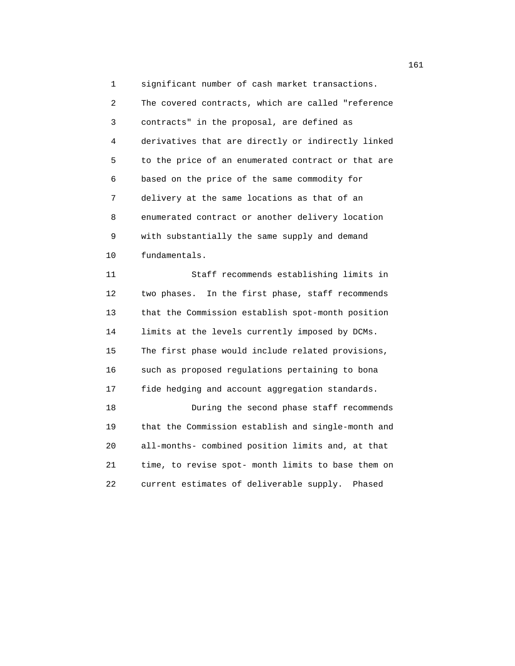1 significant number of cash market transactions. 2 The covered contracts, which are called "reference 3 contracts" in the proposal, are defined as 4 derivatives that are directly or indirectly linked 5 to the price of an enumerated contract or that are 6 based on the price of the same commodity for 7 delivery at the same locations as that of an 8 enumerated contract or another delivery location 9 with substantially the same supply and demand 10 fundamentals.

 11 Staff recommends establishing limits in 12 two phases. In the first phase, staff recommends 13 that the Commission establish spot-month position 14 limits at the levels currently imposed by DCMs. 15 The first phase would include related provisions, 16 such as proposed regulations pertaining to bona 17 fide hedging and account aggregation standards. 18 During the second phase staff recommends 19 that the Commission establish and single-month and 20 all-months- combined position limits and, at that 21 time, to revise spot- month limits to base them on

22 current estimates of deliverable supply. Phased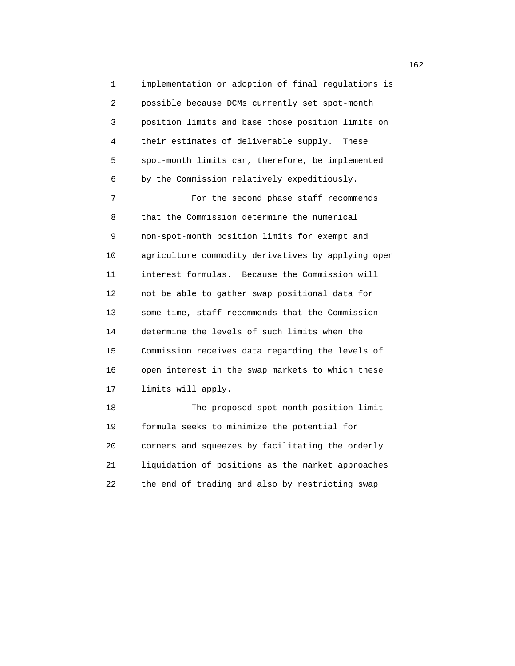1 implementation or adoption of final regulations is 2 possible because DCMs currently set spot-month 3 position limits and base those position limits on 4 their estimates of deliverable supply. These 5 spot-month limits can, therefore, be implemented 6 by the Commission relatively expeditiously. 7 For the second phase staff recommends 8 that the Commission determine the numerical 9 non-spot-month position limits for exempt and 10 agriculture commodity derivatives by applying open

 11 interest formulas. Because the Commission will 12 not be able to gather swap positional data for 13 some time, staff recommends that the Commission 14 determine the levels of such limits when the 15 Commission receives data regarding the levels of 16 open interest in the swap markets to which these 17 limits will apply.

 18 The proposed spot-month position limit 19 formula seeks to minimize the potential for 20 corners and squeezes by facilitating the orderly 21 liquidation of positions as the market approaches 22 the end of trading and also by restricting swap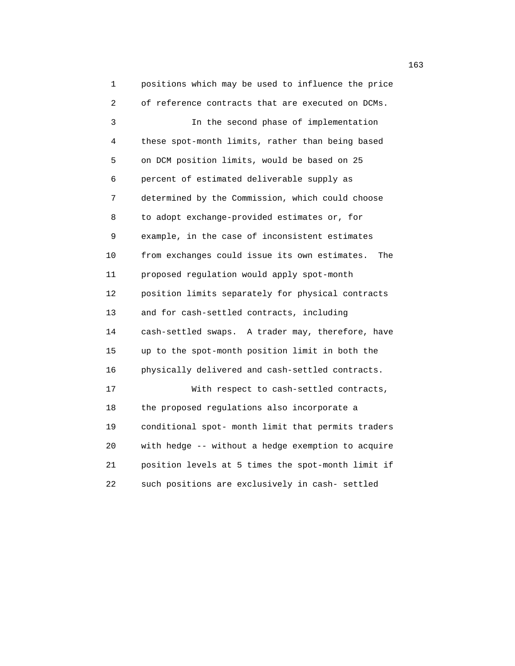1 positions which may be used to influence the price 2 of reference contracts that are executed on DCMs. 3 In the second phase of implementation 4 these spot-month limits, rather than being based 5 on DCM position limits, would be based on 25 6 percent of estimated deliverable supply as 7 determined by the Commission, which could choose 8 to adopt exchange-provided estimates or, for 9 example, in the case of inconsistent estimates 10 from exchanges could issue its own estimates. The 11 proposed regulation would apply spot-month 12 position limits separately for physical contracts 13 and for cash-settled contracts, including 14 cash-settled swaps. A trader may, therefore, have 15 up to the spot-month position limit in both the 16 physically delivered and cash-settled contracts. 17 With respect to cash-settled contracts, 18 the proposed regulations also incorporate a 19 conditional spot- month limit that permits traders 20 with hedge -- without a hedge exemption to acquire 21 position levels at 5 times the spot-month limit if 22 such positions are exclusively in cash- settled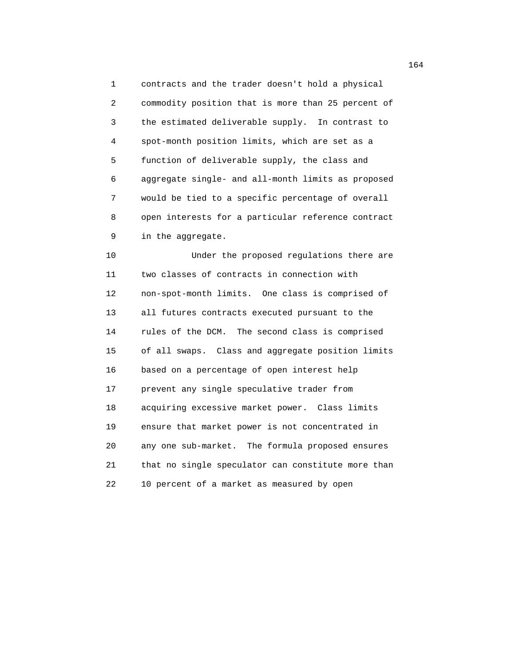1 contracts and the trader doesn't hold a physical 2 commodity position that is more than 25 percent of 3 the estimated deliverable supply. In contrast to 4 spot-month position limits, which are set as a 5 function of deliverable supply, the class and 6 aggregate single- and all-month limits as proposed 7 would be tied to a specific percentage of overall 8 open interests for a particular reference contract 9 in the aggregate.

 10 Under the proposed regulations there are 11 two classes of contracts in connection with 12 non-spot-month limits. One class is comprised of 13 all futures contracts executed pursuant to the 14 rules of the DCM. The second class is comprised 15 of all swaps. Class and aggregate position limits 16 based on a percentage of open interest help 17 prevent any single speculative trader from 18 acquiring excessive market power. Class limits 19 ensure that market power is not concentrated in 20 any one sub-market. The formula proposed ensures 21 that no single speculator can constitute more than 22 10 percent of a market as measured by open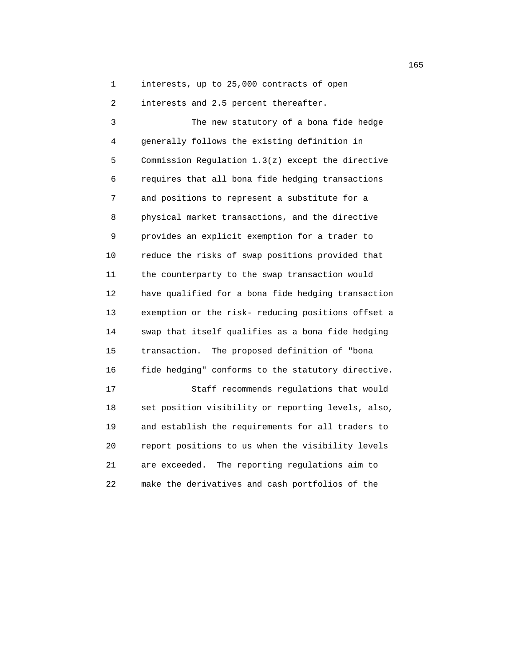1 interests, up to 25,000 contracts of open

2 interests and 2.5 percent thereafter.

 3 The new statutory of a bona fide hedge 4 generally follows the existing definition in 5 Commission Regulation 1.3(z) except the directive 6 requires that all bona fide hedging transactions 7 and positions to represent a substitute for a 8 physical market transactions, and the directive 9 provides an explicit exemption for a trader to 10 reduce the risks of swap positions provided that 11 the counterparty to the swap transaction would 12 have qualified for a bona fide hedging transaction 13 exemption or the risk- reducing positions offset a 14 swap that itself qualifies as a bona fide hedging 15 transaction. The proposed definition of "bona 16 fide hedging" conforms to the statutory directive. 17 Staff recommends regulations that would 18 set position visibility or reporting levels, also, 19 and establish the requirements for all traders to 20 report positions to us when the visibility levels 21 are exceeded. The reporting regulations aim to 22 make the derivatives and cash portfolios of the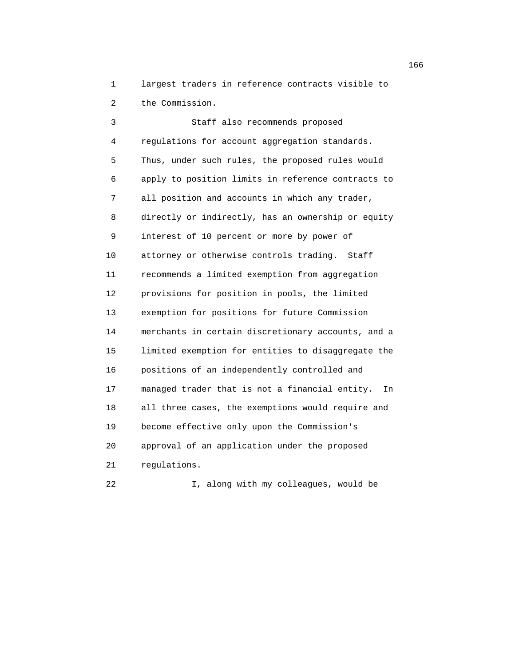1 largest traders in reference contracts visible to 2 the Commission.

 3 Staff also recommends proposed 4 regulations for account aggregation standards. 5 Thus, under such rules, the proposed rules would 6 apply to position limits in reference contracts to 7 all position and accounts in which any trader, 8 directly or indirectly, has an ownership or equity 9 interest of 10 percent or more by power of 10 attorney or otherwise controls trading. Staff 11 recommends a limited exemption from aggregation 12 provisions for position in pools, the limited 13 exemption for positions for future Commission 14 merchants in certain discretionary accounts, and a 15 limited exemption for entities to disaggregate the 16 positions of an independently controlled and 17 managed trader that is not a financial entity. In 18 all three cases, the exemptions would require and 19 become effective only upon the Commission's 20 approval of an application under the proposed 21 regulations.

22 I, along with my colleagues, would be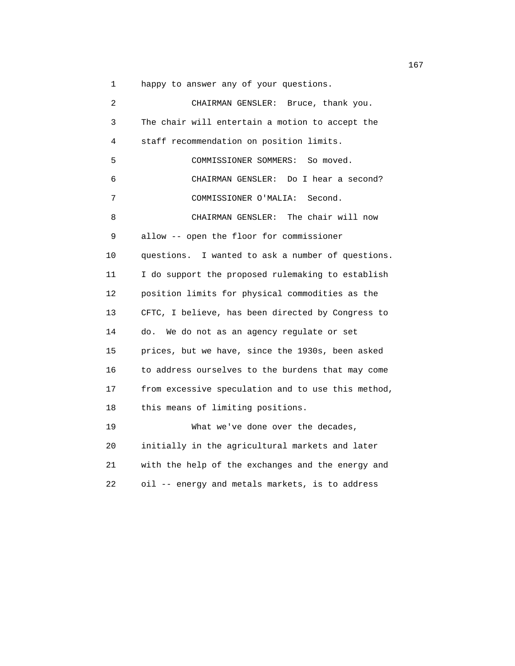1 happy to answer any of your questions.

 2 CHAIRMAN GENSLER: Bruce, thank you. 3 The chair will entertain a motion to accept the 4 staff recommendation on position limits. 5 COMMISSIONER SOMMERS: So moved. 6 CHAIRMAN GENSLER: Do I hear a second? 7 COMMISSIONER O'MALIA: Second. 8 CHAIRMAN GENSLER: The chair will now 9 allow -- open the floor for commissioner 10 questions. I wanted to ask a number of questions. 11 I do support the proposed rulemaking to establish 12 position limits for physical commodities as the 13 CFTC, I believe, has been directed by Congress to 14 do. We do not as an agency regulate or set 15 prices, but we have, since the 1930s, been asked 16 to address ourselves to the burdens that may come 17 from excessive speculation and to use this method, 18 this means of limiting positions. 19 What we've done over the decades, 20 initially in the agricultural markets and later 21 with the help of the exchanges and the energy and

22 oil -- energy and metals markets, is to address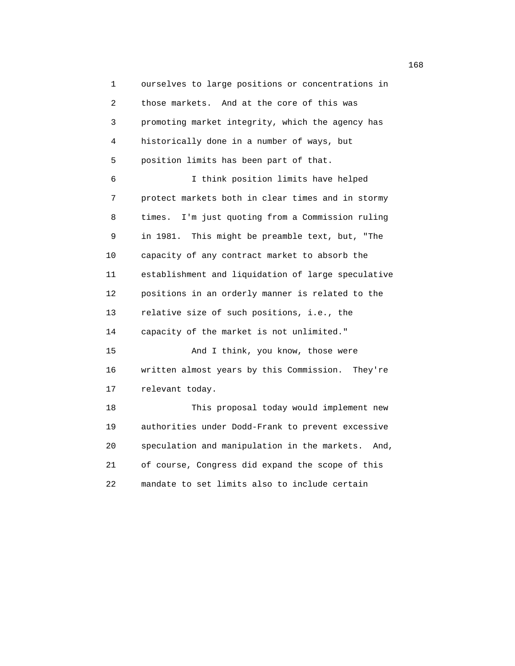1 ourselves to large positions or concentrations in 2 those markets. And at the core of this was 3 promoting market integrity, which the agency has 4 historically done in a number of ways, but 5 position limits has been part of that. 6 I think position limits have helped 7 protect markets both in clear times and in stormy 8 times. I'm just quoting from a Commission ruling 9 in 1981. This might be preamble text, but, "The 10 capacity of any contract market to absorb the 11 establishment and liquidation of large speculative 12 positions in an orderly manner is related to the 13 relative size of such positions, i.e., the 14 capacity of the market is not unlimited." 15 And I think, you know, those were 16 written almost years by this Commission. They're 17 relevant today. 18 This proposal today would implement new 19 authorities under Dodd-Frank to prevent excessive 20 speculation and manipulation in the markets. And, 21 of course, Congress did expand the scope of this 22 mandate to set limits also to include certain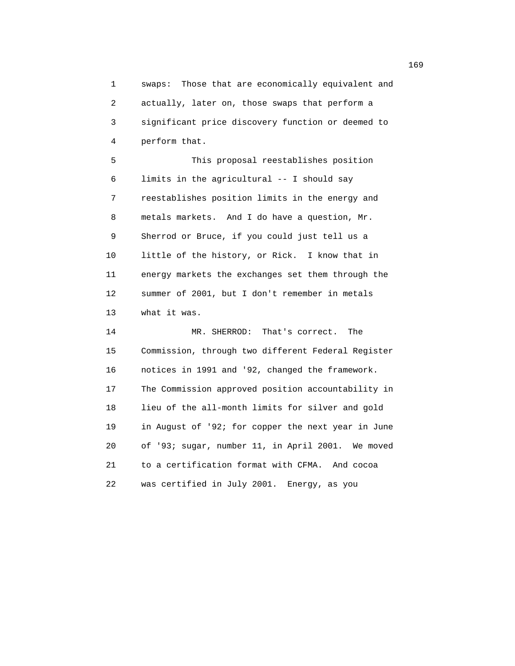1 swaps: Those that are economically equivalent and 2 actually, later on, those swaps that perform a 3 significant price discovery function or deemed to 4 perform that.

 5 This proposal reestablishes position 6 limits in the agricultural -- I should say 7 reestablishes position limits in the energy and 8 metals markets. And I do have a question, Mr. 9 Sherrod or Bruce, if you could just tell us a 10 little of the history, or Rick. I know that in 11 energy markets the exchanges set them through the 12 summer of 2001, but I don't remember in metals 13 what it was.

 14 MR. SHERROD: That's correct. The 15 Commission, through two different Federal Register 16 notices in 1991 and '92, changed the framework. 17 The Commission approved position accountability in 18 lieu of the all-month limits for silver and gold 19 in August of '92; for copper the next year in June 20 of '93; sugar, number 11, in April 2001. We moved 21 to a certification format with CFMA. And cocoa 22 was certified in July 2001. Energy, as you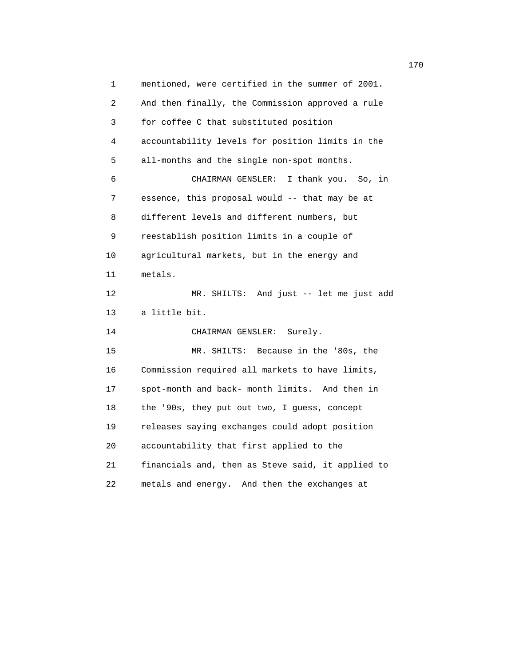1 mentioned, were certified in the summer of 2001. 2 And then finally, the Commission approved a rule 3 for coffee C that substituted position 4 accountability levels for position limits in the 5 all-months and the single non-spot months. 6 CHAIRMAN GENSLER: I thank you. So, in 7 essence, this proposal would -- that may be at 8 different levels and different numbers, but 9 reestablish position limits in a couple of 10 agricultural markets, but in the energy and 11 metals. 12 MR. SHILTS: And just -- let me just add 13 a little bit. 14 CHAIRMAN GENSLER: Surely. 15 MR. SHILTS: Because in the '80s, the 16 Commission required all markets to have limits, 17 spot-month and back- month limits. And then in 18 the '90s, they put out two, I guess, concept 19 releases saying exchanges could adopt position 20 accountability that first applied to the 21 financials and, then as Steve said, it applied to 22 metals and energy. And then the exchanges at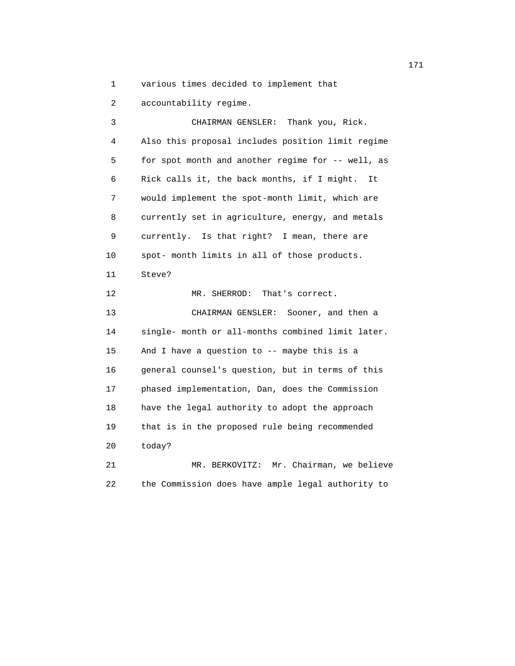1 various times decided to implement that

2 accountability regime.

 3 CHAIRMAN GENSLER: Thank you, Rick. 4 Also this proposal includes position limit regime 5 for spot month and another regime for -- well, as 6 Rick calls it, the back months, if I might. It 7 would implement the spot-month limit, which are 8 currently set in agriculture, energy, and metals 9 currently. Is that right? I mean, there are 10 spot- month limits in all of those products. 11 Steve? 12 MR. SHERROD: That's correct. 13 CHAIRMAN GENSLER: Sooner, and then a 14 single- month or all-months combined limit later. 15 And I have a question to -- maybe this is a 16 general counsel's question, but in terms of this 17 phased implementation, Dan, does the Commission 18 have the legal authority to adopt the approach 19 that is in the proposed rule being recommended 20 today? 21 MR. BERKOVITZ: Mr. Chairman, we believe

22 the Commission does have ample legal authority to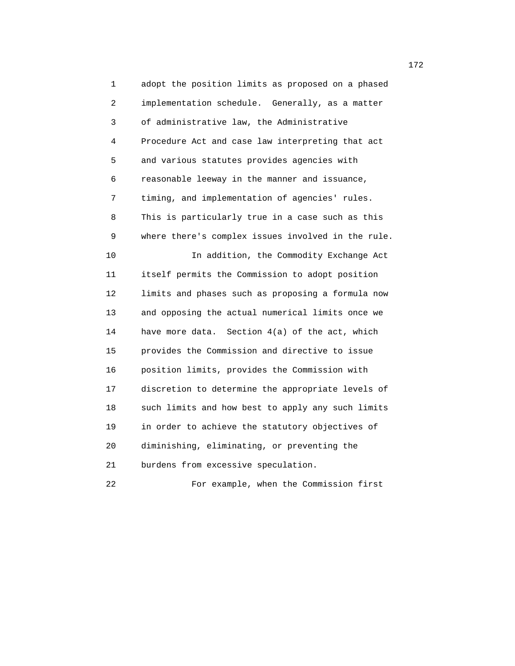1 adopt the position limits as proposed on a phased 2 implementation schedule. Generally, as a matter 3 of administrative law, the Administrative 4 Procedure Act and case law interpreting that act 5 and various statutes provides agencies with 6 reasonable leeway in the manner and issuance, 7 timing, and implementation of agencies' rules. 8 This is particularly true in a case such as this 9 where there's complex issues involved in the rule. 10 In addition, the Commodity Exchange Act 11 itself permits the Commission to adopt position 12 limits and phases such as proposing a formula now 13 and opposing the actual numerical limits once we 14 have more data. Section 4(a) of the act, which 15 provides the Commission and directive to issue 16 position limits, provides the Commission with 17 discretion to determine the appropriate levels of 18 such limits and how best to apply any such limits 19 in order to achieve the statutory objectives of 20 diminishing, eliminating, or preventing the 21 burdens from excessive speculation. 22 For example, when the Commission first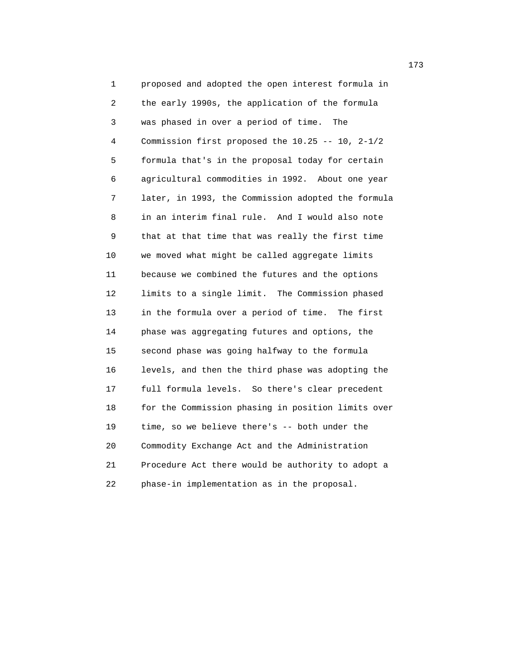1 proposed and adopted the open interest formula in 2 the early 1990s, the application of the formula 3 was phased in over a period of time. The 4 Commission first proposed the 10.25 -- 10, 2-1/2 5 formula that's in the proposal today for certain 6 agricultural commodities in 1992. About one year 7 later, in 1993, the Commission adopted the formula 8 in an interim final rule. And I would also note 9 that at that time that was really the first time 10 we moved what might be called aggregate limits 11 because we combined the futures and the options 12 limits to a single limit. The Commission phased 13 in the formula over a period of time. The first 14 phase was aggregating futures and options, the 15 second phase was going halfway to the formula 16 levels, and then the third phase was adopting the 17 full formula levels. So there's clear precedent 18 for the Commission phasing in position limits over 19 time, so we believe there's -- both under the 20 Commodity Exchange Act and the Administration 21 Procedure Act there would be authority to adopt a 22 phase-in implementation as in the proposal.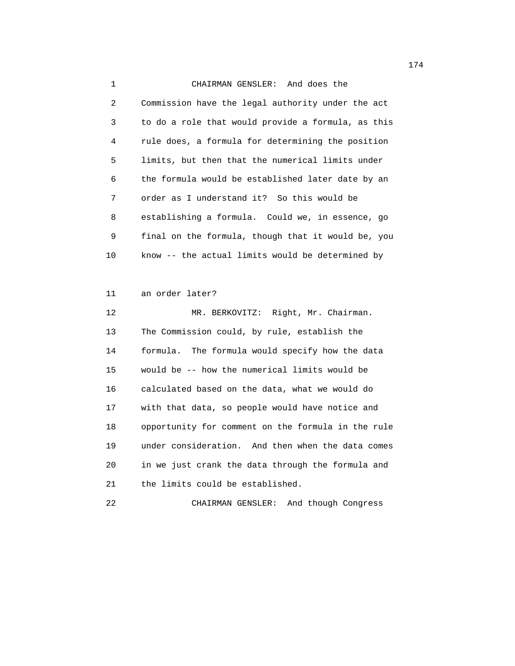1 CHAIRMAN GENSLER: And does the 2 Commission have the legal authority under the act 3 to do a role that would provide a formula, as this 4 rule does, a formula for determining the position 5 limits, but then that the numerical limits under 6 the formula would be established later date by an 7 order as I understand it? So this would be 8 establishing a formula. Could we, in essence, go 9 final on the formula, though that it would be, you 10 know -- the actual limits would be determined by

## 11 an order later?

 12 MR. BERKOVITZ: Right, Mr. Chairman. 13 The Commission could, by rule, establish the 14 formula. The formula would specify how the data 15 would be -- how the numerical limits would be 16 calculated based on the data, what we would do 17 with that data, so people would have notice and 18 opportunity for comment on the formula in the rule 19 under consideration. And then when the data comes 20 in we just crank the data through the formula and 21 the limits could be established.

22 CHAIRMAN GENSLER: And though Congress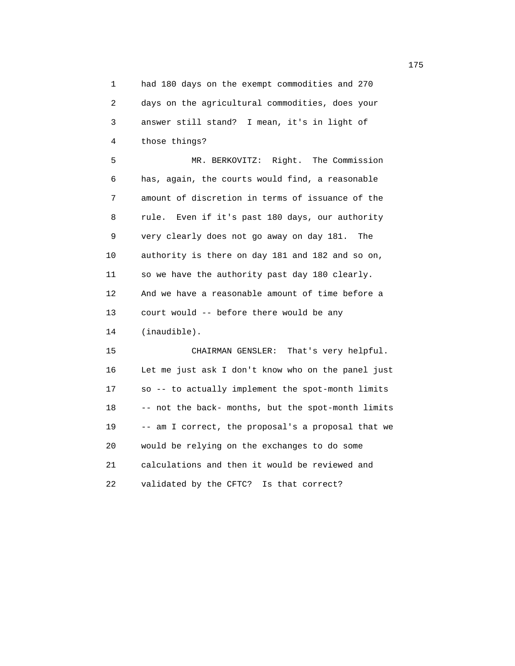1 had 180 days on the exempt commodities and 270 2 days on the agricultural commodities, does your 3 answer still stand? I mean, it's in light of 4 those things?

 5 MR. BERKOVITZ: Right. The Commission 6 has, again, the courts would find, a reasonable 7 amount of discretion in terms of issuance of the 8 rule. Even if it's past 180 days, our authority 9 very clearly does not go away on day 181. The 10 authority is there on day 181 and 182 and so on, 11 so we have the authority past day 180 clearly. 12 And we have a reasonable amount of time before a 13 court would -- before there would be any 14 (inaudible).

 15 CHAIRMAN GENSLER: That's very helpful. 16 Let me just ask I don't know who on the panel just 17 so -- to actually implement the spot-month limits 18 -- not the back- months, but the spot-month limits 19 -- am I correct, the proposal's a proposal that we 20 would be relying on the exchanges to do some 21 calculations and then it would be reviewed and 22 validated by the CFTC? Is that correct?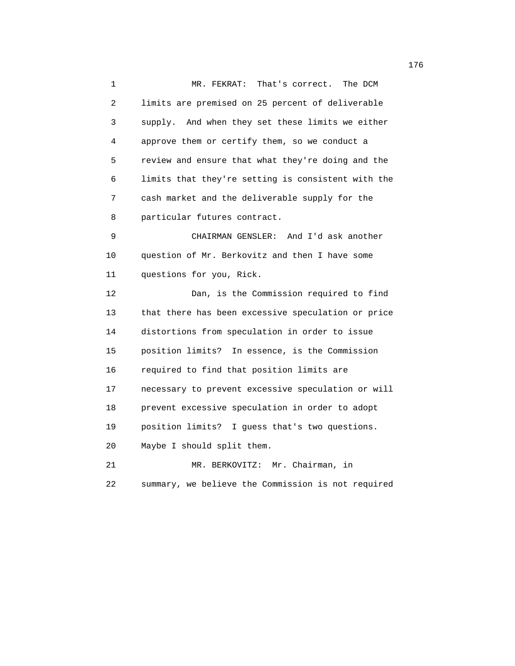1 MR. FEKRAT: That's correct. The DCM 2 limits are premised on 25 percent of deliverable 3 supply. And when they set these limits we either 4 approve them or certify them, so we conduct a 5 review and ensure that what they're doing and the 6 limits that they're setting is consistent with the 7 cash market and the deliverable supply for the 8 particular futures contract. 9 CHAIRMAN GENSLER: And I'd ask another 10 question of Mr. Berkovitz and then I have some 11 questions for you, Rick. 12 Dan, is the Commission required to find 13 that there has been excessive speculation or price 14 distortions from speculation in order to issue 15 position limits? In essence, is the Commission 16 required to find that position limits are 17 necessary to prevent excessive speculation or will 18 prevent excessive speculation in order to adopt 19 position limits? I guess that's two questions. 20 Maybe I should split them. 21 MR. BERKOVITZ: Mr. Chairman, in 22 summary, we believe the Commission is not required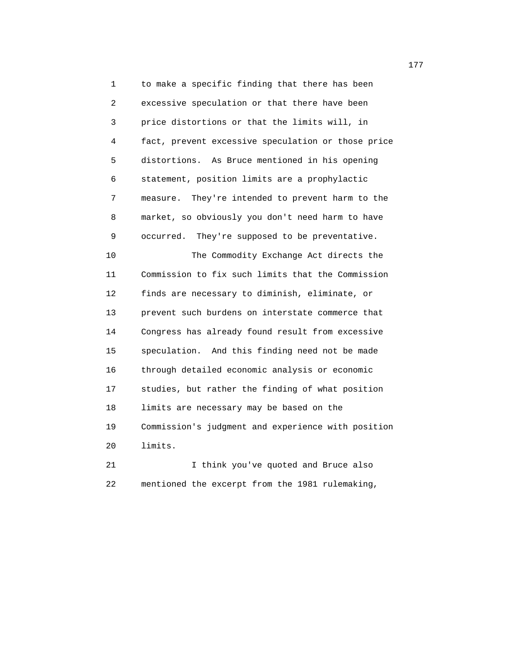1 to make a specific finding that there has been 2 excessive speculation or that there have been 3 price distortions or that the limits will, in 4 fact, prevent excessive speculation or those price 5 distortions. As Bruce mentioned in his opening 6 statement, position limits are a prophylactic 7 measure. They're intended to prevent harm to the 8 market, so obviously you don't need harm to have 9 occurred. They're supposed to be preventative. 10 The Commodity Exchange Act directs the 11 Commission to fix such limits that the Commission 12 finds are necessary to diminish, eliminate, or 13 prevent such burdens on interstate commerce that 14 Congress has already found result from excessive 15 speculation. And this finding need not be made 16 through detailed economic analysis or economic 17 studies, but rather the finding of what position 18 limits are necessary may be based on the 19 Commission's judgment and experience with position 20 limits.

 21 I think you've quoted and Bruce also 22 mentioned the excerpt from the 1981 rulemaking,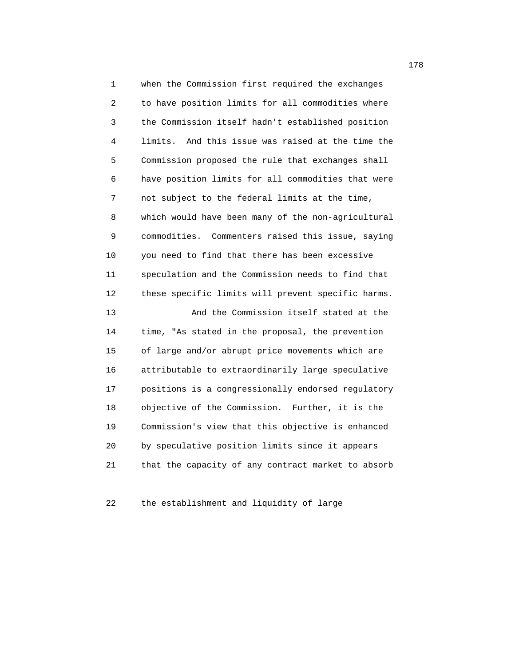1 when the Commission first required the exchanges 2 to have position limits for all commodities where 3 the Commission itself hadn't established position 4 limits. And this issue was raised at the time the 5 Commission proposed the rule that exchanges shall 6 have position limits for all commodities that were 7 not subject to the federal limits at the time, 8 which would have been many of the non-agricultural 9 commodities. Commenters raised this issue, saying 10 you need to find that there has been excessive 11 speculation and the Commission needs to find that 12 these specific limits will prevent specific harms. 13 And the Commission itself stated at the 14 time, "As stated in the proposal, the prevention 15 of large and/or abrupt price movements which are 16 attributable to extraordinarily large speculative 17 positions is a congressionally endorsed regulatory 18 objective of the Commission. Further, it is the 19 Commission's view that this objective is enhanced 20 by speculative position limits since it appears 21 that the capacity of any contract market to absorb

22 the establishment and liquidity of large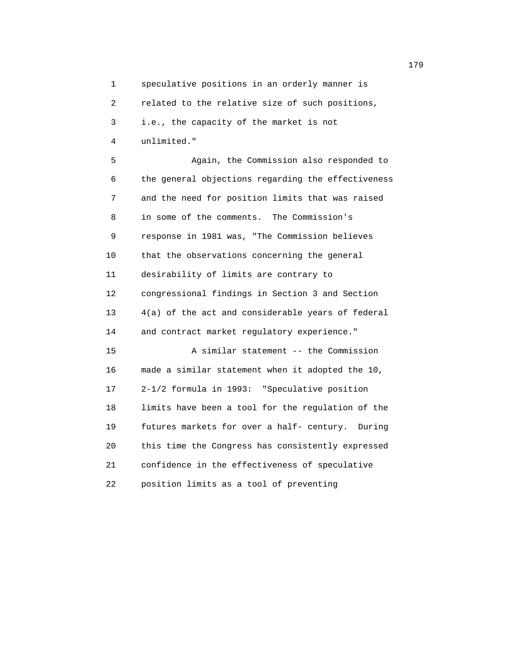1 speculative positions in an orderly manner is 2 related to the relative size of such positions, 3 i.e., the capacity of the market is not 4 unlimited."

 5 Again, the Commission also responded to 6 the general objections regarding the effectiveness 7 and the need for position limits that was raised 8 in some of the comments. The Commission's 9 response in 1981 was, "The Commission believes 10 that the observations concerning the general 11 desirability of limits are contrary to 12 congressional findings in Section 3 and Section 13 4(a) of the act and considerable years of federal 14 and contract market regulatory experience." 15 A similar statement -- the Commission 16 made a similar statement when it adopted the 10, 17 2-1/2 formula in 1993: "Speculative position 18 limits have been a tool for the regulation of the 19 futures markets for over a half- century. During 20 this time the Congress has consistently expressed 21 confidence in the effectiveness of speculative 22 position limits as a tool of preventing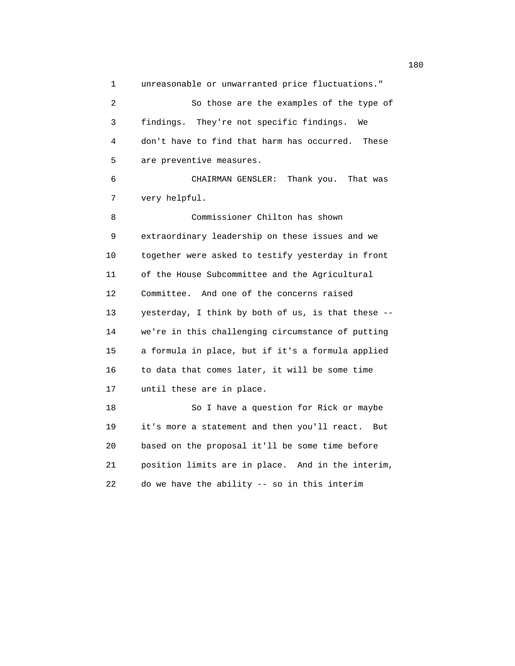1 unreasonable or unwarranted price fluctuations." 2 So those are the examples of the type of 3 findings. They're not specific findings. We 4 don't have to find that harm has occurred. These 5 are preventive measures. 6 CHAIRMAN GENSLER: Thank you. That was 7 very helpful. 8 Commissioner Chilton has shown 9 extraordinary leadership on these issues and we 10 together were asked to testify yesterday in front 11 of the House Subcommittee and the Agricultural 12 Committee. And one of the concerns raised 13 yesterday, I think by both of us, is that these -- 14 we're in this challenging circumstance of putting 15 a formula in place, but if it's a formula applied 16 to data that comes later, it will be some time 17 until these are in place. 18 So I have a question for Rick or maybe 19 it's more a statement and then you'll react. But 20 based on the proposal it'll be some time before 21 position limits are in place. And in the interim, 22 do we have the ability -- so in this interim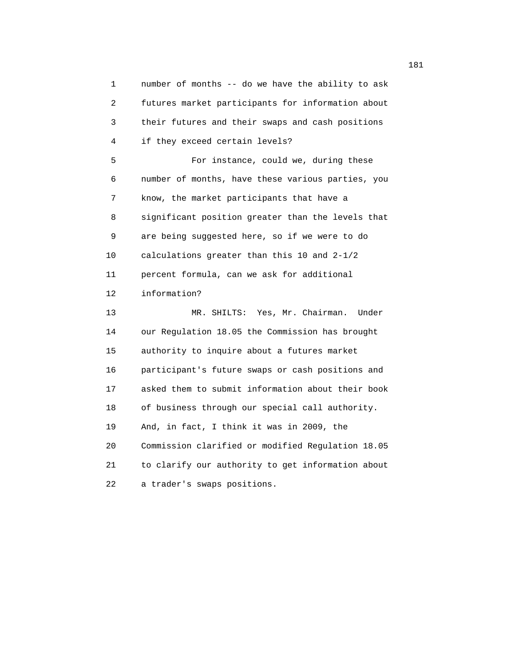1 number of months -- do we have the ability to ask 2 futures market participants for information about 3 their futures and their swaps and cash positions 4 if they exceed certain levels? 5 For instance, could we, during these 6 number of months, have these various parties, you 7 know, the market participants that have a 8 significant position greater than the levels that 9 are being suggested here, so if we were to do 10 calculations greater than this 10 and 2-1/2 11 percent formula, can we ask for additional 12 information? 13 MR. SHILTS: Yes, Mr. Chairman. Under 14 our Regulation 18.05 the Commission has brought 15 authority to inquire about a futures market 16 participant's future swaps or cash positions and 17 asked them to submit information about their book 18 of business through our special call authority. 19 And, in fact, I think it was in 2009, the 20 Commission clarified or modified Regulation 18.05 21 to clarify our authority to get information about 22 a trader's swaps positions.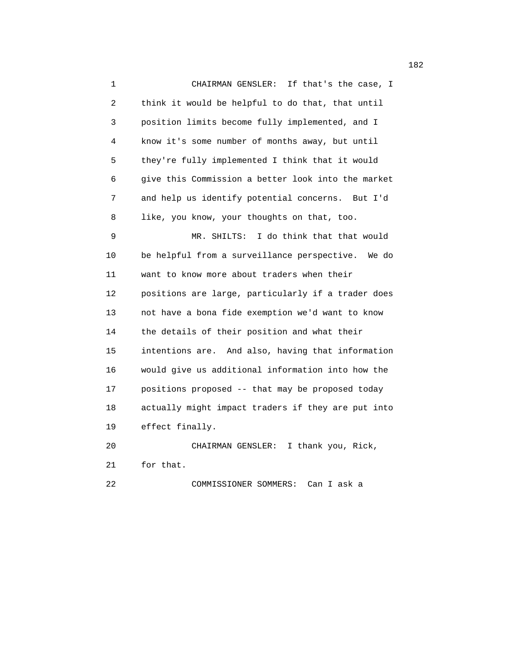1 CHAIRMAN GENSLER: If that's the case, I 2 think it would be helpful to do that, that until 3 position limits become fully implemented, and I 4 know it's some number of months away, but until 5 they're fully implemented I think that it would 6 give this Commission a better look into the market 7 and help us identify potential concerns. But I'd 8 like, you know, your thoughts on that, too. 9 MR. SHILTS: I do think that that would 10 be helpful from a surveillance perspective. We do 11 want to know more about traders when their 12 positions are large, particularly if a trader does 13 not have a bona fide exemption we'd want to know 14 the details of their position and what their 15 intentions are. And also, having that information 16 would give us additional information into how the 17 positions proposed -- that may be proposed today 18 actually might impact traders if they are put into 19 effect finally. 20 CHAIRMAN GENSLER: I thank you, Rick, 21 for that.

22 COMMISSIONER SOMMERS: Can I ask a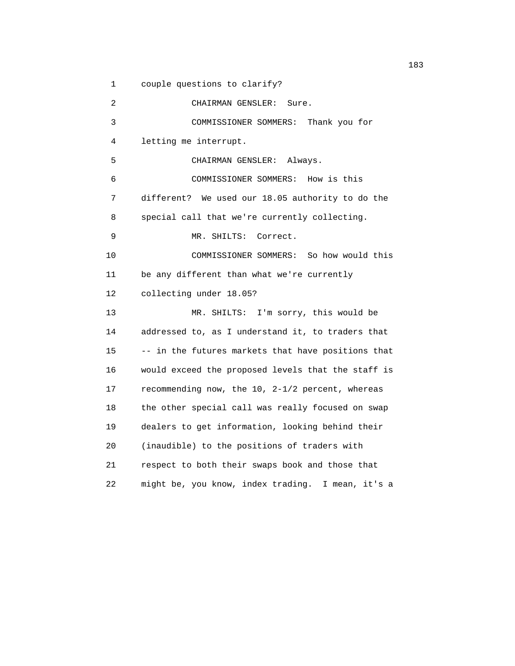1 couple questions to clarify?

 2 CHAIRMAN GENSLER: Sure. 3 COMMISSIONER SOMMERS: Thank you for 4 letting me interrupt. 5 CHAIRMAN GENSLER: Always. 6 COMMISSIONER SOMMERS: How is this 7 different? We used our 18.05 authority to do the 8 special call that we're currently collecting. 9 MR. SHILTS: Correct. 10 COMMISSIONER SOMMERS: So how would this 11 be any different than what we're currently 12 collecting under 18.05? 13 MR. SHILTS: I'm sorry, this would be 14 addressed to, as I understand it, to traders that 15 -- in the futures markets that have positions that 16 would exceed the proposed levels that the staff is 17 recommending now, the 10, 2-1/2 percent, whereas 18 the other special call was really focused on swap 19 dealers to get information, looking behind their 20 (inaudible) to the positions of traders with 21 respect to both their swaps book and those that 22 might be, you know, index trading. I mean, it's a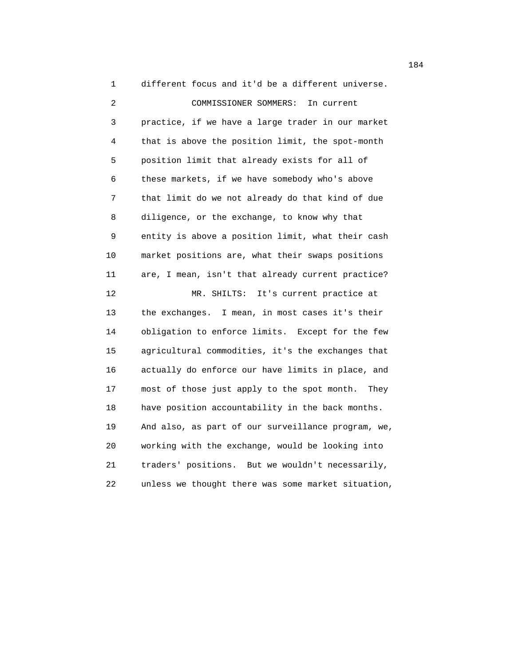1 different focus and it'd be a different universe. 2 COMMISSIONER SOMMERS: In current 3 practice, if we have a large trader in our market 4 that is above the position limit, the spot-month 5 position limit that already exists for all of 6 these markets, if we have somebody who's above 7 that limit do we not already do that kind of due 8 diligence, or the exchange, to know why that 9 entity is above a position limit, what their cash 10 market positions are, what their swaps positions 11 are, I mean, isn't that already current practice? 12 MR. SHILTS: It's current practice at 13 the exchanges. I mean, in most cases it's their 14 obligation to enforce limits. Except for the few 15 agricultural commodities, it's the exchanges that 16 actually do enforce our have limits in place, and 17 most of those just apply to the spot month. They 18 have position accountability in the back months. 19 And also, as part of our surveillance program, we, 20 working with the exchange, would be looking into 21 traders' positions. But we wouldn't necessarily, 22 unless we thought there was some market situation,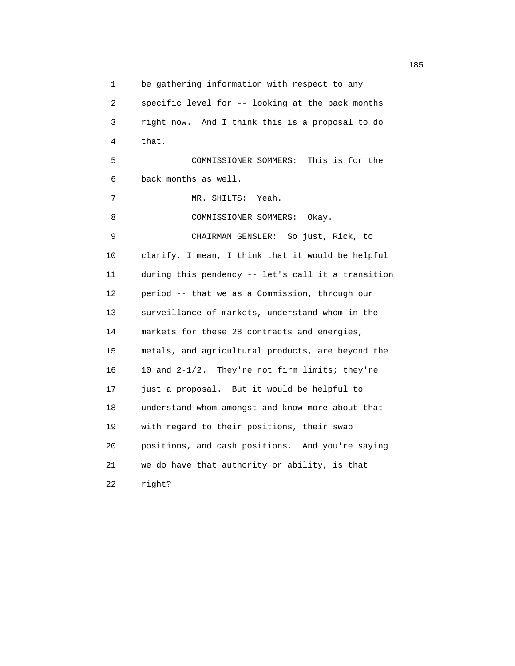1 be gathering information with respect to any 2 specific level for -- looking at the back months 3 right now. And I think this is a proposal to do 4 that. 5 COMMISSIONER SOMMERS: This is for the 6 back months as well. 7 MR. SHILTS: Yeah. 8 COMMISSIONER SOMMERS: Okay. 9 CHAIRMAN GENSLER: So just, Rick, to 10 clarify, I mean, I think that it would be helpful 11 during this pendency -- let's call it a transition 12 period -- that we as a Commission, through our 13 surveillance of markets, understand whom in the 14 markets for these 28 contracts and energies, 15 metals, and agricultural products, are beyond the 16 10 and 2-1/2. They're not firm limits; they're 17 just a proposal. But it would be helpful to 18 understand whom amongst and know more about that 19 with regard to their positions, their swap 20 positions, and cash positions. And you're saying 21 we do have that authority or ability, is that 22 right?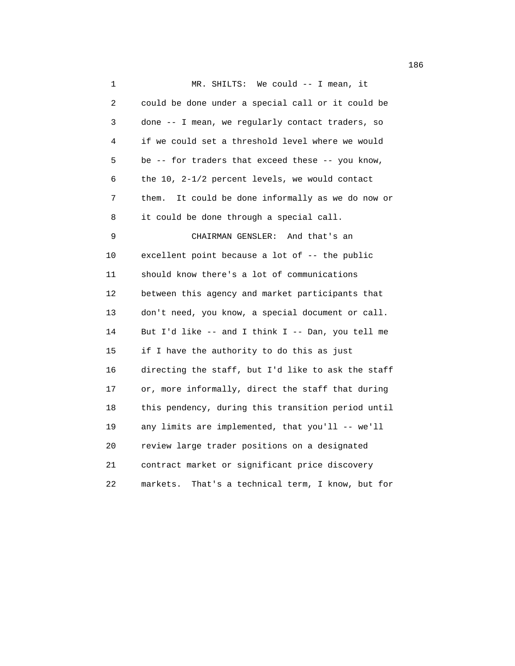1 MR. SHILTS: We could -- I mean, it 2 could be done under a special call or it could be 3 done -- I mean, we regularly contact traders, so 4 if we could set a threshold level where we would 5 be -- for traders that exceed these -- you know, 6 the 10, 2-1/2 percent levels, we would contact 7 them. It could be done informally as we do now or 8 it could be done through a special call. 9 CHAIRMAN GENSLER: And that's an 10 excellent point because a lot of -- the public 11 should know there's a lot of communications 12 between this agency and market participants that 13 don't need, you know, a special document or call. 14 But I'd like -- and I think I -- Dan, you tell me 15 if I have the authority to do this as just 16 directing the staff, but I'd like to ask the staff 17 or, more informally, direct the staff that during 18 this pendency, during this transition period until 19 any limits are implemented, that you'll -- we'll 20 review large trader positions on a designated 21 contract market or significant price discovery 22 markets. That's a technical term, I know, but for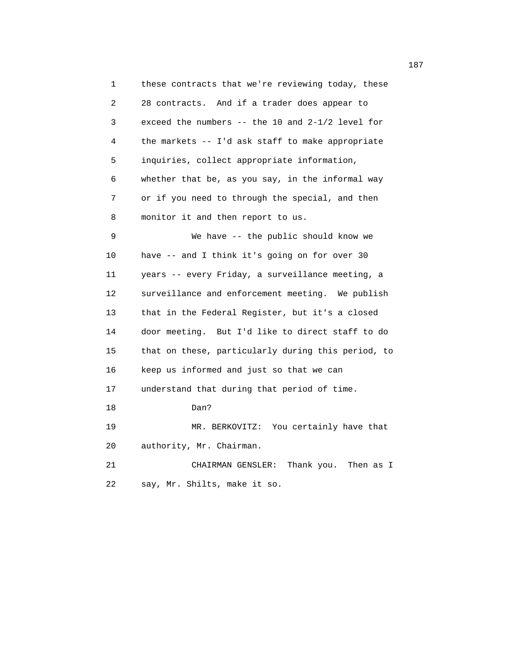1 these contracts that we're reviewing today, these 2 28 contracts. And if a trader does appear to 3 exceed the numbers -- the 10 and 2-1/2 level for 4 the markets -- I'd ask staff to make appropriate 5 inquiries, collect appropriate information, 6 whether that be, as you say, in the informal way 7 or if you need to through the special, and then 8 monitor it and then report to us. 9 We have -- the public should know we 10 have -- and I think it's going on for over 30 11 years -- every Friday, a surveillance meeting, a 12 surveillance and enforcement meeting. We publish 13 that in the Federal Register, but it's a closed 14 door meeting. But I'd like to direct staff to do 15 that on these, particularly during this period, to 16 keep us informed and just so that we can 17 understand that during that period of time. 18 Dan? 19 MR. BERKOVITZ: You certainly have that 20 authority, Mr. Chairman. 21 CHAIRMAN GENSLER: Thank you. Then as I 22 say, Mr. Shilts, make it so.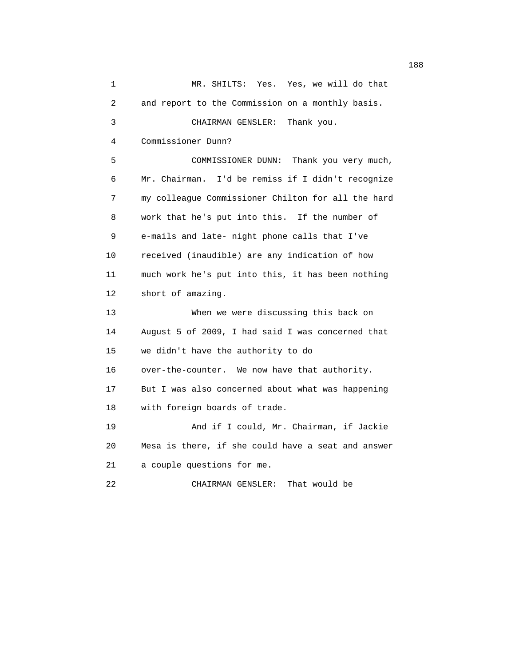1 MR. SHILTS: Yes. Yes, we will do that 2 and report to the Commission on a monthly basis. 3 CHAIRMAN GENSLER: Thank you. 4 Commissioner Dunn? 5 COMMISSIONER DUNN: Thank you very much, 6 Mr. Chairman. I'd be remiss if I didn't recognize 7 my colleague Commissioner Chilton for all the hard 8 work that he's put into this. If the number of 9 e-mails and late- night phone calls that I've 10 received (inaudible) are any indication of how 11 much work he's put into this, it has been nothing 12 short of amazing. 13 When we were discussing this back on 14 August 5 of 2009, I had said I was concerned that 15 we didn't have the authority to do 16 over-the-counter. We now have that authority. 17 But I was also concerned about what was happening 18 with foreign boards of trade. 19 And if I could, Mr. Chairman, if Jackie 20 Mesa is there, if she could have a seat and answer 21 a couple questions for me. 22 CHAIRMAN GENSLER: That would be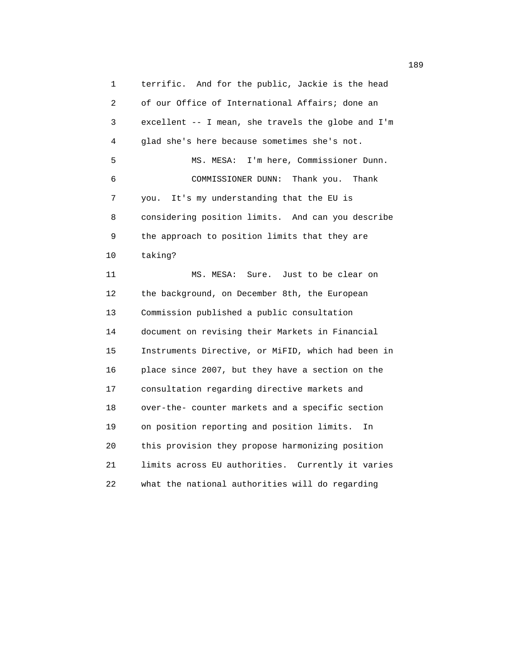1 terrific. And for the public, Jackie is the head 2 of our Office of International Affairs; done an 3 excellent -- I mean, she travels the globe and I'm 4 glad she's here because sometimes she's not. 5 MS. MESA: I'm here, Commissioner Dunn. 6 COMMISSIONER DUNN: Thank you. Thank 7 you. It's my understanding that the EU is 8 considering position limits. And can you describe 9 the approach to position limits that they are 10 taking? 11 MS. MESA: Sure. Just to be clear on

 12 the background, on December 8th, the European 13 Commission published a public consultation 14 document on revising their Markets in Financial 15 Instruments Directive, or MiFID, which had been in 16 place since 2007, but they have a section on the 17 consultation regarding directive markets and 18 over-the- counter markets and a specific section 19 on position reporting and position limits. In 20 this provision they propose harmonizing position 21 limits across EU authorities. Currently it varies 22 what the national authorities will do regarding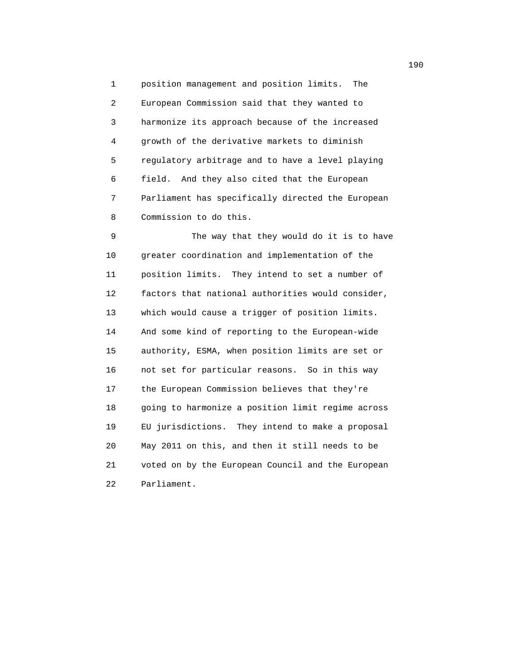1 position management and position limits. The 2 European Commission said that they wanted to 3 harmonize its approach because of the increased 4 growth of the derivative markets to diminish 5 regulatory arbitrage and to have a level playing 6 field. And they also cited that the European 7 Parliament has specifically directed the European 8 Commission to do this.

 9 The way that they would do it is to have 10 greater coordination and implementation of the 11 position limits. They intend to set a number of 12 factors that national authorities would consider, 13 which would cause a trigger of position limits. 14 And some kind of reporting to the European-wide 15 authority, ESMA, when position limits are set or 16 not set for particular reasons. So in this way 17 the European Commission believes that they're 18 going to harmonize a position limit regime across 19 EU jurisdictions. They intend to make a proposal 20 May 2011 on this, and then it still needs to be 21 voted on by the European Council and the European 22 Parliament.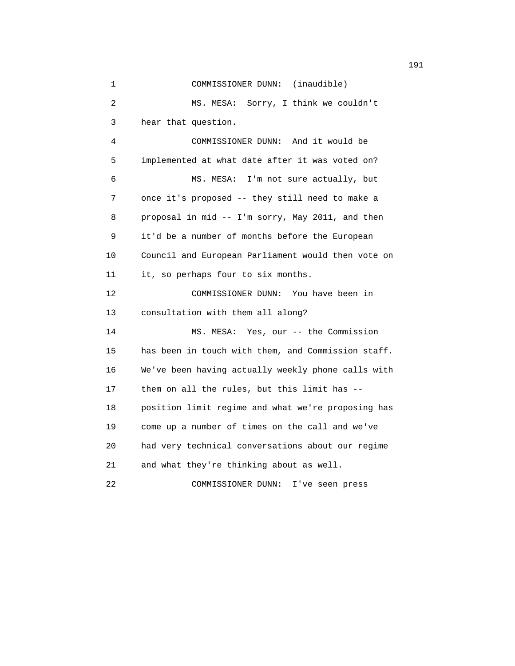1 COMMISSIONER DUNN: (inaudible) 2 MS. MESA: Sorry, I think we couldn't 3 hear that question. 4 COMMISSIONER DUNN: And it would be 5 implemented at what date after it was voted on? 6 MS. MESA: I'm not sure actually, but 7 once it's proposed -- they still need to make a 8 proposal in mid -- I'm sorry, May 2011, and then 9 it'd be a number of months before the European 10 Council and European Parliament would then vote on 11 it, so perhaps four to six months. 12 COMMISSIONER DUNN: You have been in 13 consultation with them all along? 14 MS. MESA: Yes, our -- the Commission 15 has been in touch with them, and Commission staff. 16 We've been having actually weekly phone calls with 17 them on all the rules, but this limit has -- 18 position limit regime and what we're proposing has 19 come up a number of times on the call and we've 20 had very technical conversations about our regime 21 and what they're thinking about as well. 22 COMMISSIONER DUNN: I've seen press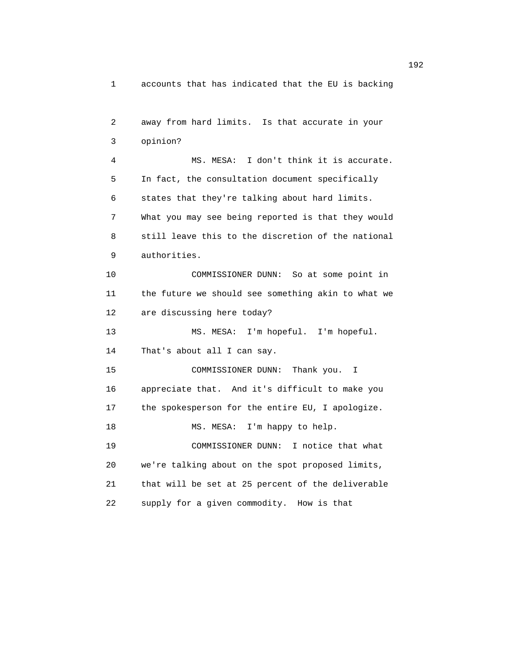1 accounts that has indicated that the EU is backing

```
 2 away from hard limits. Is that accurate in your
3 opinion?
 4 MS. MESA: I don't think it is accurate.
5 In fact, the consultation document specifically
6 states that they're talking about hard limits.
7 What you may see being reported is that they would
8 still leave this to the discretion of the national
9 authorities.
10 COMMISSIONER DUNN: So at some point in
11 the future we should see something akin to what we
12 are discussing here today?
13 MS. MESA: I'm hopeful. I'm hopeful.
14 That's about all I can say.
15 COMMISSIONER DUNN: Thank you. I
16 appreciate that. And it's difficult to make you
17 the spokesperson for the entire EU, I apologize.
18 MS. MESA: I'm happy to help.
19 COMMISSIONER DUNN: I notice that what
20 we're talking about on the spot proposed limits,
21 that will be set at 25 percent of the deliverable
22 supply for a given commodity. How is that
```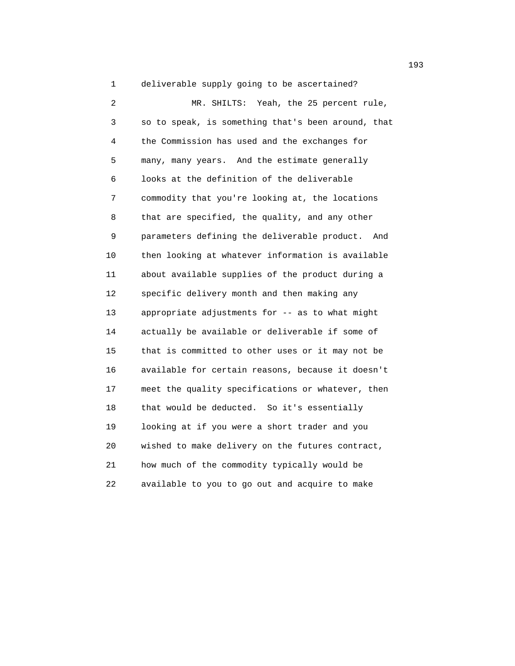1 deliverable supply going to be ascertained? 2 MR. SHILTS: Yeah, the 25 percent rule, 3 so to speak, is something that's been around, that 4 the Commission has used and the exchanges for 5 many, many years. And the estimate generally 6 looks at the definition of the deliverable 7 commodity that you're looking at, the locations 8 that are specified, the quality, and any other 9 parameters defining the deliverable product. And 10 then looking at whatever information is available 11 about available supplies of the product during a 12 specific delivery month and then making any 13 appropriate adjustments for -- as to what might 14 actually be available or deliverable if some of 15 that is committed to other uses or it may not be 16 available for certain reasons, because it doesn't 17 meet the quality specifications or whatever, then 18 that would be deducted. So it's essentially 19 looking at if you were a short trader and you 20 wished to make delivery on the futures contract, 21 how much of the commodity typically would be 22 available to you to go out and acquire to make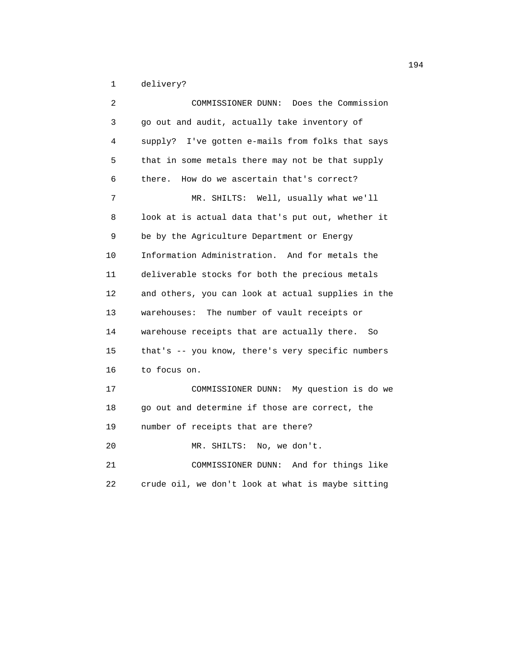1 delivery?

| 2  | Does the Commission<br>COMMISSIONER DUNN:          |
|----|----------------------------------------------------|
| 3  | go out and audit, actually take inventory of       |
| 4  | supply? I've gotten e-mails from folks that says   |
| 5  | that in some metals there may not be that supply   |
| 6  | How do we ascertain that's correct?<br>there.      |
| 7  | MR. SHILTS: Well, usually what we'll               |
| 8  | look at is actual data that's put out, whether it  |
| 9  | be by the Agriculture Department or Energy         |
| 10 | Information Administration. And for metals the     |
| 11 | deliverable stocks for both the precious metals    |
| 12 | and others, you can look at actual supplies in the |
| 13 | warehouses: The number of vault receipts or        |
| 14 | warehouse receipts that are actually there.<br>So  |
| 15 | that's -- you know, there's very specific numbers  |
| 16 | to focus on.                                       |
| 17 | COMMISSIONER DUNN: My question is do we            |
| 18 | go out and determine if those are correct, the     |
| 19 | number of receipts that are there?                 |
| 20 | MR. SHILTS:<br>No, we don't.                       |
| 21 | COMMISSIONER DUNN: And for things like             |
| 22 | crude oil, we don't look at what is maybe sitting  |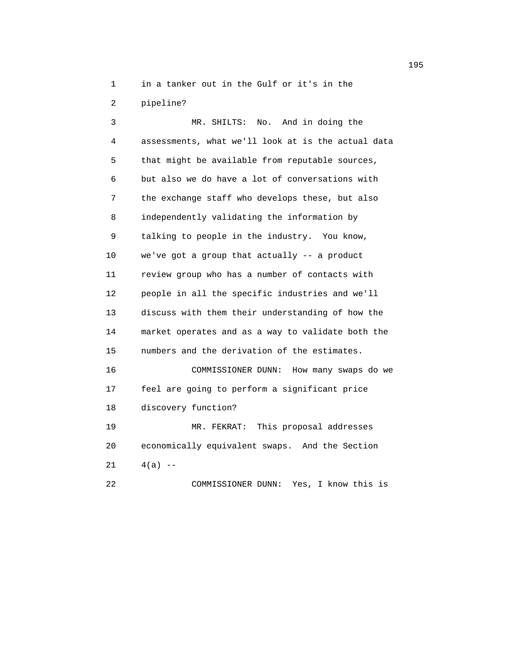1 in a tanker out in the Gulf or it's in the

2 pipeline?

 3 MR. SHILTS: No. And in doing the 4 assessments, what we'll look at is the actual data 5 that might be available from reputable sources, 6 but also we do have a lot of conversations with 7 the exchange staff who develops these, but also 8 independently validating the information by 9 talking to people in the industry. You know, 10 we've got a group that actually -- a product 11 review group who has a number of contacts with 12 people in all the specific industries and we'll 13 discuss with them their understanding of how the 14 market operates and as a way to validate both the 15 numbers and the derivation of the estimates. 16 COMMISSIONER DUNN: How many swaps do we 17 feel are going to perform a significant price 18 discovery function? 19 MR. FEKRAT: This proposal addresses 20 economically equivalent swaps. And the Section 21  $4(a)$  --

22 COMMISSIONER DUNN: Yes, I know this is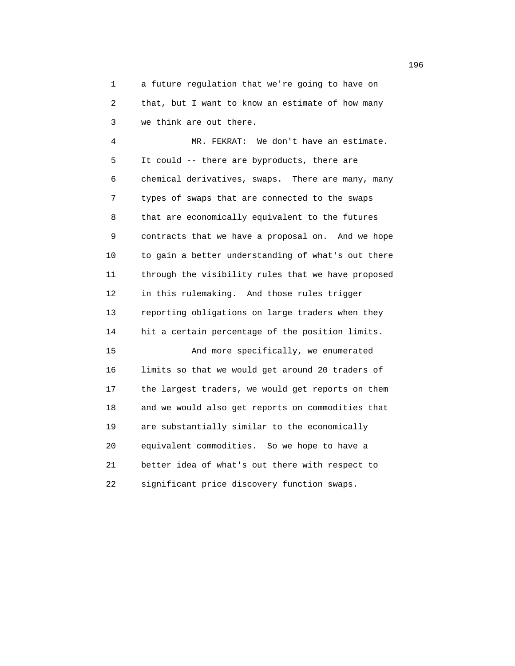1 a future regulation that we're going to have on 2 that, but I want to know an estimate of how many 3 we think are out there.

 4 MR. FEKRAT: We don't have an estimate. 5 It could -- there are byproducts, there are 6 chemical derivatives, swaps. There are many, many 7 types of swaps that are connected to the swaps 8 that are economically equivalent to the futures 9 contracts that we have a proposal on. And we hope 10 to gain a better understanding of what's out there 11 through the visibility rules that we have proposed 12 in this rulemaking. And those rules trigger 13 reporting obligations on large traders when they 14 hit a certain percentage of the position limits. 15 And more specifically, we enumerated 16 limits so that we would get around 20 traders of 17 the largest traders, we would get reports on them 18 and we would also get reports on commodities that 19 are substantially similar to the economically 20 equivalent commodities. So we hope to have a 21 better idea of what's out there with respect to 22 significant price discovery function swaps.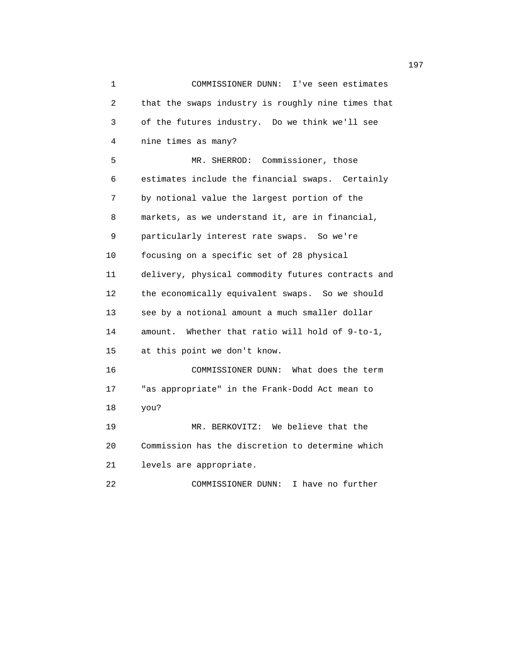1 COMMISSIONER DUNN: I've seen estimates 2 that the swaps industry is roughly nine times that 3 of the futures industry. Do we think we'll see 4 nine times as many? 5 MR. SHERROD: Commissioner, those 6 estimates include the financial swaps. Certainly 7 by notional value the largest portion of the 8 markets, as we understand it, are in financial, 9 particularly interest rate swaps. So we're 10 focusing on a specific set of 28 physical 11 delivery, physical commodity futures contracts and 12 the economically equivalent swaps. So we should 13 see by a notional amount a much smaller dollar 14 amount. Whether that ratio will hold of 9-to-1, 15 at this point we don't know. 16 COMMISSIONER DUNN: What does the term 17 "as appropriate" in the Frank-Dodd Act mean to 18 you? 19 MR. BERKOVITZ: We believe that the 20 Commission has the discretion to determine which 21 levels are appropriate. 22 COMMISSIONER DUNN: I have no further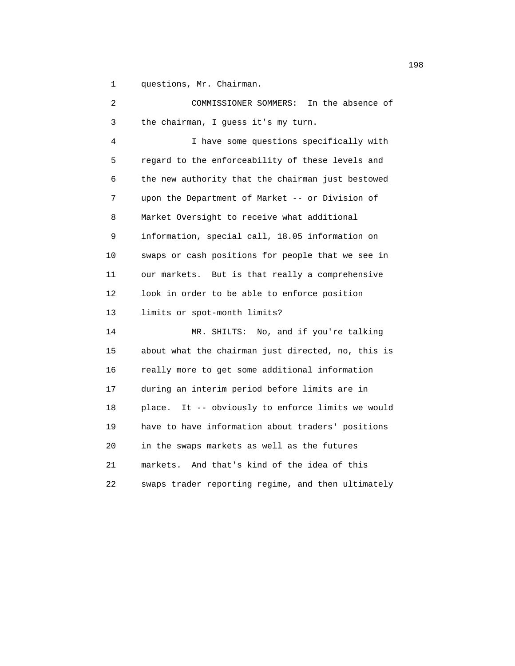1 questions, Mr. Chairman.

| 2  | In the absence of<br>COMMISSIONER SOMMERS:           |
|----|------------------------------------------------------|
| 3  | the chairman, I guess it's my turn.                  |
| 4  | I have some questions specifically with              |
| 5  | regard to the enforceability of these levels and     |
| 6  | the new authority that the chairman just bestowed    |
| 7  | upon the Department of Market -- or Division of      |
| 8  | Market Oversight to receive what additional          |
| 9  | information, special call, 18.05 information on      |
| 10 | swaps or cash positions for people that we see in    |
| 11 | our markets. But is that really a comprehensive      |
| 12 | look in order to be able to enforce position         |
| 13 | limits or spot-month limits?                         |
| 14 | No, and if you're talking<br>MR. SHILTS:             |
| 15 | about what the chairman just directed, no, this is   |
| 16 | really more to get some additional information       |
| 17 | during an interim period before limits are in        |
| 18 | It -- obviously to enforce limits we would<br>place. |
| 19 | have to have information about traders' positions    |
| 20 | in the swaps markets as well as the futures          |
| 21 | markets. And that's kind of the idea of this         |
| 22 | swaps trader reporting regime, and then ultimately   |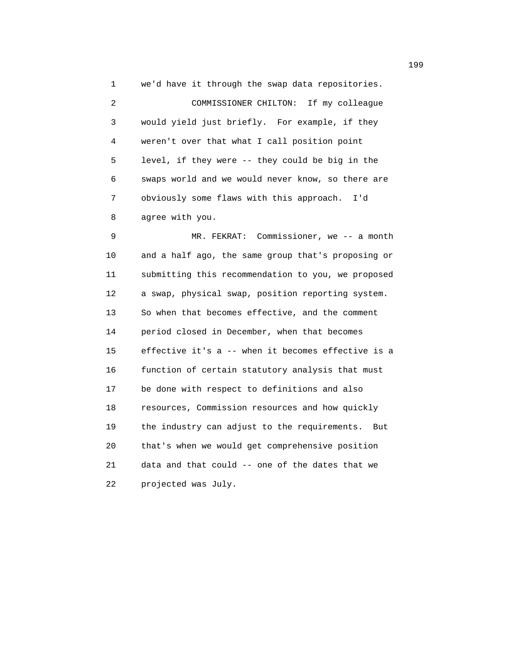1 we'd have it through the swap data repositories. 2 COMMISSIONER CHILTON: If my colleague 3 would yield just briefly. For example, if they 4 weren't over that what I call position point 5 level, if they were -- they could be big in the 6 swaps world and we would never know, so there are 7 obviously some flaws with this approach. I'd 8 agree with you.

9 MR. FEKRAT: Commissioner, we -- a month 10 and a half ago, the same group that's proposing or 11 submitting this recommendation to you, we proposed 12 a swap, physical swap, position reporting system. 13 So when that becomes effective, and the comment 14 period closed in December, when that becomes 15 effective it's a -- when it becomes effective is a 16 function of certain statutory analysis that must 17 be done with respect to definitions and also 18 resources, Commission resources and how quickly 19 the industry can adjust to the requirements. But 20 that's when we would get comprehensive position 21 data and that could -- one of the dates that we 22 projected was July.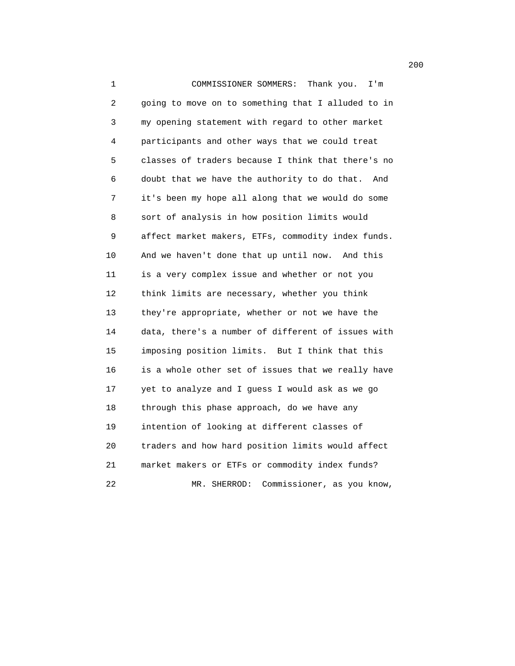1 COMMISSIONER SOMMERS: Thank you. I'm 2 going to move on to something that I alluded to in 3 my opening statement with regard to other market 4 participants and other ways that we could treat 5 classes of traders because I think that there's no 6 doubt that we have the authority to do that. And 7 it's been my hope all along that we would do some 8 sort of analysis in how position limits would 9 affect market makers, ETFs, commodity index funds. 10 And we haven't done that up until now. And this 11 is a very complex issue and whether or not you 12 think limits are necessary, whether you think 13 they're appropriate, whether or not we have the 14 data, there's a number of different of issues with 15 imposing position limits. But I think that this 16 is a whole other set of issues that we really have 17 yet to analyze and I guess I would ask as we go 18 through this phase approach, do we have any 19 intention of looking at different classes of 20 traders and how hard position limits would affect 21 market makers or ETFs or commodity index funds? 22 MR. SHERROD: Commissioner, as you know,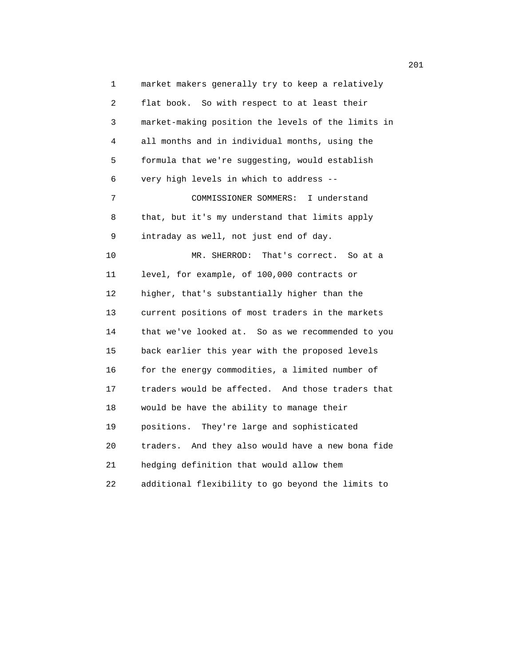1 market makers generally try to keep a relatively 2 flat book. So with respect to at least their 3 market-making position the levels of the limits in 4 all months and in individual months, using the 5 formula that we're suggesting, would establish 6 very high levels in which to address -- 7 COMMISSIONER SOMMERS: I understand 8 that, but it's my understand that limits apply 9 intraday as well, not just end of day. 10 MR. SHERROD: That's correct. So at a 11 level, for example, of 100,000 contracts or 12 higher, that's substantially higher than the 13 current positions of most traders in the markets 14 that we've looked at. So as we recommended to you 15 back earlier this year with the proposed levels 16 for the energy commodities, a limited number of 17 traders would be affected. And those traders that 18 would be have the ability to manage their 19 positions. They're large and sophisticated 20 traders. And they also would have a new bona fide 21 hedging definition that would allow them 22 additional flexibility to go beyond the limits to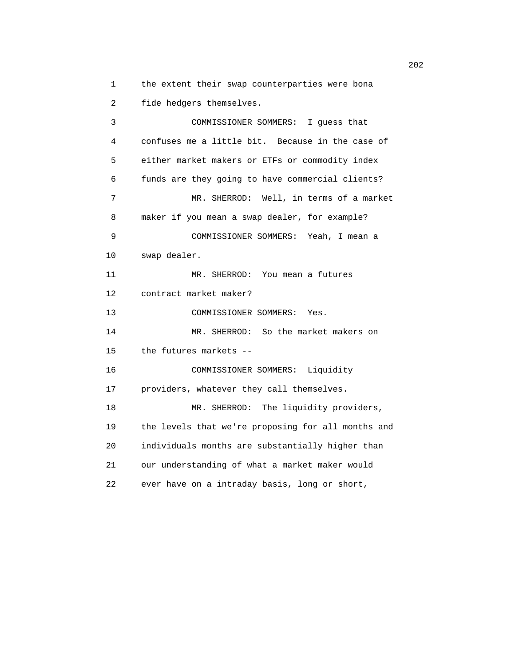1 the extent their swap counterparties were bona 2 fide hedgers themselves.

 3 COMMISSIONER SOMMERS: I guess that 4 confuses me a little bit. Because in the case of 5 either market makers or ETFs or commodity index 6 funds are they going to have commercial clients? 7 MR. SHERROD: Well, in terms of a market 8 maker if you mean a swap dealer, for example? 9 COMMISSIONER SOMMERS: Yeah, I mean a 10 swap dealer. 11 MR. SHERROD: You mean a futures 12 contract market maker? 13 COMMISSIONER SOMMERS: Yes. 14 MR. SHERROD: So the market makers on 15 the futures markets -- 16 COMMISSIONER SOMMERS: Liquidity 17 providers, whatever they call themselves. 18 MR. SHERROD: The liquidity providers, 19 the levels that we're proposing for all months and 20 individuals months are substantially higher than 21 our understanding of what a market maker would 22 ever have on a intraday basis, long or short,

202<sup>2</sup>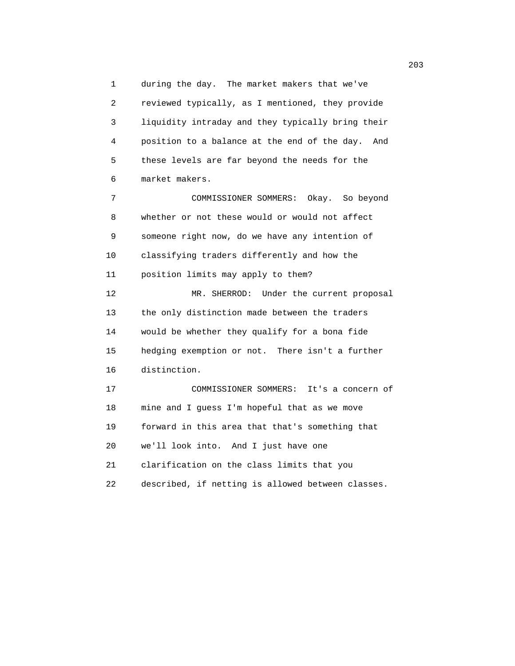1 during the day. The market makers that we've 2 reviewed typically, as I mentioned, they provide 3 liquidity intraday and they typically bring their 4 position to a balance at the end of the day. And 5 these levels are far beyond the needs for the 6 market makers.

 7 COMMISSIONER SOMMERS: Okay. So beyond 8 whether or not these would or would not affect 9 someone right now, do we have any intention of 10 classifying traders differently and how the 11 position limits may apply to them? 12 MR. SHERROD: Under the current proposal 13 the only distinction made between the traders 14 would be whether they qualify for a bona fide 15 hedging exemption or not. There isn't a further 16 distinction. 17 COMMISSIONER SOMMERS: It's a concern of

 18 mine and I guess I'm hopeful that as we move 19 forward in this area that that's something that 20 we'll look into. And I just have one 21 clarification on the class limits that you 22 described, if netting is allowed between classes.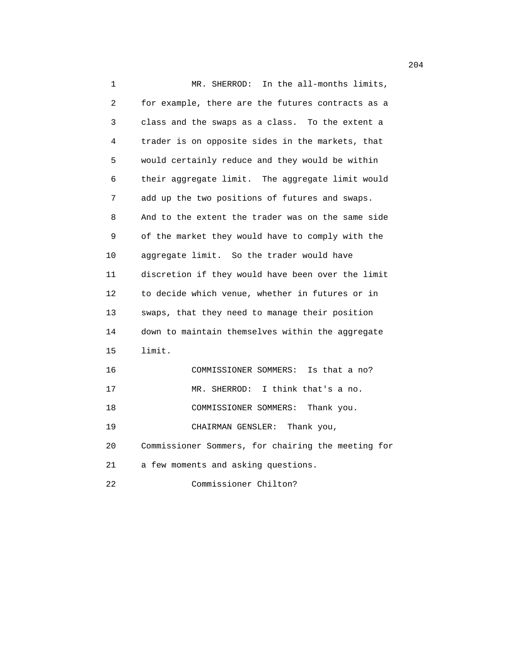1 MR. SHERROD: In the all-months limits, 2 for example, there are the futures contracts as a 3 class and the swaps as a class. To the extent a 4 trader is on opposite sides in the markets, that 5 would certainly reduce and they would be within 6 their aggregate limit. The aggregate limit would 7 add up the two positions of futures and swaps. 8 And to the extent the trader was on the same side 9 of the market they would have to comply with the 10 aggregate limit. So the trader would have 11 discretion if they would have been over the limit 12 to decide which venue, whether in futures or in 13 swaps, that they need to manage their position 14 down to maintain themselves within the aggregate 15 limit. 16 COMMISSIONER SOMMERS: Is that a no? 17 MR. SHERROD: I think that's a no. 18 COMMISSIONER SOMMERS: Thank you. 19 CHAIRMAN GENSLER: Thank you, 20 Commissioner Sommers, for chairing the meeting for 21 a few moments and asking questions. 22 Commissioner Chilton?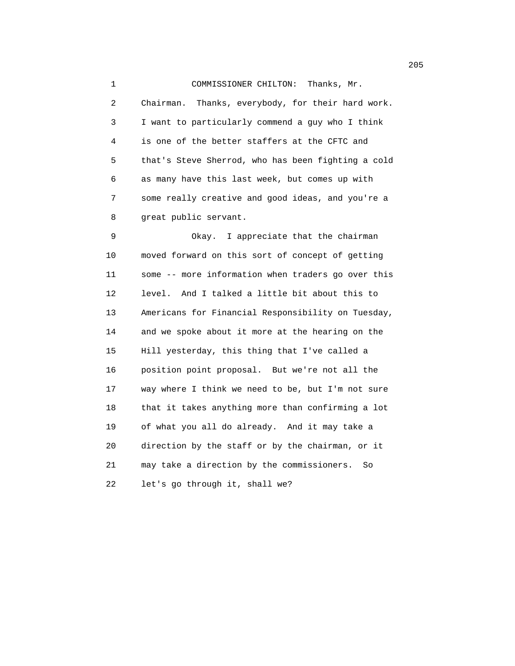1 COMMISSIONER CHILTON: Thanks, Mr. 2 Chairman. Thanks, everybody, for their hard work. 3 I want to particularly commend a guy who I think 4 is one of the better staffers at the CFTC and 5 that's Steve Sherrod, who has been fighting a cold 6 as many have this last week, but comes up with 7 some really creative and good ideas, and you're a 8 great public servant.

 9 Okay. I appreciate that the chairman 10 moved forward on this sort of concept of getting 11 some -- more information when traders go over this 12 level. And I talked a little bit about this to 13 Americans for Financial Responsibility on Tuesday, 14 and we spoke about it more at the hearing on the 15 Hill yesterday, this thing that I've called a 16 position point proposal. But we're not all the 17 way where I think we need to be, but I'm not sure 18 that it takes anything more than confirming a lot 19 of what you all do already. And it may take a 20 direction by the staff or by the chairman, or it 21 may take a direction by the commissioners. So 22 let's go through it, shall we?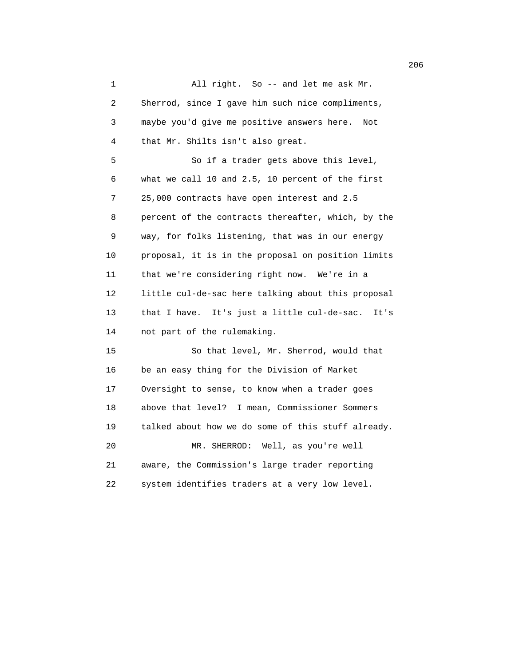1 All right. So -- and let me ask Mr. 2 Sherrod, since I gave him such nice compliments, 3 maybe you'd give me positive answers here. Not 4 that Mr. Shilts isn't also great. 5 So if a trader gets above this level, 6 what we call 10 and 2.5, 10 percent of the first 7 25,000 contracts have open interest and 2.5 8 percent of the contracts thereafter, which, by the 9 way, for folks listening, that was in our energy 10 proposal, it is in the proposal on position limits 11 that we're considering right now. We're in a 12 little cul-de-sac here talking about this proposal 13 that I have. It's just a little cul-de-sac. It's 14 not part of the rulemaking. 15 So that level, Mr. Sherrod, would that 16 be an easy thing for the Division of Market 17 Oversight to sense, to know when a trader goes 18 above that level? I mean, Commissioner Sommers 19 talked about how we do some of this stuff already. 20 MR. SHERROD: Well, as you're well 21 aware, the Commission's large trader reporting 22 system identifies traders at a very low level.

<u>206</u> 206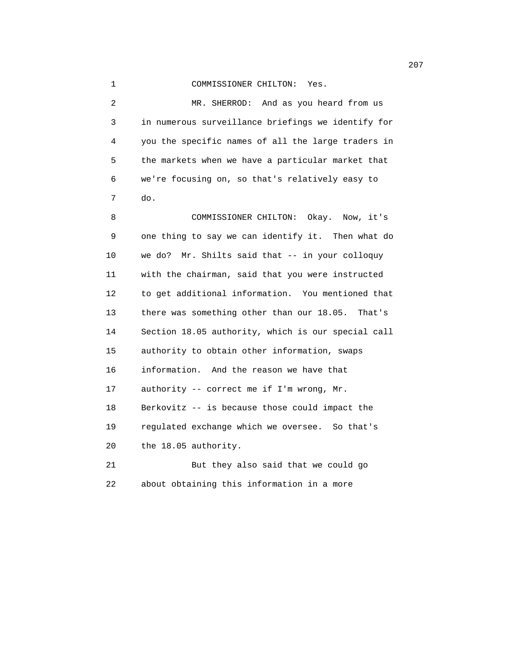## 1 COMMISSIONER CHILTON: Yes.

 2 MR. SHERROD: And as you heard from us 3 in numerous surveillance briefings we identify for 4 you the specific names of all the large traders in 5 the markets when we have a particular market that 6 we're focusing on, so that's relatively easy to 7 do.

 8 COMMISSIONER CHILTON: Okay. Now, it's 9 one thing to say we can identify it. Then what do 10 we do? Mr. Shilts said that -- in your colloquy 11 with the chairman, said that you were instructed 12 to get additional information. You mentioned that 13 there was something other than our 18.05. That's 14 Section 18.05 authority, which is our special call 15 authority to obtain other information, swaps 16 information. And the reason we have that 17 authority -- correct me if I'm wrong, Mr. 18 Berkovitz -- is because those could impact the 19 regulated exchange which we oversee. So that's 20 the 18.05 authority. 21 But they also said that we could go

22 about obtaining this information in a more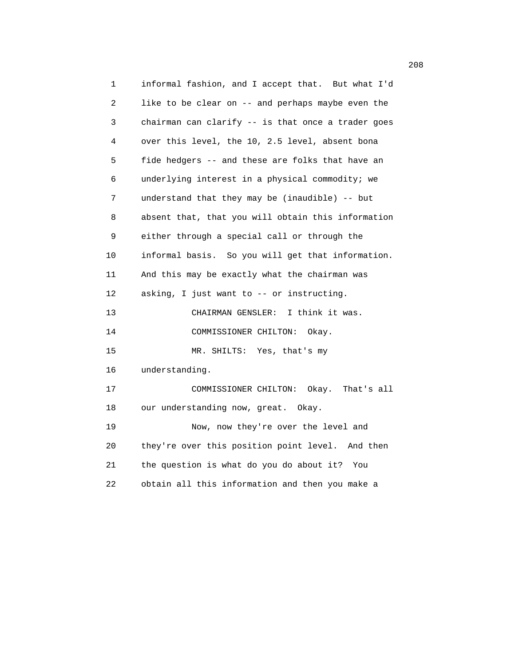1 informal fashion, and I accept that. But what I'd 2 like to be clear on -- and perhaps maybe even the 3 chairman can clarify -- is that once a trader goes 4 over this level, the 10, 2.5 level, absent bona 5 fide hedgers -- and these are folks that have an 6 underlying interest in a physical commodity; we 7 understand that they may be (inaudible) -- but 8 absent that, that you will obtain this information 9 either through a special call or through the 10 informal basis. So you will get that information. 11 And this may be exactly what the chairman was 12 asking, I just want to -- or instructing. 13 CHAIRMAN GENSLER: I think it was. 14 COMMISSIONER CHILTON: Okay. 15 MR. SHILTS: Yes, that's my 16 understanding. 17 COMMISSIONER CHILTON: Okay. That's all 18 our understanding now, great. Okay. 19 Now, now they're over the level and 20 they're over this position point level. And then 21 the question is what do you do about it? You 22 obtain all this information and then you make a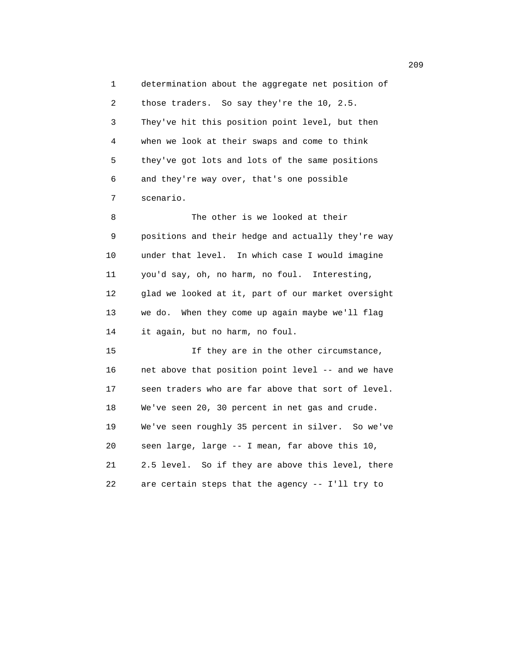1 determination about the aggregate net position of 2 those traders. So say they're the 10, 2.5. 3 They've hit this position point level, but then 4 when we look at their swaps and come to think 5 they've got lots and lots of the same positions 6 and they're way over, that's one possible 7 scenario. 8 The other is we looked at their 9 positions and their hedge and actually they're way 10 under that level. In which case I would imagine 11 you'd say, oh, no harm, no foul. Interesting, 12 glad we looked at it, part of our market oversight 13 we do. When they come up again maybe we'll flag 14 it again, but no harm, no foul. 15 If they are in the other circumstance, 16 net above that position point level -- and we have 17 seen traders who are far above that sort of level. 18 We've seen 20, 30 percent in net gas and crude. 19 We've seen roughly 35 percent in silver. So we've 20 seen large, large -- I mean, far above this 10,

 21 2.5 level. So if they are above this level, there 22 are certain steps that the agency -- I'll try to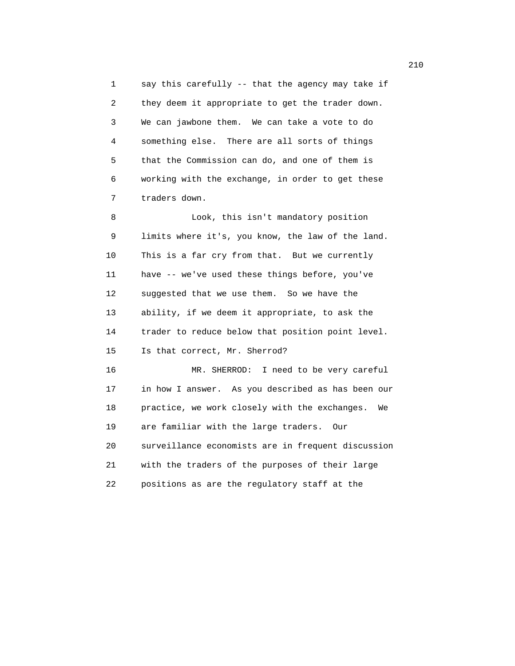1 say this carefully -- that the agency may take if 2 they deem it appropriate to get the trader down. 3 We can jawbone them. We can take a vote to do 4 something else. There are all sorts of things 5 that the Commission can do, and one of them is 6 working with the exchange, in order to get these 7 traders down.

 8 Look, this isn't mandatory position 9 limits where it's, you know, the law of the land. 10 This is a far cry from that. But we currently 11 have -- we've used these things before, you've 12 suggested that we use them. So we have the 13 ability, if we deem it appropriate, to ask the 14 trader to reduce below that position point level. 15 Is that correct, Mr. Sherrod?

 16 MR. SHERROD: I need to be very careful 17 in how I answer. As you described as has been our 18 practice, we work closely with the exchanges. We 19 are familiar with the large traders. Our 20 surveillance economists are in frequent discussion 21 with the traders of the purposes of their large 22 positions as are the regulatory staff at the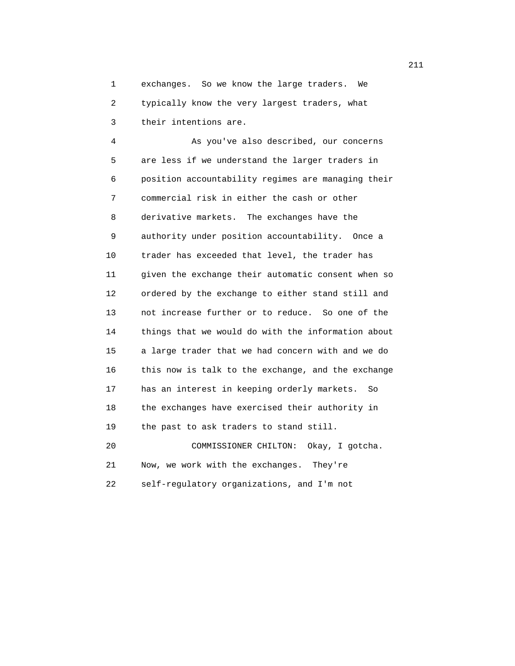1 exchanges. So we know the large traders. We 2 typically know the very largest traders, what 3 their intentions are.

 4 As you've also described, our concerns 5 are less if we understand the larger traders in 6 position accountability regimes are managing their 7 commercial risk in either the cash or other 8 derivative markets. The exchanges have the 9 authority under position accountability. Once a 10 trader has exceeded that level, the trader has 11 given the exchange their automatic consent when so 12 ordered by the exchange to either stand still and 13 not increase further or to reduce. So one of the 14 things that we would do with the information about 15 a large trader that we had concern with and we do 16 this now is talk to the exchange, and the exchange 17 has an interest in keeping orderly markets. So 18 the exchanges have exercised their authority in 19 the past to ask traders to stand still. 20 COMMISSIONER CHILTON: Okay, I gotcha.

 21 Now, we work with the exchanges. They're 22 self-regulatory organizations, and I'm not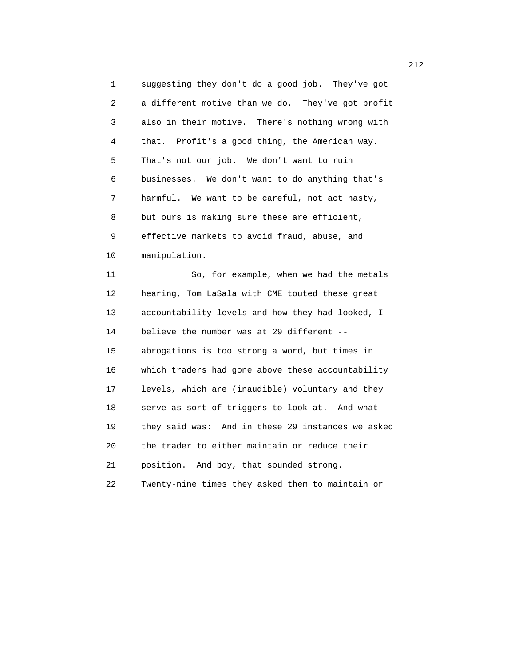1 suggesting they don't do a good job. They've got 2 a different motive than we do. They've got profit 3 also in their motive. There's nothing wrong with 4 that. Profit's a good thing, the American way. 5 That's not our job. We don't want to ruin 6 businesses. We don't want to do anything that's 7 harmful. We want to be careful, not act hasty, 8 but ours is making sure these are efficient, 9 effective markets to avoid fraud, abuse, and 10 manipulation.

 11 So, for example, when we had the metals 12 hearing, Tom LaSala with CME touted these great 13 accountability levels and how they had looked, I 14 believe the number was at 29 different -- 15 abrogations is too strong a word, but times in 16 which traders had gone above these accountability 17 levels, which are (inaudible) voluntary and they 18 serve as sort of triggers to look at. And what 19 they said was: And in these 29 instances we asked 20 the trader to either maintain or reduce their 21 position. And boy, that sounded strong. 22 Twenty-nine times they asked them to maintain or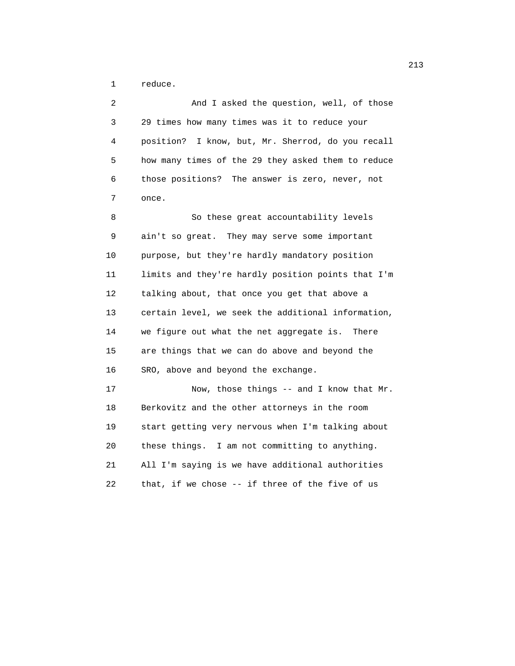1 reduce.

| 2  | And I asked the question, well, of those           |
|----|----------------------------------------------------|
| 3  | 29 times how many times was it to reduce your      |
| 4  | position? I know, but, Mr. Sherrod, do you recall  |
| 5  | how many times of the 29 they asked them to reduce |
| 6  | those positions? The answer is zero, never, not    |
| 7  | once.                                              |
| 8  | So these great accountability levels               |
| 9  | ain't so great. They may serve some important      |
| 10 | purpose, but they're hardly mandatory position     |
| 11 | limits and they're hardly position points that I'm |
| 12 | talking about, that once you get that above a      |
| 13 | certain level, we seek the additional information, |
| 14 | we figure out what the net aggregate is. There     |
| 15 | are things that we can do above and beyond the     |
| 16 | SRO, above and beyond the exchange.                |
| 17 | Now, those things -- and I know that Mr.           |
| 18 | Berkovitz and the other attorneys in the room      |
| 19 | start getting very nervous when I'm talking about  |
| 20 | these things. I am not committing to anything.     |
| 21 | All I'm saying is we have additional authorities   |
| 22 | that, if we chose -- if three of the five of us    |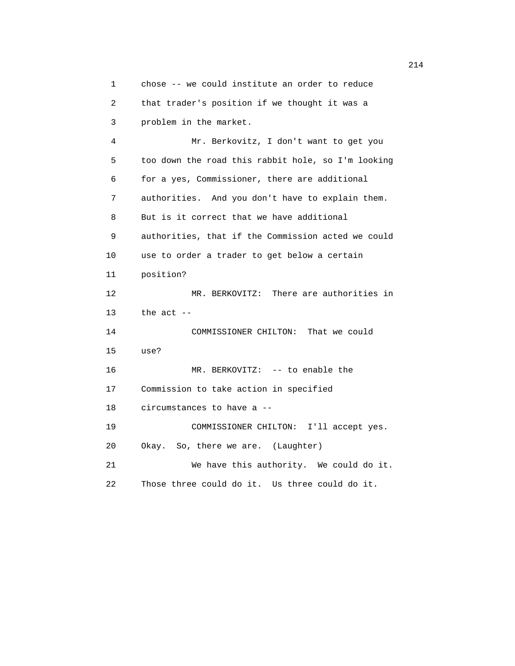1 chose -- we could institute an order to reduce 2 that trader's position if we thought it was a 3 problem in the market. 4 Mr. Berkovitz, I don't want to get you 5 too down the road this rabbit hole, so I'm looking 6 for a yes, Commissioner, there are additional 7 authorities. And you don't have to explain them. 8 But is it correct that we have additional 9 authorities, that if the Commission acted we could 10 use to order a trader to get below a certain 11 position? 12 MR. BERKOVITZ: There are authorities in 13 the act -- 14 COMMISSIONER CHILTON: That we could 15 use? 16 MR. BERKOVITZ: -- to enable the 17 Commission to take action in specified 18 circumstances to have a -- 19 COMMISSIONER CHILTON: I'll accept yes. 20 Okay. So, there we are. (Laughter) 21 We have this authority. We could do it. 22 Those three could do it. Us three could do it.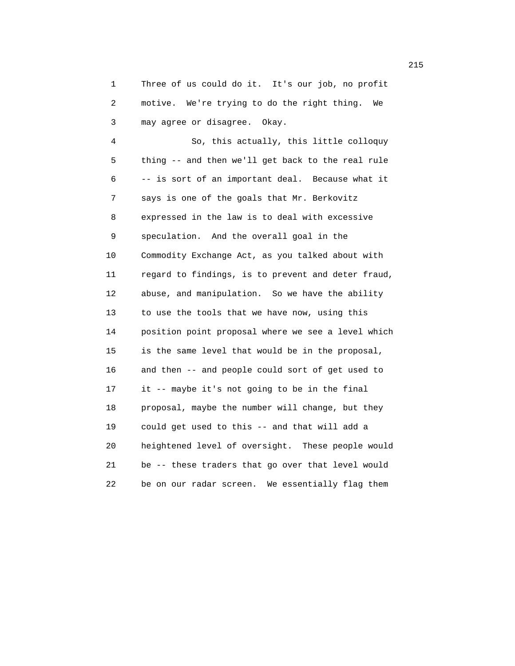1 Three of us could do it. It's our job, no profit 2 motive. We're trying to do the right thing. We 3 may agree or disagree. Okay.

 4 So, this actually, this little colloquy 5 thing -- and then we'll get back to the real rule 6 -- is sort of an important deal. Because what it 7 says is one of the goals that Mr. Berkovitz 8 expressed in the law is to deal with excessive 9 speculation. And the overall goal in the 10 Commodity Exchange Act, as you talked about with 11 regard to findings, is to prevent and deter fraud, 12 abuse, and manipulation. So we have the ability 13 to use the tools that we have now, using this 14 position point proposal where we see a level which 15 is the same level that would be in the proposal, 16 and then -- and people could sort of get used to 17 it -- maybe it's not going to be in the final 18 proposal, maybe the number will change, but they 19 could get used to this -- and that will add a 20 heightened level of oversight. These people would 21 be -- these traders that go over that level would 22 be on our radar screen. We essentially flag them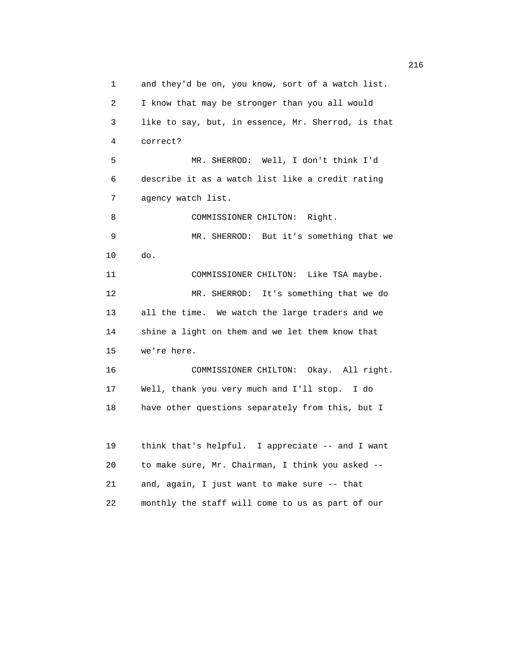1 and they'd be on, you know, sort of a watch list. 2 I know that may be stronger than you all would 3 like to say, but, in essence, Mr. Sherrod, is that 4 correct? 5 MR. SHERROD: Well, I don't think I'd 6 describe it as a watch list like a credit rating 7 agency watch list. 8 COMMISSIONER CHILTON: Right. 9 MR. SHERROD: But it's something that we 10 do. 11 COMMISSIONER CHILTON: Like TSA maybe. 12 MR. SHERROD: It's something that we do 13 all the time. We watch the large traders and we 14 shine a light on them and we let them know that 15 we're here. 16 COMMISSIONER CHILTON: Okay. All right. 17 Well, thank you very much and I'll stop. I do 18 have other questions separately from this, but I 19 think that's helpful. I appreciate -- and I want 20 to make sure, Mr. Chairman, I think you asked -- 21 and, again, I just want to make sure -- that 22 monthly the staff will come to us as part of our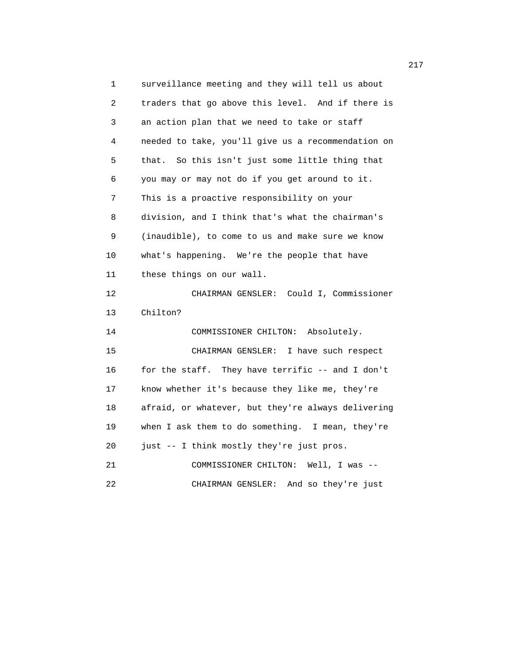1 surveillance meeting and they will tell us about 2 traders that go above this level. And if there is 3 an action plan that we need to take or staff 4 needed to take, you'll give us a recommendation on 5 that. So this isn't just some little thing that 6 you may or may not do if you get around to it. 7 This is a proactive responsibility on your 8 division, and I think that's what the chairman's 9 (inaudible), to come to us and make sure we know 10 what's happening. We're the people that have 11 these things on our wall. 12 CHAIRMAN GENSLER: Could I, Commissioner 13 Chilton? 14 COMMISSIONER CHILTON: Absolutely. 15 CHAIRMAN GENSLER: I have such respect 16 for the staff. They have terrific -- and I don't 17 know whether it's because they like me, they're 18 afraid, or whatever, but they're always delivering 19 when I ask them to do something. I mean, they're 20 just -- I think mostly they're just pros. 21 COMMISSIONER CHILTON: Well, I was -- 22 CHAIRMAN GENSLER: And so they're just

217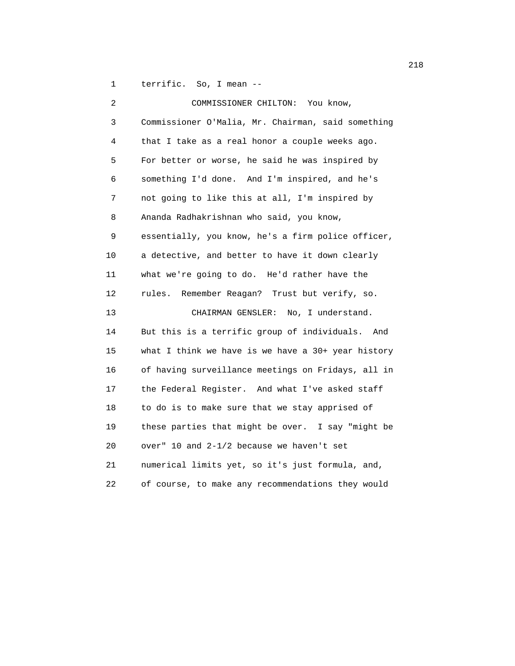1 terrific. So, I mean --

| 2  | COMMISSIONER CHILTON:<br>You know,                   |
|----|------------------------------------------------------|
| 3  | Commissioner O'Malia, Mr. Chairman, said something   |
| 4  | that I take as a real honor a couple weeks ago.      |
| 5  | For better or worse, he said he was inspired by      |
| 6  | something I'd done. And I'm inspired, and he's       |
| 7  | not going to like this at all, I'm inspired by       |
| 8  | Ananda Radhakrishnan who said, you know,             |
| 9  | essentially, you know, he's a firm police officer,   |
| 10 | a detective, and better to have it down clearly      |
| 11 | what we're going to do. He'd rather have the         |
| 12 | Remember Reagan? Trust but verify, so.<br>rules.     |
| 13 | CHAIRMAN GENSLER: No, I understand.                  |
| 14 | But this is a terrific group of individuals. And     |
| 15 | what I think we have is we have a $30+$ year history |
| 16 | of having surveillance meetings on Fridays, all in   |
| 17 | the Federal Register. And what I've asked staff      |
| 18 | to do is to make sure that we stay apprised of       |
| 19 | these parties that might be over. I say "might be    |
| 20 | over" 10 and 2-1/2 because we haven't set            |
| 21 | numerical limits yet, so it's just formula, and,     |
| 22 | of course, to make any recommendations they would    |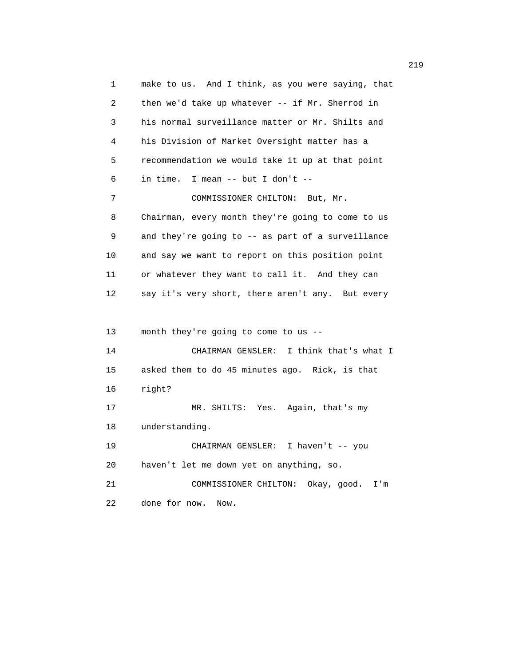1 make to us. And I think, as you were saying, that 2 then we'd take up whatever -- if Mr. Sherrod in 3 his normal surveillance matter or Mr. Shilts and 4 his Division of Market Oversight matter has a 5 recommendation we would take it up at that point 6 in time. I mean -- but I don't -- 7 COMMISSIONER CHILTON: But, Mr. 8 Chairman, every month they're going to come to us 9 and they're going to -- as part of a surveillance 10 and say we want to report on this position point 11 or whatever they want to call it. And they can 12 say it's very short, there aren't any. But every 13 month they're going to come to us -- 14 CHAIRMAN GENSLER: I think that's what I 15 asked them to do 45 minutes ago. Rick, is that 16 right? 17 MR. SHILTS: Yes. Again, that's my 18 understanding. 19 CHAIRMAN GENSLER: I haven't -- you 20 haven't let me down yet on anything, so. 21 COMMISSIONER CHILTON: Okay, good. I'm 22 done for now. Now.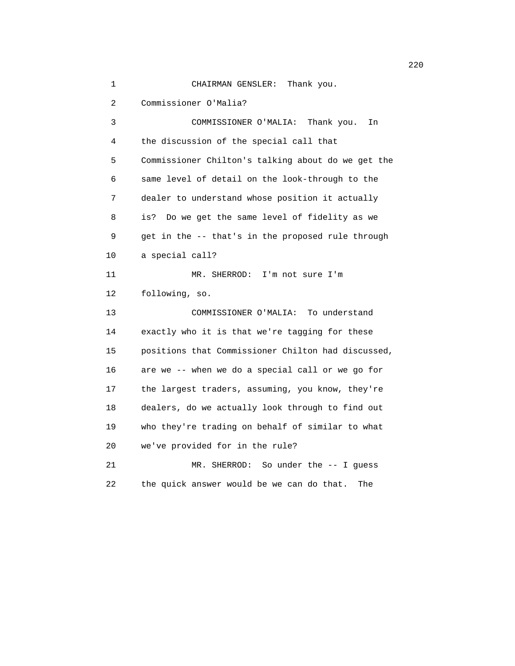1 CHAIRMAN GENSLER: Thank you. 2 Commissioner O'Malia? 3 COMMISSIONER O'MALIA: Thank you. In 4 the discussion of the special call that 5 Commissioner Chilton's talking about do we get the 6 same level of detail on the look-through to the 7 dealer to understand whose position it actually 8 is? Do we get the same level of fidelity as we 9 get in the -- that's in the proposed rule through 10 a special call? 11 MR. SHERROD: I'm not sure I'm 12 following, so. 13 COMMISSIONER O'MALIA: To understand 14 exactly who it is that we're tagging for these 15 positions that Commissioner Chilton had discussed, 16 are we -- when we do a special call or we go for 17 the largest traders, assuming, you know, they're 18 dealers, do we actually look through to find out 19 who they're trading on behalf of similar to what 20 we've provided for in the rule? 21 MR. SHERROD: So under the -- I guess 22 the quick answer would be we can do that. The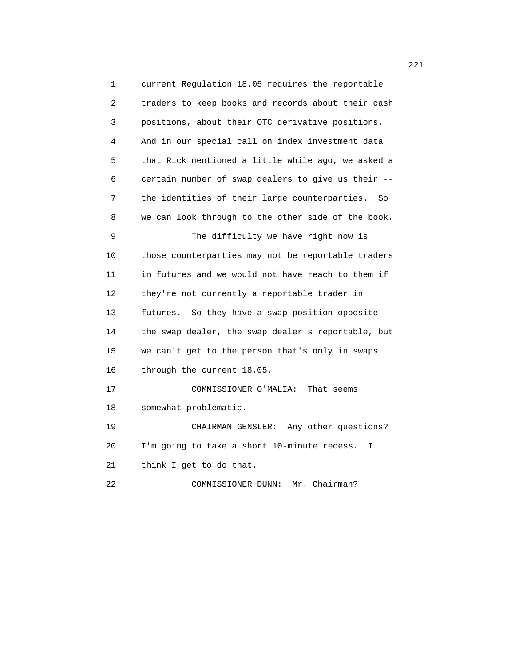1 current Regulation 18.05 requires the reportable 2 traders to keep books and records about their cash 3 positions, about their OTC derivative positions. 4 And in our special call on index investment data 5 that Rick mentioned a little while ago, we asked a 6 certain number of swap dealers to give us their -- 7 the identities of their large counterparties. So 8 we can look through to the other side of the book. 9 The difficulty we have right now is 10 those counterparties may not be reportable traders 11 in futures and we would not have reach to them if 12 they're not currently a reportable trader in 13 futures. So they have a swap position opposite 14 the swap dealer, the swap dealer's reportable, but 15 we can't get to the person that's only in swaps 16 through the current 18.05. 17 COMMISSIONER O'MALIA: That seems 18 somewhat problematic. 19 CHAIRMAN GENSLER: Any other questions? 20 I'm going to take a short 10-minute recess. I 21 think I get to do that. 22 COMMISSIONER DUNN: Mr. Chairman?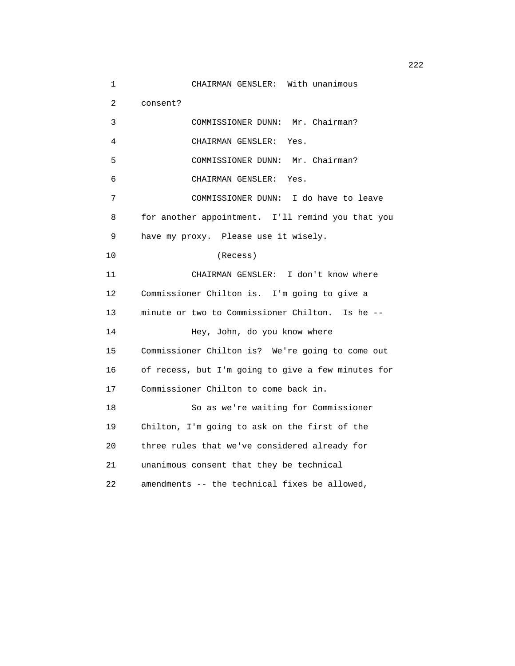1 CHAIRMAN GENSLER: With unanimous 2 consent? 3 COMMISSIONER DUNN: Mr. Chairman? 4 CHAIRMAN GENSLER: Yes. 5 COMMISSIONER DUNN: Mr. Chairman? 6 CHAIRMAN GENSLER: Yes. 7 COMMISSIONER DUNN: I do have to leave 8 for another appointment. I'll remind you that you 9 have my proxy. Please use it wisely. 10 (Recess) 11 CHAIRMAN GENSLER: I don't know where 12 Commissioner Chilton is. I'm going to give a 13 minute or two to Commissioner Chilton. Is he -- 14 Hey, John, do you know where 15 Commissioner Chilton is? We're going to come out 16 of recess, but I'm going to give a few minutes for 17 Commissioner Chilton to come back in. 18 So as we're waiting for Commissioner 19 Chilton, I'm going to ask on the first of the 20 three rules that we've considered already for 21 unanimous consent that they be technical 22 amendments -- the technical fixes be allowed,

222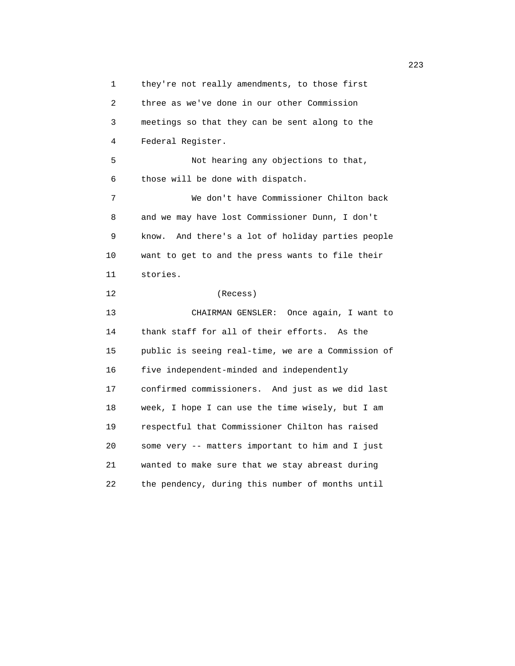1 they're not really amendments, to those first 2 three as we've done in our other Commission 3 meetings so that they can be sent along to the 4 Federal Register. 5 Not hearing any objections to that, 6 those will be done with dispatch. 7 We don't have Commissioner Chilton back 8 and we may have lost Commissioner Dunn, I don't 9 know. And there's a lot of holiday parties people 10 want to get to and the press wants to file their 11 stories. 12 (Recess) 13 CHAIRMAN GENSLER: Once again, I want to 14 thank staff for all of their efforts. As the 15 public is seeing real-time, we are a Commission of 16 five independent-minded and independently 17 confirmed commissioners. And just as we did last 18 week, I hope I can use the time wisely, but I am 19 respectful that Commissioner Chilton has raised 20 some very -- matters important to him and I just 21 wanted to make sure that we stay abreast during 22 the pendency, during this number of months until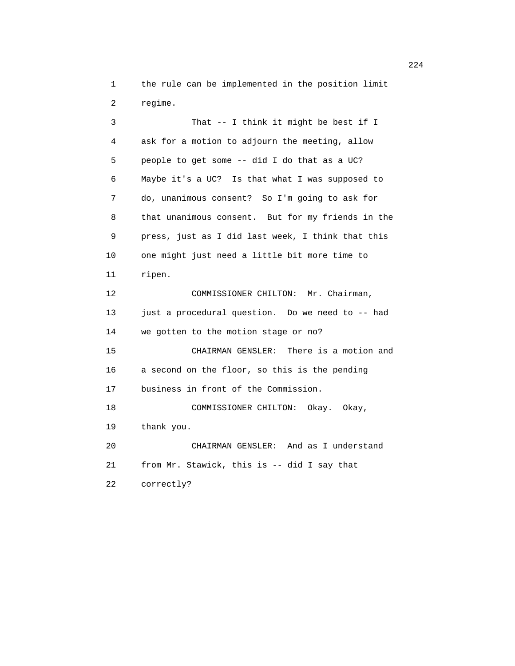1 the rule can be implemented in the position limit 2 regime.

 3 That -- I think it might be best if I 4 ask for a motion to adjourn the meeting, allow 5 people to get some -- did I do that as a UC? 6 Maybe it's a UC? Is that what I was supposed to 7 do, unanimous consent? So I'm going to ask for 8 that unanimous consent. But for my friends in the 9 press, just as I did last week, I think that this 10 one might just need a little bit more time to 11 ripen. 12 COMMISSIONER CHILTON: Mr. Chairman, 13 just a procedural question. Do we need to -- had 14 we gotten to the motion stage or no? 15 CHAIRMAN GENSLER: There is a motion and 16 a second on the floor, so this is the pending 17 business in front of the Commission. 18 COMMISSIONER CHILTON: Okay. Okay, 19 thank you. 20 CHAIRMAN GENSLER: And as I understand 21 from Mr. Stawick, this is -- did I say that 22 correctly?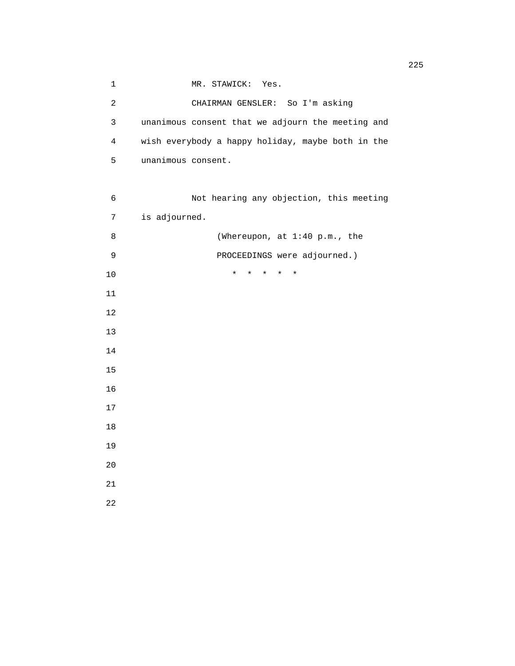1 MR. STAWICK: Yes. 2 CHAIRMAN GENSLER: So I'm asking 3 unanimous consent that we adjourn the meeting and 4 wish everybody a happy holiday, maybe both in the 5 unanimous consent. 6 Not hearing any objection, this meeting 7 is adjourned. 8 (Whereupon, at 1:40 p.m., the 9 PROCEEDINGS were adjourned.) 10 \* \* \* \* \* 11 12 13 14 15 16 17 18 19 20 21 22